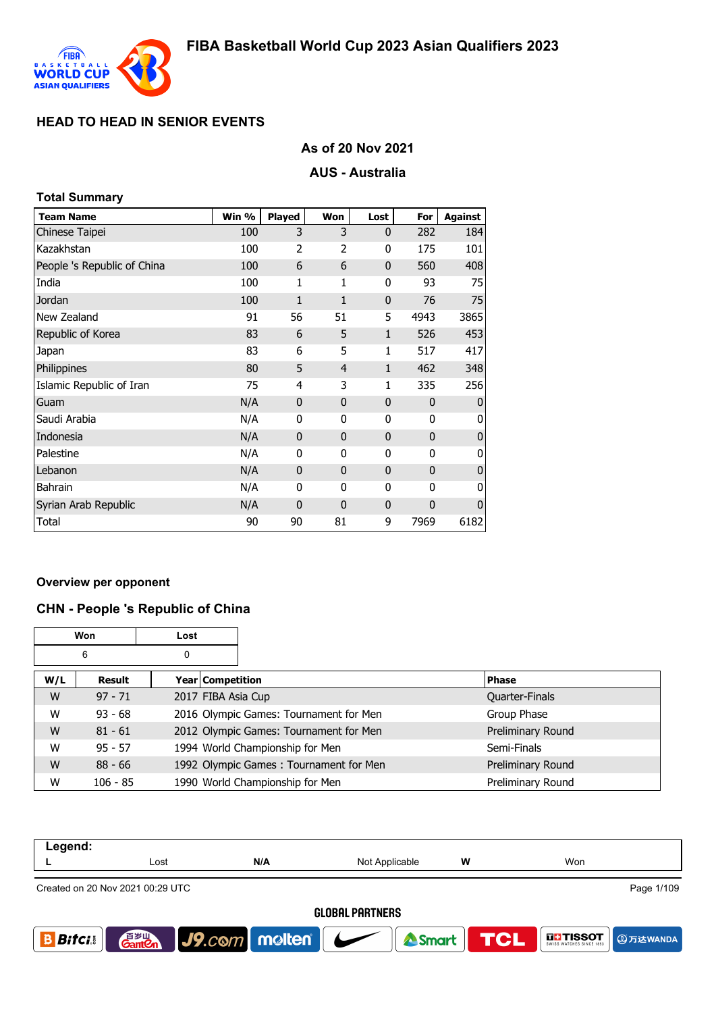

## **As of 20 Nov 2021**

### **AUS - Australia**

| <b>Total Summary</b>        |       |                |              |              |              |                |
|-----------------------------|-------|----------------|--------------|--------------|--------------|----------------|
| <b>Team Name</b>            | Win % | Played         | Won          | Lost         | For          | <b>Against</b> |
| Chinese Taipei              | 100   | 3              | 3            | $\mathbf{0}$ | 282          | 184            |
| Kazakhstan                  | 100   | $\overline{2}$ | 2            | 0            | 175          | 101            |
| People 's Republic of China | 100   | 6              | 6            | $\mathbf{0}$ | 560          | 408            |
| India                       | 100   | $\mathbf{1}$   | 1            | 0            | 93           | 75             |
| Jordan                      | 100   | $\mathbf{1}$   | $\mathbf{1}$ | $\mathbf{0}$ | 76           | 75             |
| New Zealand                 | 91    | 56             | 51           | 5            | 4943         | 3865           |
| Republic of Korea           | 83    | 6              | 5            | $\mathbf{1}$ | 526          | 453            |
| Japan                       | 83    | 6              | 5            | 1            | 517          | 417            |
| Philippines                 | 80    | 5              | 4            | $\mathbf{1}$ | 462          | 348            |
| Islamic Republic of Iran    | 75    | 4              | 3            | 1            | 335          | 256            |
| Guam                        | N/A   | $\mathbf{0}$   | $\mathbf{0}$ | $\mathbf{0}$ | $\mathbf{0}$ | $\Omega$       |
| Saudi Arabia                | N/A   | 0              | 0            | 0            | $\mathbf{0}$ | 0              |
| Indonesia                   | N/A   | $\Omega$       | $\Omega$     | $\mathbf{0}$ | $\Omega$     | $\mathbf{0}$   |
| Palestine                   | N/A   | 0              | 0            | 0            | 0            | 0              |
| Lebanon                     | N/A   | 0              | $\mathbf{0}$ | $\mathbf{0}$ | $\mathbf{0}$ | $\mathbf 0$    |
| <b>Bahrain</b>              | N/A   | 0              | 0            | 0            | $\mathbf{0}$ | 0              |
| Syrian Arab Republic        | N/A   | $\mathbf{0}$   | $\mathbf{0}$ | $\mathbf{0}$ | $\mathbf{0}$ | $\mathbf{0}$   |
| Total                       | 90    | 90             | 81           | 9            | 7969         | 6182           |

#### **Overview per opponent**

#### **CHN - People 's Republic of China**

|     | Won        | Lost |                                        |                   |
|-----|------------|------|----------------------------------------|-------------------|
|     | 6          | 0    |                                        |                   |
| W/L | Result     |      | Year Competition                       | Phase             |
| W   | $97 - 71$  |      | 2017 FIBA Asia Cup                     | Quarter-Finals    |
| W   | $93 - 68$  |      | 2016 Olympic Games: Tournament for Men | Group Phase       |
| W   | $81 - 61$  |      | 2012 Olympic Games: Tournament for Men | Preliminary Round |
| W   | $95 - 57$  |      | 1994 World Championship for Men        | Semi-Finals       |
| W   | $88 - 66$  |      | 1992 Olympic Games: Tournament for Men | Preliminary Round |
| W   | $106 - 85$ |      | 1990 World Championship for Men        | Preliminary Round |

| Legend:                |                                                |                                 |                |            |               |  |  |  |
|------------------------|------------------------------------------------|---------------------------------|----------------|------------|---------------|--|--|--|
|                        | Lost                                           | N/A                             | Not Applicable | w          | Won           |  |  |  |
|                        | Page 1/109<br>Created on 20 Nov 2021 00:29 UTC |                                 |                |            |               |  |  |  |
| <b>GLOBAL PARTNERS</b> |                                                |                                 |                |            |               |  |  |  |
| <b>Bitci</b>           | 音 <sub>岁皿</sub><br>Gant <b>C</b> n             | $ $ J9. $com$ molten $ $ $\sim$ | Smart          | <b>TGL</b> | <b>THESOT</b> |  |  |  |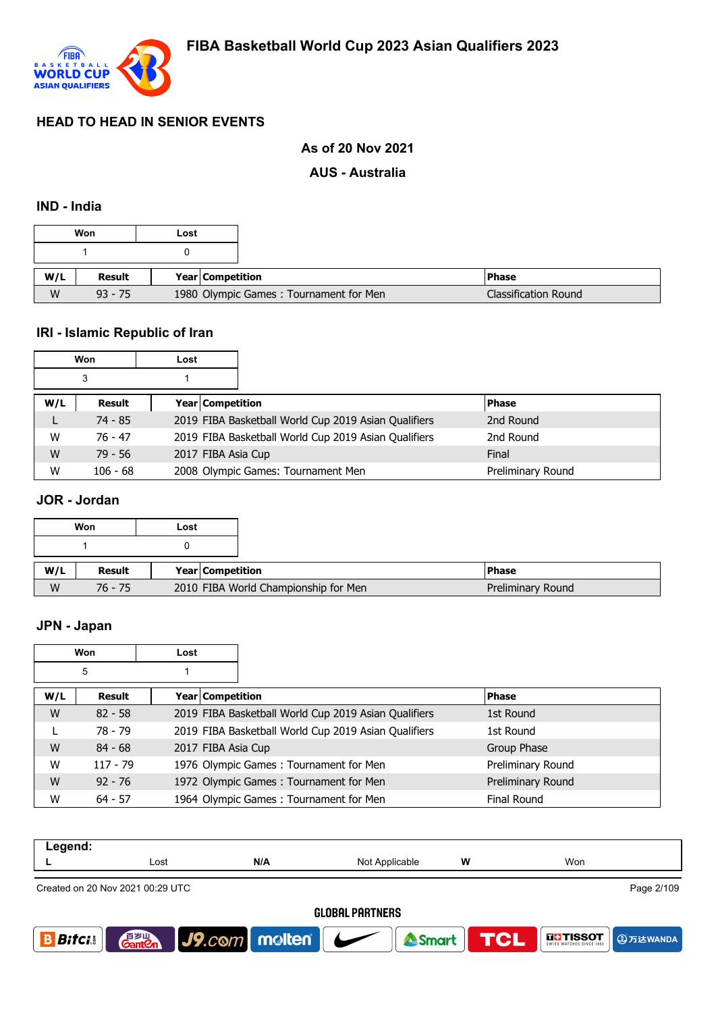

## **As of 20 Nov 2021**

#### **AUS - Australia**

#### **IND - India**

|     | Won       | Lost |                                        |                      |
|-----|-----------|------|----------------------------------------|----------------------|
|     |           |      |                                        |                      |
| W/L | Result    |      | Year Competition                       | <b>Phase</b>         |
| W   | $93 - 75$ |      | 1980 Olympic Games: Tournament for Men | Classification Round |

# **IRI - Islamic Republic of Iran**

|     | Won        | Lost |                                                      |                   |
|-----|------------|------|------------------------------------------------------|-------------------|
|     | 3          |      |                                                      |                   |
| W/L | Result     |      | <b>Year Competition</b>                              | <b>Phase</b>      |
|     | $74 - 85$  |      | 2019 FIBA Basketball World Cup 2019 Asian Qualifiers | 2nd Round         |
| W   | 76 - 47    |      | 2019 FIBA Basketball World Cup 2019 Asian Qualifiers | 2nd Round         |
| W   | $79 - 56$  |      | 2017 FIBA Asia Cup                                   | Final             |
| W   | $106 - 68$ |      | 2008 Olympic Games: Tournament Men                   | Preliminary Round |

## **JOR - Jordan**

|     | Won       | Lost |                  |                                      |                   |
|-----|-----------|------|------------------|--------------------------------------|-------------------|
|     |           |      |                  |                                      |                   |
| W/L | Result    |      | Year Competition |                                      | <b>Phase</b>      |
| W   | $76 - 75$ |      |                  | 2010 FIBA World Championship for Men | Preliminary Round |

#### **JPN - Japan**

|     | Won        | Lost |                    |                                                      |                    |
|-----|------------|------|--------------------|------------------------------------------------------|--------------------|
|     | 5          |      |                    |                                                      |                    |
| W/L | Result     |      | Year Competition   |                                                      | <b>Phase</b>       |
| W   | $82 - 58$  |      |                    | 2019 FIBA Basketball World Cup 2019 Asian Qualifiers | 1st Round          |
|     | 78 - 79    |      |                    | 2019 FIBA Basketball World Cup 2019 Asian Qualifiers | 1st Round          |
| W   | $84 - 68$  |      | 2017 FIBA Asia Cup |                                                      | Group Phase        |
| W   | $117 - 79$ |      |                    | 1976 Olympic Games: Tournament for Men               | Preliminary Round  |
| W   | $92 - 76$  |      |                    | 1972 Olympic Games: Tournament for Men               | Preliminary Round  |
| W   | $64 - 57$  |      |                    | 1964 Olympic Games: Tournament for Men               | <b>Final Round</b> |

| Legend:                                        |                                    |                              |                |   |                                          |  |
|------------------------------------------------|------------------------------------|------------------------------|----------------|---|------------------------------------------|--|
|                                                | Lost                               | N/A                          | Not Applicable | w | Won                                      |  |
| Page 2/109<br>Created on 20 Nov 2021 00:29 UTC |                                    |                              |                |   |                                          |  |
| <b>GLOBAL PARTNERS</b>                         |                                    |                              |                |   |                                          |  |
| <b>Bitci</b>                                   | 音 <sub>罗山</sub><br>Gant <b>C</b> n | $ $ J9.com   molten   $\sim$ | Smart          |   | TCL<br><b>THISSOT</b><br><b>9万达WANDA</b> |  |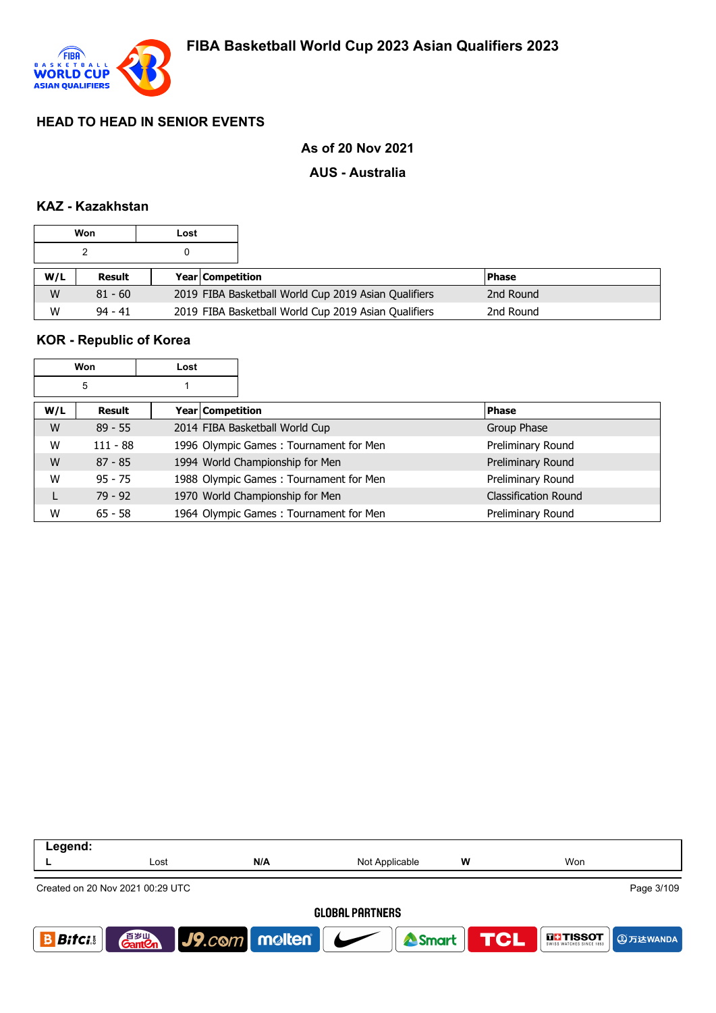

### **As of 20 Nov 2021**

#### **AUS - Australia**

#### **KAZ - Kazakhstan**

|     | Won       | Lost |                                                      |           |
|-----|-----------|------|------------------------------------------------------|-----------|
|     |           |      |                                                      |           |
| W/L | Result    |      | <b>Year Competition</b>                              | l Phase   |
|     |           |      |                                                      |           |
| W   | $81 - 60$ |      | 2019 FIBA Basketball World Cup 2019 Asian Qualifiers | 2nd Round |

#### **KOR - Republic of Korea**

|     | Won        | Lost             |                                        |                      |
|-----|------------|------------------|----------------------------------------|----------------------|
|     | 5          |                  |                                        |                      |
| W/L | Result     | Year Competition |                                        | <b>Phase</b>         |
| W   | $89 - 55$  |                  | 2014 FIBA Basketball World Cup         | Group Phase          |
| W   | $111 - 88$ |                  | 1996 Olympic Games: Tournament for Men | Preliminary Round    |
| W   | $87 - 85$  |                  | 1994 World Championship for Men        | Preliminary Round    |
| W   | $95 - 75$  |                  | 1988 Olympic Games: Tournament for Men | Preliminary Round    |
|     | $79 - 92$  |                  | 1970 World Championship for Men        | Classification Round |
| W   | $65 - 58$  |                  | 1964 Olympic Games: Tournament for Men | Preliminary Round    |

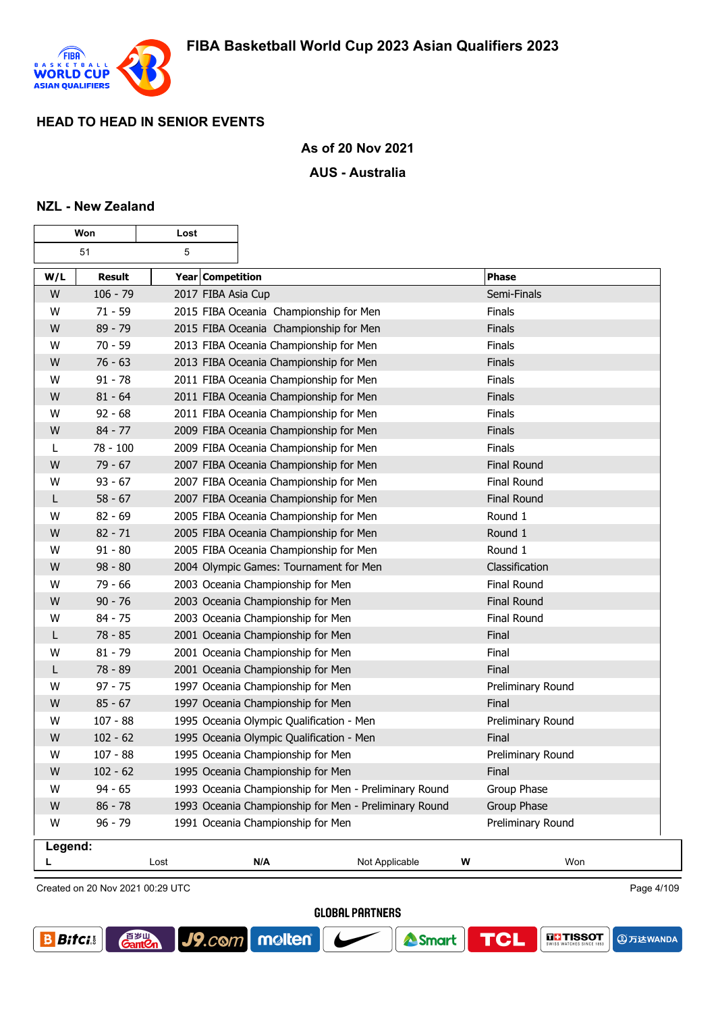

┱

 $\overline{\phantom{a}}$ 

#### **As of 20 Nov 2021**

#### **AUS - Australia**

#### **NZL - New Zealand**

г

|         | Won        |                    |                                                       |                |   |                    |
|---------|------------|--------------------|-------------------------------------------------------|----------------|---|--------------------|
|         | 51         | 5                  |                                                       |                |   |                    |
| W/L     | Result     | Year Competition   |                                                       |                |   | <b>Phase</b>       |
| W       | $106 - 79$ | 2017 FIBA Asia Cup |                                                       |                |   | Semi-Finals        |
| W       | $71 - 59$  |                    | 2015 FIBA Oceania Championship for Men                |                |   | <b>Finals</b>      |
| W       | $89 - 79$  |                    | 2015 FIBA Oceania Championship for Men                |                |   | <b>Finals</b>      |
| W       | $70 - 59$  |                    | 2013 FIBA Oceania Championship for Men                |                |   | Finals             |
| W       | $76 - 63$  |                    | 2013 FIBA Oceania Championship for Men                |                |   | Finals             |
| W       | $91 - 78$  |                    | 2011 FIBA Oceania Championship for Men                |                |   | Finals             |
| W       | $81 - 64$  |                    | 2011 FIBA Oceania Championship for Men                |                |   | Finals             |
| W       | $92 - 68$  |                    | 2011 FIBA Oceania Championship for Men                |                |   | Finals             |
| W       | $84 - 77$  |                    | 2009 FIBA Oceania Championship for Men                |                |   | Finals             |
| L       | 78 - 100   |                    | 2009 FIBA Oceania Championship for Men                |                |   | Finals             |
| W       | $79 - 67$  |                    | 2007 FIBA Oceania Championship for Men                |                |   | <b>Final Round</b> |
| W       | $93 - 67$  |                    | 2007 FIBA Oceania Championship for Men                |                |   | Final Round        |
| L       | $58 - 67$  |                    | 2007 FIBA Oceania Championship for Men                |                |   | <b>Final Round</b> |
| W       | $82 - 69$  |                    | 2005 FIBA Oceania Championship for Men                |                |   | Round 1            |
| W       | $82 - 71$  |                    | 2005 FIBA Oceania Championship for Men                |                |   | Round 1            |
| W       | $91 - 80$  |                    | 2005 FIBA Oceania Championship for Men                |                |   | Round 1            |
| W       | $98 - 80$  |                    | 2004 Olympic Games: Tournament for Men                |                |   | Classification     |
| W       | 79 - 66    |                    | 2003 Oceania Championship for Men                     |                |   | Final Round        |
| W       | $90 - 76$  |                    | 2003 Oceania Championship for Men                     |                |   | <b>Final Round</b> |
| W       | $84 - 75$  |                    | 2003 Oceania Championship for Men                     |                |   | Final Round        |
| L       | $78 - 85$  |                    | 2001 Oceania Championship for Men                     |                |   | Final              |
| W       | $81 - 79$  |                    | 2001 Oceania Championship for Men                     |                |   | Final              |
| L       | 78 - 89    |                    | 2001 Oceania Championship for Men                     |                |   | Final              |
| W       | $97 - 75$  |                    | 1997 Oceania Championship for Men                     |                |   | Preliminary Round  |
| W       | $85 - 67$  |                    | 1997 Oceania Championship for Men                     |                |   | Final              |
| W       | $107 - 88$ |                    | 1995 Oceania Olympic Qualification - Men              |                |   | Preliminary Round  |
| W       | $102 - 62$ |                    | 1995 Oceania Olympic Qualification - Men              |                |   | Final              |
| W       | $107 - 88$ |                    | 1995 Oceania Championship for Men                     |                |   | Preliminary Round  |
| W       | $102 - 62$ |                    | 1995 Oceania Championship for Men                     |                |   | <b>Final</b>       |
| W       | 94 - 65    |                    | 1993 Oceania Championship for Men - Preliminary Round |                |   | Group Phase        |
| W       | $86 - 78$  |                    | 1993 Oceania Championship for Men - Preliminary Round |                |   | Group Phase        |
| W       | $96 - 79$  |                    | 1991 Oceania Championship for Men                     |                |   | Preliminary Round  |
| Legend: |            |                    |                                                       |                |   |                    |
|         |            | Lost               | N/A                                                   | Not Applicable | W | Won                |

Created on 20 Nov 2021 00:29 UTC

**GantOn** 

J9.com molten

**GLOBAL PARTNERS** 

Smart



Page 4/109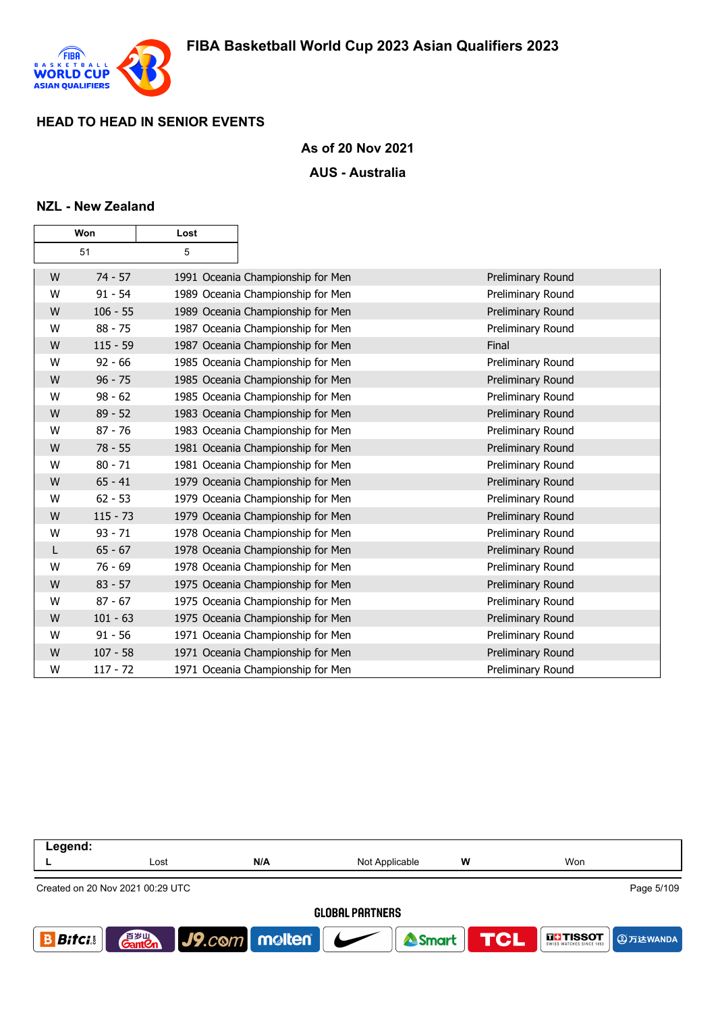

### **As of 20 Nov 2021**

#### **AUS - Australia**

#### **NZL - New Zealand**

|   | Won        | Lost |                                   |                   |
|---|------------|------|-----------------------------------|-------------------|
|   | 51         | 5    |                                   |                   |
| W | $74 - 57$  |      | 1991 Oceania Championship for Men | Preliminary Round |
| W | $91 - 54$  |      | 1989 Oceania Championship for Men | Preliminary Round |
| W | $106 - 55$ |      | 1989 Oceania Championship for Men | Preliminary Round |
| W | $88 - 75$  |      | 1987 Oceania Championship for Men | Preliminary Round |
| W | $115 - 59$ |      | 1987 Oceania Championship for Men | Final             |
| W | $92 - 66$  |      | 1985 Oceania Championship for Men | Preliminary Round |
| W | $96 - 75$  |      | 1985 Oceania Championship for Men | Preliminary Round |
| W | $98 - 62$  |      | 1985 Oceania Championship for Men | Preliminary Round |
| W | $89 - 52$  |      | 1983 Oceania Championship for Men | Preliminary Round |
| W | $87 - 76$  |      | 1983 Oceania Championship for Men | Preliminary Round |
| W | $78 - 55$  |      | 1981 Oceania Championship for Men | Preliminary Round |
| W | $80 - 71$  |      | 1981 Oceania Championship for Men | Preliminary Round |
| W | $65 - 41$  |      | 1979 Oceania Championship for Men | Preliminary Round |
| W | $62 - 53$  |      | 1979 Oceania Championship for Men | Preliminary Round |
| W | $115 - 73$ |      | 1979 Oceania Championship for Men | Preliminary Round |
| W | $93 - 71$  |      | 1978 Oceania Championship for Men | Preliminary Round |
| L | $65 - 67$  |      | 1978 Oceania Championship for Men | Preliminary Round |
| W | $76 - 69$  |      | 1978 Oceania Championship for Men | Preliminary Round |
| W | $83 - 57$  |      | 1975 Oceania Championship for Men | Preliminary Round |
| W | $87 - 67$  |      | 1975 Oceania Championship for Men | Preliminary Round |
| W | $101 - 63$ |      | 1975 Oceania Championship for Men | Preliminary Round |
| W | $91 - 56$  |      | 1971 Oceania Championship for Men | Preliminary Round |
| W | $107 - 58$ |      | 1971 Oceania Championship for Men | Preliminary Round |
| W | $117 - 72$ |      | 1971 Oceania Championship for Men | Preliminary Round |

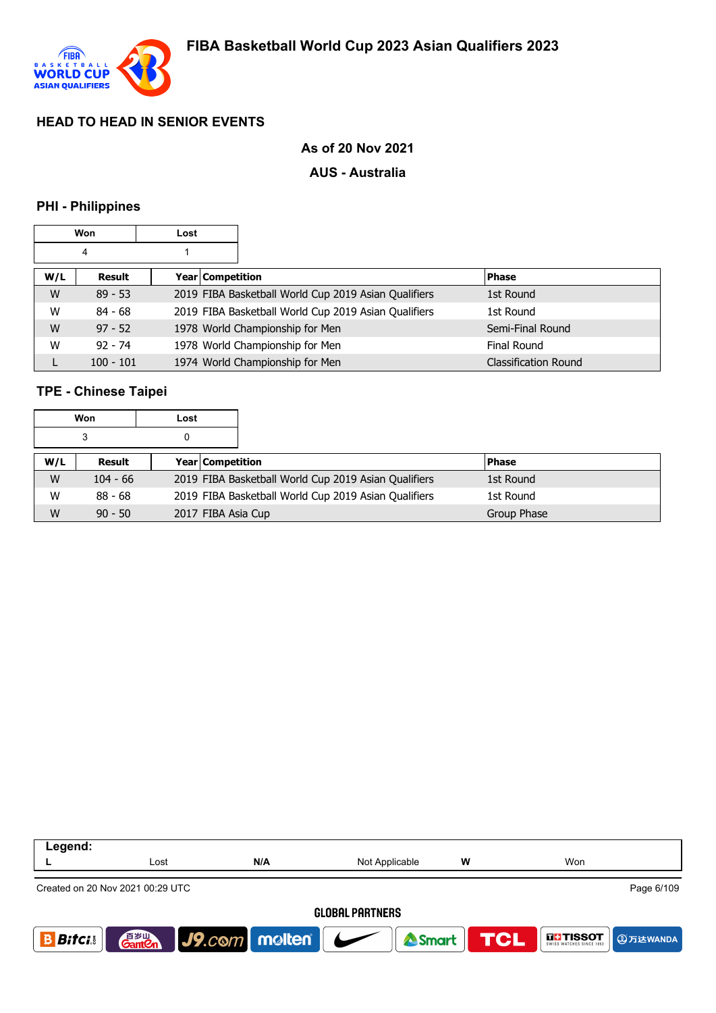

### **As of 20 Nov 2021**

#### **AUS - Australia**

### **PHI - Philippines**

|     | Won         | Lost |                  |                                                      |                      |
|-----|-------------|------|------------------|------------------------------------------------------|----------------------|
|     | 4           |      |                  |                                                      |                      |
| W/L | Result      |      | Year Competition |                                                      | <b>Phase</b>         |
| W   | $89 - 53$   |      |                  | 2019 FIBA Basketball World Cup 2019 Asian Qualifiers | 1st Round            |
| W   | $84 - 68$   |      |                  | 2019 FIBA Basketball World Cup 2019 Asian Qualifiers | 1st Round            |
| W   | $97 - 52$   |      |                  | 1978 World Championship for Men                      | Semi-Final Round     |
| W   | $92 - 74$   |      |                  | 1978 World Championship for Men                      | <b>Final Round</b>   |
|     | $100 - 101$ |      |                  | 1974 World Championship for Men                      | Classification Round |

# **TPE - Chinese Taipei**

|     | Won        | Lost |                                                      |               |
|-----|------------|------|------------------------------------------------------|---------------|
|     | 3          |      |                                                      |               |
| W/L | Result     |      | <b>Year Competition</b>                              | <b>IPhase</b> |
| W   | $104 - 66$ |      | 2019 FIBA Basketball World Cup 2019 Asian Qualifiers | 1st Round     |
| W   | $88 - 68$  |      | 2019 FIBA Basketball World Cup 2019 Asian Qualifiers | 1st Round     |
| W   | $90 - 50$  |      | 2017 FIBA Asia Cup                                   | Group Phase   |

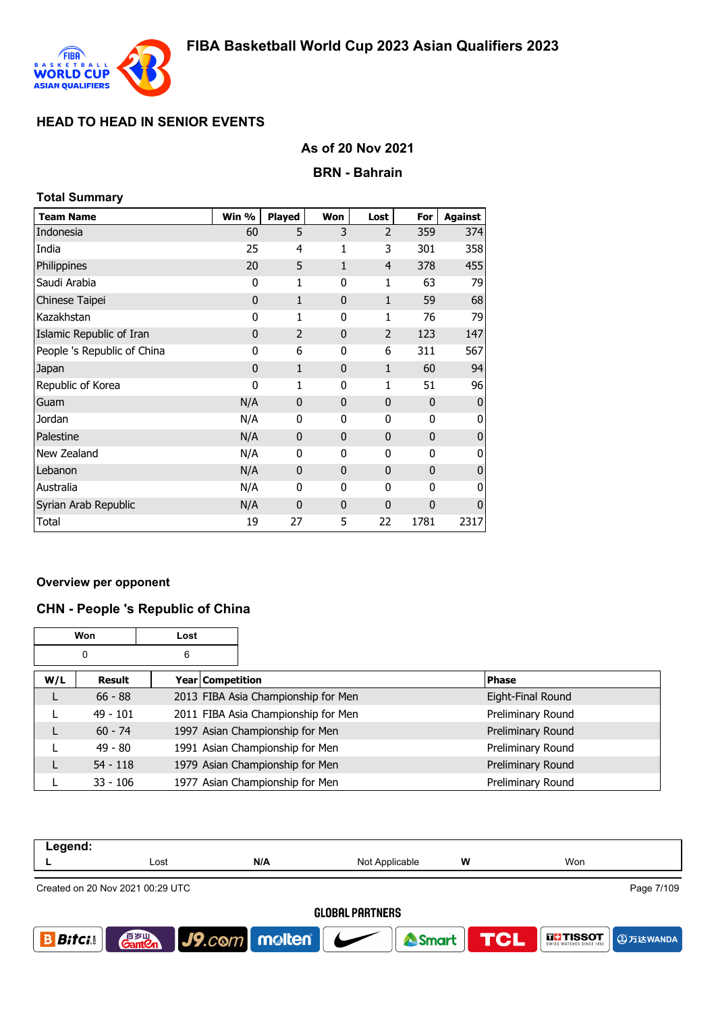

**Total Summary**

## **HEAD TO HEAD IN SENIOR EVENTS**

### **As of 20 Nov 2021**

#### **BRN - Bahrain**

| Total Summary               |              |                |              |                |              |                |
|-----------------------------|--------------|----------------|--------------|----------------|--------------|----------------|
| <b>Team Name</b>            | Win %        | <b>Played</b>  | Won          | Lost           | For          | <b>Against</b> |
| Indonesia                   | 60           | 5              | 3            | 2              | 359          | 374            |
| India                       | 25           | 4              | 1            | 3              | 301          | 358            |
| Philippines                 | 20           | 5              | $\mathbf{1}$ | $\overline{4}$ | 378          | 455            |
| Saudi Arabia                | 0            | 1              | 0            | 1              | 63           | 79             |
| Chinese Taipei              | 0            | $\mathbf{1}$   | $\mathbf{0}$ | $\mathbf{1}$   | 59           | 68             |
| Kazakhstan                  | 0            | 1              | 0            | 1              | 76           | 79             |
| Islamic Republic of Iran    | $\mathbf{0}$ | $\overline{2}$ | $\mathbf{0}$ | 2              | 123          | 147            |
| People 's Republic of China | 0            | 6              | 0            | 6              | 311          | 567            |
| Japan                       | $\mathbf{0}$ | $\mathbf{1}$   | $\mathbf{0}$ | $\mathbf{1}$   | 60           | 94             |
| Republic of Korea           | 0            | 1              | 0            | 1              | 51           | 96             |
| Guam                        | N/A          | $\mathbf 0$    | $\mathbf{0}$ | 0              | $\mathbf 0$  | O              |
| Jordan                      | N/A          | 0              | 0            | 0              | $\mathbf{0}$ | O              |
| Palestine                   | N/A          | $\mathbf{0}$   | $\mathbf{0}$ | $\mathbf{0}$   | $\mathbf{0}$ | O              |
| New Zealand                 | N/A          | 0              | 0            | 0              | 0            | 0              |
| Lebanon                     | N/A          | $\bf{0}$       | $\mathbf{0}$ | 0              | $\mathbf 0$  | O              |
| Australia                   | N/A          | 0              | 0            | 0              | 0            | O              |
| Syrian Arab Republic        | N/A          | $\mathbf 0$    | $\mathbf{0}$ | $\mathbf 0$    | 0            | O              |
| Total                       | 19           | 27             | 5            | 22             | 1781         | 2317           |

#### **Overview per opponent**

# **CHN - People 's Republic of China**

|     | Won        | Lost |                                     |                   |
|-----|------------|------|-------------------------------------|-------------------|
|     | 0          | 6    |                                     |                   |
| W/L | Result     |      | Year   Competition                  | <b>Phase</b>      |
|     | $66 - 88$  |      | 2013 FIBA Asia Championship for Men | Eight-Final Round |
|     | $49 - 101$ |      | 2011 FIBA Asia Championship for Men | Preliminary Round |
|     | $60 - 74$  |      | 1997 Asian Championship for Men     | Preliminary Round |
|     | $49 - 80$  |      | 1991 Asian Championship for Men     | Preliminary Round |
|     | $54 - 118$ |      | 1979 Asian Championship for Men     | Preliminary Round |
|     | $33 - 106$ |      | 1977 Asian Championship for Men     | Preliminary Round |

| Legend:      |                                  |                      |                        |   |                                                 |
|--------------|----------------------------------|----------------------|------------------------|---|-------------------------------------------------|
|              | Lost                             | N/A                  | Not Applicable         | w | Won                                             |
|              | Created on 20 Nov 2021 00:29 UTC |                      |                        |   | Page 7/109                                      |
|              |                                  |                      | <b>GLOBAL PARTNERS</b> |   |                                                 |
| <b>Bifci</b> | 百岁山<br><b>Gantien</b>            | $ $ J9. $com$ molten | Smart                  |   | <b>TCL</b><br><b>THESOT</b><br><b>4</b> 万达WANDA |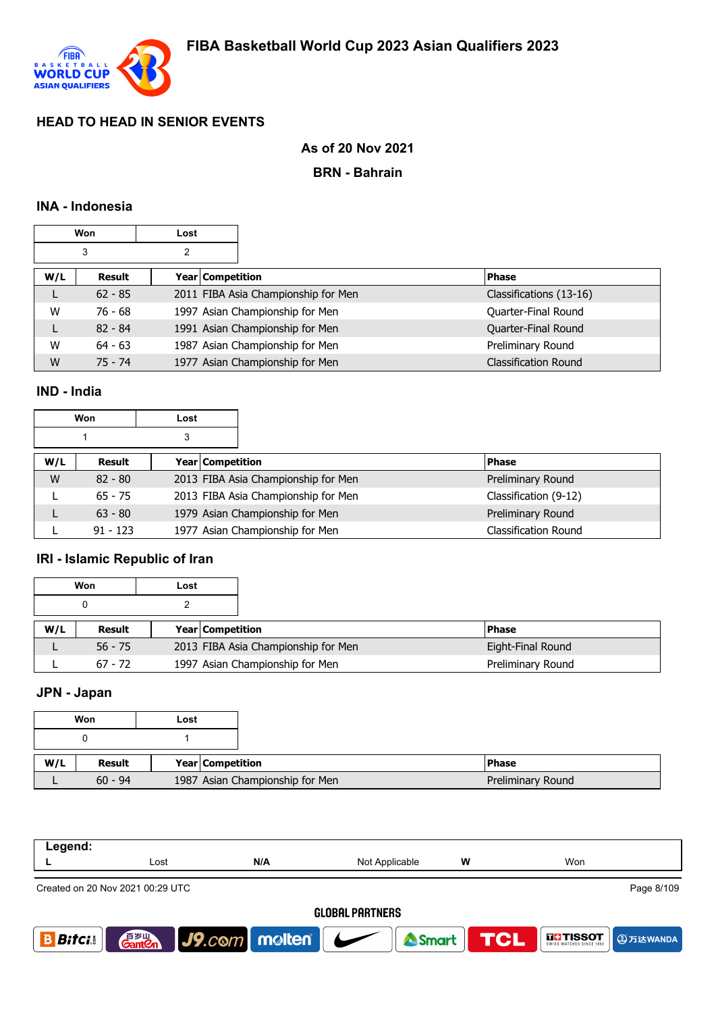

## **As of 20 Nov 2021**

#### **BRN - Bahrain**

### **INA - Indonesia**

|     | Won       | Lost |                  |                                     |                             |
|-----|-----------|------|------------------|-------------------------------------|-----------------------------|
|     | 3         | 2    |                  |                                     |                             |
| W/L | Result    |      | Year Competition |                                     | <b>Phase</b>                |
|     | $62 - 85$ |      |                  | 2011 FIBA Asia Championship for Men | Classifications (13-16)     |
| W   | 76 - 68   |      |                  | 1997 Asian Championship for Men     | Quarter-Final Round         |
| L   | $82 - 84$ |      |                  | 1991 Asian Championship for Men     | Quarter-Final Round         |
| W   | $64 - 63$ |      |                  | 1987 Asian Championship for Men     | Preliminary Round           |
| W   | $75 - 74$ |      |                  | 1977 Asian Championship for Men     | <b>Classification Round</b> |

## **IND - India**

|     | Won           | Lost |                         |                                     |                             |
|-----|---------------|------|-------------------------|-------------------------------------|-----------------------------|
|     |               | 3    |                         |                                     |                             |
| W/L | <b>Result</b> |      | <b>Year Competition</b> |                                     | <b>Phase</b>                |
| W   | $82 - 80$     |      |                         | 2013 FIBA Asia Championship for Men | Preliminary Round           |
|     | $65 - 75$     |      |                         | 2013 FIBA Asia Championship for Men | Classification (9-12)       |
|     | $63 - 80$     |      |                         | 1979 Asian Championship for Men     | Preliminary Round           |
|     | $91 - 123$    |      |                         | 1977 Asian Championship for Men     | <b>Classification Round</b> |

### **IRI - Islamic Republic of Iran**

|     | Won           | Lost             |                                     |                   |
|-----|---------------|------------------|-------------------------------------|-------------------|
|     | 0             |                  |                                     |                   |
| W/L | <b>Result</b> | Year Competition |                                     | <b>IPhase</b>     |
|     | $56 - 75$     |                  | 2013 FIBA Asia Championship for Men | Eight-Final Round |
|     | $67 - 72$     |                  | 1997 Asian Championship for Men     | Preliminary Round |

# **JPN - Japan**

|     | Won       | Lost                            |
|-----|-----------|---------------------------------|
|     |           |                                 |
|     |           |                                 |
| W/L | Result    | Year Competition                |
|     | $60 - 94$ | 1987 Asian Championship for Men |

| Legend:      |                                  |                                 |     |                        |                |            |                   |                   |
|--------------|----------------------------------|---------------------------------|-----|------------------------|----------------|------------|-------------------|-------------------|
|              | Lost                             |                                 | N/A | Not Applicable         |                | W          | Won               |                   |
|              | Created on 20 Nov 2021 00:29 UTC |                                 |     |                        |                |            |                   | Page 8/109        |
|              |                                  |                                 |     | <b>GLOBAL PARTNERS</b> |                |            |                   |                   |
| <b>Bifci</b> | 音罗山<br><b>Gant Cn</b>            | $ $ J9. $com$ molten $ $ $\sim$ |     |                        | <b>A</b> Smart | <b>TCL</b> | <b>THE TISSOT</b> | <b>4 ①万达WANDA</b> |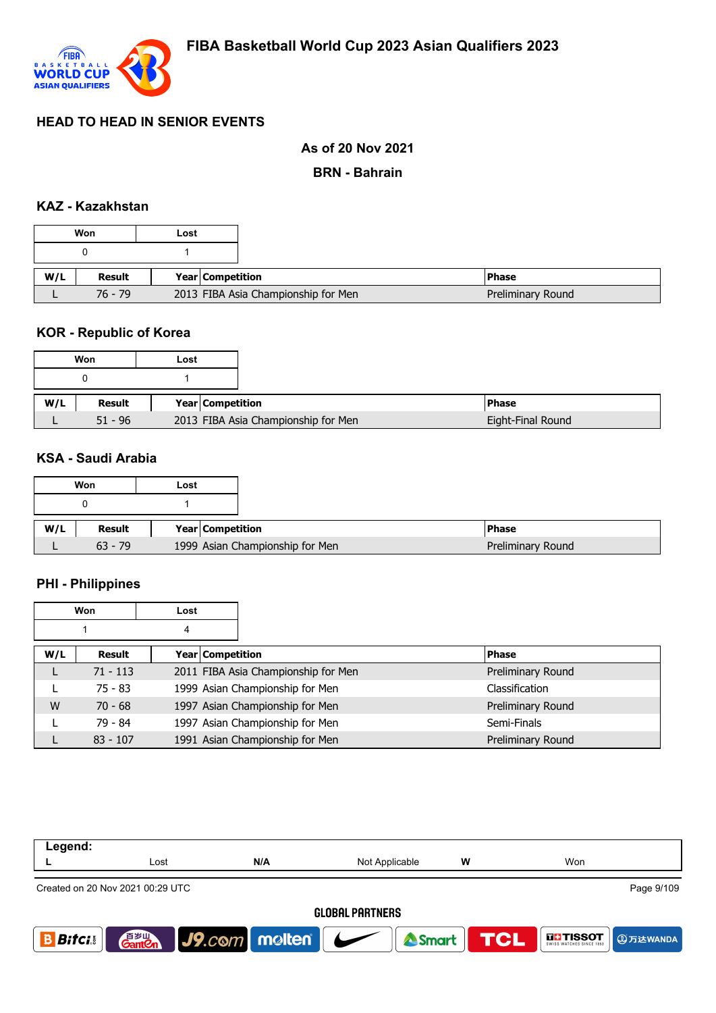

## **As of 20 Nov 2021**

#### **BRN - Bahrain**

## **KAZ - Kazakhstan**

|     | Won       | Lost |                                     |
|-----|-----------|------|-------------------------------------|
|     |           |      |                                     |
| W/L | Result    |      | Year Competition                    |
|     |           |      |                                     |
|     | $76 - 79$ |      | 2013 FIBA Asia Championship for Men |

#### **KOR - Republic of Korea**

### **KSA - Saudi Arabia**

|     | Won       | Lost                            |
|-----|-----------|---------------------------------|
|     |           |                                 |
| W/L | Result    | Year Competition                |
|     | $63 - 79$ | 1999 Asian Championship for Men |

### **PHI - Philippines**

|     | Won        | Lost             |                                     |                   |
|-----|------------|------------------|-------------------------------------|-------------------|
|     |            | 4                |                                     |                   |
| W/L | Result     | Year Competition |                                     | <b>Phase</b>      |
|     | $71 - 113$ |                  | 2011 FIBA Asia Championship for Men | Preliminary Round |
|     | $75 - 83$  |                  | 1999 Asian Championship for Men     | Classification    |
| W   | $70 - 68$  |                  | 1997 Asian Championship for Men     | Preliminary Round |
|     | 79 - 84    |                  | 1997 Asian Championship for Men     | Semi-Finals       |
|     | $83 - 107$ |                  | 1991 Asian Championship for Men     | Preliminary Round |

| Legend:                |                                                |                            |                |                  |                                      |  |  |  |
|------------------------|------------------------------------------------|----------------------------|----------------|------------------|--------------------------------------|--|--|--|
|                        | Lost                                           | N/A                        | Not Applicable | W                | Won                                  |  |  |  |
|                        | Page 9/109<br>Created on 20 Nov 2021 00:29 UTC |                            |                |                  |                                      |  |  |  |
| <b>GLOBAL PARTNERS</b> |                                                |                            |                |                  |                                      |  |  |  |
| <b>Bitci</b>           | 音 <sub>岁Ⅲ</sub><br>Gant <b>C</b> n             | $J9$ . $com$ molten $\sim$ |                | Smart <b>TCL</b> | <b>THE TISSOT</b><br><b>4万达WANDA</b> |  |  |  |
|                        |                                                |                            |                |                  |                                      |  |  |  |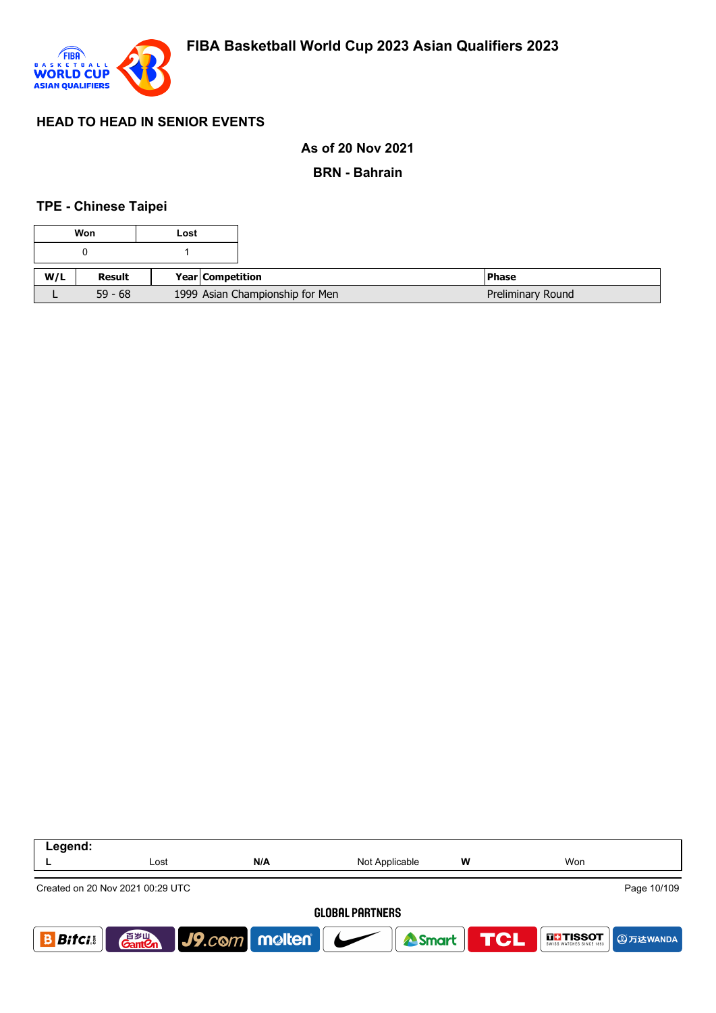

#### **As of 20 Nov 2021**

**BRN - Bahrain**

#### **TPE - Chinese Taipei**

|     | Won       | Lost |                         |                                 |                   |
|-----|-----------|------|-------------------------|---------------------------------|-------------------|
|     |           |      |                         |                                 |                   |
| W/L | Result    |      | <b>Year Competition</b> |                                 | <b>Phase</b>      |
|     | $59 - 68$ |      |                         | 1999 Asian Championship for Men | Preliminary Round |

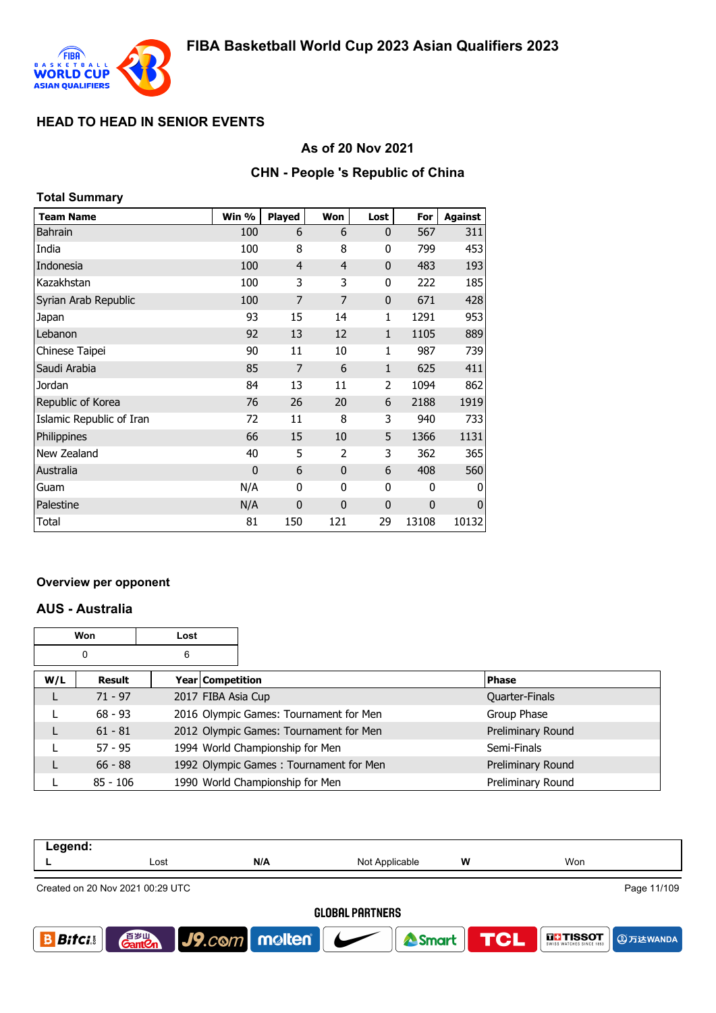

### **As of 20 Nov 2021**

#### **CHN - People 's Republic of China**

| <b>Total Summary</b>     |       |                |                |              |       |                |
|--------------------------|-------|----------------|----------------|--------------|-------|----------------|
| <b>Team Name</b>         | Win % | <b>Played</b>  | Won            | Lost         | For   | <b>Against</b> |
| <b>Bahrain</b>           | 100   | 6              | 6              | $\mathbf{0}$ | 567   | 311            |
| India                    | 100   | 8              | 8              | 0            | 799   | 453            |
| Indonesia                | 100   | $\overline{4}$ | 4              | $\mathbf{0}$ | 483   | 193            |
| Kazakhstan               | 100   | 3              | 3              | 0            | 222   | 185            |
| Syrian Arab Republic     | 100   | 7              | $\overline{7}$ | $\mathbf 0$  | 671   | 428            |
| Japan                    | 93    | 15             | 14             | 1            | 1291  | 953            |
| Lebanon                  | 92    | 13             | 12             | 1            | 1105  | 889            |
| Chinese Taipei           | 90    | 11             | 10             | 1            | 987   | 739            |
| Saudi Arabia             | 85    | 7              | 6              | $\mathbf{1}$ | 625   | 411            |
| Jordan                   | 84    | 13             | 11             | 2            | 1094  | 862            |
| Republic of Korea        | 76    | 26             | 20             | 6            | 2188  | 1919           |
| Islamic Republic of Iran | 72    | 11             | 8              | 3            | 940   | 733            |
| Philippines              | 66    | 15             | 10             | 5            | 1366  | 1131           |
| New Zealand              | 40    | 5              | 2              | 3            | 362   | 365            |
| Australia                | 0     | 6              | $\mathbf{0}$   | 6            | 408   | 560            |
| Guam                     | N/A   | 0              | 0              | 0            | 0     | 0              |
| Palestine                | N/A   | $\mathbf 0$    | $\mathbf{0}$   | $\mathbf 0$  | 0     | $\mathbf 0$    |
| Total                    | 81    | 150            | 121            | 29           | 13108 | 10132          |

#### **Overview per opponent**

#### **AUS - Australia**

|     | <b>Won</b><br>Lost |   |                    |                                        |                   |
|-----|--------------------|---|--------------------|----------------------------------------|-------------------|
|     | 0                  | 6 |                    |                                        |                   |
| W/L | Result             |   | Year Competition   |                                        | <b>Phase</b>      |
|     | $71 - 97$          |   | 2017 FIBA Asia Cup |                                        | Quarter-Finals    |
|     | $68 - 93$          |   |                    | 2016 Olympic Games: Tournament for Men | Group Phase       |
|     | $61 - 81$          |   |                    | 2012 Olympic Games: Tournament for Men | Preliminary Round |
|     | $57 - 95$          |   |                    | 1994 World Championship for Men        | Semi-Finals       |
|     | $66 - 88$          |   |                    | 1992 Olympic Games: Tournament for Men | Preliminary Round |
|     | $85 - 106$         |   |                    | 1990 World Championship for Men        | Preliminary Round |

| Legend:                |                                                 |                                     |                |   |                                                |  |  |  |
|------------------------|-------------------------------------------------|-------------------------------------|----------------|---|------------------------------------------------|--|--|--|
|                        | Lost                                            | N/A                                 | Not Applicable | w | Won                                            |  |  |  |
|                        | Page 11/109<br>Created on 20 Nov 2021 00:29 UTC |                                     |                |   |                                                |  |  |  |
| <b>GLOBAL PARTNERS</b> |                                                 |                                     |                |   |                                                |  |  |  |
| <b>Bifci</b> .         | 音 <sub>罗山</sub><br>Gant <b>C</b> n              | $\big $ J9.com   molten   $\bigcup$ | <b>A</b> Smart |   | <b>TCL</b><br><b>THESOT</b><br><b>9万达WANDA</b> |  |  |  |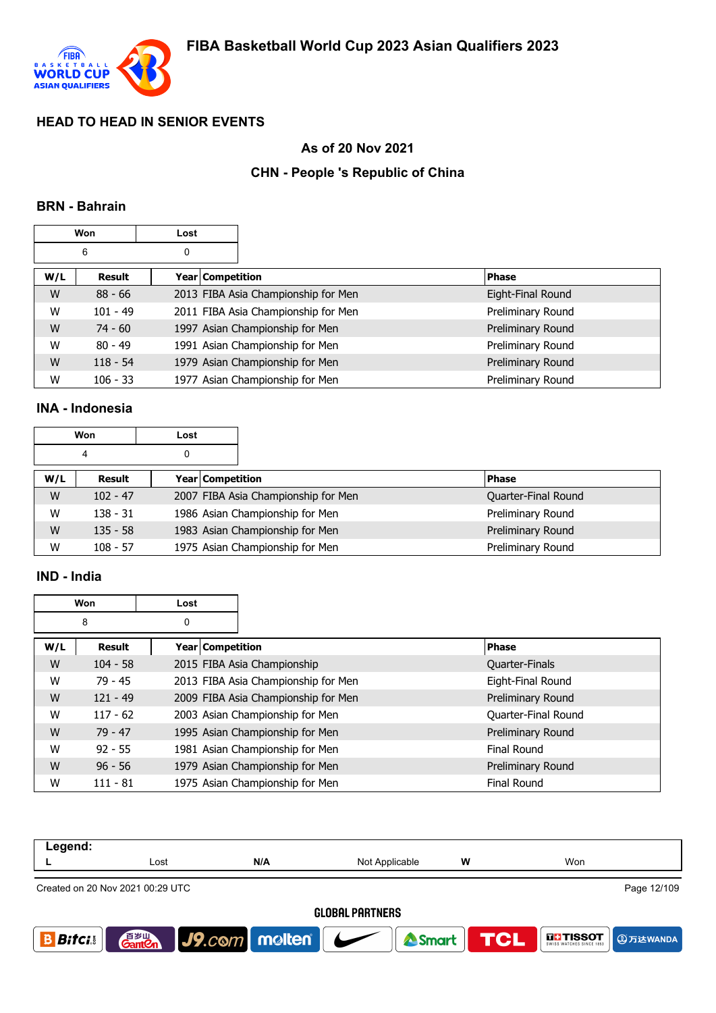

## **As of 20 Nov 2021**

## **CHN - People 's Republic of China**

#### **BRN - Bahrain**

|     | Won        | Lost |                  |                                     |                   |
|-----|------------|------|------------------|-------------------------------------|-------------------|
|     | 6          | 0    |                  |                                     |                   |
| W/L | Result     |      | Year Competition |                                     | <b>Phase</b>      |
| W   | $88 - 66$  |      |                  | 2013 FIBA Asia Championship for Men | Eight-Final Round |
| W   | $101 - 49$ |      |                  | 2011 FIBA Asia Championship for Men | Preliminary Round |
| W   | $74 - 60$  |      |                  | 1997 Asian Championship for Men     | Preliminary Round |
| W   | $80 - 49$  |      |                  | 1991 Asian Championship for Men     | Preliminary Round |
| W   | $118 - 54$ |      |                  | 1979 Asian Championship for Men     | Preliminary Round |
| W   | $106 - 33$ |      |                  | 1977 Asian Championship for Men     | Preliminary Round |

### **INA - Indonesia**

|     | Won        | Lost |                  |                                     |                     |
|-----|------------|------|------------------|-------------------------------------|---------------------|
|     | 4<br>0     |      |                  |                                     |                     |
| W/L | Result     |      | Year Competition |                                     | <b>Phase</b>        |
| W   | $102 - 47$ |      |                  | 2007 FIBA Asia Championship for Men | Quarter-Final Round |
| W   | $138 - 31$ |      |                  | 1986 Asian Championship for Men     | Preliminary Round   |
| W   | $135 - 58$ |      |                  | 1983 Asian Championship for Men     | Preliminary Round   |
| W   | $108 - 57$ |      |                  | 1975 Asian Championship for Men     | Preliminary Round   |

## **IND - India**

|     | Won        | Lost             |                                     |                     |
|-----|------------|------------------|-------------------------------------|---------------------|
|     | 8          | 0                |                                     |                     |
| W/L | Result     | Year Competition |                                     | <b>Phase</b>        |
| W   | $104 - 58$ |                  | 2015 FIBA Asia Championship         | Quarter-Finals      |
| W   | $79 - 45$  |                  | 2013 FIBA Asia Championship for Men | Eight-Final Round   |
| W   | $121 - 49$ |                  | 2009 FIBA Asia Championship for Men | Preliminary Round   |
| W   | $117 - 62$ |                  | 2003 Asian Championship for Men     | Quarter-Final Round |
| W   | $79 - 47$  |                  | 1995 Asian Championship for Men     | Preliminary Round   |
| W   | $92 - 55$  |                  | 1981 Asian Championship for Men     | <b>Final Round</b>  |
| W   | $96 - 56$  |                  | 1979 Asian Championship for Men     | Preliminary Round   |
| W   | $111 - 81$ |                  | 1975 Asian Championship for Men     | <b>Final Round</b>  |

| Legend:      |                                                 |                                     |                |                  |                                                              |  |  |  |
|--------------|-------------------------------------------------|-------------------------------------|----------------|------------------|--------------------------------------------------------------|--|--|--|
|              | Lost                                            | N/A                                 | Not Applicable | W                | Won                                                          |  |  |  |
|              | Page 12/109<br>Created on 20 Nov 2021 00:29 UTC |                                     |                |                  |                                                              |  |  |  |
|              | <b>GLOBAL PARTNERS</b>                          |                                     |                |                  |                                                              |  |  |  |
| <b>Bitci</b> | 音 <sub>岁Ⅲ</sub><br>Gant <b>C</b> n              | $\big $ J9.com   molten   $\bigcup$ |                | Smart <b>TCL</b> | <b>THESOT</b><br>swiss watches since 1853<br><b>9万达WANDA</b> |  |  |  |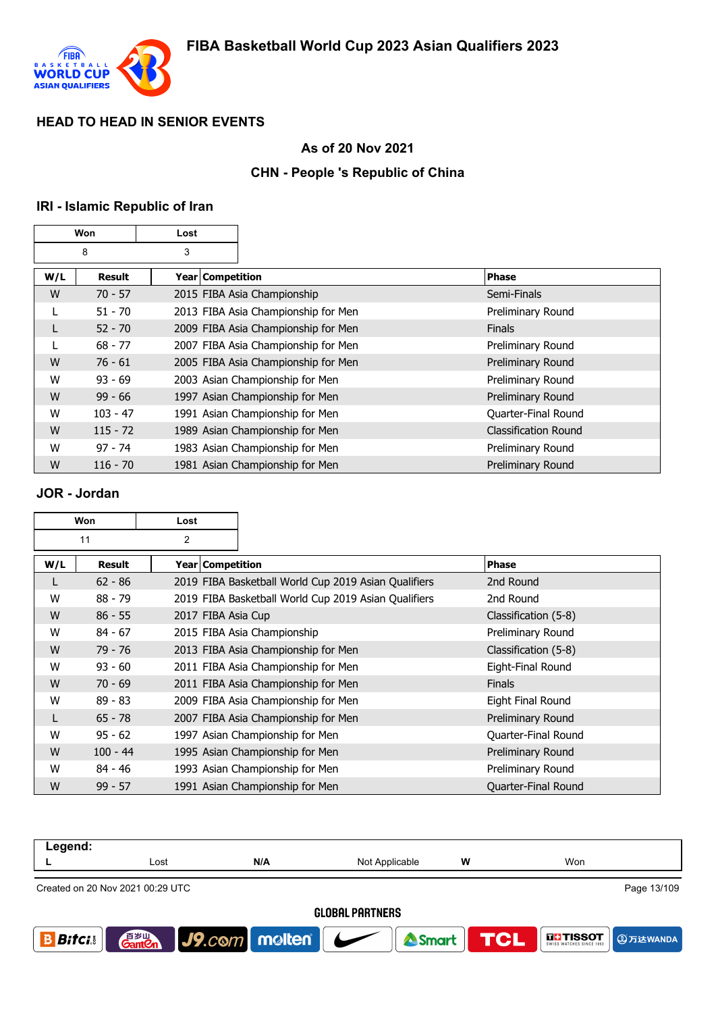

## **As of 20 Nov 2021**

## **CHN - People 's Republic of China**

### **IRI - Islamic Republic of Iran**

| Won    |               | Lost               |                                     |                             |
|--------|---------------|--------------------|-------------------------------------|-----------------------------|
| 3<br>8 |               |                    |                                     |                             |
| W/L    | <b>Result</b> | Year   Competition |                                     | Phase                       |
| W      | $70 - 57$     |                    | 2015 FIBA Asia Championship         | Semi-Finals                 |
|        | $51 - 70$     |                    | 2013 FIBA Asia Championship for Men | Preliminary Round           |
|        | $52 - 70$     |                    | 2009 FIBA Asia Championship for Men | <b>Finals</b>               |
|        | $68 - 77$     |                    | 2007 FIBA Asia Championship for Men | Preliminary Round           |
| W      | $76 - 61$     |                    | 2005 FIBA Asia Championship for Men | Preliminary Round           |
| W      | $93 - 69$     |                    | 2003 Asian Championship for Men     | Preliminary Round           |
| W      | $99 - 66$     |                    | 1997 Asian Championship for Men     | Preliminary Round           |
| W      | $103 - 47$    |                    | 1991 Asian Championship for Men     | Quarter-Final Round         |
| W      | $115 - 72$    |                    | 1989 Asian Championship for Men     | <b>Classification Round</b> |
| W      | $97 - 74$     |                    | 1983 Asian Championship for Men     | Preliminary Round           |
| W      | $116 - 70$    |                    | 1981 Asian Championship for Men     | Preliminary Round           |

#### **JOR - Jordan**

| Won |            | Lost               |                                                      |                      |
|-----|------------|--------------------|------------------------------------------------------|----------------------|
|     | 11         | 2                  |                                                      |                      |
| W/L | Result     | Year   Competition |                                                      | <b>Phase</b>         |
| L   | $62 - 86$  |                    | 2019 FIBA Basketball World Cup 2019 Asian Qualifiers | 2nd Round            |
| W   | $88 - 79$  |                    | 2019 FIBA Basketball World Cup 2019 Asian Qualifiers | 2nd Round            |
| W   | $86 - 55$  | 2017 FIBA Asia Cup |                                                      | Classification (5-8) |
| W   | $84 - 67$  |                    | 2015 FIBA Asia Championship                          | Preliminary Round    |
| W   | $79 - 76$  |                    | 2013 FIBA Asia Championship for Men                  | Classification (5-8) |
| W   | $93 - 60$  |                    | 2011 FIBA Asia Championship for Men                  | Eight-Final Round    |
| W   | $70 - 69$  |                    | 2011 FIBA Asia Championship for Men                  | <b>Finals</b>        |
| W   | $89 - 83$  |                    | 2009 FIBA Asia Championship for Men                  | Eight Final Round    |
| L   | $65 - 78$  |                    | 2007 FIBA Asia Championship for Men                  | Preliminary Round    |
| W   | $95 - 62$  |                    | 1997 Asian Championship for Men                      | Quarter-Final Round  |
| W   | $100 - 44$ |                    | 1995 Asian Championship for Men                      | Preliminary Round    |
| W   | $84 - 46$  |                    | 1993 Asian Championship for Men                      | Preliminary Round    |
| W   | $99 - 57$  |                    | 1991 Asian Championship for Men                      | Quarter-Final Round  |

| Legend:                |                                  |                              |                |            |                                                       |  |
|------------------------|----------------------------------|------------------------------|----------------|------------|-------------------------------------------------------|--|
|                        | Lost                             | N/A                          | Not Applicable | w          | Won                                                   |  |
|                        | Created on 20 Nov 2021 00:29 UTC |                              |                |            | Page 13/109                                           |  |
| <b>GLOBAL PARTNERS</b> |                                  |                              |                |            |                                                       |  |
| <b>Bitci</b>           | 百岁山<br><b>Ganten</b>             | $ $ J9.com   molten   $\sim$ | Smart          | <b>TCL</b> | <b>THESOT</b><br>swiss watches since 1853<br>9万达WANDA |  |
|                        |                                  |                              |                |            |                                                       |  |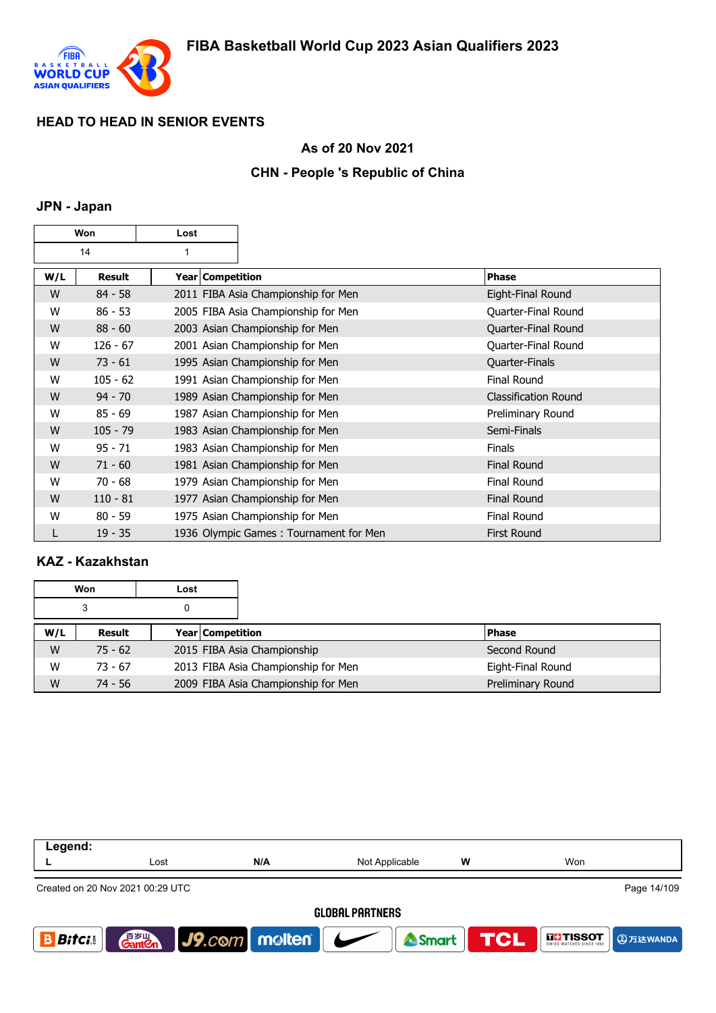

### **As of 20 Nov 2021**

### **CHN - People 's Republic of China**

#### **JPN - Japan**

| Won |            | Lost         |                    |                                        |                             |
|-----|------------|--------------|--------------------|----------------------------------------|-----------------------------|
| 14  |            | $\mathbf{1}$ |                    |                                        |                             |
| W/L | Result     |              | Year   Competition |                                        | Phase                       |
| W   | $84 - 58$  |              |                    | 2011 FIBA Asia Championship for Men    | Eight-Final Round           |
| W   | $86 - 53$  |              |                    | 2005 FIBA Asia Championship for Men    | Quarter-Final Round         |
| W   | $88 - 60$  |              |                    | 2003 Asian Championship for Men        | Quarter-Final Round         |
| W   | $126 - 67$ |              |                    | 2001 Asian Championship for Men        | Quarter-Final Round         |
| W   | $73 - 61$  |              |                    | 1995 Asian Championship for Men        | Quarter-Finals              |
| W   | $105 - 62$ |              |                    | 1991 Asian Championship for Men        | Final Round                 |
| W   | $94 - 70$  |              |                    | 1989 Asian Championship for Men        | <b>Classification Round</b> |
| W   | $85 - 69$  |              |                    | 1987 Asian Championship for Men        | Preliminary Round           |
| W   | $105 - 79$ |              |                    | 1983 Asian Championship for Men        | Semi-Finals                 |
| W   | $95 - 71$  |              |                    | 1983 Asian Championship for Men        | <b>Finals</b>               |
| W   | $71 - 60$  |              |                    | 1981 Asian Championship for Men        | <b>Final Round</b>          |
| W   | $70 - 68$  |              |                    | 1979 Asian Championship for Men        | <b>Final Round</b>          |
| W   | $110 - 81$ |              |                    | 1977 Asian Championship for Men        | <b>Final Round</b>          |
| W   | $80 - 59$  |              |                    | 1975 Asian Championship for Men        | <b>Final Round</b>          |
|     | $19 - 35$  |              |                    | 1936 Olympic Games: Tournament for Men | First Round                 |

## **KAZ - Kazakhstan**

| Won |           | Lost                    |                                     |                   |  |
|-----|-----------|-------------------------|-------------------------------------|-------------------|--|
| 3   |           |                         |                                     |                   |  |
| W/L | Result    | <b>Year Competition</b> |                                     | <b>Phase</b>      |  |
| W   | $75 - 62$ |                         | 2015 FIBA Asia Championship         | Second Round      |  |
| W   | $73 - 67$ |                         | 2013 FIBA Asia Championship for Men | Eight-Final Round |  |
| W   | $74 - 56$ |                         | 2009 FIBA Asia Championship for Men | Preliminary Round |  |

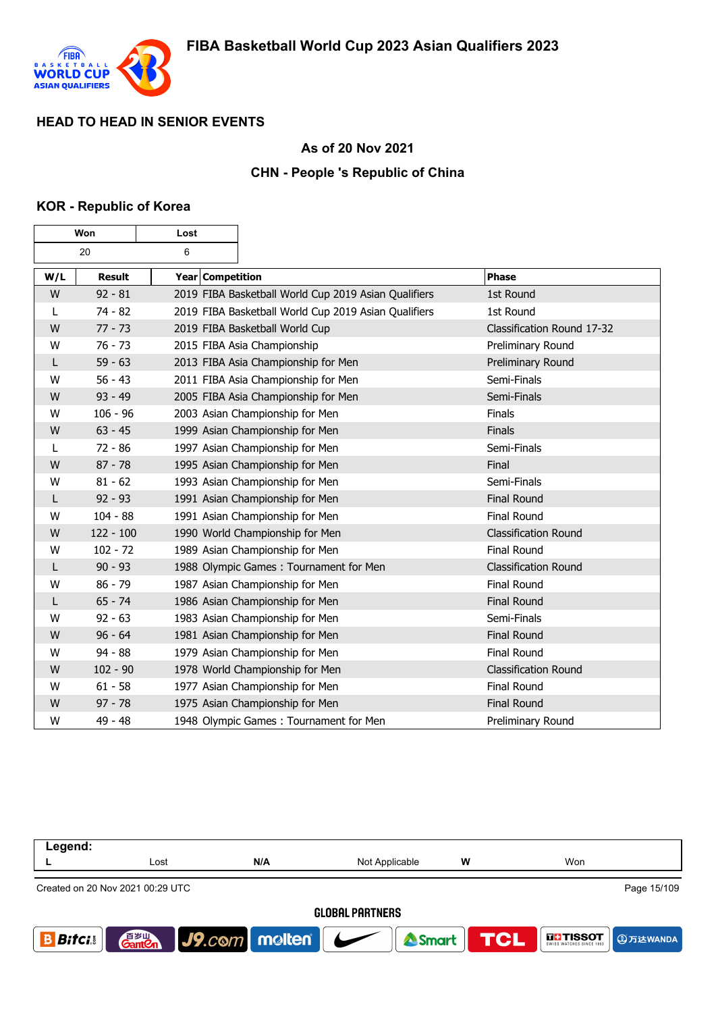

### **As of 20 Nov 2021**

### **CHN - People 's Republic of China**

### **KOR - Republic of Korea**

 $\mathbf \tau$ 

٦

г

| Won |               | Lost             |                                                      |                             |
|-----|---------------|------------------|------------------------------------------------------|-----------------------------|
|     | 20            | 6                |                                                      |                             |
| W/L | <b>Result</b> | Year Competition |                                                      | <b>Phase</b>                |
| W   | $92 - 81$     |                  | 2019 FIBA Basketball World Cup 2019 Asian Qualifiers | 1st Round                   |
| L   | $74 - 82$     |                  | 2019 FIBA Basketball World Cup 2019 Asian Qualifiers | 1st Round                   |
| W   | $77 - 73$     |                  | 2019 FIBA Basketball World Cup                       | Classification Round 17-32  |
| W   | $76 - 73$     |                  | 2015 FIBA Asia Championship                          | Preliminary Round           |
| L   | $59 - 63$     |                  | 2013 FIBA Asia Championship for Men                  | Preliminary Round           |
| W   | $56 - 43$     |                  | 2011 FIBA Asia Championship for Men                  | Semi-Finals                 |
| W   | $93 - 49$     |                  | 2005 FIBA Asia Championship for Men                  | Semi-Finals                 |
| W   | $106 - 96$    |                  | 2003 Asian Championship for Men                      | Finals                      |
| W   | $63 - 45$     |                  | 1999 Asian Championship for Men                      | Finals                      |
| L   | $72 - 86$     |                  | 1997 Asian Championship for Men                      | Semi-Finals                 |
| W   | $87 - 78$     |                  | 1995 Asian Championship for Men                      | Final                       |
| W   | $81 - 62$     |                  | 1993 Asian Championship for Men                      | Semi-Finals                 |
| L   | $92 - 93$     |                  | 1991 Asian Championship for Men                      | <b>Final Round</b>          |
| W   | $104 - 88$    |                  | 1991 Asian Championship for Men                      | Final Round                 |
| W   | $122 - 100$   |                  | 1990 World Championship for Men                      | <b>Classification Round</b> |
| W   | $102 - 72$    |                  | 1989 Asian Championship for Men                      | <b>Final Round</b>          |
| L   | $90 - 93$     |                  | 1988 Olympic Games: Tournament for Men               | <b>Classification Round</b> |
| W   | $86 - 79$     |                  | 1987 Asian Championship for Men                      | <b>Final Round</b>          |
| L   | $65 - 74$     |                  | 1986 Asian Championship for Men                      | <b>Final Round</b>          |
| W   | $92 - 63$     |                  | 1983 Asian Championship for Men                      | Semi-Finals                 |
| W   | $96 - 64$     |                  | 1981 Asian Championship for Men                      | <b>Final Round</b>          |
| W   | $94 - 88$     |                  | 1979 Asian Championship for Men                      | Final Round                 |
| W   | $102 - 90$    |                  | 1978 World Championship for Men                      | <b>Classification Round</b> |
| W   | $61 - 58$     |                  | 1977 Asian Championship for Men                      | <b>Final Round</b>          |
| W   | $97 - 78$     |                  | 1975 Asian Championship for Men                      | <b>Final Round</b>          |
| W   | 49 - 48       |                  | 1948 Olympic Games: Tournament for Men               | Preliminary Round           |

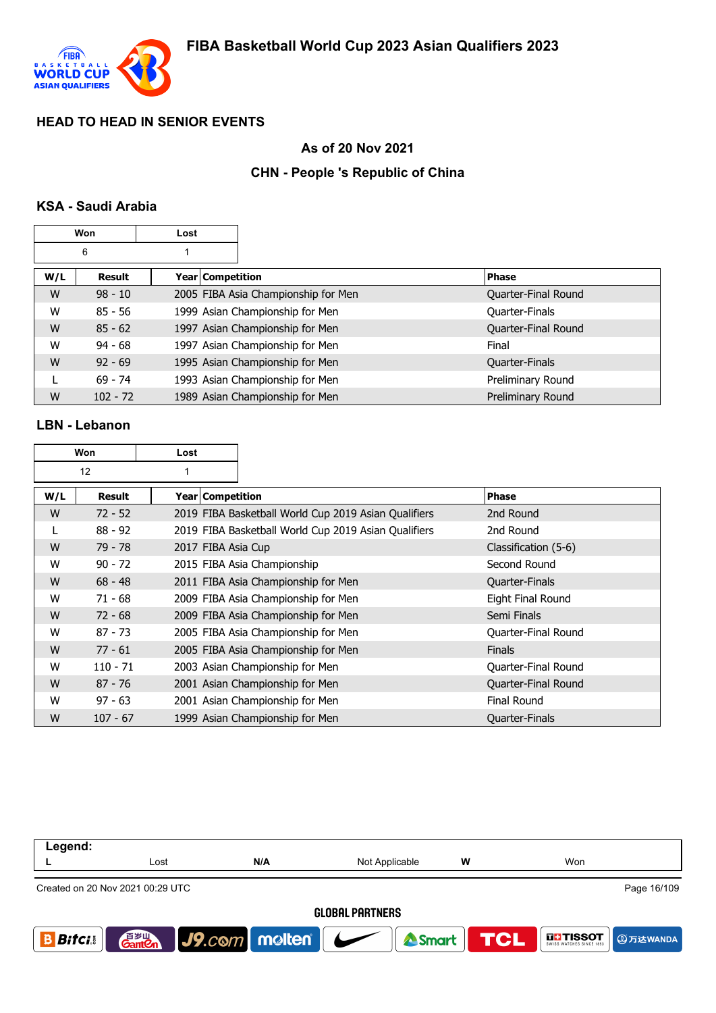

## **As of 20 Nov 2021**

## **CHN - People 's Republic of China**

## **KSA - Saudi Arabia**

|     | Won        | Lost |                                     |                     |
|-----|------------|------|-------------------------------------|---------------------|
|     | 6          |      |                                     |                     |
| W/L | Result     |      | Year   Competition                  | <b>Phase</b>        |
| W   | $98 - 10$  |      | 2005 FIBA Asia Championship for Men | Quarter-Final Round |
| W   | 85 - 56    |      | 1999 Asian Championship for Men     | Quarter-Finals      |
| W   | $85 - 62$  |      | 1997 Asian Championship for Men     | Quarter-Final Round |
| W   | $94 - 68$  |      | 1997 Asian Championship for Men     | Final               |
| W   | $92 - 69$  |      | 1995 Asian Championship for Men     | Quarter-Finals      |
|     | $69 - 74$  |      | 1993 Asian Championship for Men     | Preliminary Round   |
| W   | $102 - 72$ |      | 1989 Asian Championship for Men     | Preliminary Round   |

#### **LBN - Lebanon**

| Won |               | Lost               |                                                      |                      |
|-----|---------------|--------------------|------------------------------------------------------|----------------------|
|     | 12            |                    |                                                      |                      |
| W/L | <b>Result</b> | Year   Competition |                                                      | <b>Phase</b>         |
| W   | $72 - 52$     |                    | 2019 FIBA Basketball World Cup 2019 Asian Qualifiers | 2nd Round            |
|     | $88 - 92$     |                    | 2019 FIBA Basketball World Cup 2019 Asian Qualifiers | 2nd Round            |
| W   | $79 - 78$     | 2017 FIBA Asia Cup |                                                      | Classification (5-6) |
| W   | $90 - 72$     |                    | 2015 FIBA Asia Championship                          | Second Round         |
| W   | $68 - 48$     |                    | 2011 FIBA Asia Championship for Men                  | Quarter-Finals       |
| W   | $71 - 68$     |                    | 2009 FIBA Asia Championship for Men                  | Eight Final Round    |
| W   | $72 - 68$     |                    | 2009 FIBA Asia Championship for Men                  | Semi Finals          |
| W   | $87 - 73$     |                    | 2005 FIBA Asia Championship for Men                  | Quarter-Final Round  |
| W   | $77 - 61$     |                    | 2005 FIBA Asia Championship for Men                  | <b>Finals</b>        |
| W   | $110 - 71$    |                    | 2003 Asian Championship for Men                      | Quarter-Final Round  |
| W   | $87 - 76$     |                    | 2001 Asian Championship for Men                      | Quarter-Final Round  |
| W   | $97 - 63$     |                    | 2001 Asian Championship for Men                      | Final Round          |
| W   | $107 - 67$    |                    | 1999 Asian Championship for Men                      | Quarter-Finals       |

| Legend:                |                                                 |                             |                |                  |                   |  |  |
|------------------------|-------------------------------------------------|-----------------------------|----------------|------------------|-------------------|--|--|
|                        | Lost                                            | N/A                         | Not Applicable | w                | Won               |  |  |
|                        | Page 16/109<br>Created on 20 Nov 2021 00:29 UTC |                             |                |                  |                   |  |  |
| <b>GLOBAL PARTNERS</b> |                                                 |                             |                |                  |                   |  |  |
| <b>Bitci</b>           |                                                 | <b>Ganten J9.com molten</b> |                | Smart <b>TCL</b> | <b>THE TISSOT</b> |  |  |
|                        |                                                 |                             |                |                  |                   |  |  |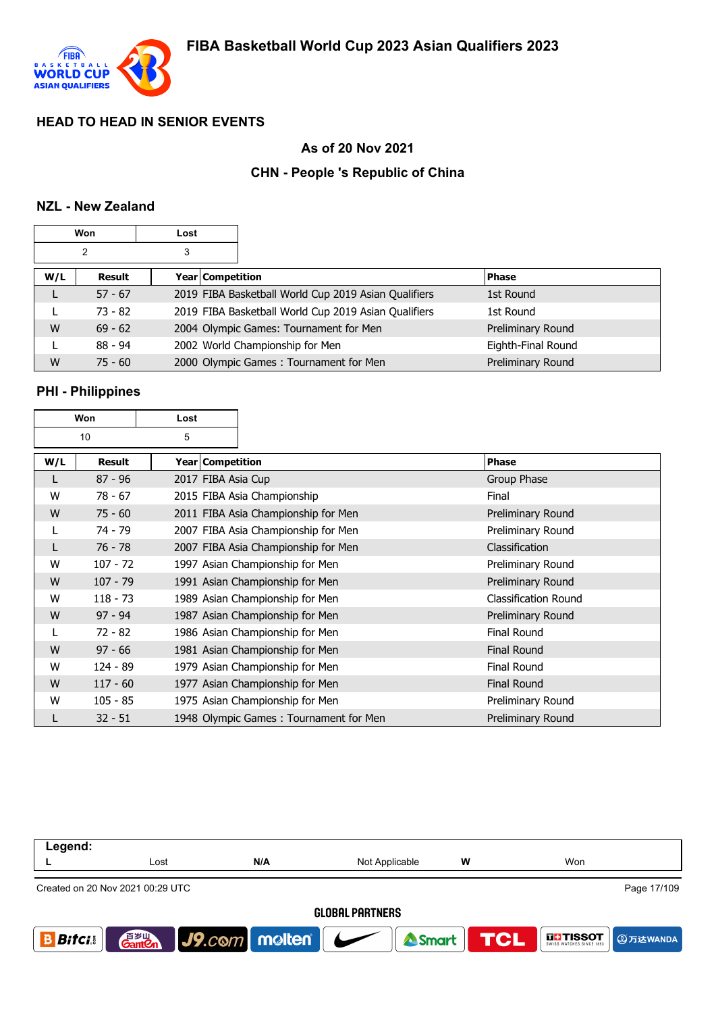

## **As of 20 Nov 2021**

## **CHN - People 's Republic of China**

# **NZL - New Zealand**

|     | Won            | Lost |                  |                                                      |                    |
|-----|----------------|------|------------------|------------------------------------------------------|--------------------|
|     | $\overline{2}$ | 3    |                  |                                                      |                    |
| W/L | Result         |      | Year Competition |                                                      | <b>Phase</b>       |
| L   | $57 - 67$      |      |                  | 2019 FIBA Basketball World Cup 2019 Asian Qualifiers | 1st Round          |
|     | $73 - 82$      |      |                  | 2019 FIBA Basketball World Cup 2019 Asian Qualifiers | 1st Round          |
| W   | $69 - 62$      |      |                  | 2004 Olympic Games: Tournament for Men               | Preliminary Round  |
| L   | $88 - 94$      |      |                  | 2002 World Championship for Men                      | Eighth-Final Round |
| W   | $75 - 60$      |      |                  | 2000 Olympic Games: Tournament for Men               | Preliminary Round  |

# **PHI - Philippines**

| Won |            | Lost               |                                        |                             |
|-----|------------|--------------------|----------------------------------------|-----------------------------|
| 10  |            | 5                  |                                        |                             |
| W/L | Result     | Year   Competition |                                        | Phase                       |
|     | $87 - 96$  | 2017 FIBA Asia Cup |                                        | Group Phase                 |
| W   | $78 - 67$  |                    | 2015 FIBA Asia Championship            | Final                       |
| W   | $75 - 60$  |                    | 2011 FIBA Asia Championship for Men    | Preliminary Round           |
|     | 74 - 79    |                    | 2007 FIBA Asia Championship for Men    | Preliminary Round           |
| L   | $76 - 78$  |                    | 2007 FIBA Asia Championship for Men    | Classification              |
| W   | $107 - 72$ |                    | 1997 Asian Championship for Men        | Preliminary Round           |
| W   | $107 - 79$ |                    | 1991 Asian Championship for Men        | Preliminary Round           |
| W   | $118 - 73$ |                    | 1989 Asian Championship for Men        | <b>Classification Round</b> |
| W   | $97 - 94$  |                    | 1987 Asian Championship for Men        | Preliminary Round           |
| L   | $72 - 82$  |                    | 1986 Asian Championship for Men        | <b>Final Round</b>          |
| W   | $97 - 66$  |                    | 1981 Asian Championship for Men        | <b>Final Round</b>          |
| W   | $124 - 89$ |                    | 1979 Asian Championship for Men        | <b>Final Round</b>          |
| W   | $117 - 60$ |                    | 1977 Asian Championship for Men        | <b>Final Round</b>          |
| W   | $105 - 85$ |                    | 1975 Asian Championship for Men        | Preliminary Round           |
|     | $32 - 51$  |                    | 1948 Olympic Games: Tournament for Men | Preliminary Round           |

| Legend:                |                                                 |                      |                          |                  |                               |  |  |  |
|------------------------|-------------------------------------------------|----------------------|--------------------------|------------------|-------------------------------|--|--|--|
|                        | Lost                                            | N/A                  | Not Applicable           | w                | Won                           |  |  |  |
|                        | Page 17/109<br>Created on 20 Nov 2021 00:29 UTC |                      |                          |                  |                               |  |  |  |
| <b>GLOBAL PARTNERS</b> |                                                 |                      |                          |                  |                               |  |  |  |
| <b>Bitci</b>           | 音 <sub>岁Ⅲ</sub><br>Gant <b>C</b> n              | $ $ J9. $com$ molten | $\overline{\phantom{a}}$ | Smart <b>TCL</b> | <b>THE TISSOT</b><br>9万达WANDA |  |  |  |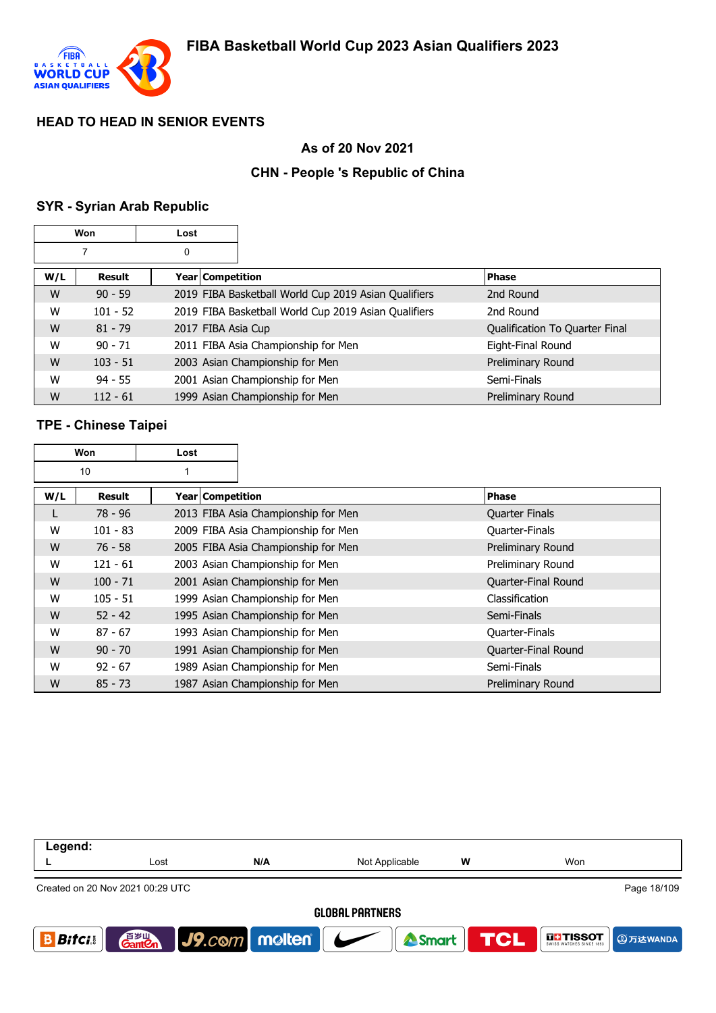

## **As of 20 Nov 2021**

## **CHN - People 's Republic of China**

# **SYR - Syrian Arab Republic**

| Won |               | Lost               |                                                      |                                |
|-----|---------------|--------------------|------------------------------------------------------|--------------------------------|
|     | 7             | 0                  |                                                      |                                |
| W/L | <b>Result</b> | Year Competition   |                                                      | <b>Phase</b>                   |
| W   | $90 - 59$     |                    | 2019 FIBA Basketball World Cup 2019 Asian Qualifiers | 2nd Round                      |
| W   | $101 - 52$    |                    | 2019 FIBA Basketball World Cup 2019 Asian Qualifiers | 2nd Round                      |
| W   | $81 - 79$     | 2017 FIBA Asia Cup |                                                      | Qualification To Quarter Final |
| W   | $90 - 71$     |                    | 2011 FIBA Asia Championship for Men                  | Eight-Final Round              |
| W   | $103 - 51$    |                    | 2003 Asian Championship for Men                      | Preliminary Round              |
| W   | $94 - 55$     |                    | 2001 Asian Championship for Men                      | Semi-Finals                    |
| W   | $112 - 61$    |                    | 1999 Asian Championship for Men                      | Preliminary Round              |

# **TPE - Chinese Taipei**

|     | Won        |  |                  |                                     |                       |
|-----|------------|--|------------------|-------------------------------------|-----------------------|
| 10  |            |  |                  |                                     |                       |
| W/L | Result     |  | Year Competition |                                     | <b>Phase</b>          |
| L   | $78 - 96$  |  |                  | 2013 FIBA Asia Championship for Men | <b>Quarter Finals</b> |
| W   | $101 - 83$ |  |                  | 2009 FIBA Asia Championship for Men | Quarter-Finals        |
| W   | $76 - 58$  |  |                  | 2005 FIBA Asia Championship for Men | Preliminary Round     |
| W   | $121 - 61$ |  |                  | 2003 Asian Championship for Men     | Preliminary Round     |
| W   | $100 - 71$ |  |                  | 2001 Asian Championship for Men     | Quarter-Final Round   |
| W   | $105 - 51$ |  |                  | 1999 Asian Championship for Men     | Classification        |
| W   | $52 - 42$  |  |                  | 1995 Asian Championship for Men     | Semi-Finals           |
| W   | $87 - 67$  |  |                  | 1993 Asian Championship for Men     | <b>Quarter-Finals</b> |
| W   | $90 - 70$  |  |                  | 1991 Asian Championship for Men     | Quarter-Final Round   |
| W   | $92 - 67$  |  |                  | 1989 Asian Championship for Men     | Semi-Finals           |
| W   | $85 - 73$  |  |                  | 1987 Asian Championship for Men     | Preliminary Round     |

| Legend:                                                                                                                                       |                        |     |                |   |     |  |  |  |
|-----------------------------------------------------------------------------------------------------------------------------------------------|------------------------|-----|----------------|---|-----|--|--|--|
|                                                                                                                                               | Lost                   | N/A | Not Applicable | W | Won |  |  |  |
| Page 18/109<br>Created on 20 Nov 2021 00:29 UTC                                                                                               |                        |     |                |   |     |  |  |  |
|                                                                                                                                               | <b>GLOBAL PARTNERS</b> |     |                |   |     |  |  |  |
| $\big $ J9.com   molten   $\bigcup$<br>音 <sub>岁Ⅲ</sub><br>Gant <b>C</b> n<br>TCL<br><b>THESOT</b><br><b>Bitci</b><br>Smart<br><b>9万达WANDA</b> |                        |     |                |   |     |  |  |  |
|                                                                                                                                               |                        |     |                |   |     |  |  |  |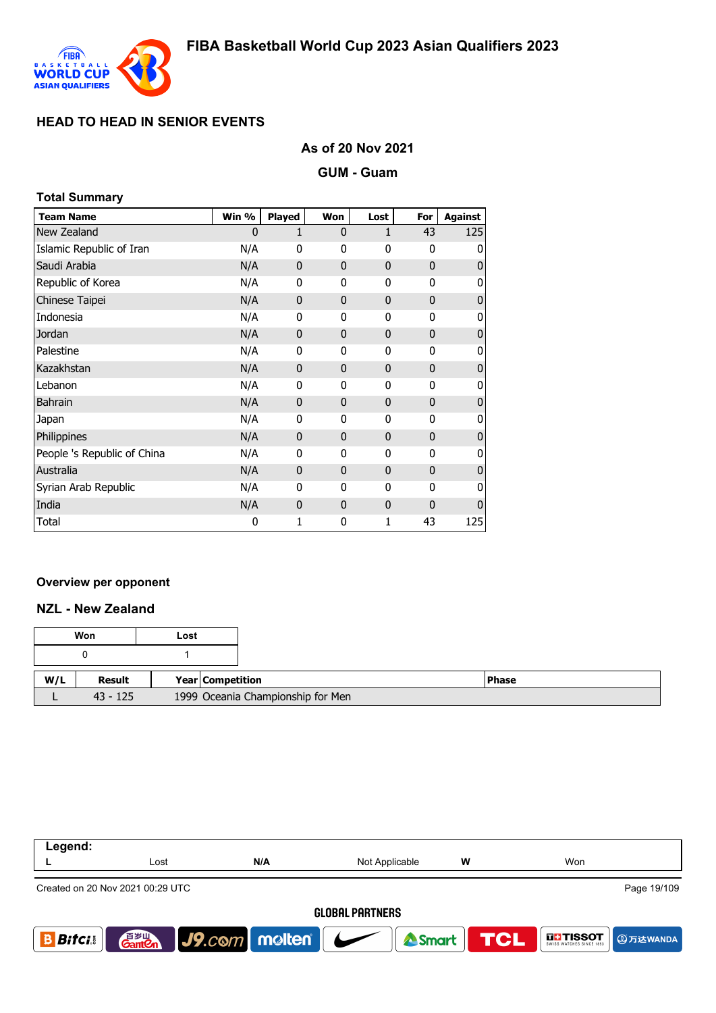

#### **As of 20 Nov 2021**

**GUM - Guam**

| <b>Total Summary</b>        |       |               |                |              |                |                |  |  |  |
|-----------------------------|-------|---------------|----------------|--------------|----------------|----------------|--|--|--|
| <b>Team Name</b>            | Win % | <b>Played</b> | Won            | Lost         | For            | <b>Against</b> |  |  |  |
| New Zealand                 | 0     | 1             | 0              | 1            | 43             | 125            |  |  |  |
| Islamic Republic of Iran    | N/A   | 0             | 0              | $\mathbf{0}$ | 0              | 0              |  |  |  |
| Saudi Arabia                | N/A   | $\mathbf{0}$  | $\overline{0}$ | $\mathbf{0}$ | $\overline{0}$ | 0              |  |  |  |
| Republic of Korea           | N/A   | 0             | 0              | 0            | 0              | 0              |  |  |  |
| Chinese Taipei              | N/A   | 0             | $\mathbf 0$    | $\mathbf{0}$ | $\overline{0}$ | 0              |  |  |  |
| Indonesia                   | N/A   | 0             | 0              | $\mathbf{0}$ | 0              | 0              |  |  |  |
| Jordan                      | N/A   | 0             | $\mathbf{0}$   | $\mathbf{0}$ | 0              | 0              |  |  |  |
| Palestine                   | N/A   | 0             | 0              | $\mathbf{0}$ | $\mathbf 0$    | 0              |  |  |  |
| Kazakhstan                  | N/A   | 0             | $\mathbf 0$    | $\mathbf{0}$ | 0              | 0              |  |  |  |
| Lebanon                     | N/A   | 0             | 0              | $\mathbf{0}$ | 0              | 0              |  |  |  |
| <b>Bahrain</b>              | N/A   | 0             | $\overline{0}$ | $\mathbf{0}$ | 0              | 0              |  |  |  |
| Japan                       | N/A   | 0             | 0              | $\mathbf{0}$ | $\mathbf 0$    | 0              |  |  |  |
| Philippines                 | N/A   | $\mathbf{0}$  | $\overline{0}$ | $\mathbf{0}$ | $\overline{0}$ | 0              |  |  |  |
| People 's Republic of China | N/A   | 0             | 0              | $\mathbf{0}$ | 0              | 0              |  |  |  |
| Australia                   | N/A   | 0             | $\mathbf{0}$   | $\mathbf{0}$ | 0              | 0              |  |  |  |
| Syrian Arab Republic        | N/A   | 0             | 0              | $\mathbf{0}$ | $\mathbf 0$    | 0              |  |  |  |
| India                       | N/A   | $\mathbf{0}$  | $\mathbf 0$    | $\mathbf{0}$ | 0              | 0              |  |  |  |
| Total                       | 0     | 1             | 0              | 1            | 43             | 125            |  |  |  |

#### **Overview per opponent**

#### **NZL - New Zealand**

| Won        | Lost |                                   |  |
|------------|------|-----------------------------------|--|
|            |      |                                   |  |
| Result     |      | Year Competition                  |  |
| $43 - 125$ |      | 1999 Oceania Championship for Men |  |

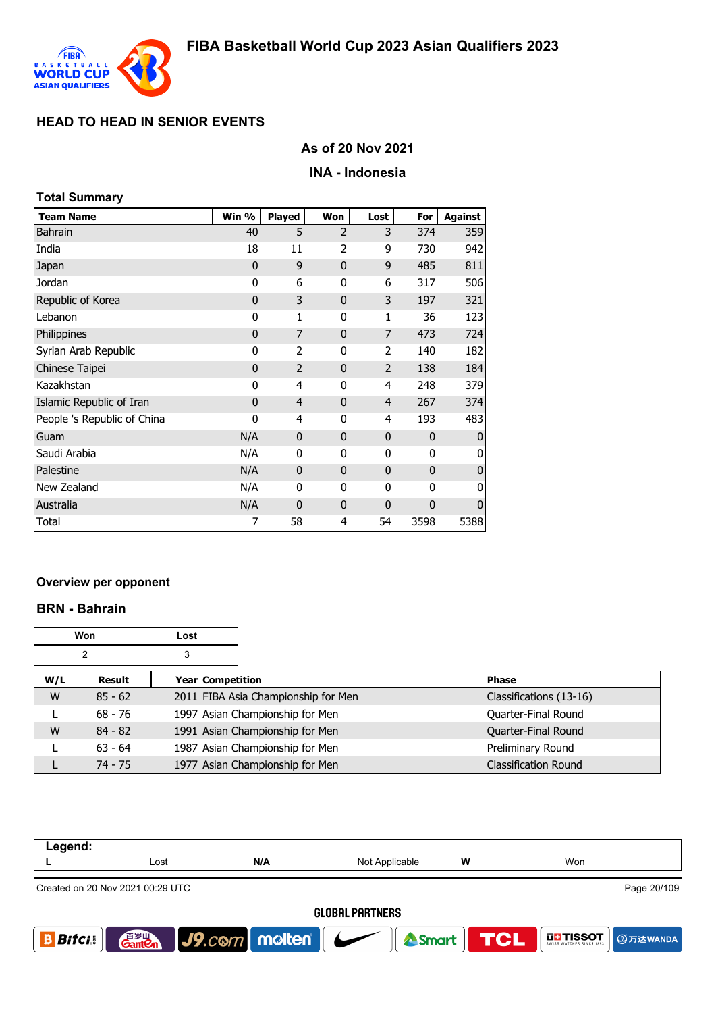

### **As of 20 Nov 2021**

#### **INA - Indonesia**

| <b>Total Summary</b>        |              |                |                |                |              |                |
|-----------------------------|--------------|----------------|----------------|----------------|--------------|----------------|
| <b>Team Name</b>            | Win %        | <b>Played</b>  | Won            | Lost           | For          | <b>Against</b> |
| <b>Bahrain</b>              | 40           | 5              | $\overline{2}$ | 3              | 374          | 359            |
| India                       | 18           | 11             | 2              | 9              | 730          | 942            |
| Japan                       | $\mathbf 0$  | 9              | 0              | 9              | 485          | 811            |
| Jordan                      | 0            | 6              | 0              | 6              | 317          | 506            |
| Republic of Korea           | $\mathbf 0$  | 3              | $\overline{0}$ | 3              | 197          | 321            |
| Lebanon                     | 0            | 1              | 0              | 1              | 36           | 123            |
| Philippines                 | $\mathbf 0$  | 7              | $\mathbf{0}$   | 7              | 473          | 724            |
| Syrian Arab Republic        | 0            | $\overline{2}$ | 0              | 2              | 140          | 182            |
| Chinese Taipei              | $\mathbf 0$  | $\overline{2}$ | $\overline{0}$ | $\overline{2}$ | 138          | 184            |
| Kazakhstan                  | 0            | 4              | 0              | 4              | 248          | 379            |
| Islamic Republic of Iran    | $\mathbf{0}$ | $\overline{4}$ | 0              | 4              | 267          | 374            |
| People 's Republic of China | 0            | 4              | 0              | 4              | 193          | 483            |
| Guam                        | N/A          | $\mathbf 0$    | $\overline{0}$ | $\mathbf 0$    | $\mathbf{0}$ | $\mathbf{0}$   |
| Saudi Arabia                | N/A          | 0              | 0              | 0              | 0            | 0              |
| Palestine                   | N/A          | $\mathbf{0}$   | $\mathbf{0}$   | $\mathbf{0}$   | $\mathbf{0}$ | $\mathbf 0$    |
| New Zealand                 | N/A          | 0              | 0              | 0              | $\mathbf{0}$ | 0              |
| Australia                   | N/A          | $\mathbf 0$    | 0              | $\mathbf 0$    | $\mathbf 0$  | $\mathbf 0$    |
| Total                       | 7            | 58             | 4              | 54             | 3598         | 5388           |

#### **Overview per opponent**

#### **BRN - Bahrain**

| Won<br>Lost |           |   |                         |                                     |                             |
|-------------|-----------|---|-------------------------|-------------------------------------|-----------------------------|
|             | 2         | 3 |                         |                                     |                             |
| W/L         | Result    |   | <b>Year Competition</b> |                                     | <b>Phase</b>                |
| W           | $85 - 62$ |   |                         | 2011 FIBA Asia Championship for Men | Classifications (13-16)     |
| ┗           | $68 - 76$ |   |                         | 1997 Asian Championship for Men     | Quarter-Final Round         |
| W           | $84 - 82$ |   |                         | 1991 Asian Championship for Men     | Quarter-Final Round         |
|             | $63 - 64$ |   |                         | 1987 Asian Championship for Men     | Preliminary Round           |
|             | $74 - 75$ |   |                         | 1977 Asian Championship for Men     | <b>Classification Round</b> |

| Legend:       |                                    |                               |                        |            |                                      |
|---------------|------------------------------------|-------------------------------|------------------------|------------|--------------------------------------|
|               | Lost                               | N/A                           | Not Applicable         | w          | Won                                  |
|               | Created on 20 Nov 2021 00:29 UTC   |                               |                        |            | Page 20/109                          |
|               |                                    |                               | <b>GLOBAL PARTNERS</b> |            |                                      |
| <b>Bifcis</b> | 音 <sub>岁Ⅲ</sub><br>Gant <b>C</b> n | $\vert$ J9.com molten $\vert$ | <b>A</b> Smart         | <b>TCL</b> | <b>THE TISSOT</b><br><b>4万达WANDA</b> |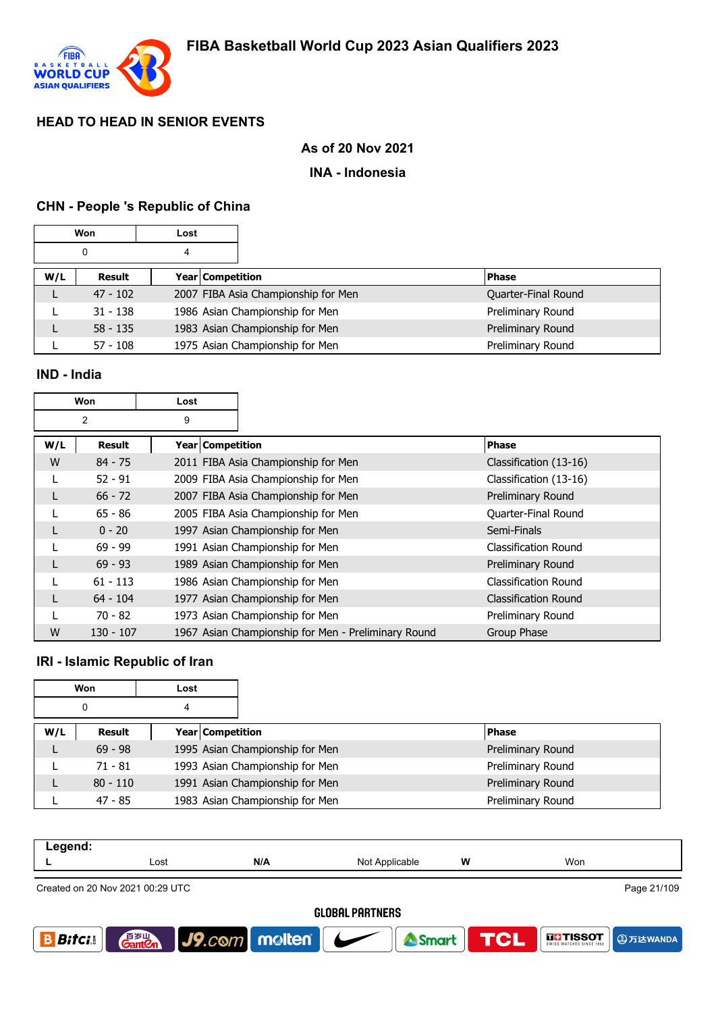

### **As of 20 Nov 2021**

#### **INA - Indonesia**

### **CHN - People 's Republic of China**

|     | Won        | Lost |                  |                                     |  |                     |
|-----|------------|------|------------------|-------------------------------------|--|---------------------|
|     | 0          | 4    |                  |                                     |  |                     |
| W/L | Result     |      | Year Competition |                                     |  | <b>Phase</b>        |
|     | $47 - 102$ |      |                  | 2007 FIBA Asia Championship for Men |  | Quarter-Final Round |
|     | $31 - 138$ |      |                  | 1986 Asian Championship for Men     |  | Preliminary Round   |
|     | $58 - 135$ |      |                  | 1983 Asian Championship for Men     |  | Preliminary Round   |
|     | $57 - 108$ |      |                  | 1975 Asian Championship for Men     |  | Preliminary Round   |

#### **IND - India**

|                     | <b>Won</b> | Lost               |                                                     |                             |
|---------------------|------------|--------------------|-----------------------------------------------------|-----------------------------|
| $\overline{2}$<br>9 |            |                    |                                                     |                             |
| W/L                 | Result     | Year   Competition |                                                     | <b>Phase</b>                |
| W                   | $84 - 75$  |                    | 2011 FIBA Asia Championship for Men                 | Classification (13-16)      |
|                     | $52 - 91$  |                    | 2009 FIBA Asia Championship for Men                 | Classification (13-16)      |
| L                   | $66 - 72$  |                    | 2007 FIBA Asia Championship for Men                 | Preliminary Round           |
|                     | $65 - 86$  |                    | 2005 FIBA Asia Championship for Men                 | Quarter-Final Round         |
|                     | $0 - 20$   |                    | 1997 Asian Championship for Men                     | Semi-Finals                 |
| L                   | $69 - 99$  |                    | 1991 Asian Championship for Men                     | <b>Classification Round</b> |
| L                   | $69 - 93$  |                    | 1989 Asian Championship for Men                     | Preliminary Round           |
|                     | $61 - 113$ |                    | 1986 Asian Championship for Men                     | Classification Round        |
| L                   | $64 - 104$ |                    | 1977 Asian Championship for Men                     | <b>Classification Round</b> |
|                     | 70 - 82    |                    | 1973 Asian Championship for Men                     | Preliminary Round           |
| W                   | 130 - 107  |                    | 1967 Asian Championship for Men - Preliminary Round | Group Phase                 |

#### **IRI - Islamic Republic of Iran**

|     | Won        | Lost             |                                 |                   |
|-----|------------|------------------|---------------------------------|-------------------|
|     | 0          | 4                |                                 |                   |
| W/L | Result     | Year Competition |                                 | <b>Phase</b>      |
|     | $69 - 98$  |                  | 1995 Asian Championship for Men | Preliminary Round |
|     | $71 - 81$  |                  | 1993 Asian Championship for Men | Preliminary Round |
|     | $80 - 110$ |                  | 1991 Asian Championship for Men | Preliminary Round |
|     | $47 - 85$  |                  | 1983 Asian Championship for Men | Preliminary Round |

| Legend: |                                  |     |                |   |             |
|---------|----------------------------------|-----|----------------|---|-------------|
|         | Lost                             | N/A | Not Applicable | W | Won         |
|         | Created on 20 Nov 2021 00:29 UTC |     |                |   | Page 21/109 |

**GLOBAL PARTNERS** 



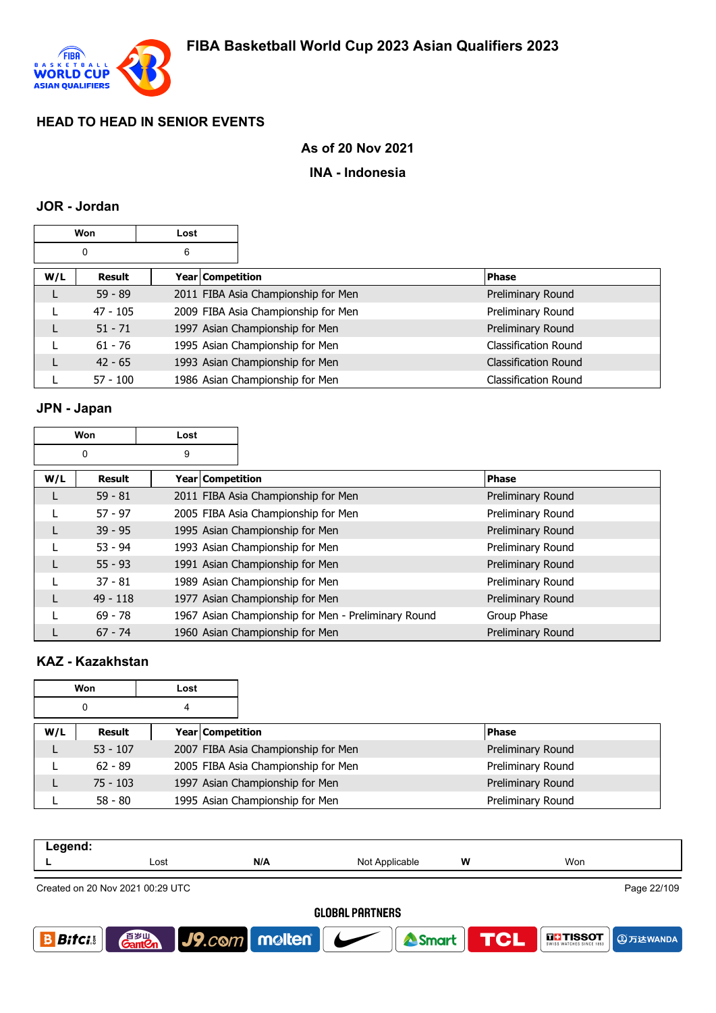

### **As of 20 Nov 2021**

### **INA - Indonesia**

#### **JOR - Jordan**

|     | Won        | Lost |                  |                                     |                             |
|-----|------------|------|------------------|-------------------------------------|-----------------------------|
|     | 0          | 6    |                  |                                     |                             |
| W/L | Result     |      | Year Competition |                                     | <b>Phase</b>                |
|     | $59 - 89$  |      |                  | 2011 FIBA Asia Championship for Men | Preliminary Round           |
|     | $47 - 105$ |      |                  | 2009 FIBA Asia Championship for Men | Preliminary Round           |
|     | $51 - 71$  |      |                  | 1997 Asian Championship for Men     | Preliminary Round           |
|     | $61 - 76$  |      |                  | 1995 Asian Championship for Men     | Classification Round        |
|     | $42 - 65$  |      |                  | 1993 Asian Championship for Men     | <b>Classification Round</b> |
|     | $57 - 100$ |      |                  | 1986 Asian Championship for Men     | <b>Classification Round</b> |

# **JPN - Japan**

| Won |               | Lost               |                                                     |                   |
|-----|---------------|--------------------|-----------------------------------------------------|-------------------|
|     | 0             | 9                  |                                                     |                   |
| W/L | <b>Result</b> | Year   Competition |                                                     | <b>Phase</b>      |
|     | $59 - 81$     |                    | 2011 FIBA Asia Championship for Men                 | Preliminary Round |
|     | $57 - 97$     |                    | 2005 FIBA Asia Championship for Men                 | Preliminary Round |
|     | $39 - 95$     |                    | 1995 Asian Championship for Men                     | Preliminary Round |
|     | $53 - 94$     |                    | 1993 Asian Championship for Men                     | Preliminary Round |
|     | $55 - 93$     |                    | 1991 Asian Championship for Men                     | Preliminary Round |
|     | $37 - 81$     |                    | 1989 Asian Championship for Men                     | Preliminary Round |
|     | $49 - 118$    |                    | 1977 Asian Championship for Men                     | Preliminary Round |
|     | $69 - 78$     |                    | 1967 Asian Championship for Men - Preliminary Round | Group Phase       |
|     | $67 - 74$     |                    | 1960 Asian Championship for Men                     | Preliminary Round |

# **KAZ - Kazakhstan**

|     | Won<br>Lost |                  |                                     |                   |
|-----|-------------|------------------|-------------------------------------|-------------------|
|     | 0           | 4                |                                     |                   |
| W/L | Result      | Year Competition |                                     | <b>Phase</b>      |
|     | $53 - 107$  |                  | 2007 FIBA Asia Championship for Men | Preliminary Round |
|     | $62 - 89$   |                  | 2005 FIBA Asia Championship for Men | Preliminary Round |
|     | $75 - 103$  |                  | 1997 Asian Championship for Men     | Preliminary Round |
|     | $58 - 80$   |                  | 1995 Asian Championship for Men     | Preliminary Round |

| Legend:                          |      |     |                |   |     |  |  |  |  |
|----------------------------------|------|-----|----------------|---|-----|--|--|--|--|
|                                  | Lost | N/A | Not Applicable | w | Won |  |  |  |  |
| Created on 20 Nov 2021 00:29 UTC |      |     |                |   |     |  |  |  |  |
| <b>ALADAL BARTUEDA</b>           |      |     |                |   |     |  |  |  |  |

**GLOBAL PARTNERS** 

J9.com molten

**GLI TISSOT** 

**A**万达WANDA

**TCL** 

Smart

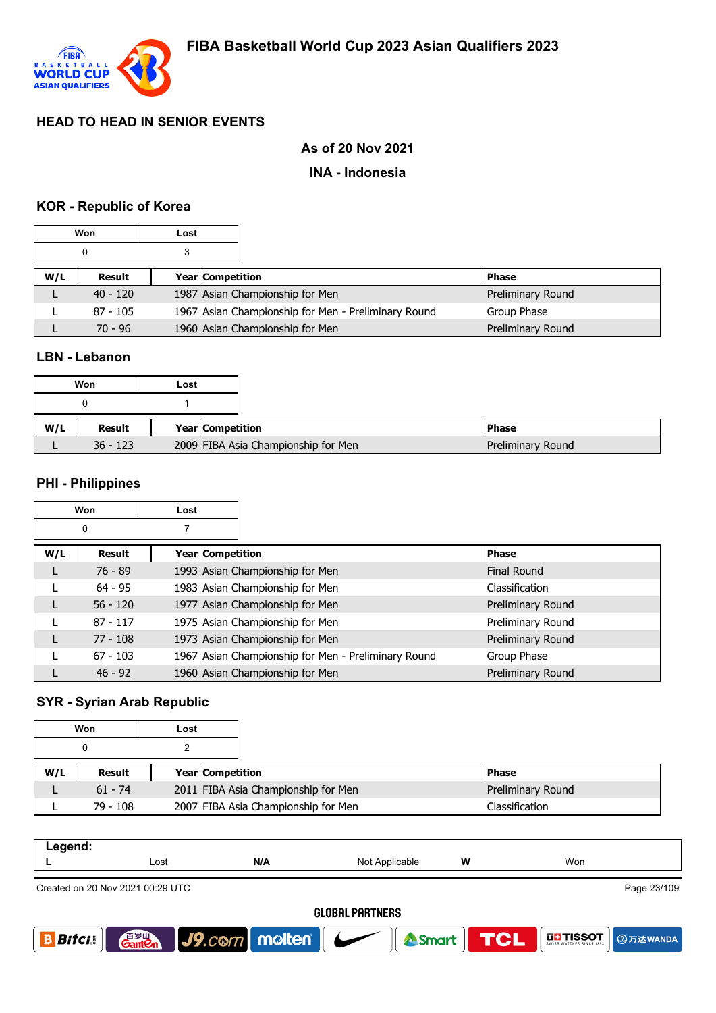

### **As of 20 Nov 2021**

#### **INA - Indonesia**

#### **KOR - Republic of Korea**

|     | Won        | Lost |                                                     |                   |  |
|-----|------------|------|-----------------------------------------------------|-------------------|--|
|     | 0          |      |                                                     |                   |  |
| W/L | Result     |      | <b>Year Competition</b>                             | <b>Phase</b>      |  |
|     | $40 - 120$ |      | 1987 Asian Championship for Men                     | Preliminary Round |  |
|     | $87 - 105$ |      | 1967 Asian Championship for Men - Preliminary Round | Group Phase       |  |
|     | $70 - 96$  |      | 1960 Asian Championship for Men                     | Preliminary Round |  |

### **LBN - Lebanon**

|     | Won        | Lost |                                     |
|-----|------------|------|-------------------------------------|
|     |            |      |                                     |
| W/L | Result     |      | Year Competition                    |
|     | $36 - 123$ |      | 2009 FIBA Asia Championship for Men |

#### **PHI - Philippines**

| Won<br>Lost |               |                  |                                                     |                    |
|-------------|---------------|------------------|-----------------------------------------------------|--------------------|
|             | 0             |                  |                                                     |                    |
| W/L         | <b>Result</b> | Year Competition |                                                     | <b>Phase</b>       |
|             | $76 - 89$     |                  | 1993 Asian Championship for Men                     | <b>Final Round</b> |
|             | $64 - 95$     |                  | 1983 Asian Championship for Men                     | Classification     |
|             | $56 - 120$    |                  | 1977 Asian Championship for Men                     | Preliminary Round  |
|             | $87 - 117$    |                  | 1975 Asian Championship for Men                     | Preliminary Round  |
|             | $77 - 108$    |                  | 1973 Asian Championship for Men                     | Preliminary Round  |
|             | $67 - 103$    |                  | 1967 Asian Championship for Men - Preliminary Round | Group Phase        |
|             | $46 - 92$     |                  | 1960 Asian Championship for Men                     | Preliminary Round  |

#### **SYR - Syrian Arab Republic**

| Won<br>Lost |            |                                     |                   |
|-------------|------------|-------------------------------------|-------------------|
|             |            |                                     |                   |
| W/L         | Result     | <b>Year Competition</b>             | <b>Phase</b>      |
|             | $61 - 74$  | 2011 FIBA Asia Championship for Men | Preliminary Round |
|             | $79 - 108$ | 2007 FIBA Asia Championship for Men | Classification    |

| . |      |     |                                                                                                                     |   |     |
|---|------|-----|---------------------------------------------------------------------------------------------------------------------|---|-----|
| - | Lost | N/A | NMt<br>^oplicable^<br>⋯<br>.<br>and the contract of the contract of the contract of the contract of the contract of | W | Won |
|   |      |     |                                                                                                                     |   |     |

Created on 20 Nov 2021 00:29 UTC

Page 23/109

**4万达WANDA** 

**EL: TISSOT** 

#### **GLOBAL PARTNERS**

<sup>2</sup>Smart

**TCL** 

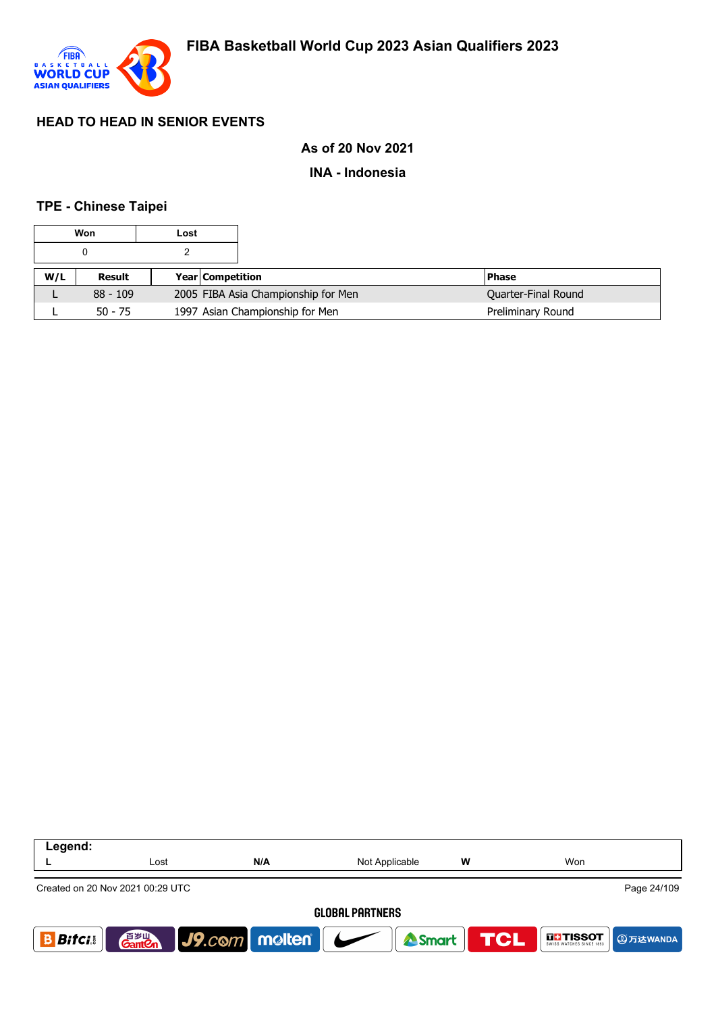

### **As of 20 Nov 2021**

#### **INA - Indonesia**

### **TPE - Chinese Taipei**

|           | Won        | Lost |                                 |                                     |                     |
|-----------|------------|------|---------------------------------|-------------------------------------|---------------------|
|           |            |      |                                 |                                     |                     |
| W/L       | Result     |      | <b>Year Competition</b>         |                                     | <b>Phase</b>        |
|           | $88 - 109$ |      |                                 | 2005 FIBA Asia Championship for Men | Quarter-Final Round |
| $50 - 75$ |            |      | 1997 Asian Championship for Men | Preliminary Round                   |                     |

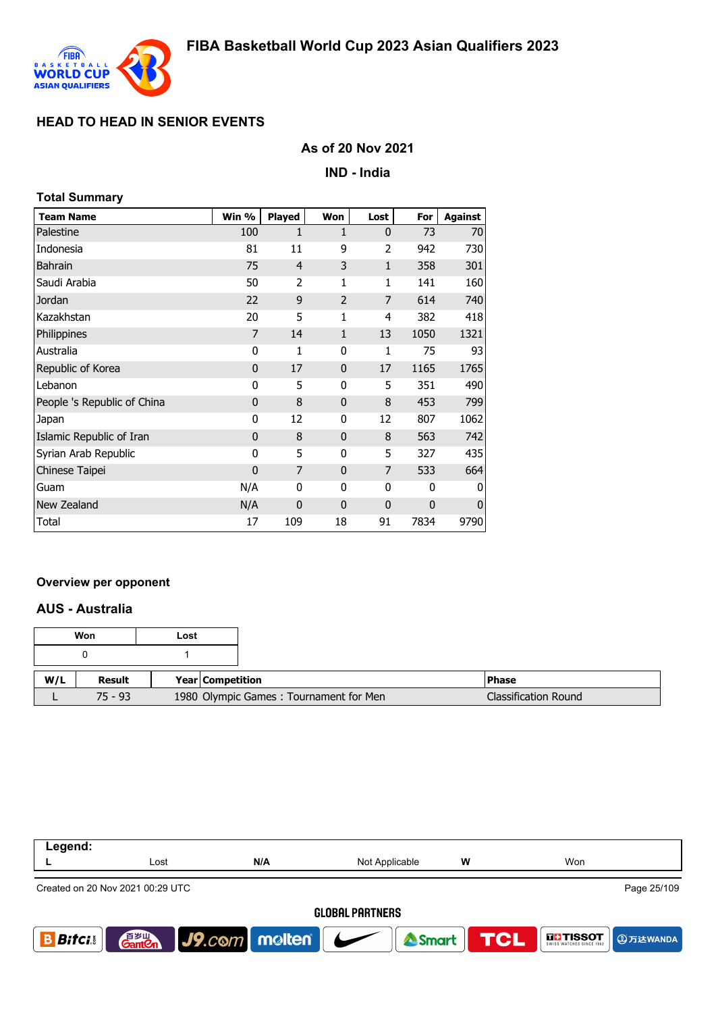

**Total Summary**

# **HEAD TO HEAD IN SENIOR EVENTS**

#### **As of 20 Nov 2021**

**IND - India**

| TOlai Summary               |              |                |                |              |      |                |
|-----------------------------|--------------|----------------|----------------|--------------|------|----------------|
| <b>Team Name</b>            | Win %        | <b>Played</b>  | Won            | Lost         | For  | <b>Against</b> |
| Palestine                   | 100          | 1              | 1              | $\mathbf{0}$ | 73   | 70             |
| Indonesia                   | 81           | 11             | 9              | 2            | 942  | 730            |
| <b>Bahrain</b>              | 75           | $\overline{4}$ | 3              | $\mathbf{1}$ | 358  | 301            |
| Saudi Arabia                | 50           | 2              | 1              | 1            | 141  | 160            |
| Jordan                      | 22           | 9              | $\overline{2}$ | 7            | 614  | 740            |
| Kazakhstan                  | 20           | 5              | $\mathbf{1}$   | 4            | 382  | 418            |
| Philippines                 | 7            | 14             | $\mathbf{1}$   | 13           | 1050 | 1321           |
| Australia                   | 0            | 1              | 0              | $\mathbf{1}$ | 75   | 93             |
| Republic of Korea           | $\mathbf 0$  | 17             | $\mathbf{0}$   | 17           | 1165 | 1765           |
| Lebanon                     | 0            | 5              | 0              | 5            | 351  | 490            |
| People 's Republic of China | $\mathbf{0}$ | 8              | $\mathbf{0}$   | 8            | 453  | 799            |
| Japan                       | 0            | 12             | 0              | 12           | 807  | 1062           |
| Islamic Republic of Iran    | $\mathbf{0}$ | 8              | $\mathbf{0}$   | 8            | 563  | 742            |
| Syrian Arab Republic        | 0            | 5              | 0              | 5            | 327  | 435            |
| Chinese Taipei              | $\mathbf{0}$ | 7              | $\mathbf{0}$   | 7            | 533  | 664            |
| Guam                        | N/A          | 0              | 0              | 0            | 0    | O              |
| New Zealand                 | N/A          | $\mathbf 0$    | $\mathbf{0}$   | $\mathbf 0$  | 0    | O              |
| Total                       | 17           | 109            | 18             | 91           | 7834 | 9790           |

#### **Overview per opponent**

#### **AUS - Australia**

| Won |           | Lost |                         |                                        |                             |
|-----|-----------|------|-------------------------|----------------------------------------|-----------------------------|
|     |           |      |                         |                                        |                             |
| W/L | Result    |      | <b>Year Competition</b> |                                        | <b>Phase</b>                |
|     | $75 - 93$ |      |                         | 1980 Olympic Games: Tournament for Men | <b>Classification Round</b> |

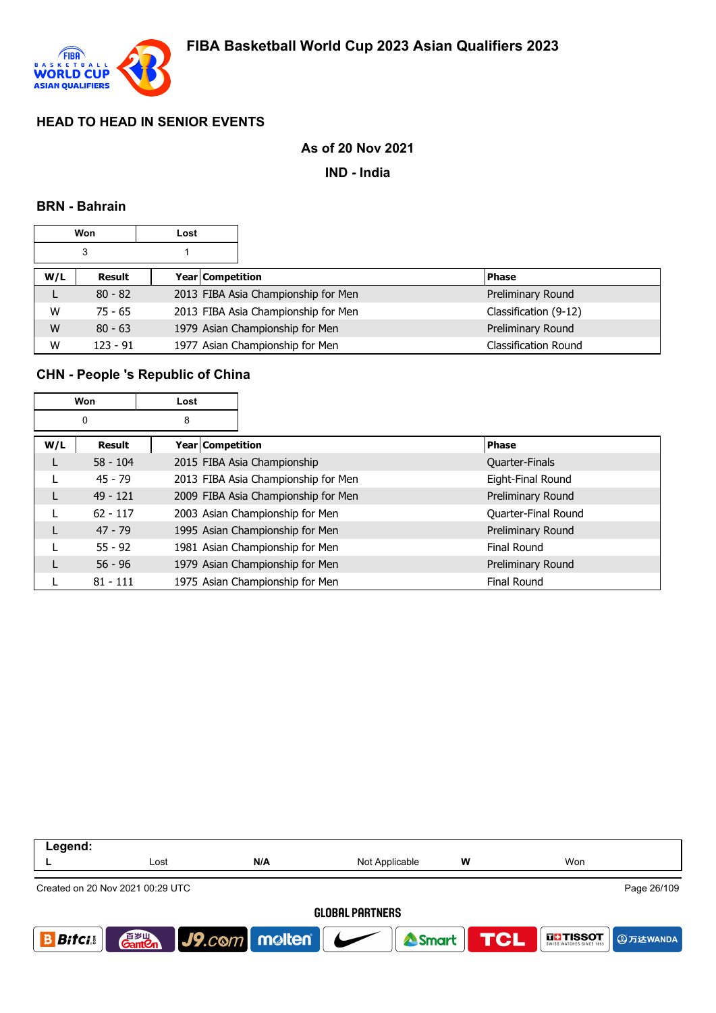

### **As of 20 Nov 2021**

**IND - India**

#### **BRN - Bahrain**

|     | Won<br>Lost |  |                  |                                     |                             |
|-----|-------------|--|------------------|-------------------------------------|-----------------------------|
|     | 3           |  |                  |                                     |                             |
| W/L | Result      |  | Year Competition |                                     | <b>Phase</b>                |
| L   | $80 - 82$   |  |                  | 2013 FIBA Asia Championship for Men | Preliminary Round           |
| W   | $75 - 65$   |  |                  | 2013 FIBA Asia Championship for Men | Classification (9-12)       |
| W   | $80 - 63$   |  |                  | 1979 Asian Championship for Men     | Preliminary Round           |
| W   | $123 - 91$  |  |                  | 1977 Asian Championship for Men     | <b>Classification Round</b> |

### **CHN - People 's Republic of China**

| Won    |            | Lost                    |                                     |                     |
|--------|------------|-------------------------|-------------------------------------|---------------------|
| 8<br>0 |            |                         |                                     |                     |
| W/L    | Result     | <b>Year Competition</b> |                                     | Phase               |
|        | $58 - 104$ |                         | 2015 FIBA Asia Championship         | Quarter-Finals      |
|        | $45 - 79$  |                         | 2013 FIBA Asia Championship for Men | Eight-Final Round   |
|        | $49 - 121$ |                         | 2009 FIBA Asia Championship for Men | Preliminary Round   |
|        | $62 - 117$ |                         | 2003 Asian Championship for Men     | Quarter-Final Round |
|        | $47 - 79$  |                         | 1995 Asian Championship for Men     | Preliminary Round   |
|        | $55 - 92$  |                         | 1981 Asian Championship for Men     | Final Round         |
|        | $56 - 96$  |                         | 1979 Asian Championship for Men     | Preliminary Round   |
|        | $81 - 111$ |                         | 1975 Asian Championship for Men     | <b>Final Round</b>  |

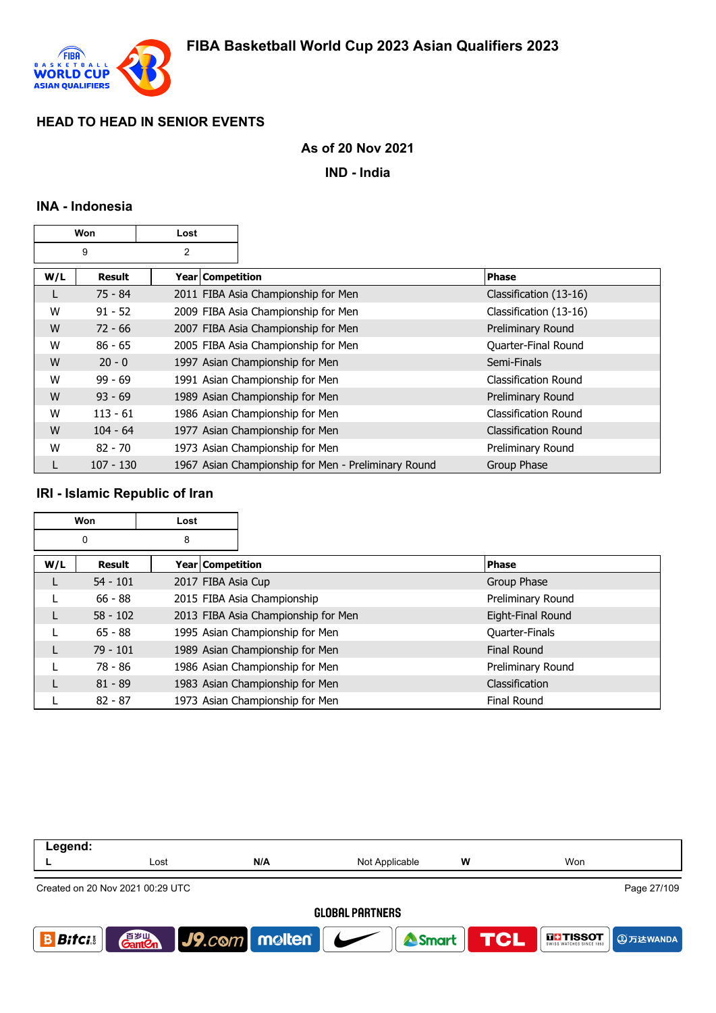

# **As of 20 Nov 2021**

**IND - India**

## **INA - Indonesia**

| Won |             | Lost |                    |                                                     |                             |
|-----|-------------|------|--------------------|-----------------------------------------------------|-----------------------------|
|     | 9           | 2    |                    |                                                     |                             |
| W/L | Result      |      | Year   Competition |                                                     | <b>Phase</b>                |
|     | $75 - 84$   |      |                    | 2011 FIBA Asia Championship for Men                 | Classification (13-16)      |
| W   | $91 - 52$   |      |                    | 2009 FIBA Asia Championship for Men                 | Classification (13-16)      |
| W   | $72 - 66$   |      |                    | 2007 FIBA Asia Championship for Men                 | Preliminary Round           |
| W   | $86 - 65$   |      |                    | 2005 FIBA Asia Championship for Men                 | Quarter-Final Round         |
| W   | $20 - 0$    |      |                    | 1997 Asian Championship for Men                     | Semi-Finals                 |
| W   | $99 - 69$   |      |                    | 1991 Asian Championship for Men                     | Classification Round        |
| W   | $93 - 69$   |      |                    | 1989 Asian Championship for Men                     | Preliminary Round           |
| W   | $113 - 61$  |      |                    | 1986 Asian Championship for Men                     | <b>Classification Round</b> |
| W   | $104 - 64$  |      |                    | 1977 Asian Championship for Men                     | <b>Classification Round</b> |
| W   | $82 - 70$   |      |                    | 1973 Asian Championship for Men                     | Preliminary Round           |
|     | $107 - 130$ |      |                    | 1967 Asian Championship for Men - Preliminary Round | Group Phase                 |

### **IRI - Islamic Republic of Iran**

| <b>Won</b> |            | Lost               |                                     |                       |
|------------|------------|--------------------|-------------------------------------|-----------------------|
| 0          |            | 8                  |                                     |                       |
| W/L        | Result     | Year Competition   |                                     | <b>Phase</b>          |
|            | $54 - 101$ | 2017 FIBA Asia Cup |                                     | Group Phase           |
|            | $66 - 88$  |                    | 2015 FIBA Asia Championship         | Preliminary Round     |
|            | $58 - 102$ |                    | 2013 FIBA Asia Championship for Men | Eight-Final Round     |
|            | $65 - 88$  |                    | 1995 Asian Championship for Men     | Quarter-Finals        |
|            | $79 - 101$ |                    | 1989 Asian Championship for Men     | <b>Final Round</b>    |
|            | 78 - 86    |                    | 1986 Asian Championship for Men     | Preliminary Round     |
|            | $81 - 89$  |                    | 1983 Asian Championship for Men     | <b>Classification</b> |
|            | $82 - 87$  |                    | 1973 Asian Championship for Men     | <b>Final Round</b>    |

| Legend:                                         |                                    |                                 |                |            |                                      |  |  |  |  |
|-------------------------------------------------|------------------------------------|---------------------------------|----------------|------------|--------------------------------------|--|--|--|--|
|                                                 | Lost                               | N/A                             | Not Applicable | w          | Won                                  |  |  |  |  |
| Page 27/109<br>Created on 20 Nov 2021 00:29 UTC |                                    |                                 |                |            |                                      |  |  |  |  |
| <b>GLOBAL PARTNERS</b>                          |                                    |                                 |                |            |                                      |  |  |  |  |
| <b>Bifci</b>                                    | 音 <sub>罗山</sub><br>Gant <b>C</b> n | $ $ J9. $com$ molten $ $ $\sim$ | <b>A</b> Smart | <b>TCL</b> | <b>THE TISSOT</b><br><b>4万达WANDA</b> |  |  |  |  |
|                                                 |                                    |                                 |                |            |                                      |  |  |  |  |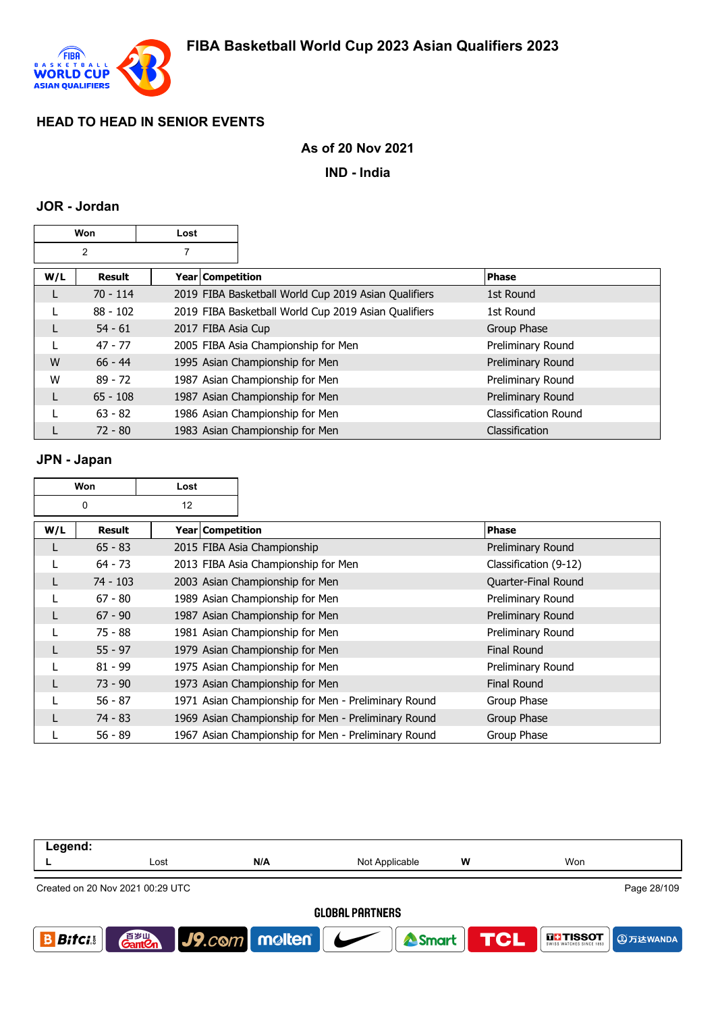

### **As of 20 Nov 2021**

**IND - India**

#### **JOR - Jordan**

| <b>Won</b>     |            | Lost |                    |                                                      |                       |
|----------------|------------|------|--------------------|------------------------------------------------------|-----------------------|
| $\overline{2}$ |            |      |                    |                                                      |                       |
| W/L            | Result     |      | Year   Competition |                                                      | <b>Phase</b>          |
| L              | $70 - 114$ |      |                    | 2019 FIBA Basketball World Cup 2019 Asian Qualifiers | 1st Round             |
|                | $88 - 102$ |      |                    | 2019 FIBA Basketball World Cup 2019 Asian Qualifiers | 1st Round             |
| L              | $54 - 61$  |      | 2017 FIBA Asia Cup |                                                      | Group Phase           |
|                | $47 - 77$  |      |                    | 2005 FIBA Asia Championship for Men                  | Preliminary Round     |
| W              | $66 - 44$  |      |                    | 1995 Asian Championship for Men                      | Preliminary Round     |
| W              | $89 - 72$  |      |                    | 1987 Asian Championship for Men                      | Preliminary Round     |
| L              | $65 - 108$ |      |                    | 1987 Asian Championship for Men                      | Preliminary Round     |
|                | $63 - 82$  |      |                    | 1986 Asian Championship for Men                      | Classification Round  |
|                | $72 - 80$  |      |                    | 1983 Asian Championship for Men                      | <b>Classification</b> |

#### **JPN - Japan**

| Won |            | Lost               |                                                     |                       |
|-----|------------|--------------------|-----------------------------------------------------|-----------------------|
| 0   |            | 12                 |                                                     |                       |
| W/L | Result     | Year   Competition |                                                     | Phase                 |
|     | $65 - 83$  |                    | 2015 FIBA Asia Championship                         | Preliminary Round     |
|     | $64 - 73$  |                    | 2013 FIBA Asia Championship for Men                 | Classification (9-12) |
|     | $74 - 103$ |                    | 2003 Asian Championship for Men                     | Quarter-Final Round   |
|     | $67 - 80$  |                    | 1989 Asian Championship for Men                     | Preliminary Round     |
| L   | $67 - 90$  |                    | 1987 Asian Championship for Men                     | Preliminary Round     |
|     | 75 - 88    |                    | 1981 Asian Championship for Men                     | Preliminary Round     |
|     | $55 - 97$  |                    | 1979 Asian Championship for Men                     | <b>Final Round</b>    |
|     | $81 - 99$  |                    | 1975 Asian Championship for Men                     | Preliminary Round     |
|     | $73 - 90$  |                    | 1973 Asian Championship for Men                     | <b>Final Round</b>    |
|     | $56 - 87$  |                    | 1971 Asian Championship for Men - Preliminary Round | Group Phase           |
|     | 74 - 83    |                    | 1969 Asian Championship for Men - Preliminary Round | Group Phase           |
|     | $56 - 89$  |                    | 1967 Asian Championship for Men - Preliminary Round | Group Phase           |

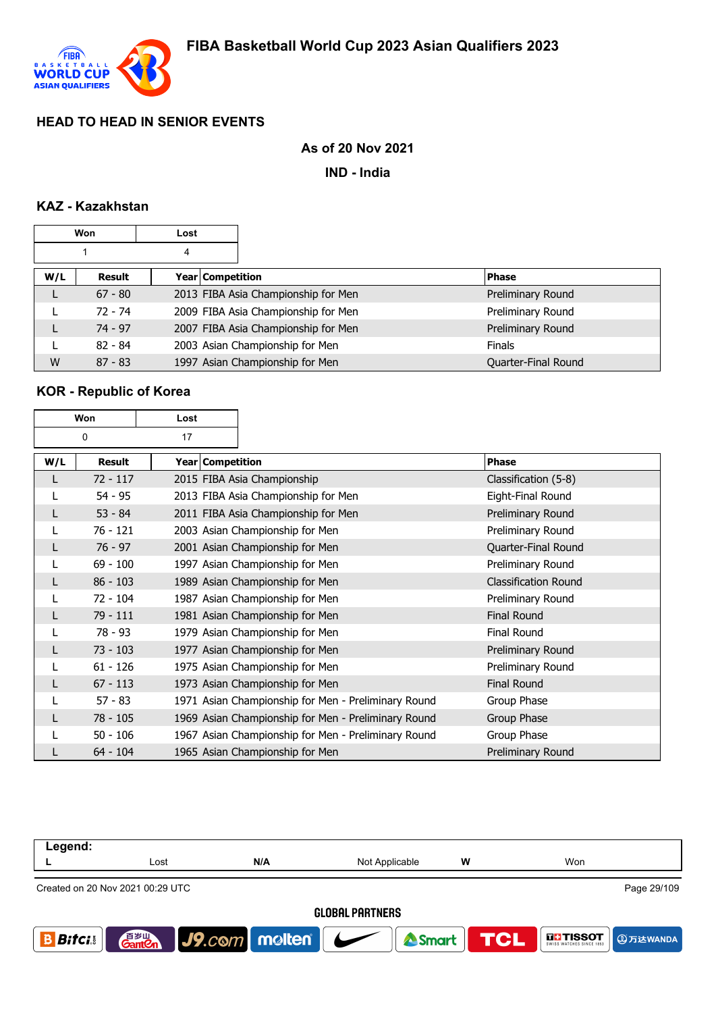

## **As of 20 Nov 2021**

**IND - India**

# **KAZ - Kazakhstan**

| Won |           | Lost             |                                     |                     |
|-----|-----------|------------------|-------------------------------------|---------------------|
| 4   |           |                  |                                     |                     |
| W/L | Result    | Year Competition |                                     | <b>Phase</b>        |
| L   | $67 - 80$ |                  | 2013 FIBA Asia Championship for Men | Preliminary Round   |
|     | $72 - 74$ |                  | 2009 FIBA Asia Championship for Men | Preliminary Round   |
|     | $74 - 97$ |                  | 2007 FIBA Asia Championship for Men | Preliminary Round   |
|     | $82 - 84$ |                  | 2003 Asian Championship for Men     | <b>Finals</b>       |
| W   | $87 - 83$ |                  | 1997 Asian Championship for Men     | Quarter-Final Round |

# **KOR - Republic of Korea**

| Won     |            | Lost |                  |                                                     |                             |
|---------|------------|------|------------------|-----------------------------------------------------|-----------------------------|
| 0<br>17 |            |      |                  |                                                     |                             |
| W/L     | Result     |      | Year Competition |                                                     | <b>Phase</b>                |
| L       | $72 - 117$ |      |                  | 2015 FIBA Asia Championship                         | Classification (5-8)        |
| L       | $54 - 95$  |      |                  | 2013 FIBA Asia Championship for Men                 | Eight-Final Round           |
| L       | $53 - 84$  |      |                  | 2011 FIBA Asia Championship for Men                 | Preliminary Round           |
|         | $76 - 121$ |      |                  | 2003 Asian Championship for Men                     | Preliminary Round           |
| L       | $76 - 97$  |      |                  | 2001 Asian Championship for Men                     | Quarter-Final Round         |
|         | $69 - 100$ |      |                  | 1997 Asian Championship for Men                     | Preliminary Round           |
| L       | $86 - 103$ |      |                  | 1989 Asian Championship for Men                     | <b>Classification Round</b> |
| L       | 72 - 104   |      |                  | 1987 Asian Championship for Men                     | Preliminary Round           |
| L       | 79 - 111   |      |                  | 1981 Asian Championship for Men                     | <b>Final Round</b>          |
| L       | 78 - 93    |      |                  | 1979 Asian Championship for Men                     | Final Round                 |
| L       | $73 - 103$ |      |                  | 1977 Asian Championship for Men                     | Preliminary Round           |
|         | $61 - 126$ |      |                  | 1975 Asian Championship for Men                     | Preliminary Round           |
| L       | $67 - 113$ |      |                  | 1973 Asian Championship for Men                     | <b>Final Round</b>          |
| L       | $57 - 83$  |      |                  | 1971 Asian Championship for Men - Preliminary Round | Group Phase                 |
| L       | $78 - 105$ |      |                  | 1969 Asian Championship for Men - Preliminary Round | Group Phase                 |
|         | $50 - 106$ |      |                  | 1967 Asian Championship for Men - Preliminary Round | Group Phase                 |
| L       | $64 - 104$ |      |                  | 1965 Asian Championship for Men                     | Preliminary Round           |

| Legend:                                         |                                    |                  |                |   |                                 |  |  |
|-------------------------------------------------|------------------------------------|------------------|----------------|---|---------------------------------|--|--|
|                                                 | Lost                               | N/A              | Not Applicable | W | Won                             |  |  |
| Page 29/109<br>Created on 20 Nov 2021 00:29 UTC |                                    |                  |                |   |                                 |  |  |
| <b>GLOBAL PARTNERS</b>                          |                                    |                  |                |   |                                 |  |  |
| <b>Bifci</b>                                    | 音 <sub>岁Ⅲ</sub><br>Gant <b>C</b> n | $J9$ .com molten | <b>A</b> Smart |   | <b>TCL</b><br><b>THE TISSOT</b> |  |  |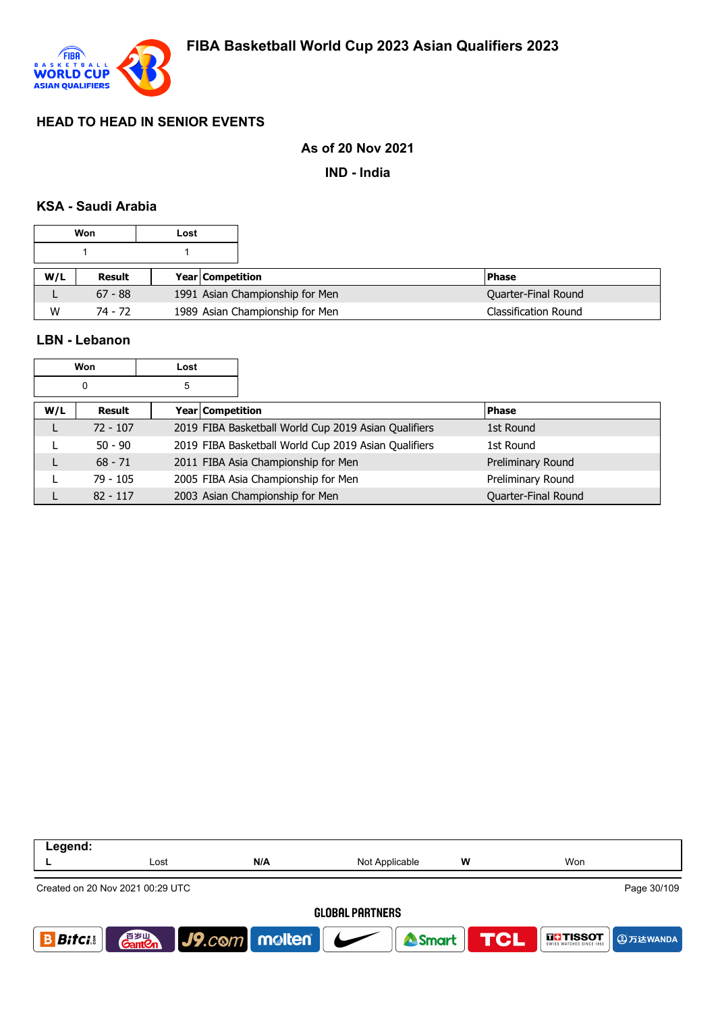

### **As of 20 Nov 2021**

**IND - India**

#### **KSA - Saudi Arabia**

| Won |           | Lost |                                 |                            |
|-----|-----------|------|---------------------------------|----------------------------|
|     |           |      |                                 |                            |
| W/L | Result    |      | <b>Year Competition</b>         | l Phase                    |
| ட   | $67 - 88$ |      | 1991 Asian Championship for Men | <b>Quarter-Final Round</b> |
| W   | 74 - 72   |      | 1989 Asian Championship for Men |                            |

L 82 - 117 2003 Asian Championship for Men and Cuarter-Final Round

#### **LBN - Lebanon**

| Won<br>Lost<br>5<br>0 |     |            |                  |                                                      |                   |
|-----------------------|-----|------------|------------------|------------------------------------------------------|-------------------|
|                       |     |            |                  |                                                      |                   |
|                       | W/L | Result     | Year Competition |                                                      | <b>Phase</b>      |
|                       |     | $72 - 107$ |                  | 2019 FIBA Basketball World Cup 2019 Asian Qualifiers | 1st Round         |
|                       |     | $50 - 90$  |                  | 2019 FIBA Basketball World Cup 2019 Asian Qualifiers | 1st Round         |
|                       |     | $68 - 71$  |                  | 2011 FIBA Asia Championship for Men                  | Preliminary Round |
|                       |     | $79 - 105$ |                  | 2005 FIBA Asia Championship for Men                  | Preliminary Round |

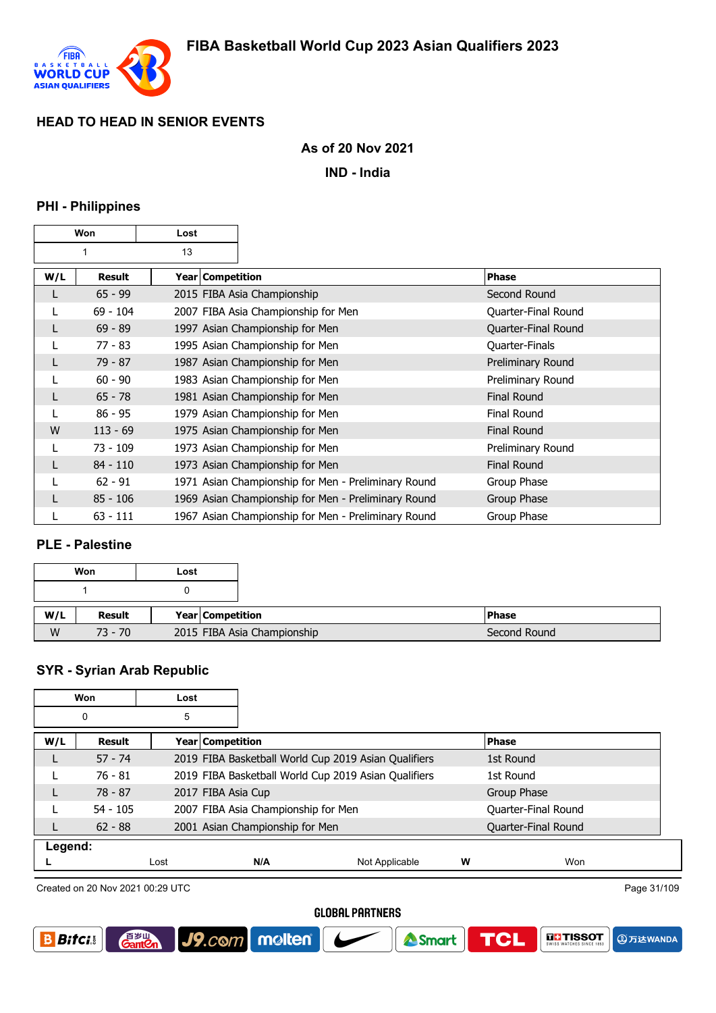

### **As of 20 Nov 2021**

**IND - India**

#### **PHI - Philippines**

| Won |            | Lost |                  |                                                     |                     |
|-----|------------|------|------------------|-----------------------------------------------------|---------------------|
| 1   |            | 13   |                  |                                                     |                     |
| W/L | Result     |      | Year Competition |                                                     | <b>Phase</b>        |
| L   | $65 - 99$  |      |                  | 2015 FIBA Asia Championship                         | Second Round        |
|     | $69 - 104$ |      |                  | 2007 FIBA Asia Championship for Men                 | Quarter-Final Round |
| L   | $69 - 89$  |      |                  | 1997 Asian Championship for Men                     | Quarter-Final Round |
|     | 77 - 83    |      |                  | 1995 Asian Championship for Men                     | Quarter-Finals      |
| L   | $79 - 87$  |      |                  | 1987 Asian Championship for Men                     | Preliminary Round   |
|     | $60 - 90$  |      |                  | 1983 Asian Championship for Men                     | Preliminary Round   |
| L   | $65 - 78$  |      |                  | 1981 Asian Championship for Men                     | <b>Final Round</b>  |
| L   | $86 - 95$  |      |                  | 1979 Asian Championship for Men                     | <b>Final Round</b>  |
| W   | $113 - 69$ |      |                  | 1975 Asian Championship for Men                     | <b>Final Round</b>  |
|     | 73 - 109   |      |                  | 1973 Asian Championship for Men                     | Preliminary Round   |
| L   | $84 - 110$ |      |                  | 1973 Asian Championship for Men                     | <b>Final Round</b>  |
|     | $62 - 91$  |      |                  | 1971 Asian Championship for Men - Preliminary Round | Group Phase         |
| L   | $85 - 106$ |      |                  | 1969 Asian Championship for Men - Preliminary Round | Group Phase         |
|     | $63 - 111$ |      |                  | 1967 Asian Championship for Men - Preliminary Round | Group Phase         |

### **PLE - Palestine**

|     | Won       | Lost |                             |              |
|-----|-----------|------|-----------------------------|--------------|
|     |           |      |                             |              |
| W/L | Result    |      | <b>Year Competition</b>     | <b>Phase</b> |
| W   | $73 - 70$ |      | 2015 FIBA Asia Championship | Second Round |

#### **SYR - Syrian Arab Republic**

| Won<br>Lost |            |      |                                     |                                                      |   |                     |  |
|-------------|------------|------|-------------------------------------|------------------------------------------------------|---|---------------------|--|
| 5<br>0      |            |      |                                     |                                                      |   |                     |  |
| W/L         | Result     |      | <b>Year Competition</b>             |                                                      |   | <b>Phase</b>        |  |
|             | $57 - 74$  |      |                                     | 2019 FIBA Basketball World Cup 2019 Asian Qualifiers |   | 1st Round           |  |
|             | $76 - 81$  |      |                                     | 2019 FIBA Basketball World Cup 2019 Asian Qualifiers |   | 1st Round           |  |
|             | $78 - 87$  |      | 2017 FIBA Asia Cup                  |                                                      |   | Group Phase         |  |
|             | $54 - 105$ |      | 2007 FIBA Asia Championship for Men |                                                      |   | Quarter-Final Round |  |
|             | $62 - 88$  |      | 2001 Asian Championship for Men     |                                                      |   | Quarter-Final Round |  |
| Legend:     |            |      |                                     |                                                      |   |                     |  |
|             |            | Lost | N/A                                 | Not Applicable                                       | W | Won                 |  |

Created on 20 Nov 2021 00:29 UTC

**GantOn** 

J9.com molten

Page 31/109

**4万达WANDA** 

**GLI TISSOT** 

**TCL** 

Smart

#### **GLOBAL PARTNERS**

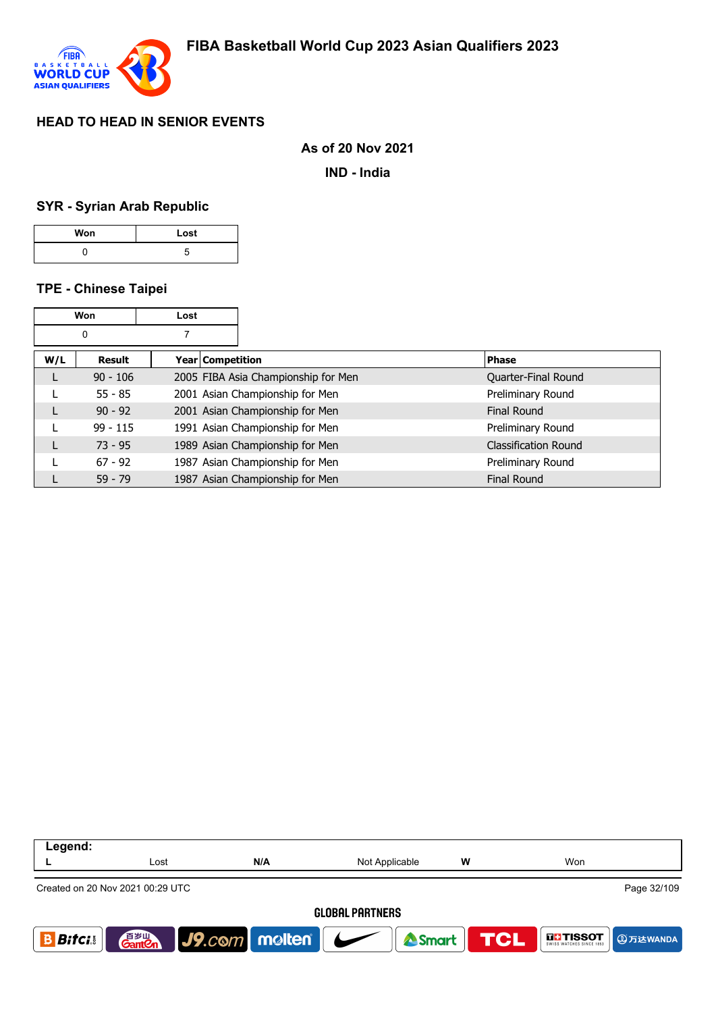

#### **As of 20 Nov 2021**

**IND - India**

#### **SYR - Syrian Arab Republic**

| Won | Lost |
|-----|------|
|     |      |

#### **TPE - Chinese Taipei**

|     | Won           | Lost |                  |                                     |                             |
|-----|---------------|------|------------------|-------------------------------------|-----------------------------|
| 0   |               |      |                  |                                     |                             |
| W/L | <b>Result</b> |      | Year Competition |                                     | <b>Phase</b>                |
|     | $90 - 106$    |      |                  | 2005 FIBA Asia Championship for Men | Quarter-Final Round         |
|     | $55 - 85$     |      |                  | 2001 Asian Championship for Men     | Preliminary Round           |
|     | $90 - 92$     |      |                  | 2001 Asian Championship for Men     | Final Round                 |
|     | $99 - 115$    |      |                  | 1991 Asian Championship for Men     | Preliminary Round           |
|     | $73 - 95$     |      |                  | 1989 Asian Championship for Men     | <b>Classification Round</b> |
|     | $67 - 92$     |      |                  | 1987 Asian Championship for Men     | Preliminary Round           |
|     | $59 - 79$     |      |                  | 1987 Asian Championship for Men     | <b>Final Round</b>          |

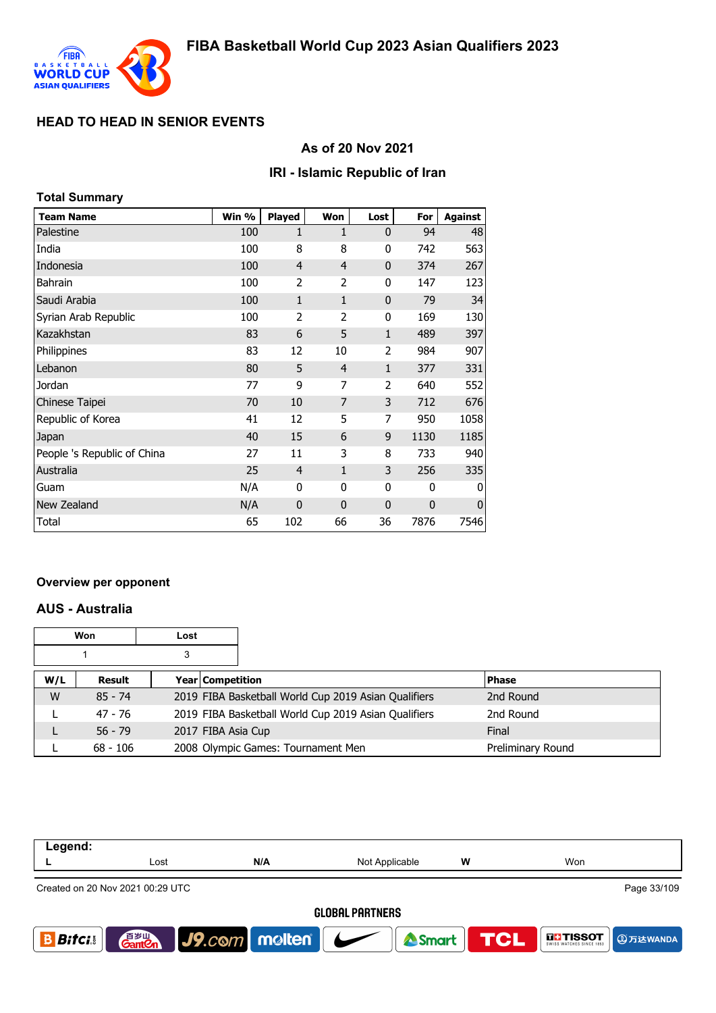

## **As of 20 Nov 2021**

### **IRI - Islamic Republic of Iran**

| Total Summary               |       |                |              |                |             |                |
|-----------------------------|-------|----------------|--------------|----------------|-------------|----------------|
| <b>Team Name</b>            | Win % | <b>Played</b>  | Won          | Lost           | For         | <b>Against</b> |
| Palestine                   | 100   | 1              | 1            | $\mathbf 0$    | 94          | 48             |
| India                       | 100   | 8              | 8            | 0              | 742         | 563            |
| Indonesia                   | 100   | $\overline{4}$ | 4            | $\mathbf 0$    | 374         | 267            |
| Bahrain                     | 100   | $\overline{2}$ | 2            | 0              | 147         | 123            |
| Saudi Arabia                | 100   | $\mathbf{1}$   | $\mathbf{1}$ | $\mathbf 0$    | 79          | 34             |
| Syrian Arab Republic        | 100   | $\overline{2}$ | 2            | 0              | 169         | 130            |
| Kazakhstan                  | 83    | 6              | 5            | $\mathbf{1}$   | 489         | 397            |
| Philippines                 | 83    | 12             | 10           | $\overline{2}$ | 984         | 907            |
| Lebanon                     | 80    | 5              | 4            | $\mathbf{1}$   | 377         | 331            |
| Jordan                      | 77    | 9              | 7            | $\overline{2}$ | 640         | 552            |
| Chinese Taipei              | 70    | 10             | 7            | 3              | 712         | 676            |
| Republic of Korea           | 41    | 12             | 5            | 7              | 950         | 1058           |
| Japan                       | 40    | 15             | 6            | 9              | 1130        | 1185           |
| People 's Republic of China | 27    | 11             | 3            | 8              | 733         | 940            |
| Australia                   | 25    | $\overline{4}$ | $\mathbf{1}$ | 3              | 256         | 335            |
| Guam                        | N/A   | 0              | 0            | 0              | 0           | 0              |
| New Zealand                 | N/A   | $\mathbf 0$    | $\mathbf 0$  | $\mathbf 0$    | $\mathbf 0$ | $\mathbf 0$    |
| Total                       | 65    | 102            | 66           | 36             | 7876        | 7546           |

#### **Overview per opponent**

#### **AUS - Australia**

|     | Won        | Lost |                    |                                                      |                   |
|-----|------------|------|--------------------|------------------------------------------------------|-------------------|
|     |            | 3    |                    |                                                      |                   |
| W/L | Result     |      | Year Competition   |                                                      | <b>Phase</b>      |
| W   | $85 - 74$  |      |                    | 2019 FIBA Basketball World Cup 2019 Asian Qualifiers | 2nd Round         |
|     | 47 - 76    |      |                    | 2019 FIBA Basketball World Cup 2019 Asian Qualifiers | 2nd Round         |
| L   | $56 - 79$  |      | 2017 FIBA Asia Cup |                                                      | Final             |
|     | $68 - 106$ |      |                    | 2008 Olympic Games: Tournament Men                   | Preliminary Round |

| Legend:                |                                    |                                  |                |   |                                                    |  |
|------------------------|------------------------------------|----------------------------------|----------------|---|----------------------------------------------------|--|
|                        | Lost                               | N/A                              | Not Applicable | W | Won                                                |  |
|                        | Created on 20 Nov 2021 00:29 UTC   |                                  |                |   | Page 33/109                                        |  |
| <b>GLOBAL PARTNERS</b> |                                    |                                  |                |   |                                                    |  |
| <b>Bitci</b>           | 音 <sub>罗山</sub><br>Gant <b>C</b> n | $\vert$ J9. $com$ molten $\vert$ | <b>Smart</b>   |   | <b>TCL</b><br><b>THE TISSOT</b><br><b>4万达WANDA</b> |  |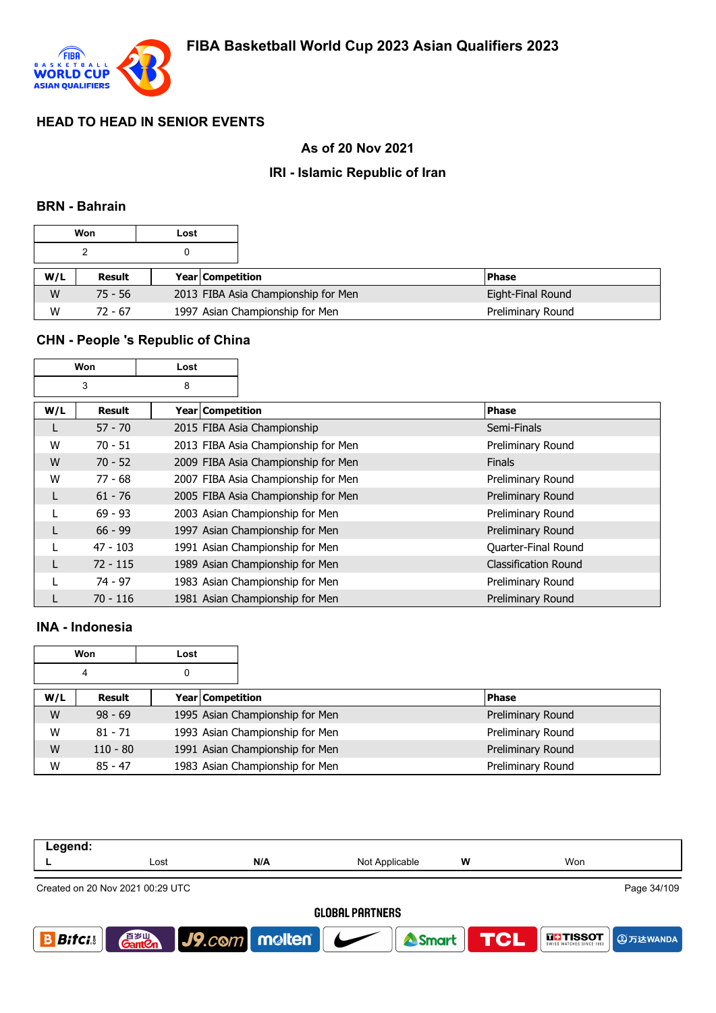

# **As of 20 Nov 2021**

## **IRI - Islamic Republic of Iran**

#### **BRN - Bahrain**

|     | Won       | Lost |                         |                                     |                   |
|-----|-----------|------|-------------------------|-------------------------------------|-------------------|
|     |           |      |                         |                                     |                   |
| W/L | Result    |      | <b>Year Competition</b> |                                     | <b>Phase</b>      |
| W   | $75 - 56$ |      |                         | 2013 FIBA Asia Championship for Men | Eight-Final Round |
| W   | $72 - 67$ |      |                         | 1997 Asian Championship for Men     | Preliminary Round |

#### **CHN - People 's Republic of China**

|     | Won        | Lost             |                                     |                             |
|-----|------------|------------------|-------------------------------------|-----------------------------|
|     | 3          | 8                |                                     |                             |
| W/L | Result     | Year Competition |                                     | <b>Phase</b>                |
|     | $57 - 70$  |                  | 2015 FIBA Asia Championship         | Semi-Finals                 |
| W   | $70 - 51$  |                  | 2013 FIBA Asia Championship for Men | Preliminary Round           |
| W   | $70 - 52$  |                  | 2009 FIBA Asia Championship for Men | <b>Finals</b>               |
| W   | $77 - 68$  |                  | 2007 FIBA Asia Championship for Men | Preliminary Round           |
| L   | $61 - 76$  |                  | 2005 FIBA Asia Championship for Men | Preliminary Round           |
|     | $69 - 93$  |                  | 2003 Asian Championship for Men     | Preliminary Round           |
|     | $66 - 99$  |                  | 1997 Asian Championship for Men     | Preliminary Round           |
|     | $47 - 103$ |                  | 1991 Asian Championship for Men     | Quarter-Final Round         |
|     | $72 - 115$ |                  | 1989 Asian Championship for Men     | <b>Classification Round</b> |
|     | $74 - 97$  |                  | 1983 Asian Championship for Men     | Preliminary Round           |
|     | $70 - 116$ |                  | 1981 Asian Championship for Men     | Preliminary Round           |

# **INA - Indonesia**

|     | Won        | Lost |                                 |                   |
|-----|------------|------|---------------------------------|-------------------|
|     | 4          | 0    |                                 |                   |
| W/L | Result     |      | Year Competition                | <b>Phase</b>      |
| W   | $98 - 69$  |      | 1995 Asian Championship for Men | Preliminary Round |
| W   | $81 - 71$  |      | 1993 Asian Championship for Men | Preliminary Round |
| W   | $110 - 80$ |      | 1991 Asian Championship for Men | Preliminary Round |
| W   | $85 - 47$  |      | 1983 Asian Championship for Men | Preliminary Round |

| Legend:                |                                                 |               |                |            |               |  |  |
|------------------------|-------------------------------------------------|---------------|----------------|------------|---------------|--|--|
|                        | Lost                                            | N/A           | Not Applicable | W          | Won           |  |  |
|                        | Page 34/109<br>Created on 20 Nov 2021 00:29 UTC |               |                |            |               |  |  |
| <b>GLOBAL PARTNERS</b> |                                                 |               |                |            |               |  |  |
| <b>Bifci</b>           | 音 <sub>罗山</sub><br>Gant <b>C</b> n              | J9.com molten | <b>A</b> Smart | <b>TCL</b> | <b>THESOT</b> |  |  |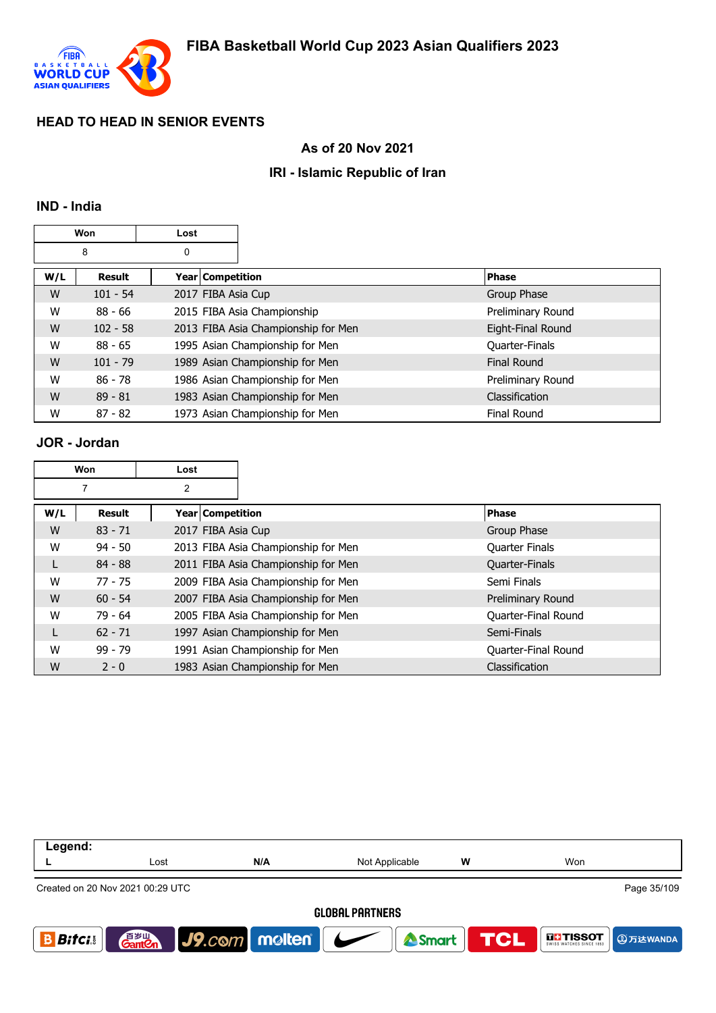

### **As of 20 Nov 2021**

## **IRI - Islamic Republic of Iran**

#### **IND - India**

|     | Won           | Lost               |                                     |                    |
|-----|---------------|--------------------|-------------------------------------|--------------------|
|     | 8             | 0                  |                                     |                    |
| W/L | <b>Result</b> | Year   Competition |                                     | <b>Phase</b>       |
| W   | $101 - 54$    | 2017 FIBA Asia Cup |                                     | Group Phase        |
| W   | $88 - 66$     |                    | 2015 FIBA Asia Championship         | Preliminary Round  |
| W   | $102 - 58$    |                    | 2013 FIBA Asia Championship for Men | Eight-Final Round  |
| W   | $88 - 65$     |                    | 1995 Asian Championship for Men     | Quarter-Finals     |
| W   | $101 - 79$    |                    | 1989 Asian Championship for Men     | Final Round        |
| W   | $86 - 78$     |                    | 1986 Asian Championship for Men     | Preliminary Round  |
| W   | $89 - 81$     |                    | 1983 Asian Championship for Men     | Classification     |
| W   | $87 - 82$     |                    | 1973 Asian Championship for Men     | <b>Final Round</b> |

#### **JOR - Jordan**

| Won |           | Lost               |                                     |                       |
|-----|-----------|--------------------|-------------------------------------|-----------------------|
|     |           | 2                  |                                     |                       |
| W/L | Result    | Year   Competition |                                     | Phase                 |
| W   | $83 - 71$ | 2017 FIBA Asia Cup |                                     | Group Phase           |
| W   | $94 - 50$ |                    | 2013 FIBA Asia Championship for Men | <b>Quarter Finals</b> |
| L   | $84 - 88$ |                    | 2011 FIBA Asia Championship for Men | Quarter-Finals        |
| W   | $77 - 75$ |                    | 2009 FIBA Asia Championship for Men | Semi Finals           |
| W   | $60 - 54$ |                    | 2007 FIBA Asia Championship for Men | Preliminary Round     |
| W   | $79 - 64$ |                    | 2005 FIBA Asia Championship for Men | Quarter-Final Round   |
|     | $62 - 71$ |                    | 1997 Asian Championship for Men     | Semi-Finals           |
| W   | $99 - 79$ |                    | 1991 Asian Championship for Men     | Quarter-Final Round   |
| W   | $2 - 0$   |                    | 1983 Asian Championship for Men     | Classification        |

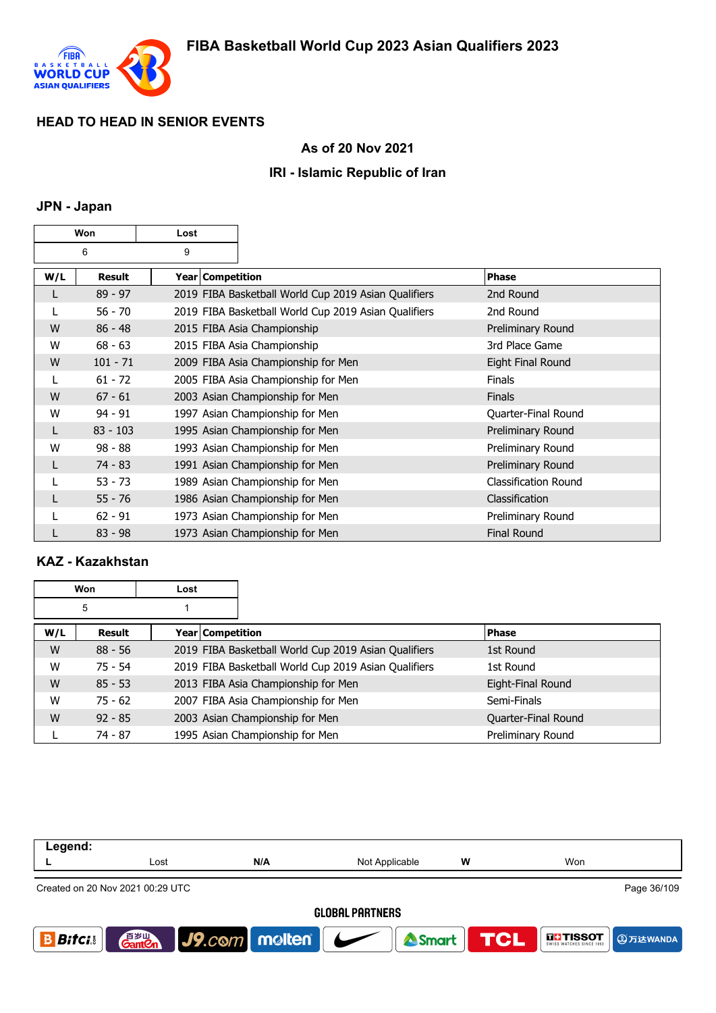

## **As of 20 Nov 2021**

## **IRI - Islamic Republic of Iran**

# **JPN - Japan**

| Won |            | Lost |                  |                                                      |                             |
|-----|------------|------|------------------|------------------------------------------------------|-----------------------------|
| 6   |            | 9    |                  |                                                      |                             |
| W/L | Result     |      | Year Competition |                                                      | <b>Phase</b>                |
|     | $89 - 97$  |      |                  | 2019 FIBA Basketball World Cup 2019 Asian Qualifiers | 2nd Round                   |
|     | $56 - 70$  |      |                  | 2019 FIBA Basketball World Cup 2019 Asian Qualifiers | 2nd Round                   |
| W   | $86 - 48$  |      |                  | 2015 FIBA Asia Championship                          | Preliminary Round           |
| W   | $68 - 63$  |      |                  | 2015 FIBA Asia Championship                          | 3rd Place Game              |
| W   | $101 - 71$ |      |                  | 2009 FIBA Asia Championship for Men                  | Eight Final Round           |
|     | $61 - 72$  |      |                  | 2005 FIBA Asia Championship for Men                  | <b>Finals</b>               |
| W   | $67 - 61$  |      |                  | 2003 Asian Championship for Men                      | <b>Finals</b>               |
| W   | $94 - 91$  |      |                  | 1997 Asian Championship for Men                      | Quarter-Final Round         |
| L   | $83 - 103$ |      |                  | 1995 Asian Championship for Men                      | Preliminary Round           |
| W   | $98 - 88$  |      |                  | 1993 Asian Championship for Men                      | Preliminary Round           |
| L   | $74 - 83$  |      |                  | 1991 Asian Championship for Men                      | Preliminary Round           |
|     | $53 - 73$  |      |                  | 1989 Asian Championship for Men                      | <b>Classification Round</b> |
|     | $55 - 76$  |      |                  | 1986 Asian Championship for Men                      | Classification              |
|     | $62 - 91$  |      |                  | 1973 Asian Championship for Men                      | Preliminary Round           |
|     | $83 - 98$  |      |                  | 1973 Asian Championship for Men                      | <b>Final Round</b>          |

# **KAZ - Kazakhstan**

| Won |           | Lost               |                                                      |                     |
|-----|-----------|--------------------|------------------------------------------------------|---------------------|
| 5   |           |                    |                                                      |                     |
| W/L | Result    | Year   Competition |                                                      | <b>Phase</b>        |
| W   | $88 - 56$ |                    | 2019 FIBA Basketball World Cup 2019 Asian Qualifiers | 1st Round           |
| W   | $75 - 54$ |                    | 2019 FIBA Basketball World Cup 2019 Asian Qualifiers | 1st Round           |
| W   | $85 - 53$ |                    | 2013 FIBA Asia Championship for Men                  | Eight-Final Round   |
| W   | $75 - 62$ |                    | 2007 FIBA Asia Championship for Men                  | Semi-Finals         |
| W   | $92 - 85$ |                    | 2003 Asian Championship for Men                      | Quarter-Final Round |
|     | 74 - 87   |                    | 1995 Asian Championship for Men                      | Preliminary Round   |

| Legend:                                         |                      |                             |                  |   |                                                          |  |  |
|-------------------------------------------------|----------------------|-----------------------------|------------------|---|----------------------------------------------------------|--|--|
|                                                 | Lost                 | N/A                         | Not Applicable   | w | Won                                                      |  |  |
| Page 36/109<br>Created on 20 Nov 2021 00:29 UTC |                      |                             |                  |   |                                                          |  |  |
| <b>GLOBAL PARTNERS</b>                          |                      |                             |                  |   |                                                          |  |  |
| <b>Bitci</b>                                    | 百岁山<br><b>Ganten</b> | $\int$ J9.com molten $\int$ | Smart <b>TCL</b> |   | <b>DET TISSOT</b><br>SWISS WATCHES SINCE 1853 CD 万达WANDA |  |  |
|                                                 |                      |                             |                  |   |                                                          |  |  |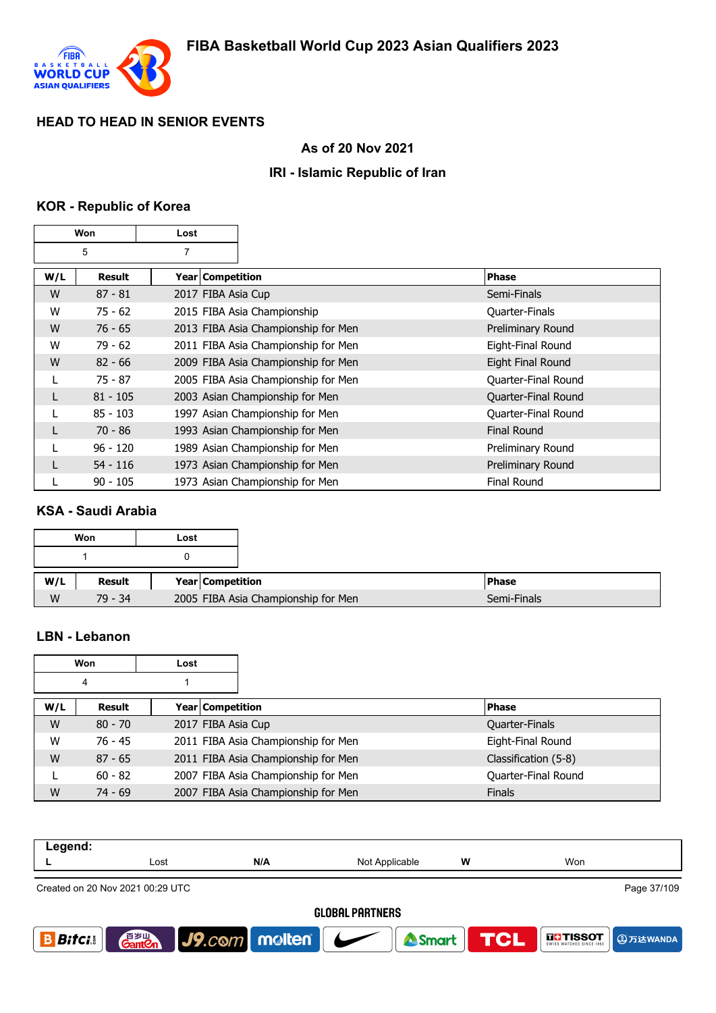

## **As of 20 Nov 2021**

## **IRI - Islamic Republic of Iran**

# **KOR - Republic of Korea**

| Won |            | Lost               |                                     |                     |
|-----|------------|--------------------|-------------------------------------|---------------------|
| 5   |            | 7                  |                                     |                     |
| W/L | Result     | Year   Competition |                                     | <b>Phase</b>        |
| W   | $87 - 81$  | 2017 FIBA Asia Cup |                                     | Semi-Finals         |
| W   | $75 - 62$  |                    | 2015 FIBA Asia Championship         | Quarter-Finals      |
| W   | $76 - 65$  |                    | 2013 FIBA Asia Championship for Men | Preliminary Round   |
| W   | $79 - 62$  |                    | 2011 FIBA Asia Championship for Men | Eight-Final Round   |
| W   | $82 - 66$  |                    | 2009 FIBA Asia Championship for Men | Eight Final Round   |
| L   | 75 - 87    |                    | 2005 FIBA Asia Championship for Men | Quarter-Final Round |
| L   | $81 - 105$ |                    | 2003 Asian Championship for Men     | Quarter-Final Round |
|     | $85 - 103$ |                    | 1997 Asian Championship for Men     | Quarter-Final Round |
| L   | 70 - 86    |                    | 1993 Asian Championship for Men     | <b>Final Round</b>  |
|     | $96 - 120$ |                    | 1989 Asian Championship for Men     | Preliminary Round   |
| L   | $54 - 116$ |                    | 1973 Asian Championship for Men     | Preliminary Round   |
|     | $90 - 105$ |                    | 1973 Asian Championship for Men     | <b>Final Round</b>  |

### **KSA - Saudi Arabia**

|   | Won       | Lost |                                     |
|---|-----------|------|-------------------------------------|
|   |           |      |                                     |
|   | Result    |      | Year Competition                    |
| W | $79 - 34$ |      | 2005 FIBA Asia Championship for Men |

#### **LBN - Lebanon**

| Won |           | Lost                    |                                     |                      |
|-----|-----------|-------------------------|-------------------------------------|----------------------|
| 4   |           |                         |                                     |                      |
| W/L | Result    | <b>Year Competition</b> |                                     | <b>Phase</b>         |
| W   | $80 - 70$ | 2017 FIBA Asia Cup      |                                     | Quarter-Finals       |
| W   | $76 - 45$ |                         | 2011 FIBA Asia Championship for Men | Eight-Final Round    |
| W   | $87 - 65$ |                         | 2011 FIBA Asia Championship for Men | Classification (5-8) |
|     | $60 - 82$ |                         | 2007 FIBA Asia Championship for Men | Quarter-Final Round  |
| W   | $74 - 69$ |                         | 2007 FIBA Asia Championship for Men | <b>Finals</b>        |

| Legend:                                         |                        |               |                  |   |                           |  |  |  |
|-------------------------------------------------|------------------------|---------------|------------------|---|---------------------------|--|--|--|
|                                                 | Lost                   | N/A           | Not Applicable   | w | Won                       |  |  |  |
| Page 37/109<br>Created on 20 Nov 2021 00:29 UTC |                        |               |                  |   |                           |  |  |  |
|                                                 | <b>GLOBAL PARTNERS</b> |               |                  |   |                           |  |  |  |
| <b>Bifci</b>                                    | <b>GantOn</b>          | J9.com molten | Smart <b>TCL</b> |   | <b>THESOT</b><br>9万达WANDA |  |  |  |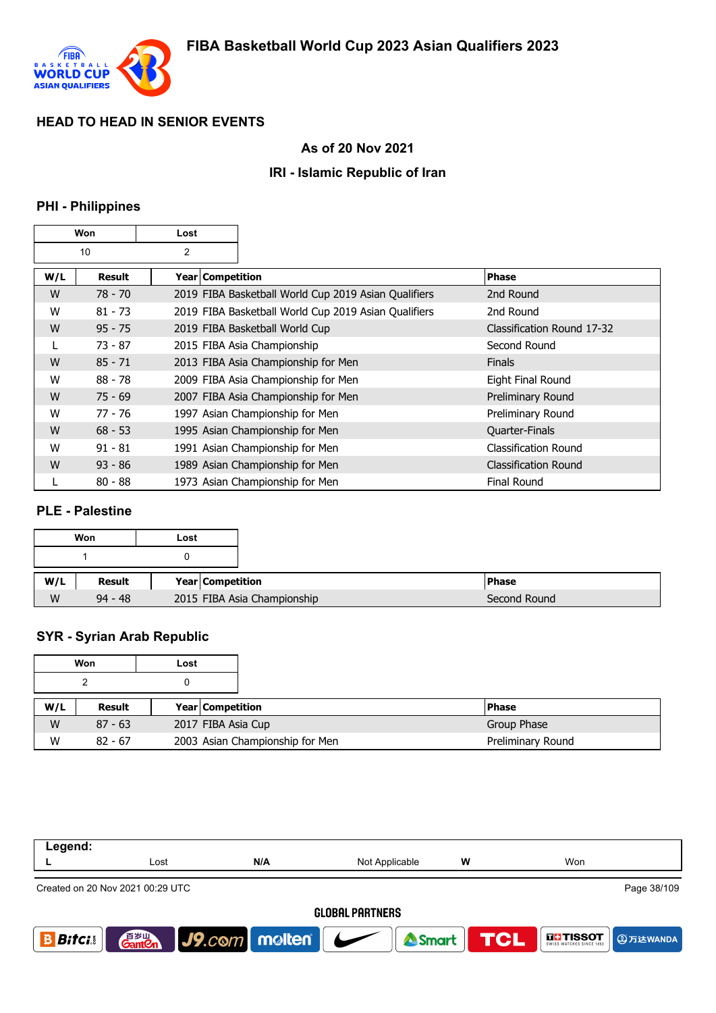

## **As of 20 Nov 2021**

## **IRI - Islamic Republic of Iran**

# **PHI - Philippines**

| Won |               | Lost               |                                                      |                            |
|-----|---------------|--------------------|------------------------------------------------------|----------------------------|
| 10  |               | 2                  |                                                      |                            |
| W/L | <b>Result</b> | Year   Competition |                                                      | <b>Phase</b>               |
| W   | $78 - 70$     |                    | 2019 FIBA Basketball World Cup 2019 Asian Qualifiers | 2nd Round                  |
| W   | $81 - 73$     |                    | 2019 FIBA Basketball World Cup 2019 Asian Qualifiers | 2nd Round                  |
| W   | $95 - 75$     |                    | 2019 FIBA Basketball World Cup                       | Classification Round 17-32 |
| L   | $73 - 87$     |                    | 2015 FIBA Asia Championship                          | Second Round               |
| W   | $85 - 71$     |                    | 2013 FIBA Asia Championship for Men                  | <b>Finals</b>              |
| W   | $88 - 78$     |                    | 2009 FIBA Asia Championship for Men                  | Eight Final Round          |
| W   | $75 - 69$     |                    | 2007 FIBA Asia Championship for Men                  | Preliminary Round          |
| W   | 77 - 76       |                    | 1997 Asian Championship for Men                      | Preliminary Round          |
| W   | $68 - 53$     |                    | 1995 Asian Championship for Men                      | Quarter-Finals             |
| W   | $91 - 81$     |                    | 1991 Asian Championship for Men                      | Classification Round       |
| W   | $93 - 86$     |                    | 1989 Asian Championship for Men                      | Classification Round       |
|     | $80 - 88$     |                    | 1973 Asian Championship for Men                      | <b>Final Round</b>         |

## **PLE - Palestine**

| Won       | Lost                        |
|-----------|-----------------------------|
|           |                             |
| Result    | Year Competition            |
| $94 - 48$ | 2015 FIBA Asia Championship |

## **SYR - Syrian Arab Republic**

|     | Won<br>Lost |  |                         |                                 |                   |
|-----|-------------|--|-------------------------|---------------------------------|-------------------|
|     |             |  |                         |                                 |                   |
| W/L | Result      |  | <b>Year Competition</b> |                                 | <b>Phase</b>      |
| W   | $87 - 63$   |  | 2017 FIBA Asia Cup      |                                 | Group Phase       |
| W   | $82 - 67$   |  |                         | 2003 Asian Championship for Men | Preliminary Round |

| Legend:      |                                                 |                                   |                |   |                                                |  |  |  |
|--------------|-------------------------------------------------|-----------------------------------|----------------|---|------------------------------------------------|--|--|--|
|              | Lost                                            | N/A                               | Not Applicable | W | Won                                            |  |  |  |
|              | Page 38/109<br>Created on 20 Nov 2021 00:29 UTC |                                   |                |   |                                                |  |  |  |
|              | <b>GLOBAL PARTNERS</b>                          |                                   |                |   |                                                |  |  |  |
| <b>Bitci</b> | 音 <sub>岁Ⅲ</sub><br>Gant <b>C</b> n              | $\vert$ J9.com   molten   $\vert$ | <b>Smart</b>   |   | <b>TCL</b><br><b>THESOT</b><br><b>9万达WANDA</b> |  |  |  |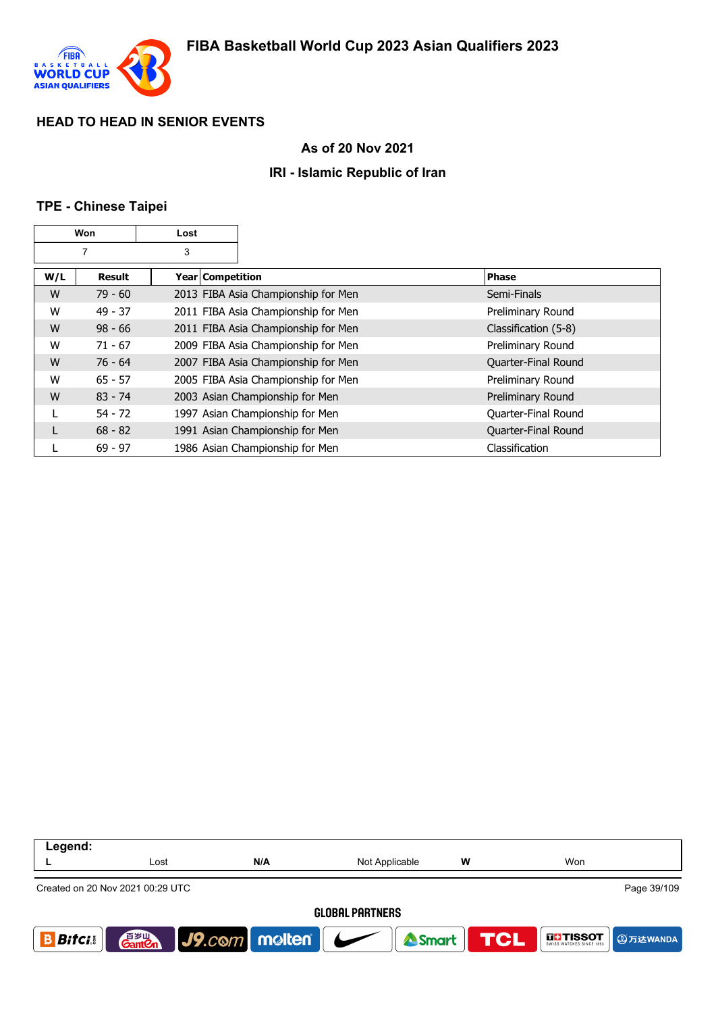

### **As of 20 Nov 2021**

## **IRI - Islamic Republic of Iran**

### **TPE - Chinese Taipei**

| Won |               | Lost               |                                     |                      |
|-----|---------------|--------------------|-------------------------------------|----------------------|
| 7   |               | 3                  |                                     |                      |
| W/L | <b>Result</b> | Year   Competition |                                     | <b>Phase</b>         |
| W   | $79 - 60$     |                    | 2013 FIBA Asia Championship for Men | Semi-Finals          |
| W   | $49 - 37$     |                    | 2011 FIBA Asia Championship for Men | Preliminary Round    |
| W   | $98 - 66$     |                    | 2011 FIBA Asia Championship for Men | Classification (5-8) |
| W   | $71 - 67$     |                    | 2009 FIBA Asia Championship for Men | Preliminary Round    |
| W   | $76 - 64$     |                    | 2007 FIBA Asia Championship for Men | Quarter-Final Round  |
| W   | $65 - 57$     |                    | 2005 FIBA Asia Championship for Men | Preliminary Round    |
| W   | $83 - 74$     |                    | 2003 Asian Championship for Men     | Preliminary Round    |
|     | $54 - 72$     |                    | 1997 Asian Championship for Men     | Quarter-Final Round  |
| L   | $68 - 82$     |                    | 1991 Asian Championship for Men     | Quarter-Final Round  |
|     | $69 - 97$     |                    | 1986 Asian Championship for Men     | Classification       |

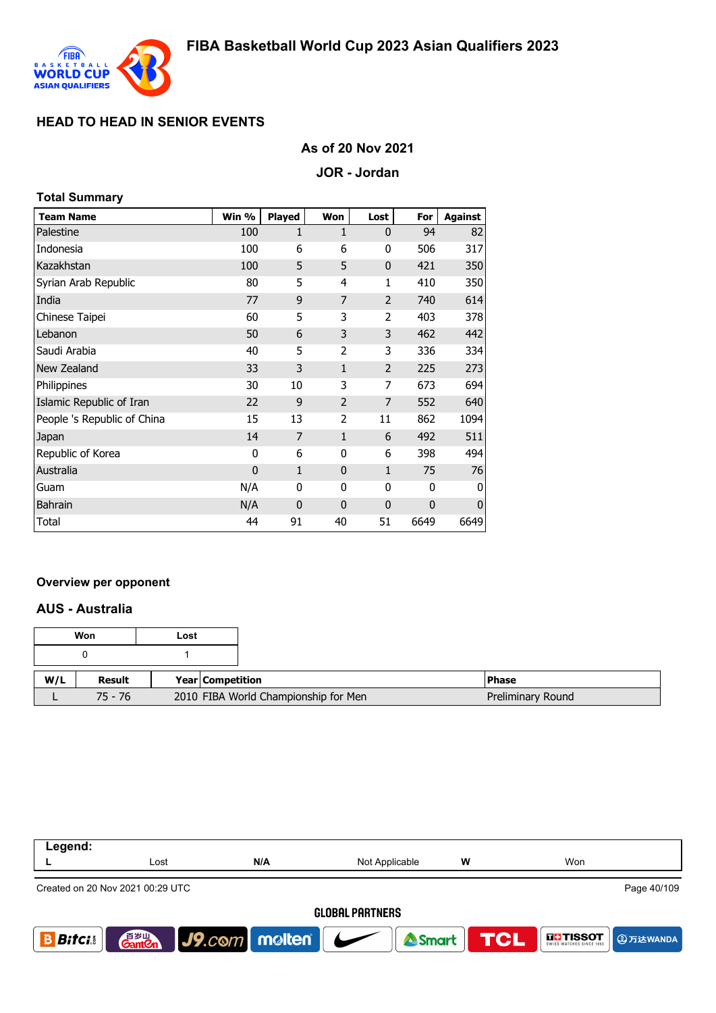

#### **As of 20 Nov 2021**

#### **JOR - Jordan**

#### **Total Summary**

| <b>Team Name</b>            | Win %       | <b>Played</b>  | Won            | Lost           | For  | <b>Against</b> |
|-----------------------------|-------------|----------------|----------------|----------------|------|----------------|
| Palestine                   | 100         | 1              | 1              | $\mathbf 0$    | 94   | 82             |
| Indonesia                   | 100         | 6              | 6              | 0              | 506  | 317            |
| Kazakhstan                  | 100         | 5              | 5              | $\mathbf 0$    | 421  | 350            |
| Syrian Arab Republic        | 80          | 5              | 4              | 1              | 410  | 350            |
| India                       | 77          | 9              | 7              | $\overline{2}$ | 740  | 614            |
| Chinese Taipei              | 60          | 5              | 3              | $\overline{2}$ | 403  | 378            |
| Lebanon                     | 50          | 6              | 3              | 3              | 462  | 442            |
| Saudi Arabia                | 40          | 5              | $\overline{2}$ | 3              | 336  | 334            |
| New Zealand                 | 33          | 3              | 1              | $\overline{2}$ | 225  | 273            |
| Philippines                 | 30          | 10             | 3              | 7              | 673  | 694            |
| Islamic Republic of Iran    | 22          | 9              | $\overline{2}$ | 7              | 552  | 640            |
| People 's Republic of China | 15          | 13             | $\overline{2}$ | 11             | 862  | 1094           |
| Japan                       | 14          | $\overline{7}$ | $\mathbf{1}$   | 6              | 492  | 511            |
| Republic of Korea           | 0           | 6              | 0              | 6              | 398  | 494            |
| Australia                   | $\mathbf 0$ | 1              | $\mathbf{0}$   | $\mathbf{1}$   | 75   | 76             |
| Guam                        | N/A         | 0              | 0              | 0              | 0    | 0              |
| <b>Bahrain</b>              | N/A         | $\mathbf{0}$   | $\mathbf{0}$   | $\mathbf 0$    | 0    | $\mathbf{0}$   |
| Total                       | 44          | 91             | 40             | 51             | 6649 | 6649           |

#### **Overview per opponent**

#### **AUS - Australia**

| Won |         | Lost |                                      |              |                   |
|-----|---------|------|--------------------------------------|--------------|-------------------|
|     |         |      |                                      |              |                   |
| W/L | Result  |      | <b>Year Competition</b>              | <b>Phase</b> |                   |
|     | 75 - 76 |      | 2010 FIBA World Championship for Men |              | Preliminary Round |

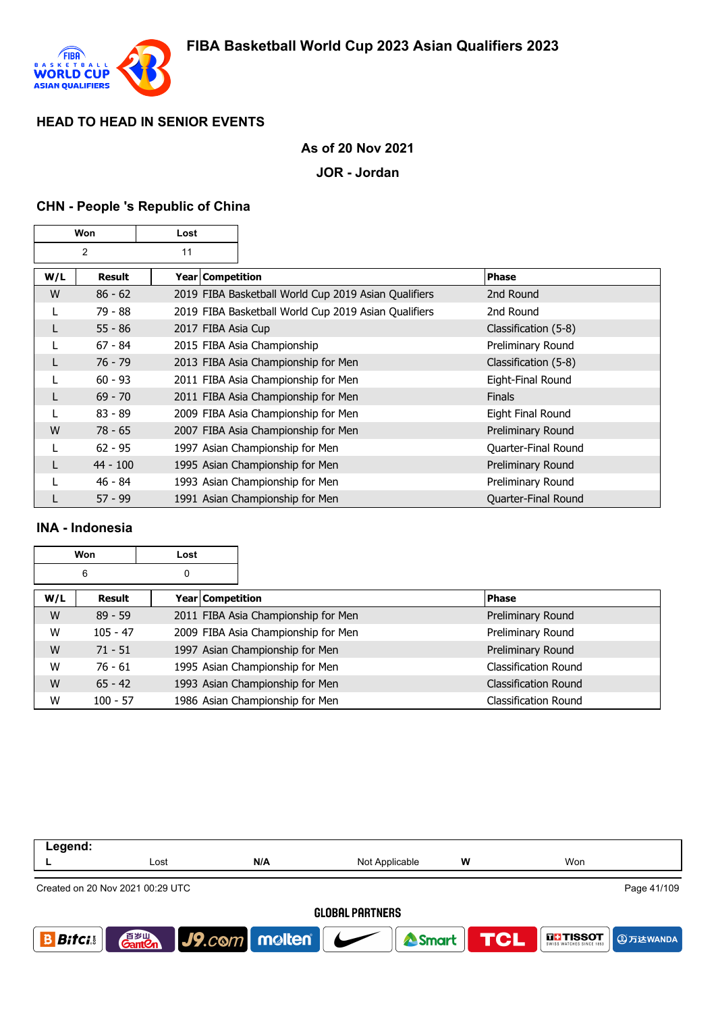

### **As of 20 Nov 2021**

#### **JOR - Jordan**

#### **CHN - People 's Republic of China**

| Won            |            | Lost |                                     |                                                      |                      |
|----------------|------------|------|-------------------------------------|------------------------------------------------------|----------------------|
| $\overline{2}$ |            | 11   |                                     |                                                      |                      |
| W/L            | Result     |      | Year   Competition                  |                                                      | <b>Phase</b>         |
| W              | $86 - 62$  |      |                                     | 2019 FIBA Basketball World Cup 2019 Asian Qualifiers | 2nd Round            |
| L              | 79 - 88    |      |                                     | 2019 FIBA Basketball World Cup 2019 Asian Qualifiers | 2nd Round            |
| L              | $55 - 86$  |      | 2017 FIBA Asia Cup                  |                                                      | Classification (5-8) |
|                | $67 - 84$  |      | 2015 FIBA Asia Championship         |                                                      | Preliminary Round    |
| L              | $76 - 79$  |      | 2013 FIBA Asia Championship for Men |                                                      | Classification (5-8) |
| L              | $60 - 93$  |      | 2011 FIBA Asia Championship for Men |                                                      | Eight-Final Round    |
|                | $69 - 70$  |      | 2011 FIBA Asia Championship for Men |                                                      | <b>Finals</b>        |
|                | $83 - 89$  |      | 2009 FIBA Asia Championship for Men |                                                      | Eight Final Round    |
| W              | $78 - 65$  |      | 2007 FIBA Asia Championship for Men |                                                      | Preliminary Round    |
|                | $62 - 95$  |      | 1997 Asian Championship for Men     |                                                      | Quarter-Final Round  |
| L              | $44 - 100$ |      | 1995 Asian Championship for Men     |                                                      | Preliminary Round    |
|                | $46 - 84$  |      | 1993 Asian Championship for Men     |                                                      | Preliminary Round    |
|                | $57 - 99$  |      | 1991 Asian Championship for Men     |                                                      | Quarter-Final Round  |

#### **INA - Indonesia**

|     | Won        | Lost |                  |                                     |                             |
|-----|------------|------|------------------|-------------------------------------|-----------------------------|
|     | 6          | 0    |                  |                                     |                             |
| W/L | Result     |      | Year Competition |                                     | Phase                       |
| W   | $89 - 59$  |      |                  | 2011 FIBA Asia Championship for Men | Preliminary Round           |
| W   | $105 - 47$ |      |                  | 2009 FIBA Asia Championship for Men | Preliminary Round           |
| W   | $71 - 51$  |      |                  | 1997 Asian Championship for Men     | Preliminary Round           |
| W   | $76 - 61$  |      |                  | 1995 Asian Championship for Men     | Classification Round        |
| W   | $65 - 42$  |      |                  | 1993 Asian Championship for Men     | <b>Classification Round</b> |
| W   | $100 - 57$ |      |                  | 1986 Asian Championship for Men     | <b>Classification Round</b> |

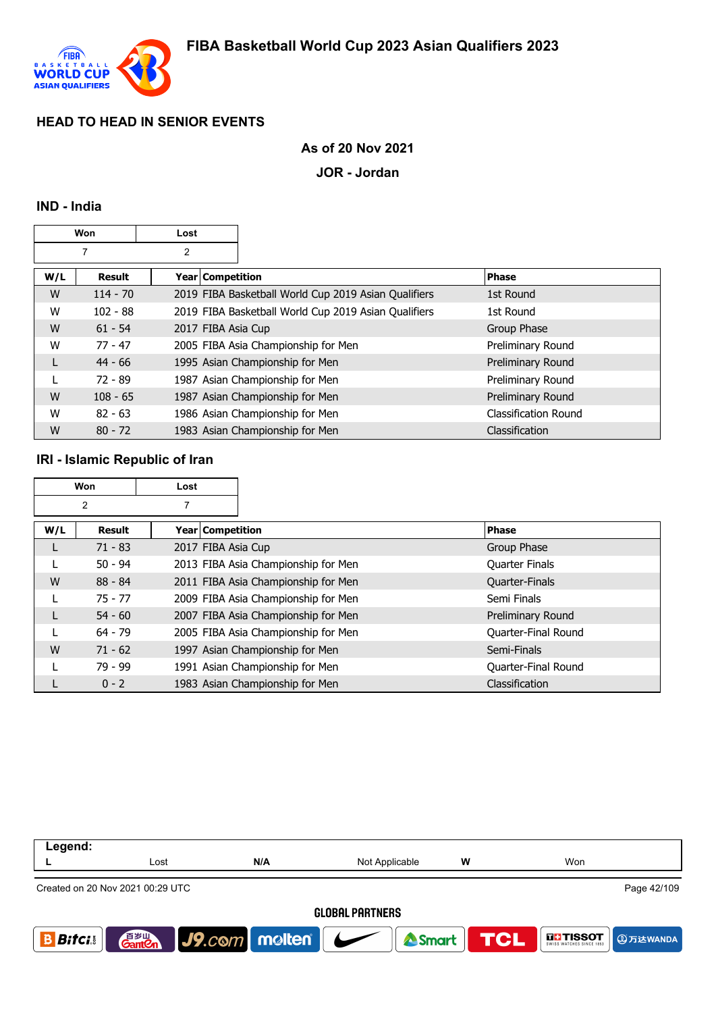

### **As of 20 Nov 2021**

#### **JOR - Jordan**

#### **IND - India**

|     | Won<br>Lost |                    |                                                      |                             |
|-----|-------------|--------------------|------------------------------------------------------|-----------------------------|
|     | 7           | 2                  |                                                      |                             |
| W/L | Result      | Year Competition   |                                                      | <b>Phase</b>                |
| W   | $114 - 70$  |                    | 2019 FIBA Basketball World Cup 2019 Asian Qualifiers | 1st Round                   |
| W   | $102 - 88$  |                    | 2019 FIBA Basketball World Cup 2019 Asian Qualifiers | 1st Round                   |
| W   | $61 - 54$   | 2017 FIBA Asia Cup |                                                      | Group Phase                 |
| W   | $77 - 47$   |                    | 2005 FIBA Asia Championship for Men                  | Preliminary Round           |
| L   | $44 - 66$   |                    | 1995 Asian Championship for Men                      | Preliminary Round           |
|     | 72 - 89     |                    | 1987 Asian Championship for Men                      | Preliminary Round           |
| W   | $108 - 65$  |                    | 1987 Asian Championship for Men                      | Preliminary Round           |
| W   | $82 - 63$   |                    | 1986 Asian Championship for Men                      | <b>Classification Round</b> |
| W   | $80 - 72$   |                    | 1983 Asian Championship for Men                      | <b>Classification</b>       |

### **IRI - Islamic Republic of Iran**

|     | Won            | Lost               |                                     |                            |
|-----|----------------|--------------------|-------------------------------------|----------------------------|
|     | $\overline{2}$ | 7                  |                                     |                            |
| W/L | Result         | Year Competition   |                                     | <b>Phase</b>               |
| L   | $71 - 83$      | 2017 FIBA Asia Cup |                                     | Group Phase                |
|     | $50 - 94$      |                    | 2013 FIBA Asia Championship for Men | <b>Quarter Finals</b>      |
| W   | $88 - 84$      |                    | 2011 FIBA Asia Championship for Men | Quarter-Finals             |
|     | $75 - 77$      |                    | 2009 FIBA Asia Championship for Men | Semi Finals                |
|     | $54 - 60$      |                    | 2007 FIBA Asia Championship for Men | Preliminary Round          |
|     | $64 - 79$      |                    | 2005 FIBA Asia Championship for Men | Quarter-Final Round        |
| W   | $71 - 62$      |                    | 1997 Asian Championship for Men     | Semi-Finals                |
|     | $79 - 99$      |                    | 1991 Asian Championship for Men     | <b>Ouarter-Final Round</b> |
|     | $0 - 2$        |                    | 1983 Asian Championship for Men     | Classification             |

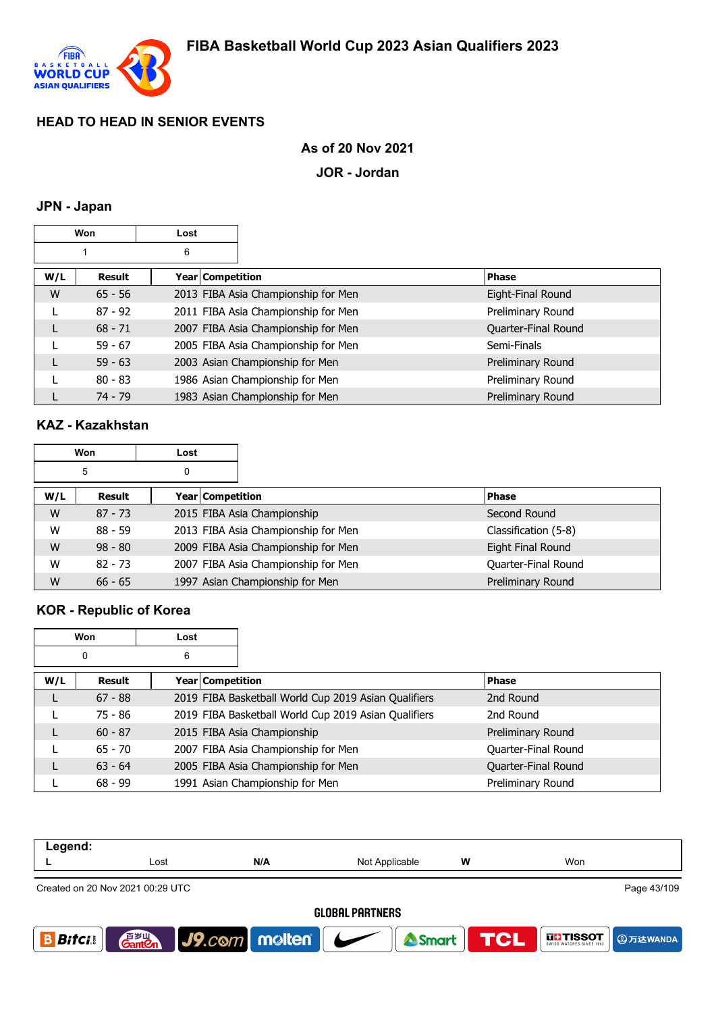

## **As of 20 Nov 2021**

#### **JOR - Jordan**

# **JPN - Japan**

|     | Won       | Lost               |                                     |                     |
|-----|-----------|--------------------|-------------------------------------|---------------------|
|     |           | 6                  |                                     |                     |
| W/L | Result    | Year   Competition |                                     | <b>Phase</b>        |
| W   | $65 - 56$ |                    | 2013 FIBA Asia Championship for Men | Eight-Final Round   |
|     | $87 - 92$ |                    | 2011 FIBA Asia Championship for Men | Preliminary Round   |
|     | $68 - 71$ |                    | 2007 FIBA Asia Championship for Men | Quarter-Final Round |
|     | $59 - 67$ |                    | 2005 FIBA Asia Championship for Men | Semi-Finals         |
|     | $59 - 63$ |                    | 2003 Asian Championship for Men     | Preliminary Round   |
|     | $80 - 83$ |                    | 1986 Asian Championship for Men     | Preliminary Round   |
|     | $74 - 79$ |                    | 1983 Asian Championship for Men     | Preliminary Round   |

## **KAZ - Kazakhstan**

| Won<br>Lost |           |   |                  |                                     |                      |
|-------------|-----------|---|------------------|-------------------------------------|----------------------|
|             | 5         | 0 |                  |                                     |                      |
| W/L         | Result    |   | Year Competition |                                     | <b>Phase</b>         |
| W           | $87 - 73$ |   |                  | 2015 FIBA Asia Championship         | Second Round         |
| W           | $88 - 59$ |   |                  | 2013 FIBA Asia Championship for Men | Classification (5-8) |
| W           | $98 - 80$ |   |                  | 2009 FIBA Asia Championship for Men | Eight Final Round    |
| W           | $82 - 73$ |   |                  | 2007 FIBA Asia Championship for Men | Quarter-Final Round  |
| W           | $66 - 65$ |   |                  | 1997 Asian Championship for Men     | Preliminary Round    |

## **KOR - Republic of Korea**

|     | Won       | Lost             |                                                      |                     |
|-----|-----------|------------------|------------------------------------------------------|---------------------|
|     | 0         | 6                |                                                      |                     |
| W/L | Result    | Year Competition |                                                      | <b>Phase</b>        |
| L   | $67 - 88$ |                  | 2019 FIBA Basketball World Cup 2019 Asian Qualifiers | 2nd Round           |
|     | 75 - 86   |                  | 2019 FIBA Basketball World Cup 2019 Asian Qualifiers | 2nd Round           |
|     | $60 - 87$ |                  | 2015 FIBA Asia Championship                          | Preliminary Round   |
|     | $65 - 70$ |                  | 2007 FIBA Asia Championship for Men                  | Quarter-Final Round |
|     | $63 - 64$ |                  | 2005 FIBA Asia Championship for Men                  | Quarter-Final Round |
|     | $68 - 99$ |                  | 1991 Asian Championship for Men                      | Preliminary Round   |

| Legend:       |                                    |                            |                        |     |               |
|---------------|------------------------------------|----------------------------|------------------------|-----|---------------|
|               | Lost                               | N/A                        | Not Applicable         | W   | Won           |
|               | Created on 20 Nov 2021 00:29 UTC   |                            |                        |     | Page 43/109   |
|               |                                    |                            | <b>GLOBAL PARTNERS</b> |     |               |
| <b>Bitcis</b> | 音 <sub>岁Ⅲ</sub><br>Gant <b>C</b> n | $J9$ . $com$ molten $\sim$ | Smart                  | TCL | <b>THESOT</b> |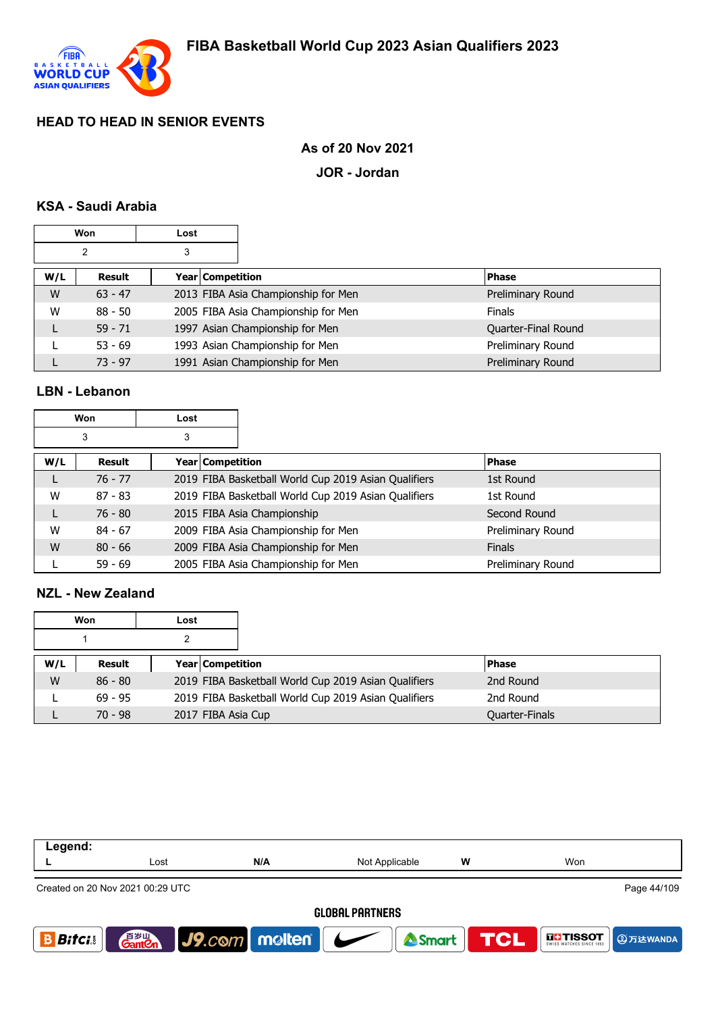

### **As of 20 Nov 2021**

**JOR - Jordan**

### **KSA - Saudi Arabia**

|     | <b>Won</b>     | Lost |                  |                                     |                     |
|-----|----------------|------|------------------|-------------------------------------|---------------------|
|     | $\overline{2}$ | 3    |                  |                                     |                     |
| W/L | Result         |      | Year Competition |                                     | <b>Phase</b>        |
| W   | $63 - 47$      |      |                  | 2013 FIBA Asia Championship for Men | Preliminary Round   |
| W   | $88 - 50$      |      |                  | 2005 FIBA Asia Championship for Men | <b>Finals</b>       |
|     | $59 - 71$      |      |                  | 1997 Asian Championship for Men     | Quarter-Final Round |
|     | $53 - 69$      |      |                  | 1993 Asian Championship for Men     | Preliminary Round   |
|     | $73 - 97$      |      |                  | 1991 Asian Championship for Men     | Preliminary Round   |

### **LBN - Lebanon**

|     | Won<br>Lost |   |                  |                                                      |                   |
|-----|-------------|---|------------------|------------------------------------------------------|-------------------|
|     | 3           | 3 |                  |                                                      |                   |
| W/L | Result      |   | Year Competition |                                                      | <b>Phase</b>      |
| L   | $76 - 77$   |   |                  | 2019 FIBA Basketball World Cup 2019 Asian Qualifiers | 1st Round         |
| W   | $87 - 83$   |   |                  | 2019 FIBA Basketball World Cup 2019 Asian Qualifiers | 1st Round         |
| L   | $76 - 80$   |   |                  | 2015 FIBA Asia Championship                          | Second Round      |
| W   | $84 - 67$   |   |                  | 2009 FIBA Asia Championship for Men                  | Preliminary Round |
| W   | $80 - 66$   |   |                  | 2009 FIBA Asia Championship for Men                  | <b>Finals</b>     |
|     | $59 - 69$   |   |                  | 2005 FIBA Asia Championship for Men                  | Preliminary Round |

### **NZL - New Zealand**

|     | Won                                                               | Lost |                         |                                                      |                       |
|-----|-------------------------------------------------------------------|------|-------------------------|------------------------------------------------------|-----------------------|
|     |                                                                   | 2    |                         |                                                      |                       |
| W/L | Result                                                            |      | <b>Year Competition</b> |                                                      | <b>IPhase</b>         |
| W   | $86 - 80$                                                         |      |                         | 2019 FIBA Basketball World Cup 2019 Asian Qualifiers | 2nd Round             |
|     | 2019 FIBA Basketball World Cup 2019 Asian Qualifiers<br>$69 - 95$ |      | 2nd Round               |                                                      |                       |
|     | $70 - 98$                                                         |      | 2017 FIBA Asia Cup      |                                                      | <b>Quarter-Finals</b> |

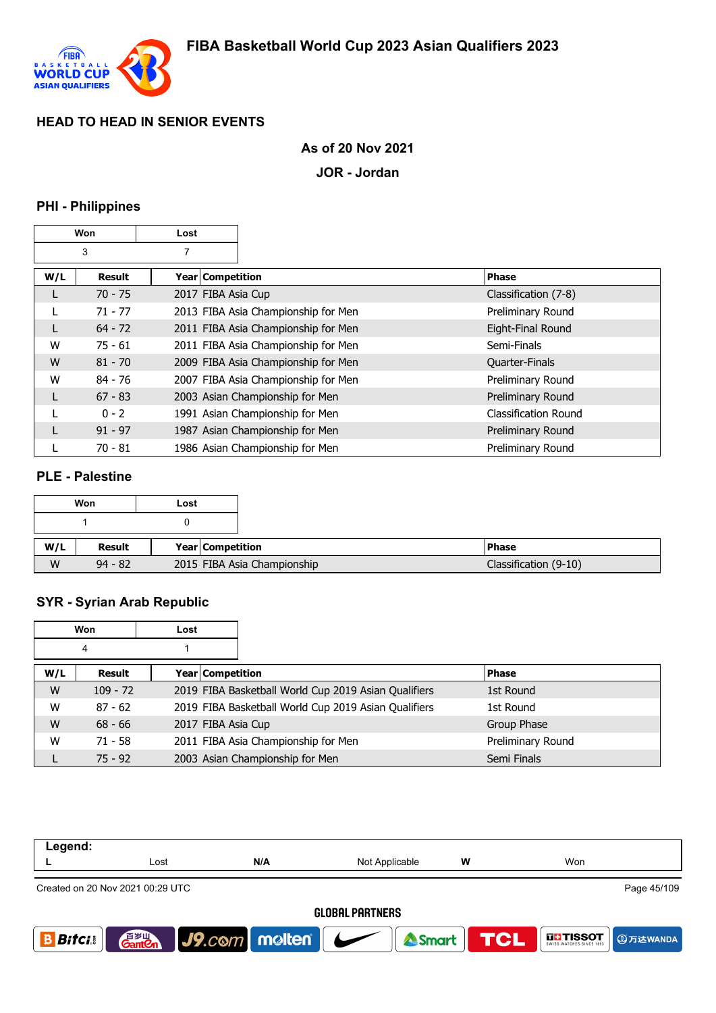

## **As of 20 Nov 2021**

**JOR - Jordan**

# **PHI - Philippines**

|     | Won<br>Lost   |                    |                                     |                      |
|-----|---------------|--------------------|-------------------------------------|----------------------|
|     | 3             | 7                  |                                     |                      |
| W/L | <b>Result</b> | Year   Competition |                                     | <b>Phase</b>         |
| L   | $70 - 75$     | 2017 FIBA Asia Cup |                                     | Classification (7-8) |
|     | $71 - 77$     |                    | 2013 FIBA Asia Championship for Men | Preliminary Round    |
| L   | $64 - 72$     |                    | 2011 FIBA Asia Championship for Men | Eight-Final Round    |
| W   | $75 - 61$     |                    | 2011 FIBA Asia Championship for Men | Semi-Finals          |
| W   | $81 - 70$     |                    | 2009 FIBA Asia Championship for Men | Quarter-Finals       |
| W   | $84 - 76$     |                    | 2007 FIBA Asia Championship for Men | Preliminary Round    |
| L   | $67 - 83$     |                    | 2003 Asian Championship for Men     | Preliminary Round    |
|     | $0 - 2$       |                    | 1991 Asian Championship for Men     | Classification Round |
|     | $91 - 97$     |                    | 1987 Asian Championship for Men     | Preliminary Round    |
|     | $70 - 81$     |                    | 1986 Asian Championship for Men     | Preliminary Round    |

#### **PLE - Palestine**

'n

|     | Won       | Lost             |                             |                       |
|-----|-----------|------------------|-----------------------------|-----------------------|
|     |           |                  |                             |                       |
| W/L | Result    | Year Competition |                             | <b>Phase</b>          |
| W   | $94 - 82$ |                  | 2015 FIBA Asia Championship | Classification (9-10) |

# **SYR - Syrian Arab Republic**

|     | Won        | Lost               |                                                      |                   |
|-----|------------|--------------------|------------------------------------------------------|-------------------|
|     | 4          |                    |                                                      |                   |
| W/L | Result     | Year Competition   |                                                      | <b>Phase</b>      |
| W   | $109 - 72$ |                    | 2019 FIBA Basketball World Cup 2019 Asian Qualifiers | 1st Round         |
| W   | $87 - 62$  |                    | 2019 FIBA Basketball World Cup 2019 Asian Qualifiers | 1st Round         |
| W   | $68 - 66$  | 2017 FIBA Asia Cup |                                                      | Group Phase       |
| W   | $71 - 58$  |                    | 2011 FIBA Asia Championship for Men                  | Preliminary Round |
|     | $75 - 92$  |                    | 2003 Asian Championship for Men                      | Semi Finals       |

| Legend:                |                                                 |                                   |                |            |                                      |  |  |  |
|------------------------|-------------------------------------------------|-----------------------------------|----------------|------------|--------------------------------------|--|--|--|
|                        | Lost                                            | N/A                               | Not Applicable | w          | Won                                  |  |  |  |
|                        | Page 45/109<br>Created on 20 Nov 2021 00:29 UTC |                                   |                |            |                                      |  |  |  |
| <b>GLOBAL PARTNERS</b> |                                                 |                                   |                |            |                                      |  |  |  |
| <b>Bitci</b>           | 音 <sub>岁皿</sub><br>Gant <b>C</b> n              | $\vert$ J9.com   molten   $\vert$ | Smart          | <b>TCL</b> | <b>THE TISSOT</b><br><b>4万达WANDA</b> |  |  |  |
|                        |                                                 |                                   |                |            |                                      |  |  |  |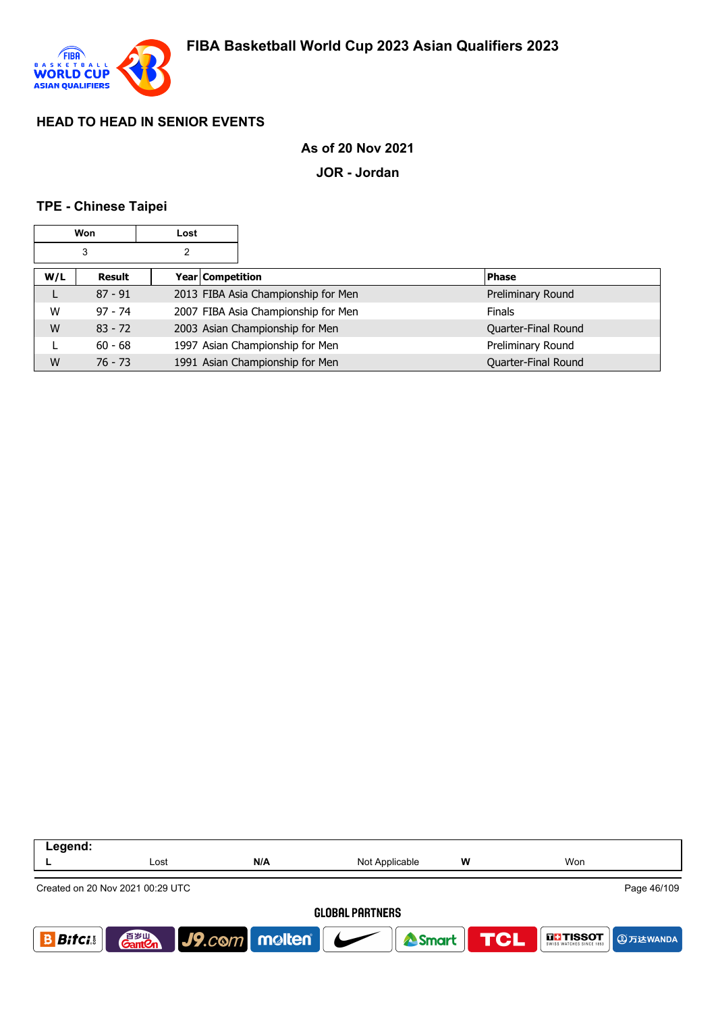

### **As of 20 Nov 2021**

**JOR - Jordan**

#### **TPE - Chinese Taipei**

|     | Won       | Lost             |                                     |                     |
|-----|-----------|------------------|-------------------------------------|---------------------|
| 3   |           |                  |                                     |                     |
| W/L | Result    | Year Competition |                                     | <b>Phase</b>        |
| L   | $87 - 91$ |                  | 2013 FIBA Asia Championship for Men | Preliminary Round   |
| W   | $97 - 74$ |                  | 2007 FIBA Asia Championship for Men | <b>Finals</b>       |
| W   | $83 - 72$ |                  | 2003 Asian Championship for Men     | Quarter-Final Round |
|     | $60 - 68$ |                  | 1997 Asian Championship for Men     | Preliminary Round   |
| W   | $76 - 73$ |                  | 1991 Asian Championship for Men     | Quarter-Final Round |

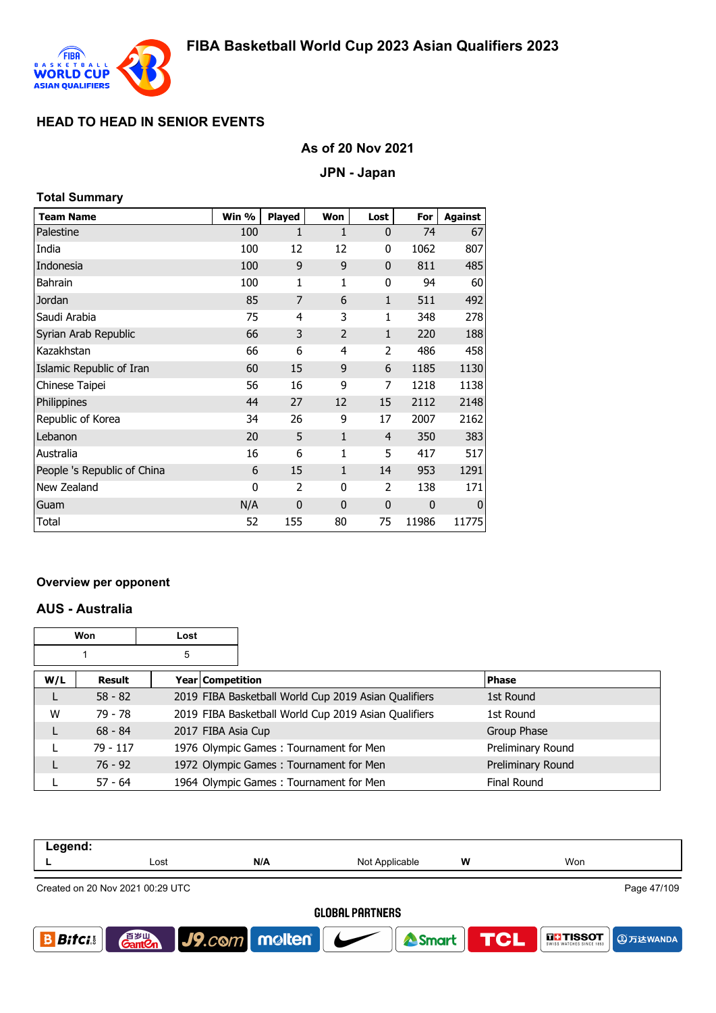

## **As of 20 Nov 2021**

#### **JPN - Japan**

| Total Summary |  |
|---------------|--|
|               |  |

| <b>Team Name</b>            | Win %       | Played         | Won            | Lost           | For   | <b>Against</b> |
|-----------------------------|-------------|----------------|----------------|----------------|-------|----------------|
| Palestine                   | 100         | 1              | 1              | $\mathbf 0$    | 74    | 67             |
| India                       | 100         | 12             | 12             | 0              | 1062  | 807            |
| Indonesia                   | 100         | 9              | 9              | $\mathbf 0$    | 811   | 485            |
| <b>Bahrain</b>              | 100         | 1              | 1              | 0              | 94    | 60             |
| Jordan                      | 85          | $\overline{7}$ | 6              | $\mathbf{1}$   | 511   | 492            |
| Saudi Arabia                | 75          | 4              | 3              | $\mathbf{1}$   | 348   | 278            |
| Syrian Arab Republic        | 66          | 3              | $\overline{2}$ | $\mathbf{1}$   | 220   | 188            |
| Kazakhstan                  | 66          | 6              | 4              | 2              | 486   | 458            |
| Islamic Republic of Iran    | 60          | 15             | 9              | 6              | 1185  | 1130           |
| Chinese Taipei              | 56          | 16             | 9              | 7              | 1218  | 1138           |
| Philippines                 | 44          | 27             | 12             | 15             | 2112  | 2148           |
| Republic of Korea           | 34          | 26             | 9              | 17             | 2007  | 2162           |
| Lebanon                     | 20          | 5              | $\mathbf{1}$   | $\overline{4}$ | 350   | 383            |
| Australia                   | 16          | 6              | 1              | 5              | 417   | 517            |
| People 's Republic of China | 6           | 15             | $\mathbf{1}$   | 14             | 953   | 1291           |
| New Zealand                 | $\mathbf 0$ | $\overline{2}$ | 0              | $\overline{2}$ | 138   | 171            |
| Guam                        | N/A         | $\mathbf 0$    | $\overline{0}$ | 0              | 0     | $\mathbf 0$    |
| Total                       | 52          | 155            | 80             | 75             | 11986 | 11775          |

#### **Overview per opponent**

#### **AUS - Australia**

|     | Won       | Lost |                    |                                                      |                    |
|-----|-----------|------|--------------------|------------------------------------------------------|--------------------|
|     |           | 5    |                    |                                                      |                    |
| W/L | Result    |      | Year Competition   |                                                      | <b>Phase</b>       |
|     | $58 - 82$ |      |                    | 2019 FIBA Basketball World Cup 2019 Asian Qualifiers | 1st Round          |
| W   | 79 - 78   |      |                    | 2019 FIBA Basketball World Cup 2019 Asian Qualifiers | 1st Round          |
| L   | $68 - 84$ |      | 2017 FIBA Asia Cup |                                                      | Group Phase        |
|     | 79 - 117  |      |                    | 1976 Olympic Games: Tournament for Men               | Preliminary Round  |
|     | $76 - 92$ |      |                    | 1972 Olympic Games: Tournament for Men               | Preliminary Round  |
|     | $57 - 64$ |      |                    | 1964 Olympic Games: Tournament for Men               | <b>Final Round</b> |

| Legend:                |                                                 |                      |                |     |                               |  |  |
|------------------------|-------------------------------------------------|----------------------|----------------|-----|-------------------------------|--|--|
|                        | Lost                                            | N/A                  | Not Applicable | W   | Won                           |  |  |
|                        | Page 47/109<br>Created on 20 Nov 2021 00:29 UTC |                      |                |     |                               |  |  |
| <b>GLOBAL PARTNERS</b> |                                                 |                      |                |     |                               |  |  |
| <b>Bifci</b>           | 音 <sub>岁Ⅲ</sub><br>Gant <b>C</b> n              | $ $ J9. $com$ molten | <b>A</b> Smart | TCL | <b>THE TISSOT</b><br>9万达WANDA |  |  |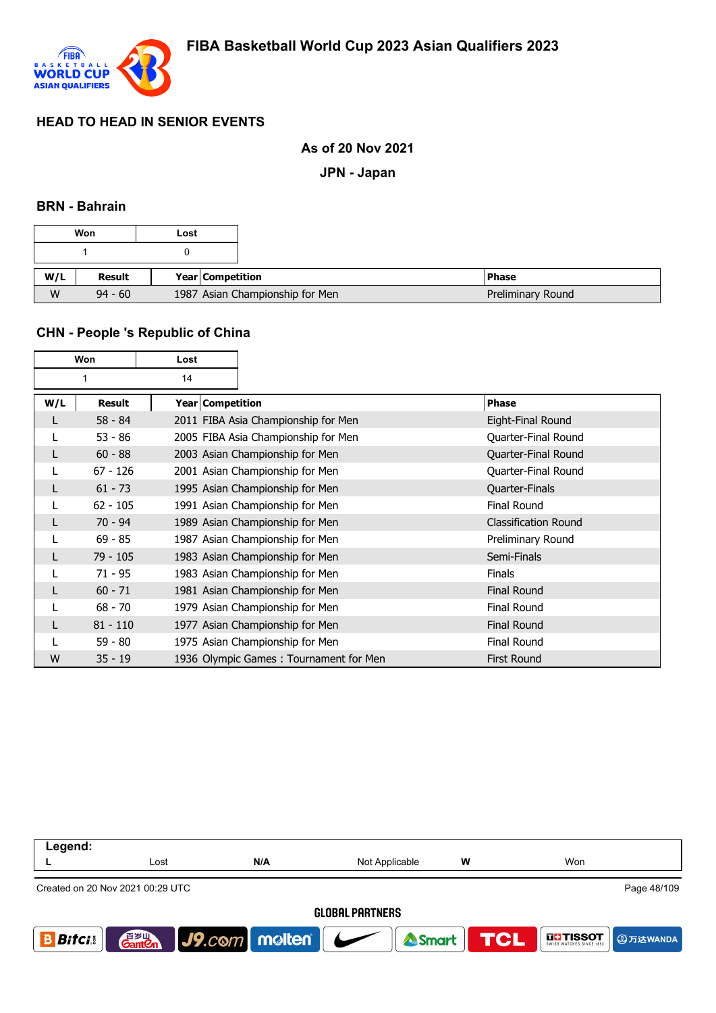

### **As of 20 Nov 2021**

**JPN - Japan**

#### **BRN - Bahrain**

|     | Won           | Lost             |                                 |         |
|-----|---------------|------------------|---------------------------------|---------|
|     |               |                  |                                 |         |
| W/L | <b>Result</b> | Year Competition |                                 | l Phase |
| W   | $94 - 60$     |                  | 1987 Asian Championship for Men |         |

## **CHN - People 's Republic of China**

| Won |            | Lost               |                                        |                             |
|-----|------------|--------------------|----------------------------------------|-----------------------------|
|     |            | 14                 |                                        |                             |
| W/L | Result     | Year   Competition |                                        | <b>Phase</b>                |
| L   | $58 - 84$  |                    | 2011 FIBA Asia Championship for Men    | Eight-Final Round           |
|     | $53 - 86$  |                    | 2005 FIBA Asia Championship for Men    | Quarter-Final Round         |
| L   | $60 - 88$  |                    | 2003 Asian Championship for Men        | Quarter-Final Round         |
|     | $67 - 126$ |                    | 2001 Asian Championship for Men        | Quarter-Final Round         |
| L   | $61 - 73$  |                    | 1995 Asian Championship for Men        | Quarter-Finals              |
|     | $62 - 105$ |                    | 1991 Asian Championship for Men        | <b>Final Round</b>          |
| L   | $70 - 94$  |                    | 1989 Asian Championship for Men        | <b>Classification Round</b> |
|     | $69 - 85$  |                    | 1987 Asian Championship for Men        | Preliminary Round           |
|     | $79 - 105$ |                    | 1983 Asian Championship for Men        | Semi-Finals                 |
|     | $71 - 95$  |                    | 1983 Asian Championship for Men        | <b>Finals</b>               |
|     | $60 - 71$  |                    | 1981 Asian Championship for Men        | <b>Final Round</b>          |
|     | $68 - 70$  |                    | 1979 Asian Championship for Men        | <b>Final Round</b>          |
|     | $81 - 110$ |                    | 1977 Asian Championship for Men        | <b>Final Round</b>          |
|     | 59 - 80    |                    | 1975 Asian Championship for Men        | <b>Final Round</b>          |
| W   | $35 - 19$  |                    | 1936 Olympic Games: Tournament for Men | <b>First Round</b>          |

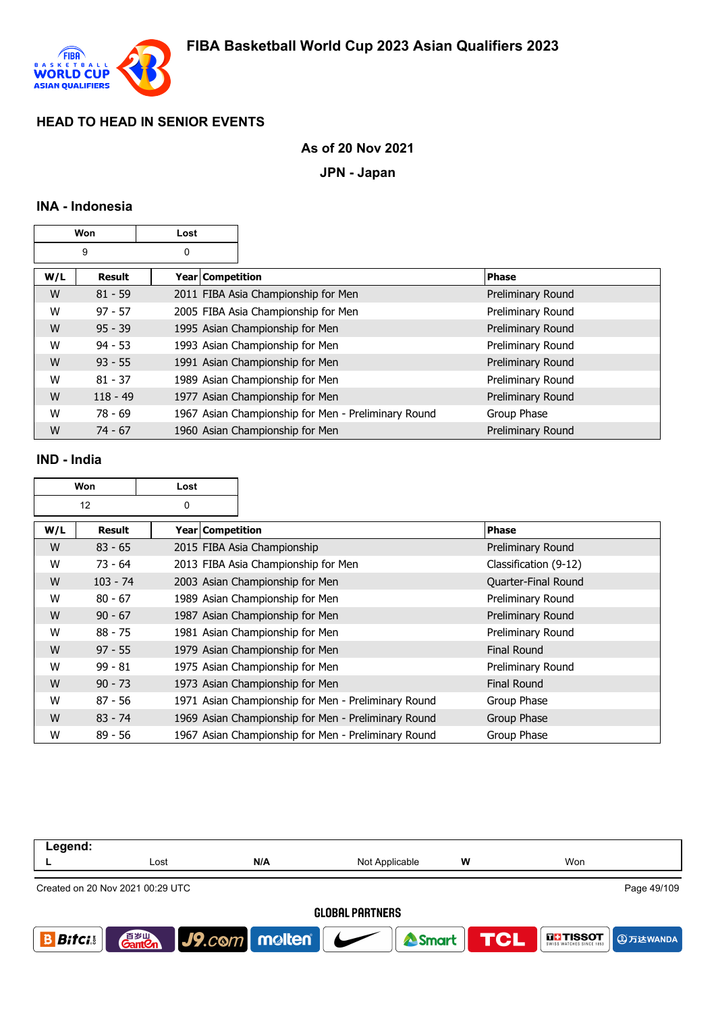

## **As of 20 Nov 2021**

**JPN - Japan**

## **INA - Indonesia**

| Won |            | Lost             |                                                     |                   |
|-----|------------|------------------|-----------------------------------------------------|-------------------|
|     | 9          | 0                |                                                     |                   |
| W/L | Result     | Year Competition |                                                     | <b>Phase</b>      |
| W   | $81 - 59$  |                  | 2011 FIBA Asia Championship for Men                 | Preliminary Round |
| W   | $97 - 57$  |                  | 2005 FIBA Asia Championship for Men                 | Preliminary Round |
| W   | $95 - 39$  |                  | 1995 Asian Championship for Men                     | Preliminary Round |
| W   | $94 - 53$  |                  | 1993 Asian Championship for Men                     | Preliminary Round |
| W   | $93 - 55$  |                  | 1991 Asian Championship for Men                     | Preliminary Round |
| W   | $81 - 37$  |                  | 1989 Asian Championship for Men                     | Preliminary Round |
| W   | $118 - 49$ |                  | 1977 Asian Championship for Men                     | Preliminary Round |
| W   | $78 - 69$  |                  | 1967 Asian Championship for Men - Preliminary Round | Group Phase       |
| W   | $74 - 67$  |                  | 1960 Asian Championship for Men                     | Preliminary Round |

#### **IND - India**

| Won |            | Lost               |                                                     |                       |
|-----|------------|--------------------|-----------------------------------------------------|-----------------------|
|     | 12         | 0                  |                                                     |                       |
| W/L | Result     | Year   Competition |                                                     | <b>Phase</b>          |
| W   | $83 - 65$  |                    | 2015 FIBA Asia Championship                         | Preliminary Round     |
| W   | $73 - 64$  |                    | 2013 FIBA Asia Championship for Men                 | Classification (9-12) |
| W   | $103 - 74$ |                    | 2003 Asian Championship for Men                     | Quarter-Final Round   |
| W   | $80 - 67$  |                    | 1989 Asian Championship for Men                     | Preliminary Round     |
| W   | $90 - 67$  |                    | 1987 Asian Championship for Men                     | Preliminary Round     |
| W   | $88 - 75$  |                    | 1981 Asian Championship for Men                     | Preliminary Round     |
| W   | $97 - 55$  |                    | 1979 Asian Championship for Men                     | <b>Final Round</b>    |
| W   | $99 - 81$  |                    | 1975 Asian Championship for Men                     | Preliminary Round     |
| W   | $90 - 73$  |                    | 1973 Asian Championship for Men                     | <b>Final Round</b>    |
| W   | $87 - 56$  |                    | 1971 Asian Championship for Men - Preliminary Round | Group Phase           |
| W   | $83 - 74$  |                    | 1969 Asian Championship for Men - Preliminary Round | Group Phase           |
| W   | $89 - 56$  |                    | 1967 Asian Championship for Men - Preliminary Round | Group Phase           |

| Legend:                |                                                 |                                 |                |   |                                           |  |  |  |
|------------------------|-------------------------------------------------|---------------------------------|----------------|---|-------------------------------------------|--|--|--|
|                        | Lost                                            | N/A                             | Not Applicable | W | Won                                       |  |  |  |
|                        | Page 49/109<br>Created on 20 Nov 2021 00:29 UTC |                                 |                |   |                                           |  |  |  |
| <b>GLOBAL PARTNERS</b> |                                                 |                                 |                |   |                                           |  |  |  |
| <b>Bitcis</b>          | 音 <sub>岁Ⅲ</sub><br>Gant <b>C</b> n              | $ $ J9. $com$ molten $ $ $\sim$ | Smart TCL      |   | <b>THSSOT</b><br>SWISS WATCHES SINCE 1853 |  |  |  |
|                        |                                                 |                                 |                |   |                                           |  |  |  |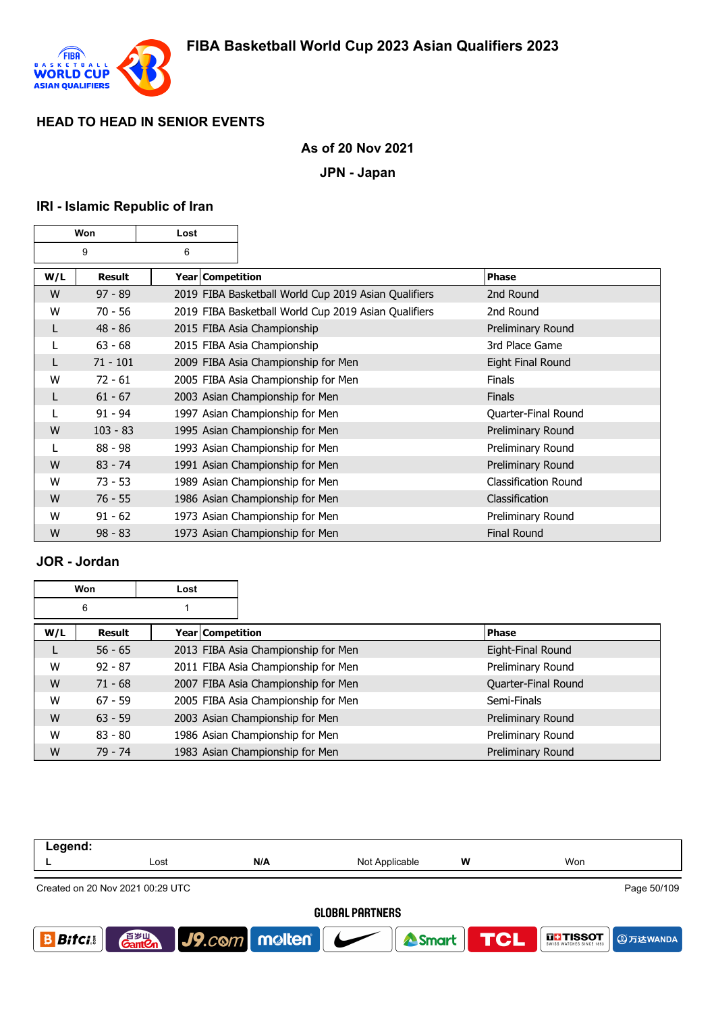

## **As of 20 Nov 2021**

**JPN - Japan**

# **IRI - Islamic Republic of Iran**

| Won |            | Lost               |                                                      |                      |
|-----|------------|--------------------|------------------------------------------------------|----------------------|
|     | 9          | 6                  |                                                      |                      |
| W/L | Result     | Year   Competition |                                                      | Phase                |
| W   | $97 - 89$  |                    | 2019 FIBA Basketball World Cup 2019 Asian Qualifiers | 2nd Round            |
| W   | $70 - 56$  |                    | 2019 FIBA Basketball World Cup 2019 Asian Qualifiers | 2nd Round            |
| L   | $48 - 86$  |                    | 2015 FIBA Asia Championship                          | Preliminary Round    |
|     | $63 - 68$  |                    | 2015 FIBA Asia Championship                          | 3rd Place Game       |
|     | $71 - 101$ |                    | 2009 FIBA Asia Championship for Men                  | Eight Final Round    |
| W   | $72 - 61$  |                    | 2005 FIBA Asia Championship for Men                  | <b>Finals</b>        |
|     | $61 - 67$  |                    | 2003 Asian Championship for Men                      | <b>Finals</b>        |
| L   | $91 - 94$  |                    | 1997 Asian Championship for Men                      | Quarter-Final Round  |
| W   | $103 - 83$ |                    | 1995 Asian Championship for Men                      | Preliminary Round    |
| L   | $88 - 98$  |                    | 1993 Asian Championship for Men                      | Preliminary Round    |
| W   | $83 - 74$  |                    | 1991 Asian Championship for Men                      | Preliminary Round    |
| W   | $73 - 53$  |                    | 1989 Asian Championship for Men                      | Classification Round |
| W   | $76 - 55$  |                    | 1986 Asian Championship for Men                      | Classification       |
| W   | $91 - 62$  |                    | 1973 Asian Championship for Men                      | Preliminary Round    |
| W   | $98 - 83$  |                    | 1973 Asian Championship for Men                      | <b>Final Round</b>   |

# **JOR - Jordan**

|     | Won       | Lost |                                     |                     |
|-----|-----------|------|-------------------------------------|---------------------|
|     | 6         |      |                                     |                     |
| W/L | Result    |      | Year Competition                    | <b>Phase</b>        |
|     | $56 - 65$ |      | 2013 FIBA Asia Championship for Men | Eight-Final Round   |
| W   | $92 - 87$ |      | 2011 FIBA Asia Championship for Men | Preliminary Round   |
| W   | $71 - 68$ |      | 2007 FIBA Asia Championship for Men | Quarter-Final Round |
| W   | $67 - 59$ |      | 2005 FIBA Asia Championship for Men | Semi-Finals         |
| W   | $63 - 59$ |      | 2003 Asian Championship for Men     | Preliminary Round   |
| W   | $83 - 80$ |      | 1986 Asian Championship for Men     | Preliminary Round   |
| W   | $79 - 74$ |      | 1983 Asian Championship for Men     | Preliminary Round   |

| Legend:                          |      |                             |                |   |                                                    |  |
|----------------------------------|------|-----------------------------|----------------|---|----------------------------------------------------|--|
|                                  | Lost | N/A                         | Not Applicable | W | Won                                                |  |
| Created on 20 Nov 2021 00:29 UTC |      |                             |                |   | Page 50/109                                        |  |
| <b>GLOBAL PARTNERS</b>           |      |                             |                |   |                                                    |  |
| <b>Bifci</b>                     |      | <b>Ganton</b> J9.com molten | Smart          |   | <b>TCL</b><br><b>THE TISSOT</b><br><b>4万达WANDA</b> |  |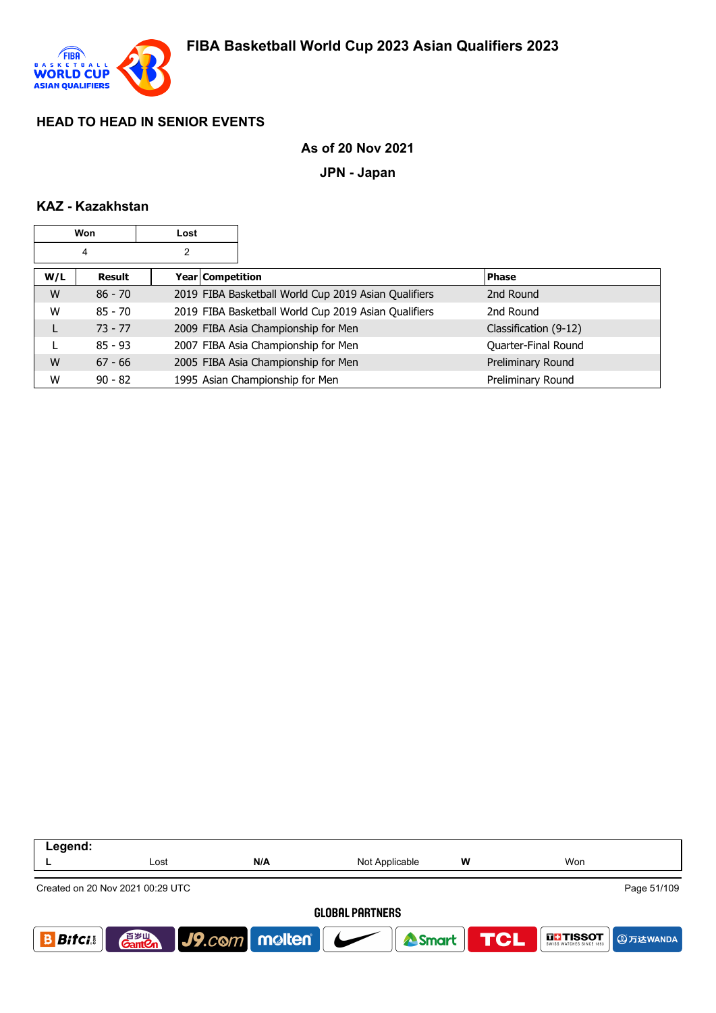

### **As of 20 Nov 2021**

**JPN - Japan**

### **KAZ - Kazakhstan**

|     | Won       | Lost             |                                                      |                       |
|-----|-----------|------------------|------------------------------------------------------|-----------------------|
|     | 4         | 2                |                                                      |                       |
| W/L | Result    | Year Competition |                                                      | <b>Phase</b>          |
| W   | $86 - 70$ |                  | 2019 FIBA Basketball World Cup 2019 Asian Qualifiers | 2nd Round             |
| W   | $85 - 70$ |                  | 2019 FIBA Basketball World Cup 2019 Asian Qualifiers | 2nd Round             |
|     | $73 - 77$ |                  | 2009 FIBA Asia Championship for Men                  | Classification (9-12) |
|     | $85 - 93$ |                  | 2007 FIBA Asia Championship for Men                  | Quarter-Final Round   |
| W   | $67 - 66$ |                  | 2005 FIBA Asia Championship for Men                  | Preliminary Round     |
| W   | $90 - 82$ |                  | 1995 Asian Championship for Men                      | Preliminary Round     |

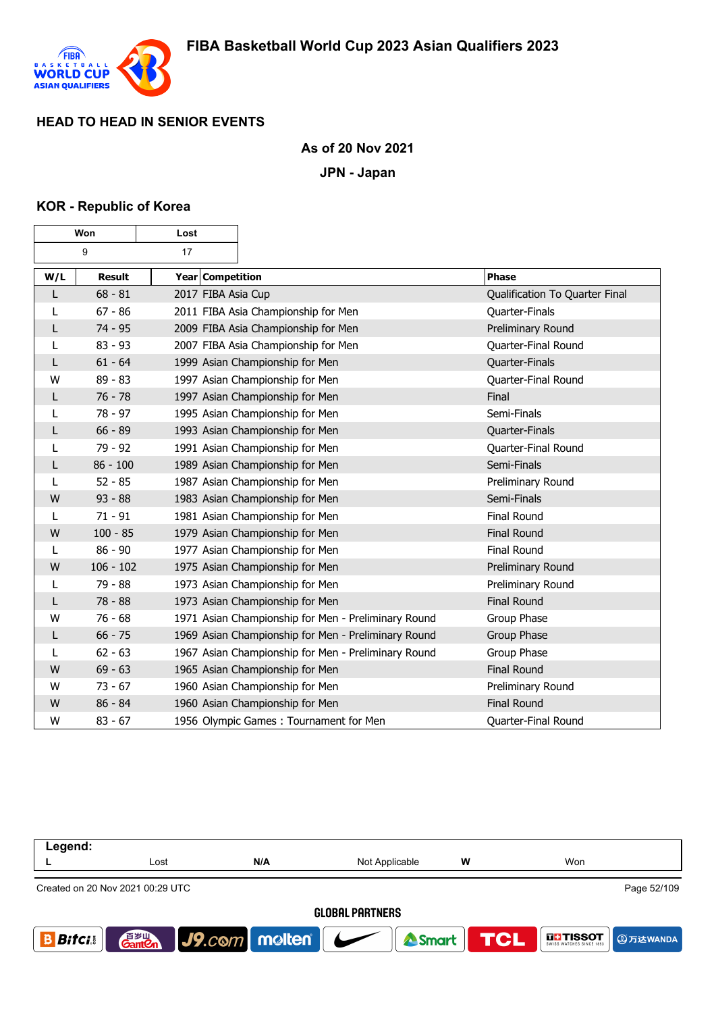

### **As of 20 Nov 2021**

**JPN - Japan**

#### **KOR - Republic of Korea**

 $\mathbf \tau$ 

г

| Won |               | Lost               |                                                     |                                |
|-----|---------------|--------------------|-----------------------------------------------------|--------------------------------|
|     | 9             | 17                 |                                                     |                                |
| W/L | <b>Result</b> | Year Competition   |                                                     | <b>Phase</b>                   |
| L   | $68 - 81$     | 2017 FIBA Asia Cup |                                                     | Qualification To Quarter Final |
| L   | $67 - 86$     |                    | 2011 FIBA Asia Championship for Men                 | Quarter-Finals                 |
| L   | $74 - 95$     |                    | 2009 FIBA Asia Championship for Men                 | Preliminary Round              |
| L   | $83 - 93$     |                    | 2007 FIBA Asia Championship for Men                 | Quarter-Final Round            |
| L   | $61 - 64$     |                    | 1999 Asian Championship for Men                     | Quarter-Finals                 |
| W   | $89 - 83$     |                    | 1997 Asian Championship for Men                     | Quarter-Final Round            |
| L   | $76 - 78$     |                    | 1997 Asian Championship for Men                     | Final                          |
| L   | 78 - 97       |                    | 1995 Asian Championship for Men                     | Semi-Finals                    |
| L   | $66 - 89$     |                    | 1993 Asian Championship for Men                     | Quarter-Finals                 |
| L   | 79 - 92       |                    | 1991 Asian Championship for Men                     | Quarter-Final Round            |
| L   | $86 - 100$    |                    | 1989 Asian Championship for Men                     | Semi-Finals                    |
|     | $52 - 85$     |                    | 1987 Asian Championship for Men                     | Preliminary Round              |
| W   | $93 - 88$     |                    | 1983 Asian Championship for Men                     | Semi-Finals                    |
| L   | $71 - 91$     |                    | 1981 Asian Championship for Men                     | <b>Final Round</b>             |
| W   | $100 - 85$    |                    | 1979 Asian Championship for Men                     | <b>Final Round</b>             |
| L   | $86 - 90$     |                    | 1977 Asian Championship for Men                     | <b>Final Round</b>             |
| W   | $106 - 102$   |                    | 1975 Asian Championship for Men                     | Preliminary Round              |
| L   | 79 - 88       |                    | 1973 Asian Championship for Men                     | Preliminary Round              |
| L   | $78 - 88$     |                    | 1973 Asian Championship for Men                     | <b>Final Round</b>             |
| W   | $76 - 68$     |                    | 1971 Asian Championship for Men - Preliminary Round | Group Phase                    |
| L   | $66 - 75$     |                    | 1969 Asian Championship for Men - Preliminary Round | Group Phase                    |
|     | $62 - 63$     |                    | 1967 Asian Championship for Men - Preliminary Round | Group Phase                    |
| W   | $69 - 63$     |                    | 1965 Asian Championship for Men                     | <b>Final Round</b>             |
| W   | $73 - 67$     |                    | 1960 Asian Championship for Men                     | Preliminary Round              |
| W   | $86 - 84$     |                    | 1960 Asian Championship for Men                     | <b>Final Round</b>             |
| W   | $83 - 67$     |                    | 1956 Olympic Games: Tournament for Men              | Quarter-Final Round            |

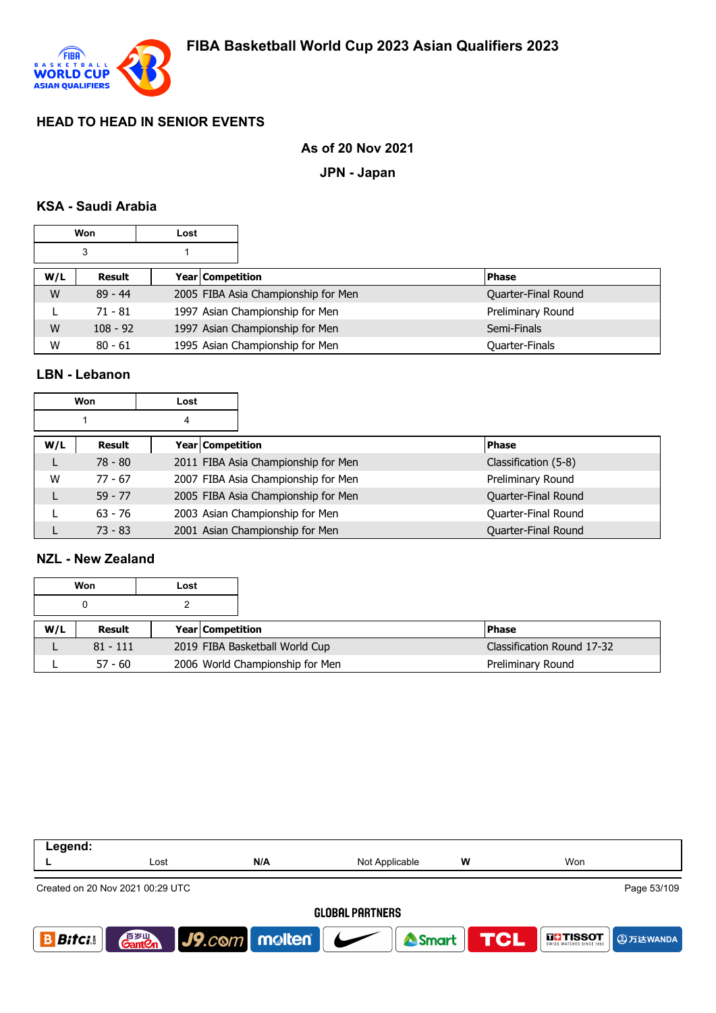

## **As of 20 Nov 2021**

**JPN - Japan**

## **KSA - Saudi Arabia**

|     | Won        | Lost |                  |                                     |  |                     |
|-----|------------|------|------------------|-------------------------------------|--|---------------------|
|     | 3          |      |                  |                                     |  |                     |
| W/L | Result     |      | Year Competition |                                     |  | <b>Phase</b>        |
| W   | $89 - 44$  |      |                  | 2005 FIBA Asia Championship for Men |  | Quarter-Final Round |
|     | $71 - 81$  |      |                  | 1997 Asian Championship for Men     |  | Preliminary Round   |
| W   | $108 - 92$ |      |                  | 1997 Asian Championship for Men     |  | Semi-Finals         |
| W   | $80 - 61$  |      |                  | 1995 Asian Championship for Men     |  | Quarter-Finals      |

### **LBN - Lebanon**

|     | Won       | Lost             |                                     |                      |
|-----|-----------|------------------|-------------------------------------|----------------------|
|     |           | 4                |                                     |                      |
| W/L | Result    | Year Competition |                                     | <b>Phase</b>         |
|     | $78 - 80$ |                  | 2011 FIBA Asia Championship for Men | Classification (5-8) |
| W   | $77 - 67$ |                  | 2007 FIBA Asia Championship for Men | Preliminary Round    |
|     | $59 - 77$ |                  | 2005 FIBA Asia Championship for Men | Quarter-Final Round  |
|     | $63 - 76$ |                  | 2003 Asian Championship for Men     | Quarter-Final Round  |
|     | $73 - 83$ |                  | 2001 Asian Championship for Men     | Quarter-Final Round  |

### **NZL - New Zealand**

|     | Won        | Lost |                                |                            |
|-----|------------|------|--------------------------------|----------------------------|
|     | 0          |      |                                |                            |
| W/L | Result     |      | <b>Year Competition</b>        | <b>IPhase</b>              |
|     | $81 - 111$ |      | 2019 FIBA Basketball World Cup | Classification Round 17-32 |
|     |            |      |                                |                            |

| Legend:                |                                    |                                 |                |   |                                                    |  |
|------------------------|------------------------------------|---------------------------------|----------------|---|----------------------------------------------------|--|
|                        | Lost                               | N/A                             | Not Applicable | W | Won                                                |  |
|                        | Created on 20 Nov 2021 00:29 UTC   |                                 |                |   | Page 53/109                                        |  |
| <b>GLOBAL PARTNERS</b> |                                    |                                 |                |   |                                                    |  |
| <b>Bifci</b>           | 音 <sub>罗山</sub><br>Gant <b>C</b> n | $ $ J9. $com$ molten $ $ $\sim$ | Smart          |   | <b>TCL</b><br><b>THE TISSOT</b><br><b>4万达WANDA</b> |  |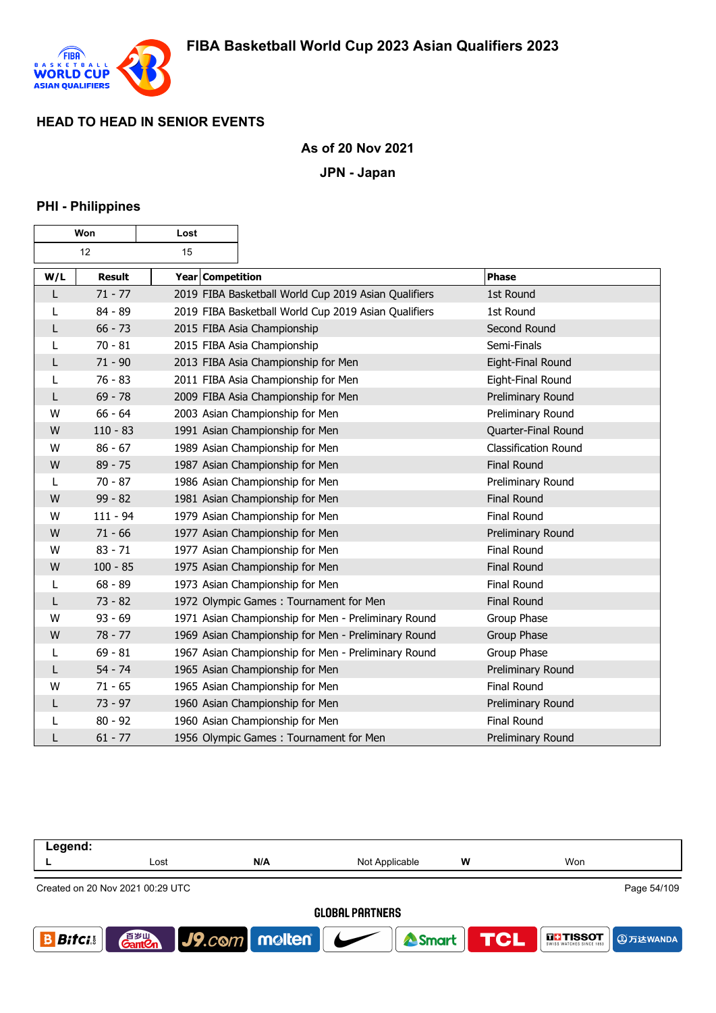

### **As of 20 Nov 2021**

**JPN - Japan**

#### **PHI - Philippines**

| Won |               | Lost             |                                                      |                             |
|-----|---------------|------------------|------------------------------------------------------|-----------------------------|
|     | 12            | 15               |                                                      |                             |
| W/L | <b>Result</b> | Year Competition |                                                      | Phase                       |
| L   | $71 - 77$     |                  | 2019 FIBA Basketball World Cup 2019 Asian Qualifiers | 1st Round                   |
| L   | 84 - 89       |                  | 2019 FIBA Basketball World Cup 2019 Asian Qualifiers | 1st Round                   |
| L   | $66 - 73$     |                  | 2015 FIBA Asia Championship                          | Second Round                |
| L   | $70 - 81$     |                  | 2015 FIBA Asia Championship                          | Semi-Finals                 |
| L   | $71 - 90$     |                  | 2013 FIBA Asia Championship for Men                  | Eight-Final Round           |
| L   | $76 - 83$     |                  | 2011 FIBA Asia Championship for Men                  | Eight-Final Round           |
| L   | $69 - 78$     |                  | 2009 FIBA Asia Championship for Men                  | Preliminary Round           |
| W   | $66 - 64$     |                  | 2003 Asian Championship for Men                      | Preliminary Round           |
| W   | $110 - 83$    |                  | 1991 Asian Championship for Men                      | Quarter-Final Round         |
| W   | $86 - 67$     |                  | 1989 Asian Championship for Men                      | <b>Classification Round</b> |
| W   | $89 - 75$     |                  | 1987 Asian Championship for Men                      | <b>Final Round</b>          |
| L   | $70 - 87$     |                  | 1986 Asian Championship for Men                      | Preliminary Round           |
| W   | $99 - 82$     |                  | 1981 Asian Championship for Men                      | <b>Final Round</b>          |
| W   | $111 - 94$    |                  | 1979 Asian Championship for Men                      | Final Round                 |
| W   | $71 - 66$     |                  | 1977 Asian Championship for Men                      | Preliminary Round           |
| W   | $83 - 71$     |                  | 1977 Asian Championship for Men                      | Final Round                 |
| W   | $100 - 85$    |                  | 1975 Asian Championship for Men                      | <b>Final Round</b>          |
| L   | $68 - 89$     |                  | 1973 Asian Championship for Men                      | <b>Final Round</b>          |
| L   | $73 - 82$     |                  | 1972 Olympic Games: Tournament for Men               | <b>Final Round</b>          |
| W   | $93 - 69$     |                  | 1971 Asian Championship for Men - Preliminary Round  | Group Phase                 |
| W   | $78 - 77$     |                  | 1969 Asian Championship for Men - Preliminary Round  | Group Phase                 |
| L   | $69 - 81$     |                  | 1967 Asian Championship for Men - Preliminary Round  | Group Phase                 |
| L   | $54 - 74$     |                  | 1965 Asian Championship for Men                      | Preliminary Round           |
| W   | $71 - 65$     |                  | 1965 Asian Championship for Men                      | Final Round                 |
| L   | $73 - 97$     |                  | 1960 Asian Championship for Men                      | Preliminary Round           |
| L   | $80 - 92$     |                  | 1960 Asian Championship for Men                      | Final Round                 |
| L   | $61 - 77$     |                  | 1956 Olympic Games: Tournament for Men               | Preliminary Round           |

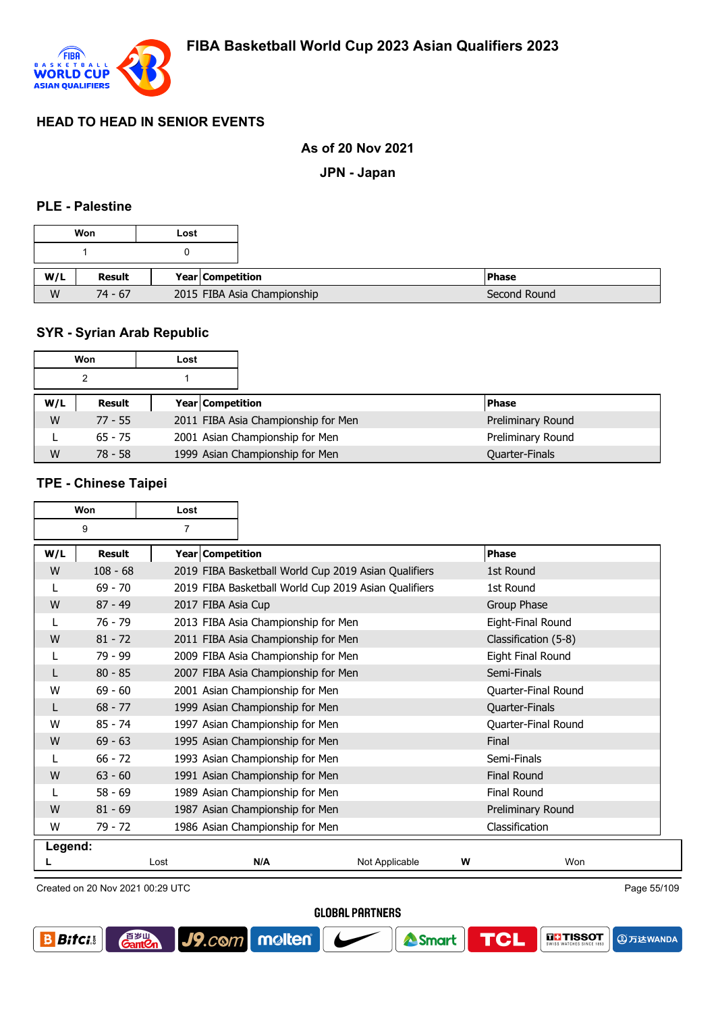

#### **As of 20 Nov 2021**

**JPN - Japan**

#### **PLE - Palestine**

|     | Won       | Lost |                  |                             |               |
|-----|-----------|------|------------------|-----------------------------|---------------|
|     |           |      |                  |                             |               |
| W/L | Result    |      | Year Competition |                             | <b>IPhase</b> |
|     |           |      |                  |                             |               |
| W   | $74 - 67$ |      |                  | 2015 FIBA Asia Championship |               |

# **SYR - Syrian Arab Republic**

|     | Won       | Lost |                                     |                   |
|-----|-----------|------|-------------------------------------|-------------------|
|     |           |      |                                     |                   |
| W/L | Result    |      | <b>Year Competition</b>             | <b>Phase</b>      |
| W   | $77 - 55$ |      | 2011 FIBA Asia Championship for Men | Preliminary Round |
|     | $65 - 75$ |      | 2001 Asian Championship for Men     | Preliminary Round |
| W   | 78 - 58   |      | 1999 Asian Championship for Men     | Quarter-Finals    |

### **TPE - Chinese Taipei**

|         | Won                              | Lost               |                                     |                                                      |   |                      |             |
|---------|----------------------------------|--------------------|-------------------------------------|------------------------------------------------------|---|----------------------|-------------|
| 9<br>7  |                                  |                    |                                     |                                                      |   |                      |             |
| W/L     | Result                           | Year Competition   |                                     |                                                      |   | Phase                |             |
| W       | $108 - 68$                       |                    |                                     | 2019 FIBA Basketball World Cup 2019 Asian Qualifiers |   | 1st Round            |             |
|         | $69 - 70$                        |                    |                                     | 2019 FIBA Basketball World Cup 2019 Asian Qualifiers |   | 1st Round            |             |
| W       | $87 - 49$                        | 2017 FIBA Asia Cup |                                     |                                                      |   | Group Phase          |             |
|         | $76 - 79$                        |                    | 2013 FIBA Asia Championship for Men |                                                      |   | Eight-Final Round    |             |
| W       | $81 - 72$                        |                    | 2011 FIBA Asia Championship for Men |                                                      |   | Classification (5-8) |             |
|         | $79 - 99$                        |                    | 2009 FIBA Asia Championship for Men |                                                      |   | Eight Final Round    |             |
|         | $80 - 85$                        |                    | 2007 FIBA Asia Championship for Men |                                                      |   | Semi-Finals          |             |
| W       | $69 - 60$                        |                    | 2001 Asian Championship for Men     |                                                      |   | Quarter-Final Round  |             |
|         | $68 - 77$                        |                    | 1999 Asian Championship for Men     |                                                      |   | Quarter-Finals       |             |
| W       | $85 - 74$                        |                    | 1997 Asian Championship for Men     |                                                      |   | Quarter-Final Round  |             |
| W       | $69 - 63$                        |                    | 1995 Asian Championship for Men     |                                                      |   | Final                |             |
|         | $66 - 72$                        |                    | 1993 Asian Championship for Men     |                                                      |   | Semi-Finals          |             |
| W       | $63 - 60$                        |                    | 1991 Asian Championship for Men     |                                                      |   | <b>Final Round</b>   |             |
|         | $58 - 69$                        |                    | 1989 Asian Championship for Men     |                                                      |   | Final Round          |             |
| W       | $81 - 69$                        |                    | 1987 Asian Championship for Men     |                                                      |   | Preliminary Round    |             |
| W       | $79 - 72$                        |                    | 1986 Asian Championship for Men     |                                                      |   | Classification       |             |
| Legend: |                                  |                    |                                     |                                                      |   |                      |             |
|         |                                  | Lost               | N/A                                 | Not Applicable                                       | W | Won                  |             |
|         | Created on 20 Nov 2021 00:29 UTC |                    |                                     |                                                      |   |                      | Page 55/109 |

Created on 20 Nov 2021 00:29 UTC

自<sub>罗山</sub><br>Gant2

J9.com molten

**GLOBAL PARTNERS** 



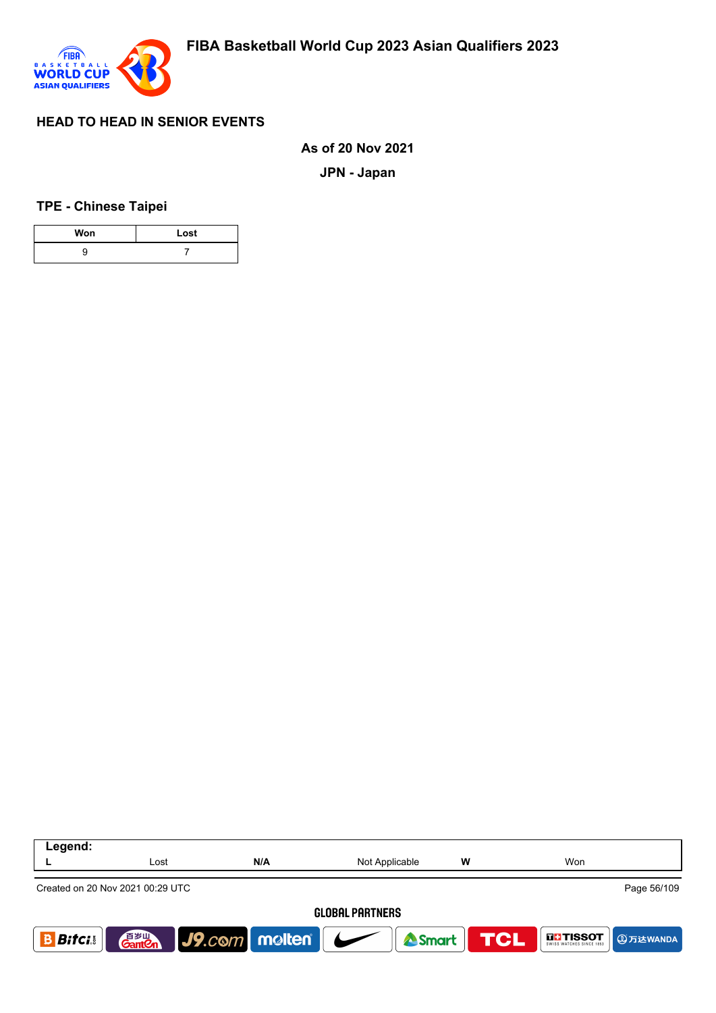

**As of 20 Nov 2021**

**JPN - Japan**

**TPE - Chinese Taipei**

| Won | Lost |
|-----|------|
|     |      |

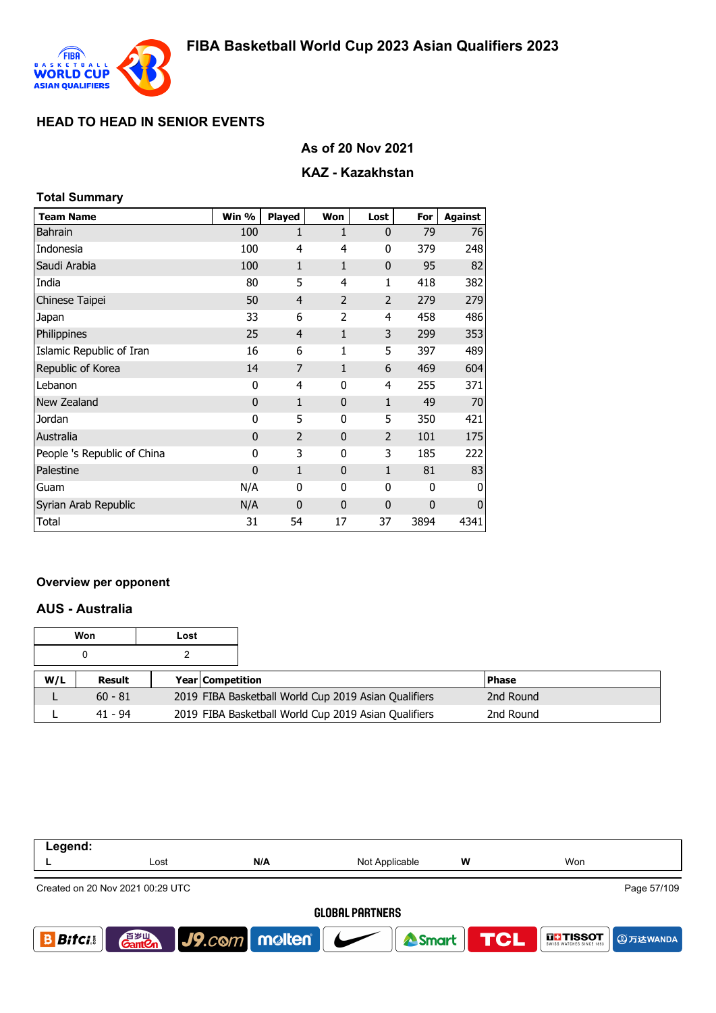

## **As of 20 Nov 2021**

## **KAZ - Kazakhstan**

| <b>Total Summary</b>        |              |                |              |                |      |                |
|-----------------------------|--------------|----------------|--------------|----------------|------|----------------|
| <b>Team Name</b>            | Win %        | <b>Played</b>  | Won          | Lost           | For  | <b>Against</b> |
| <b>Bahrain</b>              | 100          | 1              | 1            | $\mathbf{0}$   | 79   | 76             |
| Indonesia                   | 100          | 4              | 4            | 0              | 379  | 248            |
| Saudi Arabia                | 100          | $\mathbf{1}$   | 1            | $\mathbf 0$    | 95   | 82             |
| India                       | 80           | 5              | 4            | 1              | 418  | 382            |
| Chinese Taipei              | 50           | 4              | 2            | $\overline{2}$ | 279  | 279            |
| Japan                       | 33           | 6              | 2            | 4              | 458  | 486            |
| Philippines                 | 25           | $\overline{4}$ | 1            | 3              | 299  | 353            |
| Islamic Republic of Iran    | 16           | 6              | 1            | 5              | 397  | 489            |
| Republic of Korea           | 14           | 7              | $\mathbf{1}$ | 6              | 469  | 604            |
| Lebanon                     | 0            | 4              | 0            | 4              | 255  | 371            |
| New Zealand                 | $\mathbf 0$  | $\mathbf{1}$   | $\mathbf{0}$ | $\mathbf{1}$   | 49   | 70             |
| Jordan                      | 0            | 5              | 0            | 5              | 350  | 421            |
| Australia                   | $\mathbf{0}$ | $\overline{2}$ | $\mathbf{0}$ | $\overline{2}$ | 101  | 175            |
| People 's Republic of China | 0            | 3              | 0            | 3              | 185  | 222            |
| Palestine                   | 0            | $\mathbf{1}$   | $\mathbf{0}$ | $\mathbf{1}$   | 81   | 83             |
| Guam                        | N/A          | 0              | 0            | 0              | 0    | 0              |
| Syrian Arab Republic        | N/A          | $\mathbf 0$    | $\mathbf{0}$ | $\mathbf 0$    | 0    | $\mathbf 0$    |
| Total                       | 31           | 54             | 17           | 37             | 3894 | 4341           |

#### **Overview per opponent**

## **AUS - Australia**

|     | Won       | Lost |                         |                                                      |              |
|-----|-----------|------|-------------------------|------------------------------------------------------|--------------|
|     |           |      |                         |                                                      |              |
| W/L | Result    |      | <b>Year Competition</b> |                                                      | <b>Phase</b> |
|     | $60 - 81$ |      |                         | 2019 FIBA Basketball World Cup 2019 Asian Qualifiers | 2nd Round    |
|     | 41 - 94   |      |                         | 2019 FIBA Basketball World Cup 2019 Asian Qualifiers | 2nd Round    |

| Legend:                                         |                                    |                                     |                |                  |                                    |  |  |  |
|-------------------------------------------------|------------------------------------|-------------------------------------|----------------|------------------|------------------------------------|--|--|--|
|                                                 | Lost                               | N/A                                 | Not Applicable | W                | Won                                |  |  |  |
| Page 57/109<br>Created on 20 Nov 2021 00:29 UTC |                                    |                                     |                |                  |                                    |  |  |  |
| <b>GLOBAL PARTNERS</b>                          |                                    |                                     |                |                  |                                    |  |  |  |
| <b>Bifcis</b>                                   | 音 <sub>罗山</sub><br>Gant <b>C</b> n | $\big $ J9.com   molten   $\bigcup$ |                | Smart <b>TCL</b> | <b>THESOT</b><br><b>AD 万达WANDA</b> |  |  |  |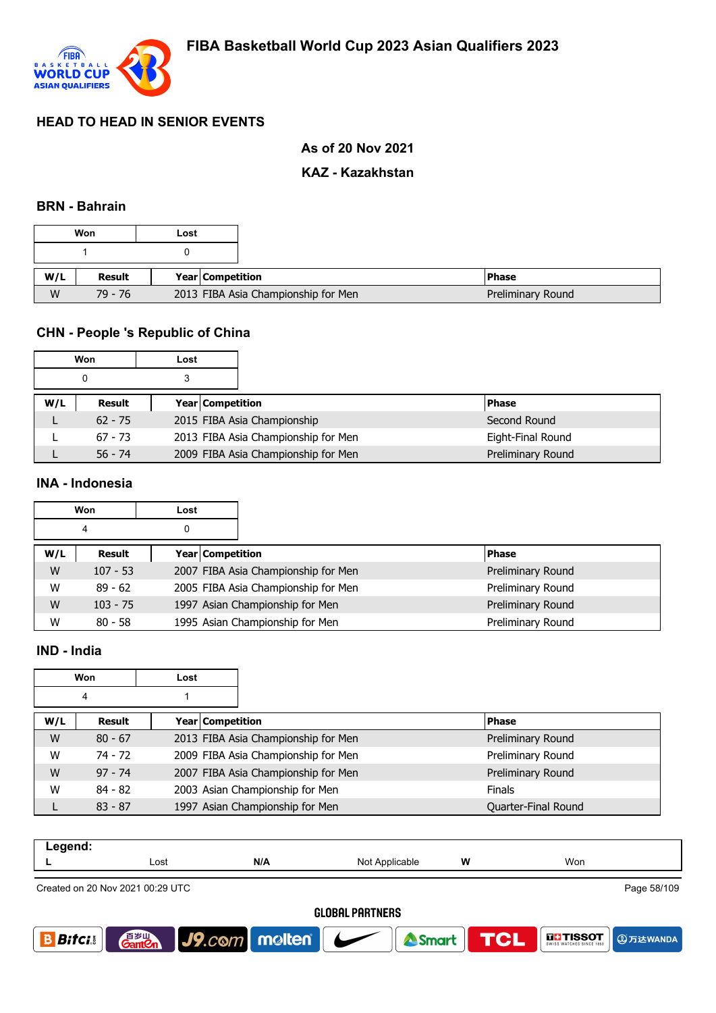

### **As of 20 Nov 2021**

### **KAZ - Kazakhstan**

#### **BRN - Bahrain**

|     | Won       | Lost                                |
|-----|-----------|-------------------------------------|
|     |           |                                     |
| W/L | Result    | Year Competition                    |
| W   | $79 - 76$ | 2013 FIBA Asia Championship for Men |

### **CHN - People 's Republic of China**

|     | Won       | Lost |                                     |                   |
|-----|-----------|------|-------------------------------------|-------------------|
|     | 0         |      |                                     |                   |
| W/L | Result    |      | <b>Year Competition</b>             | <b>Phase</b>      |
|     | $62 - 75$ |      | 2015 FIBA Asia Championship         | Second Round      |
|     | $67 - 73$ |      | 2013 FIBA Asia Championship for Men | Eight-Final Round |
|     | $56 - 74$ |      | 2009 FIBA Asia Championship for Men | Preliminary Round |

#### **INA - Indonesia**

|     | Won        | Lost             |                                     |                   |
|-----|------------|------------------|-------------------------------------|-------------------|
|     | 4          | 0                |                                     |                   |
| W/L | Result     | Year Competition |                                     | <b>Phase</b>      |
| W   | $107 - 53$ |                  | 2007 FIBA Asia Championship for Men | Preliminary Round |
| W   | $89 - 62$  |                  | 2005 FIBA Asia Championship for Men | Preliminary Round |
| W   | $103 - 75$ |                  | 1997 Asian Championship for Men     | Preliminary Round |
| W   | $80 - 58$  |                  | 1995 Asian Championship for Men     | Preliminary Round |

#### **IND - India**

|     | Won       | Lost             |                                     |                     |
|-----|-----------|------------------|-------------------------------------|---------------------|
|     | 4         |                  |                                     |                     |
| W/L | Result    | Year Competition |                                     | <b>Phase</b>        |
| W   | $80 - 67$ |                  | 2013 FIBA Asia Championship for Men | Preliminary Round   |
| W   | 74 - 72   |                  | 2009 FIBA Asia Championship for Men | Preliminary Round   |
| W   | $97 - 74$ |                  | 2007 FIBA Asia Championship for Men | Preliminary Round   |
| W   | $84 - 82$ |                  | 2003 Asian Championship for Men     | <b>Finals</b>       |
|     | $83 - 87$ |                  | 1997 Asian Championship for Men     | Quarter-Final Round |

| W<br>Won<br>N/A<br>Not Applicable<br>Lost                      |  |  |               |  |
|----------------------------------------------------------------|--|--|---------------|--|
|                                                                |  |  |               |  |
| $Q_{\text{model}}$ $\sim 20 \text{ MeV}$ $2004.00 \text{ MeV}$ |  |  | $D0 = E0/400$ |  |

Page 58/109 Created on 20 Nov 2021 00:29 UTC**GLOBAL PARTNERS GantOn** J9.com molten **THE TISSOT B** Bitcis Smart **TCL 4万达WANDA**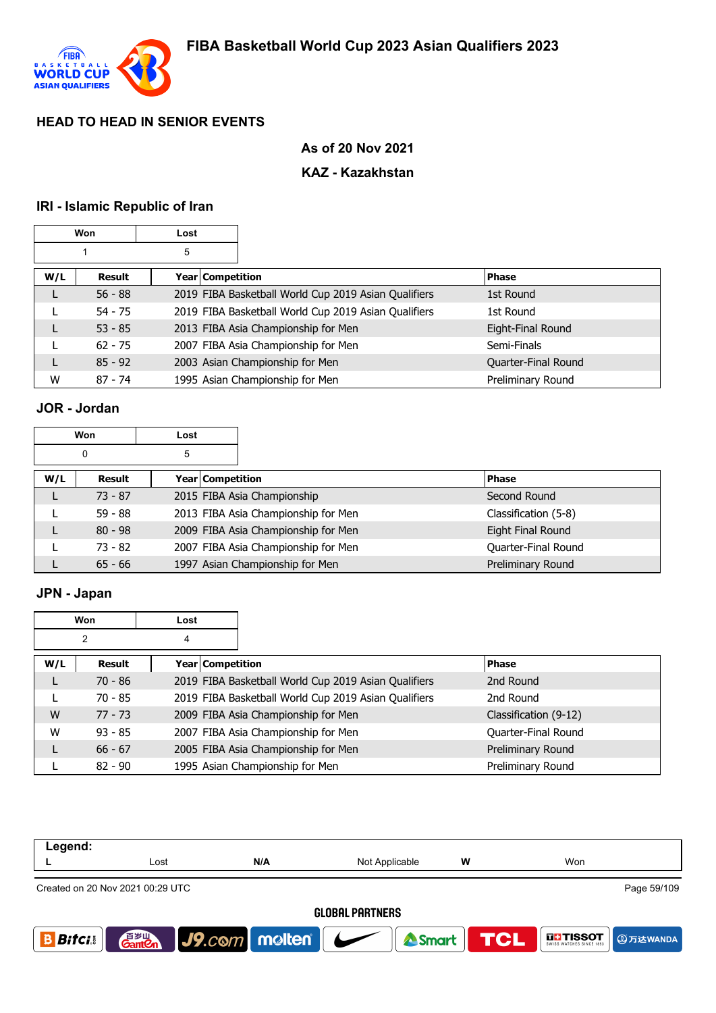

## **As of 20 Nov 2021**

### **KAZ - Kazakhstan**

# **IRI - Islamic Republic of Iran**

|     | Won           | Lost |                  |                                                      |                     |
|-----|---------------|------|------------------|------------------------------------------------------|---------------------|
|     |               | 5    |                  |                                                      |                     |
| W/L | <b>Result</b> |      | Year Competition |                                                      | Phase               |
| L   | $56 - 88$     |      |                  | 2019 FIBA Basketball World Cup 2019 Asian Qualifiers | 1st Round           |
|     | $54 - 75$     |      |                  | 2019 FIBA Basketball World Cup 2019 Asian Qualifiers | 1st Round           |
|     | $53 - 85$     |      |                  | 2013 FIBA Asia Championship for Men                  | Eight-Final Round   |
|     | $62 - 75$     |      |                  | 2007 FIBA Asia Championship for Men                  | Semi-Finals         |
|     | $85 - 92$     |      |                  | 2003 Asian Championship for Men                      | Quarter-Final Round |
| W   | $87 - 74$     |      |                  | 1995 Asian Championship for Men                      | Preliminary Round   |

# **JOR - Jordan**

|        | Won       | Lost |                  |                                     |                      |
|--------|-----------|------|------------------|-------------------------------------|----------------------|
| 5<br>0 |           |      |                  |                                     |                      |
| W/L    | Result    |      | Year Competition |                                     | <b>Phase</b>         |
|        | $73 - 87$ |      |                  | 2015 FIBA Asia Championship         | Second Round         |
|        | $59 - 88$ |      |                  | 2013 FIBA Asia Championship for Men | Classification (5-8) |
| L      | $80 - 98$ |      |                  | 2009 FIBA Asia Championship for Men | Eight Final Round    |
|        | $73 - 82$ |      |                  | 2007 FIBA Asia Championship for Men | Quarter-Final Round  |
|        | $65 - 66$ |      |                  | 1997 Asian Championship for Men     | Preliminary Round    |

# **JPN - Japan**

| Won |                | Lost |                                                      |                       |
|-----|----------------|------|------------------------------------------------------|-----------------------|
|     | $\overline{2}$ | 4    |                                                      |                       |
| W/L | Result         |      | Year Competition                                     | <b>Phase</b>          |
|     | $70 - 86$      |      | 2019 FIBA Basketball World Cup 2019 Asian Qualifiers | 2nd Round             |
|     | $70 - 85$      |      | 2019 FIBA Basketball World Cup 2019 Asian Qualifiers | 2nd Round             |
| W   | $77 - 73$      |      | 2009 FIBA Asia Championship for Men                  | Classification (9-12) |
| W   | $93 - 85$      |      | 2007 FIBA Asia Championship for Men                  | Quarter-Final Round   |
| L   | $66 - 67$      |      | 2005 FIBA Asia Championship for Men                  | Preliminary Round     |
|     | $82 - 90$      |      | 1995 Asian Championship for Men                      | Preliminary Round     |

| Legend:                |                                                 |                                         |                |   |                                       |  |  |  |
|------------------------|-------------------------------------------------|-----------------------------------------|----------------|---|---------------------------------------|--|--|--|
|                        | Lost                                            | N/A                                     | Not Applicable | w | Won                                   |  |  |  |
|                        | Page 59/109<br>Created on 20 Nov 2021 00:29 UTC |                                         |                |   |                                       |  |  |  |
| <b>GLOBAL PARTNERS</b> |                                                 |                                         |                |   |                                       |  |  |  |
| <b>Bitci</b>           | 音 <sub>岁Ⅲ</sub><br>Gant <b>C</b> n              | $\big $ J9.com molten $\big $ $\bigcup$ | Smart TCL      |   | <b>THE TISSOT</b><br><b>4</b> 万达WANDA |  |  |  |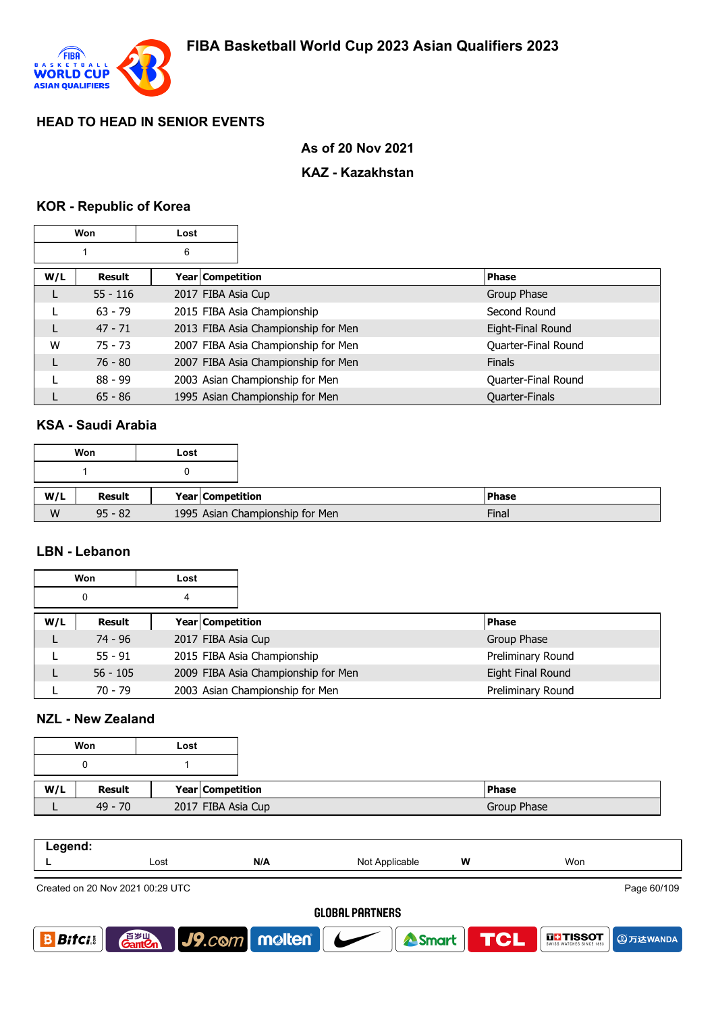

#### **As of 20 Nov 2021**

### **KAZ - Kazakhstan**

### **KOR - Republic of Korea**

| Won |            | Lost |                    |                                     |                     |
|-----|------------|------|--------------------|-------------------------------------|---------------------|
|     |            | 6    |                    |                                     |                     |
| W/L | Result     |      | Year   Competition |                                     | <b>Phase</b>        |
| L   | $55 - 116$ |      | 2017 FIBA Asia Cup |                                     | Group Phase         |
|     | $63 - 79$  |      |                    | 2015 FIBA Asia Championship         | Second Round        |
| L   | $47 - 71$  |      |                    | 2013 FIBA Asia Championship for Men | Eight-Final Round   |
| W   | $75 - 73$  |      |                    | 2007 FIBA Asia Championship for Men | Quarter-Final Round |
| L   | $76 - 80$  |      |                    | 2007 FIBA Asia Championship for Men | <b>Finals</b>       |
|     | $88 - 99$  |      |                    | 2003 Asian Championship for Men     | Quarter-Final Round |
|     | $65 - 86$  |      |                    | 1995 Asian Championship for Men     | Quarter-Finals      |

#### **KSA - Saudi Arabia**

|     | Won       | Lost |                  |                                 |              |
|-----|-----------|------|------------------|---------------------------------|--------------|
|     |           |      |                  |                                 |              |
| W/L | Result    |      | Year Competition |                                 | <b>Phase</b> |
| W   | $95 - 82$ |      |                  | 1995 Asian Championship for Men | Final        |

#### **LBN - Lebanon**

| Won |            | Lost                    |                                     |                   |
|-----|------------|-------------------------|-------------------------------------|-------------------|
| 0   |            | 4                       |                                     |                   |
| W/L | Result     | <b>Year Competition</b> |                                     | <b>Phase</b>      |
|     | $74 - 96$  | 2017 FIBA Asia Cup      |                                     | Group Phase       |
|     | $55 - 91$  |                         | 2015 FIBA Asia Championship         | Preliminary Round |
|     | $56 - 105$ |                         | 2009 FIBA Asia Championship for Men | Eight Final Round |
|     | 70 - 79    |                         | 2003 Asian Championship for Men     | Preliminary Round |

### **NZL - New Zealand**

|     | Won           | Lost |                    |
|-----|---------------|------|--------------------|
|     |               |      |                    |
| W/L | <b>Result</b> |      | Year Competition   |
|     | $49 - 70$     |      | 2017 FIBA Asia Cup |

| المصحص<br>-- 9 - |      |     |                |   |     |
|------------------|------|-----|----------------|---|-----|
| -                | Lost | N/A | Not Applicable | W | Won |
|                  |      |     |                |   |     |

Created on 20 Nov 2021 00:29 UTC

Page 60/109

**4万达WANDA** 

**THE TISSOT** 

#### **GLOBAL PARTNERS**

<sup>2</sup>Smart

**TCL** 



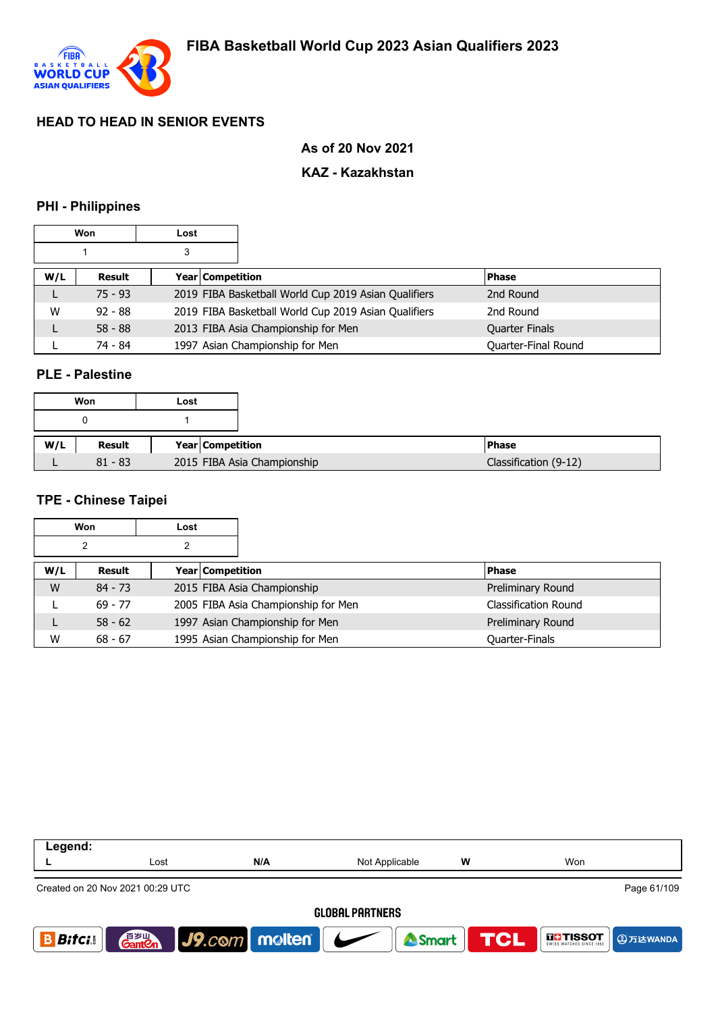

#### **As of 20 Nov 2021**

# **KAZ - Kazakhstan**

### **PHI - Philippines**

|     | Won       | Lost |                  |                                                      |                       |
|-----|-----------|------|------------------|------------------------------------------------------|-----------------------|
|     |           | 3    |                  |                                                      |                       |
| W/L | Result    |      | Year Competition |                                                      | <b>Phase</b>          |
| ┗   | $75 - 93$ |      |                  | 2019 FIBA Basketball World Cup 2019 Asian Qualifiers | 2nd Round             |
| W   | $92 - 88$ |      |                  | 2019 FIBA Basketball World Cup 2019 Asian Qualifiers | 2nd Round             |
|     | $58 - 88$ |      |                  | 2013 FIBA Asia Championship for Men                  | <b>Quarter Finals</b> |
|     | 74 - 84   |      |                  | 1997 Asian Championship for Men                      | Quarter-Final Round   |

#### **PLE - Palestine**

|     | Won       | Lost                        |
|-----|-----------|-----------------------------|
|     |           |                             |
| W/L | Result    | Year Competition            |
|     | $81 - 83$ | 2015 FIBA Asia Championship |

#### **TPE - Chinese Taipei**

|     | Won       | Lost             |                                     |                             |
|-----|-----------|------------------|-------------------------------------|-----------------------------|
|     | 2         |                  |                                     |                             |
| W/L | Result    | Year Competition |                                     | <b>Phase</b>                |
| W   | $84 - 73$ |                  | 2015 FIBA Asia Championship         | Preliminary Round           |
|     | $69 - 77$ |                  | 2005 FIBA Asia Championship for Men | <b>Classification Round</b> |
|     | $58 - 62$ |                  | 1997 Asian Championship for Men     | Preliminary Round           |
| W   | $68 - 67$ |                  | 1995 Asian Championship for Men     | Quarter-Finals              |

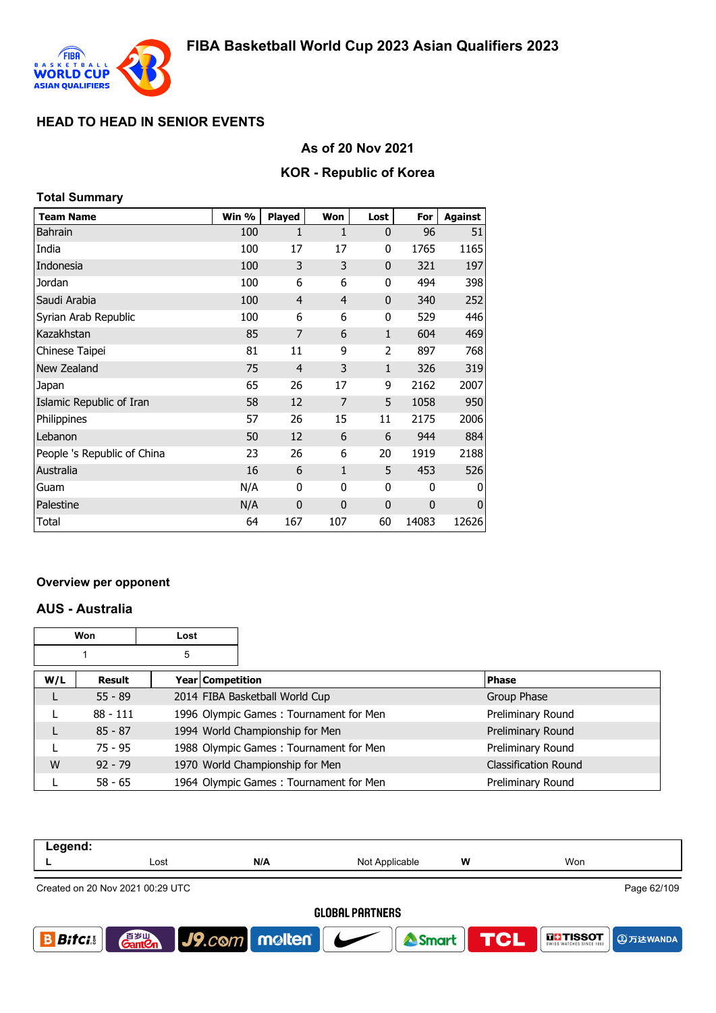

## **As of 20 Nov 2021**

### **KOR - Republic of Korea**

| <b>Total Summary</b>        |       |                |                |              |              |                |
|-----------------------------|-------|----------------|----------------|--------------|--------------|----------------|
| <b>Team Name</b>            | Win % | <b>Played</b>  | Won            | Lost         | For          | <b>Against</b> |
| <b>Bahrain</b>              | 100   | 1              | 1              | $\mathbf{0}$ | 96           | 51             |
| India                       | 100   | 17             | 17             | 0            | 1765         | 1165           |
| Indonesia                   | 100   | 3              | 3              | $\mathbf{0}$ | 321          | 197            |
| Jordan                      | 100   | 6              | 6              | 0            | 494          | 398            |
| Saudi Arabia                | 100   | 4              | $\overline{4}$ | $\mathbf{0}$ | 340          | 252            |
| Syrian Arab Republic        | 100   | 6              | 6              | 0            | 529          | 446            |
| Kazakhstan                  | 85    | 7              | 6              | 1            | 604          | 469            |
| Chinese Taipei              | 81    | 11             | 9              | 2            | 897          | 768            |
| New Zealand                 | 75    | $\overline{4}$ | 3              | $\mathbf{1}$ | 326          | 319            |
| Japan                       | 65    | 26             | 17             | 9            | 2162         | 2007           |
| Islamic Republic of Iran    | 58    | 12             | 7              | 5            | 1058         | 950            |
| Philippines                 | 57    | 26             | 15             | 11           | 2175         | 2006           |
| Lebanon                     | 50    | 12             | 6              | 6            | 944          | 884            |
| People 's Republic of China | 23    | 26             | 6              | 20           | 1919         | 2188           |
| Australia                   | 16    | 6              | $\mathbf{1}$   | 5            | 453          | 526            |
| Guam                        | N/A   | $\mathbf{0}$   | 0              | 0            | $\mathbf{0}$ | 0              |
| Palestine                   | N/A   | $\mathbf 0$    | $\mathbf{0}$   | $\mathbf 0$  | 0            | $\mathbf 0$    |
| Total                       | 64    | 167            | 107            | 60           | 14083        | 12626          |

#### **Overview per opponent**

#### **AUS - Australia**

|     | Won        | Lost |                  |                                        |                             |
|-----|------------|------|------------------|----------------------------------------|-----------------------------|
|     |            | 5    |                  |                                        |                             |
| W/L | Result     |      | Year Competition |                                        | <b>Phase</b>                |
|     | $55 - 89$  |      |                  | 2014 FIBA Basketball World Cup         | Group Phase                 |
|     | $88 - 111$ |      |                  | 1996 Olympic Games: Tournament for Men | Preliminary Round           |
|     | $85 - 87$  |      |                  | 1994 World Championship for Men        | Preliminary Round           |
|     | $75 - 95$  |      |                  | 1988 Olympic Games: Tournament for Men | Preliminary Round           |
| W   | $92 - 79$  |      |                  | 1970 World Championship for Men        | <b>Classification Round</b> |
|     | $58 - 65$  |      |                  | 1964 Olympic Games: Tournament for Men | Preliminary Round           |

| Legend:                                         |                           |                                 |                |   |                                  |  |  |
|-------------------------------------------------|---------------------------|---------------------------------|----------------|---|----------------------------------|--|--|
|                                                 | Lost                      | N/A                             | Not Applicable | W | Won                              |  |  |
| Page 62/109<br>Created on 20 Nov 2021 00:29 UTC |                           |                                 |                |   |                                  |  |  |
|                                                 | <b>GLOBAL PARTNERS</b>    |                                 |                |   |                                  |  |  |
| <b>Bifci</b>                                    | 音 <sub>岁Ⅲ</sub><br>Gant©n | $ $ J9. $com$ molten $ $ $\sim$ | <b>A</b> Smart |   | <b>TCL FITISSOT @</b> With WANDA |  |  |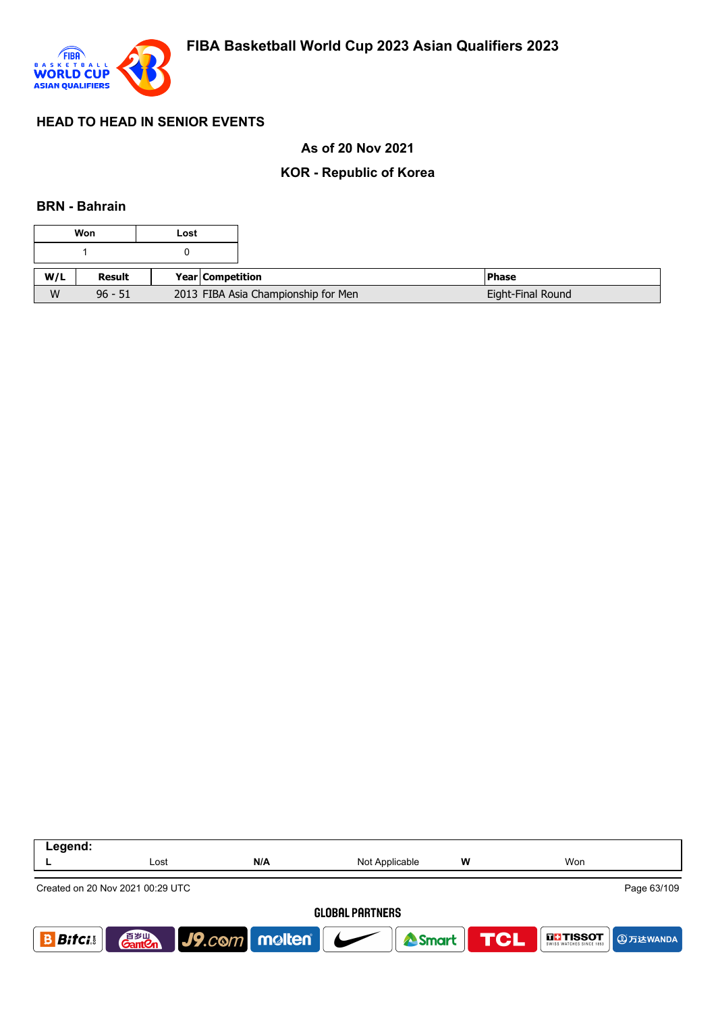

## **As of 20 Nov 2021**

## **KOR - Republic of Korea**

#### **BRN - Bahrain**

| Won |           | Lost |                  |                                     |                   |
|-----|-----------|------|------------------|-------------------------------------|-------------------|
|     |           |      |                  |                                     |                   |
| W/L | Result    |      | Year Competition |                                     | <b>Phase</b>      |
| W   | $96 - 51$ |      |                  | 2013 FIBA Asia Championship for Men | Eight-Final Round |

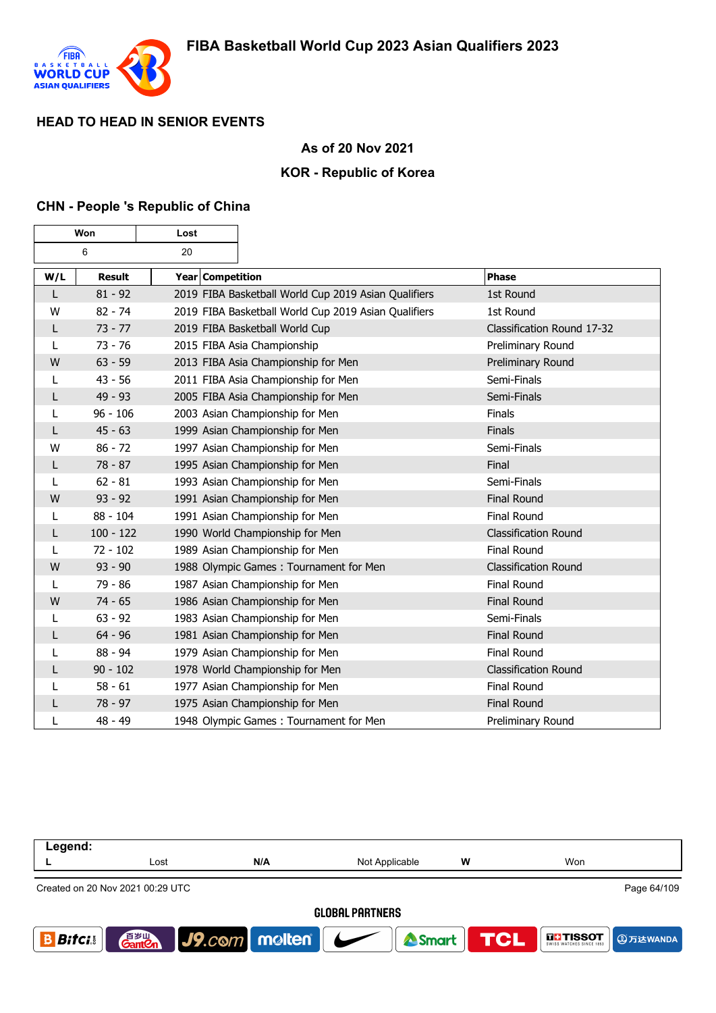

### **As of 20 Nov 2021**

### **KOR - Republic of Korea**

#### **CHN - People 's Republic of China**

| Won |               | Lost             |                                                      |                             |
|-----|---------------|------------------|------------------------------------------------------|-----------------------------|
| 6   |               | 20               |                                                      |                             |
| W/L | <b>Result</b> | Year Competition |                                                      | <b>Phase</b>                |
| L   | $81 - 92$     |                  | 2019 FIBA Basketball World Cup 2019 Asian Qualifiers | 1st Round                   |
| W   | $82 - 74$     |                  | 2019 FIBA Basketball World Cup 2019 Asian Qualifiers | 1st Round                   |
| L   | $73 - 77$     |                  | 2019 FIBA Basketball World Cup                       | Classification Round 17-32  |
| L   | $73 - 76$     |                  | 2015 FIBA Asia Championship                          | Preliminary Round           |
| W   | $63 - 59$     |                  | 2013 FIBA Asia Championship for Men                  | Preliminary Round           |
| L   | $43 - 56$     |                  | 2011 FIBA Asia Championship for Men                  | Semi-Finals                 |
| L   | $49 - 93$     |                  | 2005 FIBA Asia Championship for Men                  | Semi-Finals                 |
| L   | $96 - 106$    |                  | 2003 Asian Championship for Men                      | Finals                      |
| L   | $45 - 63$     |                  | 1999 Asian Championship for Men                      | Finals                      |
| W   | $86 - 72$     |                  | 1997 Asian Championship for Men                      | Semi-Finals                 |
| L   | $78 - 87$     |                  | 1995 Asian Championship for Men                      | Final                       |
| L   | $62 - 81$     |                  | 1993 Asian Championship for Men                      | Semi-Finals                 |
| W   | $93 - 92$     |                  | 1991 Asian Championship for Men                      | <b>Final Round</b>          |
| L   | $88 - 104$    |                  | 1991 Asian Championship for Men                      | <b>Final Round</b>          |
| L   | $100 - 122$   |                  | 1990 World Championship for Men                      | <b>Classification Round</b> |
| L   | $72 - 102$    |                  | 1989 Asian Championship for Men                      | Final Round                 |
| W   | $93 - 90$     |                  | 1988 Olympic Games: Tournament for Men               | <b>Classification Round</b> |
| L   | $79 - 86$     |                  | 1987 Asian Championship for Men                      | <b>Final Round</b>          |
| W   | $74 - 65$     |                  | 1986 Asian Championship for Men                      | <b>Final Round</b>          |
| L   | $63 - 92$     |                  | 1983 Asian Championship for Men                      | Semi-Finals                 |
| L   | $64 - 96$     |                  | 1981 Asian Championship for Men                      | <b>Final Round</b>          |
| L   | 88 - 94       |                  | 1979 Asian Championship for Men                      | <b>Final Round</b>          |
| L   | $90 - 102$    |                  | 1978 World Championship for Men                      | <b>Classification Round</b> |
| L   | $58 - 61$     |                  | 1977 Asian Championship for Men                      | <b>Final Round</b>          |
| L   | $78 - 97$     |                  | 1975 Asian Championship for Men                      | <b>Final Round</b>          |
| L   | 48 - 49       |                  | 1948 Olympic Games: Tournament for Men               | Preliminary Round           |

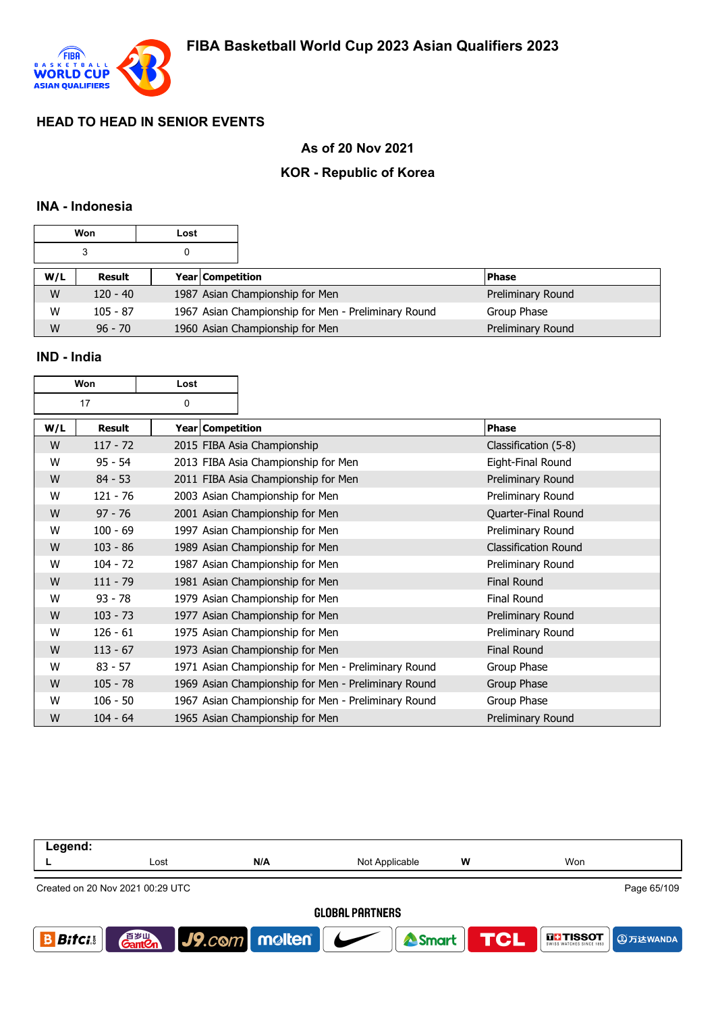

## **As of 20 Nov 2021**

## **KOR - Republic of Korea**

## **INA - Indonesia**

|     | Won        | Lost |                                                     |                   |
|-----|------------|------|-----------------------------------------------------|-------------------|
|     | 3          |      |                                                     |                   |
| W/L | Result     |      | <b>Year Competition</b>                             | <b>Phase</b>      |
| W   | $120 - 40$ |      | 1987 Asian Championship for Men                     | Preliminary Round |
| W   | $105 - 87$ |      | 1967 Asian Championship for Men - Preliminary Round | Group Phase       |
| W   | $96 - 70$  |      | 1960 Asian Championship for Men                     | Preliminary Round |

### **IND - India**

| Won |            | Lost             |                                                     |                             |
|-----|------------|------------------|-----------------------------------------------------|-----------------------------|
| 17  |            | 0                |                                                     |                             |
| W/L | Result     | Year Competition |                                                     | <b>Phase</b>                |
| W   | $117 - 72$ |                  | 2015 FIBA Asia Championship                         | Classification (5-8)        |
| W   | $95 - 54$  |                  | 2013 FIBA Asia Championship for Men                 | Eight-Final Round           |
| W   | $84 - 53$  |                  | 2011 FIBA Asia Championship for Men                 | Preliminary Round           |
| W   | $121 - 76$ |                  | 2003 Asian Championship for Men                     | Preliminary Round           |
| W   | $97 - 76$  |                  | 2001 Asian Championship for Men                     | Quarter-Final Round         |
| W   | $100 - 69$ |                  | 1997 Asian Championship for Men                     | Preliminary Round           |
| W   | $103 - 86$ |                  | 1989 Asian Championship for Men                     | <b>Classification Round</b> |
| W   | $104 - 72$ |                  | 1987 Asian Championship for Men                     | Preliminary Round           |
| W   | $111 - 79$ |                  | 1981 Asian Championship for Men                     | <b>Final Round</b>          |
| W   | $93 - 78$  |                  | 1979 Asian Championship for Men                     | <b>Final Round</b>          |
| W   | $103 - 73$ |                  | 1977 Asian Championship for Men                     | Preliminary Round           |
| W   | $126 - 61$ |                  | 1975 Asian Championship for Men                     | Preliminary Round           |
| W   | $113 - 67$ |                  | 1973 Asian Championship for Men                     | <b>Final Round</b>          |
| W   | $83 - 57$  |                  | 1971 Asian Championship for Men - Preliminary Round | Group Phase                 |
| W   | $105 - 78$ |                  | 1969 Asian Championship for Men - Preliminary Round | Group Phase                 |
| W   | $106 - 50$ |                  | 1967 Asian Championship for Men - Preliminary Round | Group Phase                 |
| W   | $104 - 64$ |                  | 1965 Asian Championship for Men                     | Preliminary Round           |

| Legend:                                         |                       |               |                |                  |                                      |  |
|-------------------------------------------------|-----------------------|---------------|----------------|------------------|--------------------------------------|--|
|                                                 | Lost                  | N/A           | Not Applicable | W                | Won                                  |  |
| Page 65/109<br>Created on 20 Nov 2021 00:29 UTC |                       |               |                |                  |                                      |  |
| <b>GLOBAL PARTNERS</b>                          |                       |               |                |                  |                                      |  |
| <b>Bitci</b>                                    | 音罗山<br><b>Gant Cn</b> | J9.com molten |                | Smart <b>TCL</b> | <b>THE TISSOT</b><br><b>4万达WANDA</b> |  |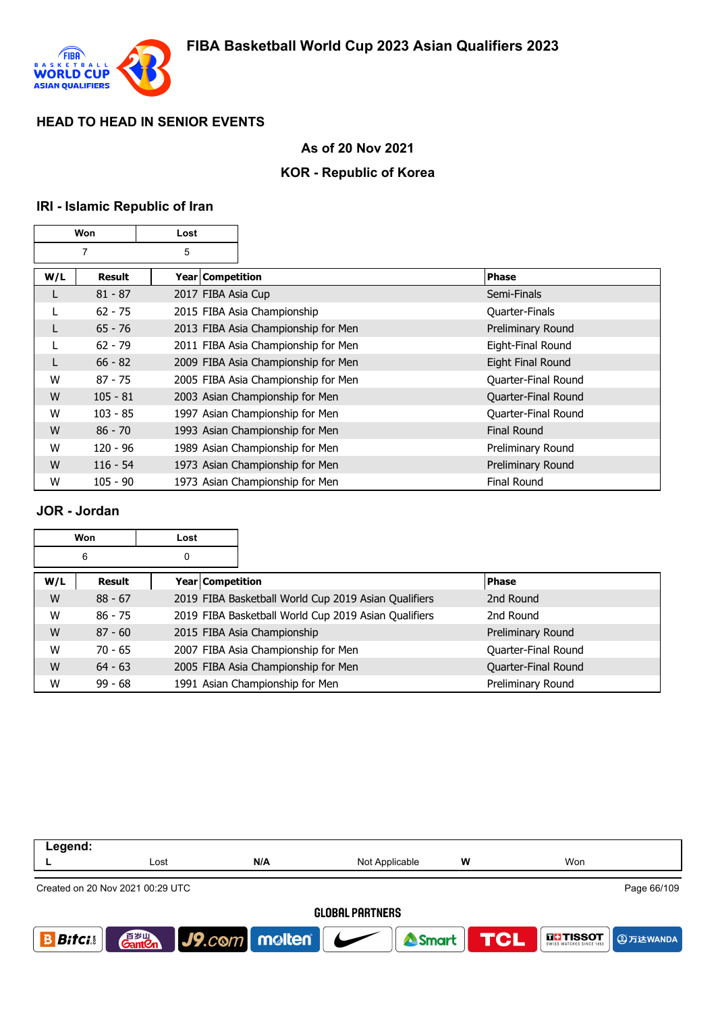

#### **As of 20 Nov 2021**

## **KOR - Republic of Korea**

#### **IRI - Islamic Republic of Iran**

| Won |            | Lost               |                                     |                     |
|-----|------------|--------------------|-------------------------------------|---------------------|
|     | 7          | 5                  |                                     |                     |
| W/L | Result     | Year   Competition |                                     | <b>Phase</b>        |
| L   | $81 - 87$  | 2017 FIBA Asia Cup |                                     | Semi-Finals         |
|     | $62 - 75$  |                    | 2015 FIBA Asia Championship         | Quarter-Finals      |
| L   | $65 - 76$  |                    | 2013 FIBA Asia Championship for Men | Preliminary Round   |
|     | $62 - 79$  |                    | 2011 FIBA Asia Championship for Men | Eight-Final Round   |
| L   | $66 - 82$  |                    | 2009 FIBA Asia Championship for Men | Eight Final Round   |
| W   | $87 - 75$  |                    | 2005 FIBA Asia Championship for Men | Quarter-Final Round |
| W   | $105 - 81$ |                    | 2003 Asian Championship for Men     | Quarter-Final Round |
| W   | $103 - 85$ |                    | 1997 Asian Championship for Men     | Quarter-Final Round |
| W   | $86 - 70$  |                    | 1993 Asian Championship for Men     | <b>Final Round</b>  |
| W   | $120 - 96$ |                    | 1989 Asian Championship for Men     | Preliminary Round   |
| W   | $116 - 54$ |                    | 1973 Asian Championship for Men     | Preliminary Round   |
| W   | $105 - 90$ |                    | 1973 Asian Championship for Men     | <b>Final Round</b>  |

#### **JOR - Jordan**

|     | Won       | Lost             |                                                      |                     |
|-----|-----------|------------------|------------------------------------------------------|---------------------|
|     | 6         | 0                |                                                      |                     |
| W/L | Result    | Year Competition |                                                      | <b>Phase</b>        |
| W   | $88 - 67$ |                  | 2019 FIBA Basketball World Cup 2019 Asian Qualifiers | 2nd Round           |
| W   | $86 - 75$ |                  | 2019 FIBA Basketball World Cup 2019 Asian Qualifiers | 2nd Round           |
| W   | $87 - 60$ |                  | 2015 FIBA Asia Championship                          | Preliminary Round   |
| W   | $70 - 65$ |                  | 2007 FIBA Asia Championship for Men                  | Quarter-Final Round |
| W   | $64 - 63$ |                  | 2005 FIBA Asia Championship for Men                  | Quarter-Final Round |
| W   | $99 - 68$ |                  | 1991 Asian Championship for Men                      | Preliminary Round   |

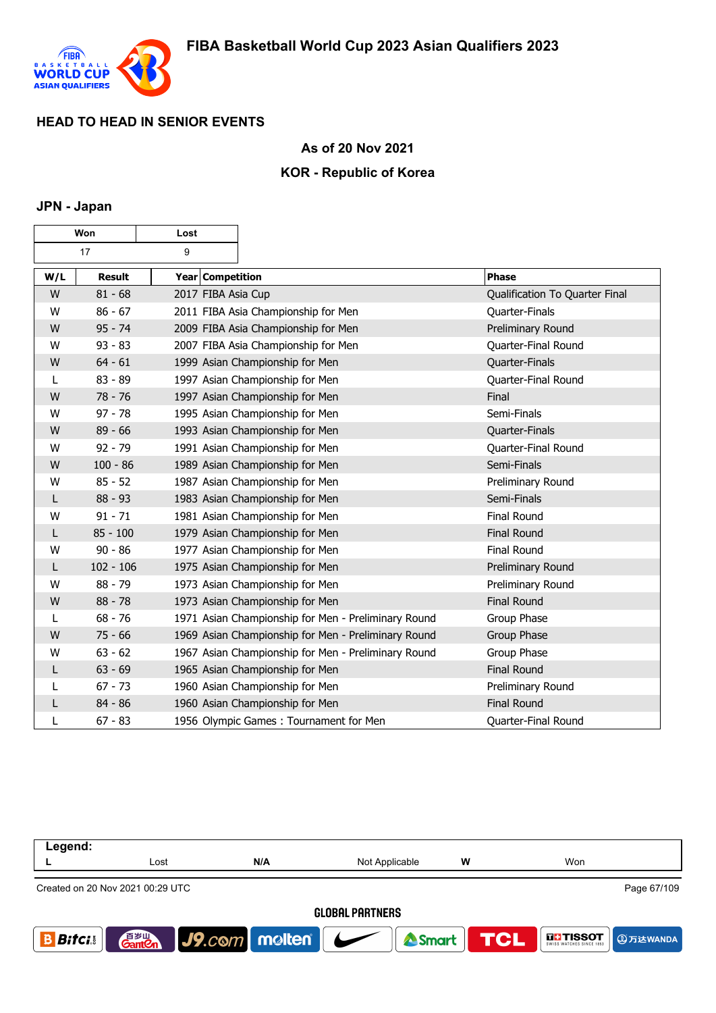

### **As of 20 Nov 2021**

## **KOR - Republic of Korea**

#### **JPN - Japan**

| Won |               | Lost               |                                                     |                                |
|-----|---------------|--------------------|-----------------------------------------------------|--------------------------------|
|     | 17            | 9                  |                                                     |                                |
| W/L | <b>Result</b> | Year Competition   |                                                     | <b>Phase</b>                   |
| W   | $81 - 68$     | 2017 FIBA Asia Cup |                                                     | Qualification To Quarter Final |
| W   | $86 - 67$     |                    | 2011 FIBA Asia Championship for Men                 | Quarter-Finals                 |
| W   | $95 - 74$     |                    | 2009 FIBA Asia Championship for Men                 | Preliminary Round              |
| W   | $93 - 83$     |                    | 2007 FIBA Asia Championship for Men                 | Quarter-Final Round            |
| W   | $64 - 61$     |                    | 1999 Asian Championship for Men                     | Quarter-Finals                 |
| L   | $83 - 89$     |                    | 1997 Asian Championship for Men                     | Quarter-Final Round            |
| W   | $78 - 76$     |                    | 1997 Asian Championship for Men                     | Final                          |
| W   | $97 - 78$     |                    | 1995 Asian Championship for Men                     | Semi-Finals                    |
| W   | $89 - 66$     |                    | 1993 Asian Championship for Men                     | Quarter-Finals                 |
| W   | $92 - 79$     |                    | 1991 Asian Championship for Men                     | Quarter-Final Round            |
| W   | $100 - 86$    |                    | 1989 Asian Championship for Men                     | Semi-Finals                    |
| W   | $85 - 52$     |                    | 1987 Asian Championship for Men                     | Preliminary Round              |
| L   | $88 - 93$     |                    | 1983 Asian Championship for Men                     | Semi-Finals                    |
| W   | $91 - 71$     |                    | 1981 Asian Championship for Men                     | <b>Final Round</b>             |
| L   | $85 - 100$    |                    | 1979 Asian Championship for Men                     | <b>Final Round</b>             |
| W   | $90 - 86$     |                    | 1977 Asian Championship for Men                     | <b>Final Round</b>             |
| L   | $102 - 106$   |                    | 1975 Asian Championship for Men                     | Preliminary Round              |
| W   | $88 - 79$     |                    | 1973 Asian Championship for Men                     | Preliminary Round              |
| W   | $88 - 78$     |                    | 1973 Asian Championship for Men                     | <b>Final Round</b>             |
| L   | $68 - 76$     |                    | 1971 Asian Championship for Men - Preliminary Round | Group Phase                    |
| W   | $75 - 66$     |                    | 1969 Asian Championship for Men - Preliminary Round | Group Phase                    |
| W   | $63 - 62$     |                    | 1967 Asian Championship for Men - Preliminary Round | Group Phase                    |
| L   | $63 - 69$     |                    | 1965 Asian Championship for Men                     | <b>Final Round</b>             |
| L   | $67 - 73$     |                    | 1960 Asian Championship for Men                     | Preliminary Round              |
| L   | $84 - 86$     |                    | 1960 Asian Championship for Men                     | <b>Final Round</b>             |
| L   | $67 - 83$     |                    | 1956 Olympic Games: Tournament for Men              | Quarter-Final Round            |

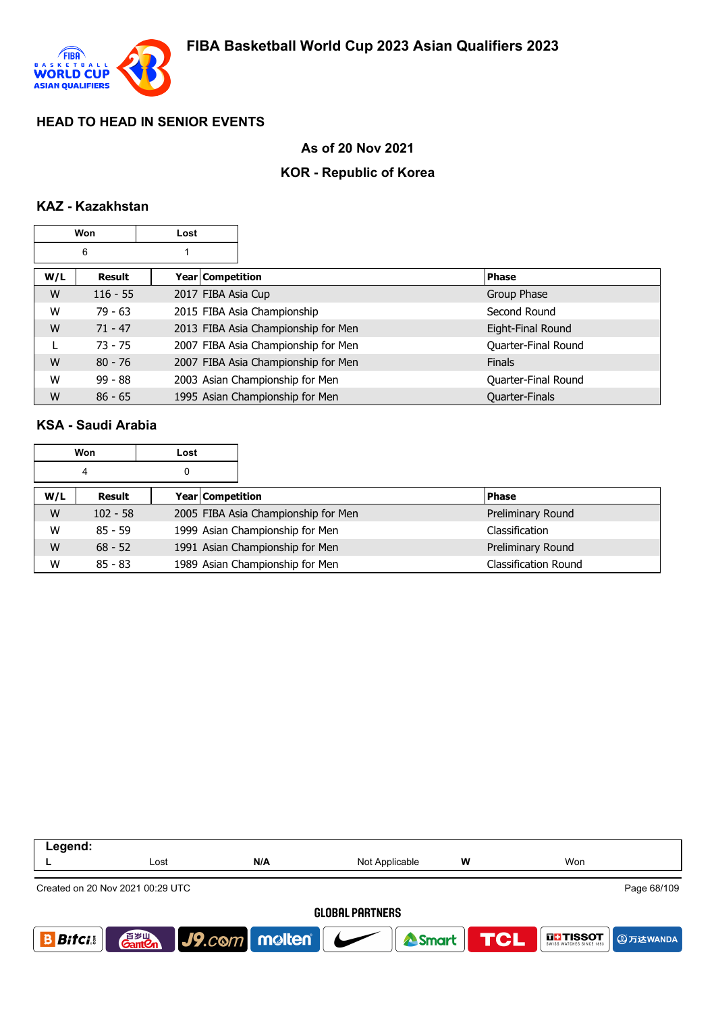

### **As of 20 Nov 2021**

## **KOR - Republic of Korea**

#### **KAZ - Kazakhstan**

| Won |            | Lost |                    |                                     |                     |
|-----|------------|------|--------------------|-------------------------------------|---------------------|
|     | 6          |      |                    |                                     |                     |
| W/L | Result     |      | Year Competition   |                                     | <b>Phase</b>        |
| W   | $116 - 55$ |      | 2017 FIBA Asia Cup |                                     | Group Phase         |
| W   | $79 - 63$  |      |                    | 2015 FIBA Asia Championship         | Second Round        |
| W   | $71 - 47$  |      |                    | 2013 FIBA Asia Championship for Men | Eight-Final Round   |
|     | $73 - 75$  |      |                    | 2007 FIBA Asia Championship for Men | Quarter-Final Round |
| W   | $80 - 76$  |      |                    | 2007 FIBA Asia Championship for Men | <b>Finals</b>       |
| W   | $99 - 88$  |      |                    | 2003 Asian Championship for Men     | Quarter-Final Round |
| W   | $86 - 65$  |      |                    | 1995 Asian Championship for Men     | Quarter-Finals      |

#### **KSA - Saudi Arabia**

|     | Won        | Lost |                  |                                     |  |                             |
|-----|------------|------|------------------|-------------------------------------|--|-----------------------------|
|     | 4          | 0    |                  |                                     |  |                             |
| W/L | Result     |      | Year Competition |                                     |  | <b>Phase</b>                |
| W   | $102 - 58$ |      |                  | 2005 FIBA Asia Championship for Men |  | Preliminary Round           |
| W   | $85 - 59$  |      |                  | 1999 Asian Championship for Men     |  | Classification              |
| W   | $68 - 52$  |      |                  | 1991 Asian Championship for Men     |  | Preliminary Round           |
| W   | $85 - 83$  |      |                  | 1989 Asian Championship for Men     |  | <b>Classification Round</b> |

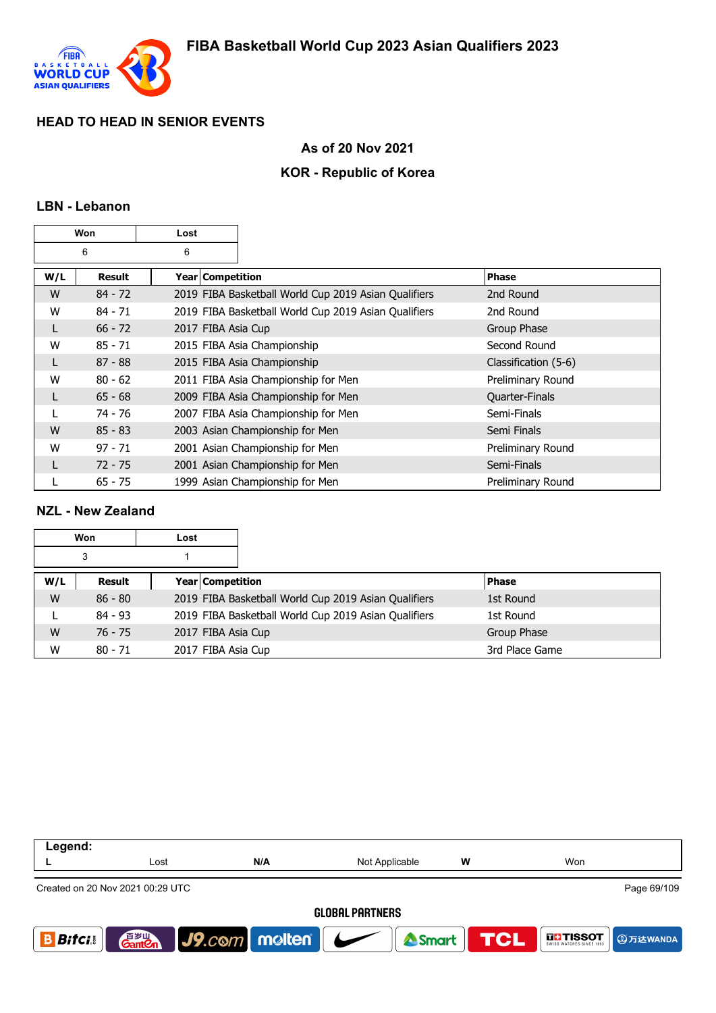

### **As of 20 Nov 2021**

## **KOR - Republic of Korea**

#### **LBN - Lebanon**

| Won |           | Lost               |                                                      |                      |
|-----|-----------|--------------------|------------------------------------------------------|----------------------|
|     | 6         | 6                  |                                                      |                      |
| W/L | Result    | Year   Competition |                                                      | Phase                |
| W   | $84 - 72$ |                    | 2019 FIBA Basketball World Cup 2019 Asian Qualifiers | 2nd Round            |
| W   | $84 - 71$ |                    | 2019 FIBA Basketball World Cup 2019 Asian Qualifiers | 2nd Round            |
| L   | $66 - 72$ | 2017 FIBA Asia Cup |                                                      | Group Phase          |
| W   | $85 - 71$ |                    | 2015 FIBA Asia Championship                          | Second Round         |
| L   | $87 - 88$ |                    | 2015 FIBA Asia Championship                          | Classification (5-6) |
| W   | $80 - 62$ |                    | 2011 FIBA Asia Championship for Men                  | Preliminary Round    |
| L   | $65 - 68$ |                    | 2009 FIBA Asia Championship for Men                  | Quarter-Finals       |
|     | 74 - 76   |                    | 2007 FIBA Asia Championship for Men                  | Semi-Finals          |
| W   | $85 - 83$ |                    | 2003 Asian Championship for Men                      | Semi Finals          |
| W   | $97 - 71$ |                    | 2001 Asian Championship for Men                      | Preliminary Round    |
| L   | $72 - 75$ |                    | 2001 Asian Championship for Men                      | Semi-Finals          |
|     | $65 - 75$ |                    | 1999 Asian Championship for Men                      | Preliminary Round    |

#### **NZL - New Zealand**

| Won |           | Lost |                                                      |                |
|-----|-----------|------|------------------------------------------------------|----------------|
| 3   |           |      |                                                      |                |
| W/L | Result    |      | Year Competition                                     | l Phase        |
| W   | $86 - 80$ |      | 2019 FIBA Basketball World Cup 2019 Asian Qualifiers | 1st Round      |
|     | $84 - 93$ |      | 2019 FIBA Basketball World Cup 2019 Asian Qualifiers | 1st Round      |
| W   | $76 - 75$ |      | 2017 FIBA Asia Cup                                   | Group Phase    |
| W   | $80 - 71$ |      | 2017 FIBA Asia Cup                                   | 3rd Place Game |

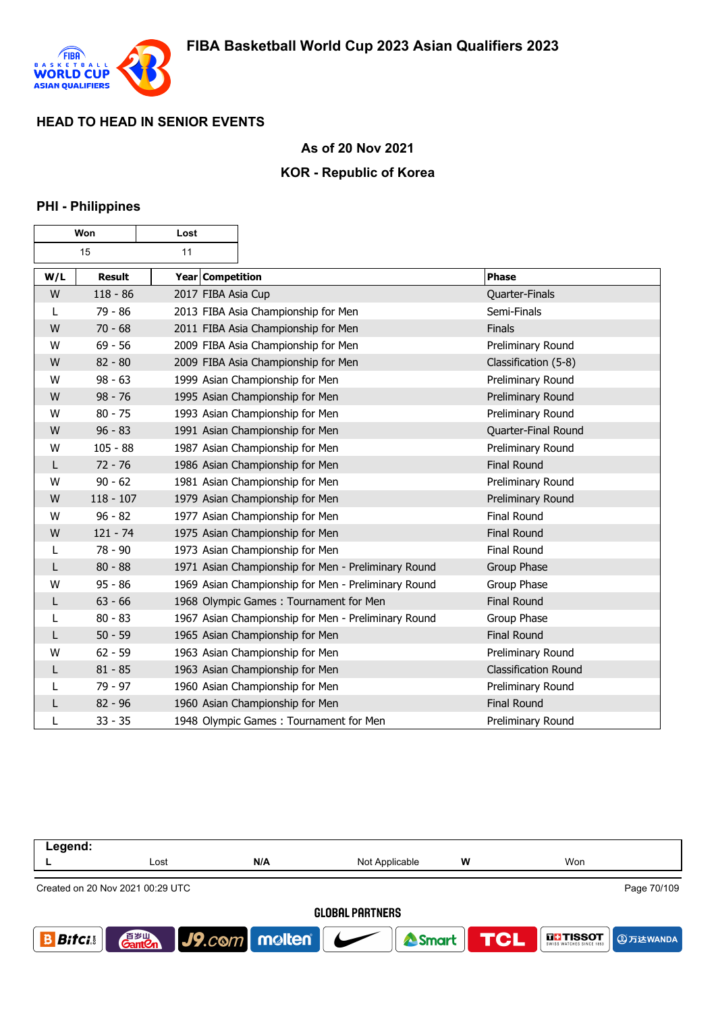

### **As of 20 Nov 2021**

### **KOR - Republic of Korea**

#### **PHI - Philippines**

| Won |               | Lost |                                                     |                             |
|-----|---------------|------|-----------------------------------------------------|-----------------------------|
| 15  |               | 11   |                                                     |                             |
| W/L | <b>Result</b> |      | Year Competition                                    | <b>Phase</b>                |
| W   | $118 - 86$    |      | 2017 FIBA Asia Cup                                  | Quarter-Finals              |
| L   | 79 - 86       |      | 2013 FIBA Asia Championship for Men                 | Semi-Finals                 |
| W   | $70 - 68$     |      | 2011 FIBA Asia Championship for Men                 | Finals                      |
| W   | $69 - 56$     |      | 2009 FIBA Asia Championship for Men                 | Preliminary Round           |
| W   | $82 - 80$     |      | 2009 FIBA Asia Championship for Men                 | Classification (5-8)        |
| W   | $98 - 63$     |      | 1999 Asian Championship for Men                     | Preliminary Round           |
| W   | $98 - 76$     |      | 1995 Asian Championship for Men                     | Preliminary Round           |
| W   | $80 - 75$     |      | 1993 Asian Championship for Men                     | Preliminary Round           |
| W   | $96 - 83$     |      | 1991 Asian Championship for Men                     | Quarter-Final Round         |
| W   | $105 - 88$    |      | 1987 Asian Championship for Men                     | Preliminary Round           |
| L   | $72 - 76$     |      | 1986 Asian Championship for Men                     | <b>Final Round</b>          |
| W   | $90 - 62$     |      | 1981 Asian Championship for Men                     | Preliminary Round           |
| W   | $118 - 107$   |      | 1979 Asian Championship for Men                     | Preliminary Round           |
| W   | $96 - 82$     |      | 1977 Asian Championship for Men                     | <b>Final Round</b>          |
| W   | $121 - 74$    |      | 1975 Asian Championship for Men                     | <b>Final Round</b>          |
| L   | $78 - 90$     |      | 1973 Asian Championship for Men                     | Final Round                 |
| L   | $80 - 88$     |      | 1971 Asian Championship for Men - Preliminary Round | Group Phase                 |
| W   | $95 - 86$     |      | 1969 Asian Championship for Men - Preliminary Round | Group Phase                 |
| L   | $63 - 66$     |      | 1968 Olympic Games: Tournament for Men              | <b>Final Round</b>          |
| L   | $80 - 83$     |      | 1967 Asian Championship for Men - Preliminary Round | Group Phase                 |
| L   | $50 - 59$     |      | 1965 Asian Championship for Men                     | <b>Final Round</b>          |
| W   | $62 - 59$     |      | 1963 Asian Championship for Men                     | Preliminary Round           |
| L   | $81 - 85$     |      | 1963 Asian Championship for Men                     | <b>Classification Round</b> |
| L   | 79 - 97       |      | 1960 Asian Championship for Men                     | Preliminary Round           |
| L   | $82 - 96$     |      | 1960 Asian Championship for Men                     | <b>Final Round</b>          |
| L   | $33 - 35$     |      | 1948 Olympic Games: Tournament for Men              | Preliminary Round           |

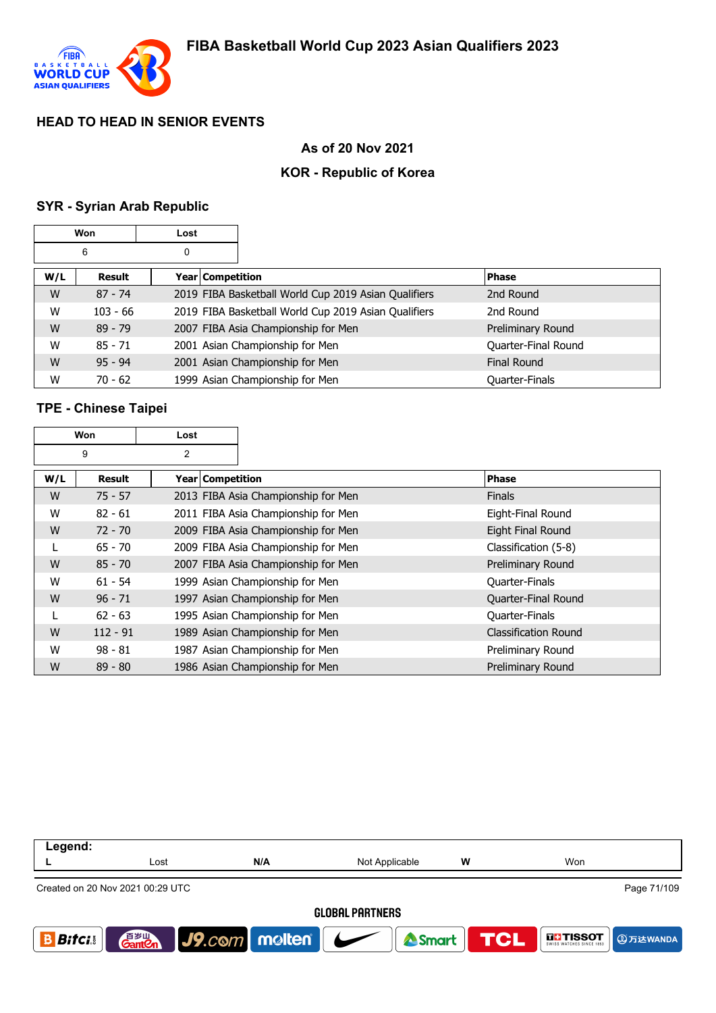

# **As of 20 Nov 2021**

## **KOR - Republic of Korea**

# **SYR - Syrian Arab Republic**

| Won |            | Lost |                  |                                                      |                     |
|-----|------------|------|------------------|------------------------------------------------------|---------------------|
| 6   |            | 0    |                  |                                                      |                     |
| W/L | Result     |      | Year Competition |                                                      | <b>Phase</b>        |
| W   | $87 - 74$  |      |                  | 2019 FIBA Basketball World Cup 2019 Asian Qualifiers | 2nd Round           |
| W   | $103 - 66$ |      |                  | 2019 FIBA Basketball World Cup 2019 Asian Qualifiers | 2nd Round           |
| W   | $89 - 79$  |      |                  | 2007 FIBA Asia Championship for Men                  | Preliminary Round   |
| W   | $85 - 71$  |      |                  | 2001 Asian Championship for Men                      | Quarter-Final Round |
| W   | $95 - 94$  |      |                  | 2001 Asian Championship for Men                      | <b>Final Round</b>  |
| W   | $70 - 62$  |      |                  | 1999 Asian Championship for Men                      | Quarter-Finals      |

# **TPE - Chinese Taipei**

| Won |            | Lost |                    |                                     |                      |
|-----|------------|------|--------------------|-------------------------------------|----------------------|
| 9   |            | 2    |                    |                                     |                      |
| W/L | Result     |      | Year   Competition |                                     | <b>Phase</b>         |
| W   | $75 - 57$  |      |                    | 2013 FIBA Asia Championship for Men | <b>Finals</b>        |
| W   | $82 - 61$  |      |                    | 2011 FIBA Asia Championship for Men | Eight-Final Round    |
| W   | $72 - 70$  |      |                    | 2009 FIBA Asia Championship for Men | Eight Final Round    |
| L   | $65 - 70$  |      |                    | 2009 FIBA Asia Championship for Men | Classification (5-8) |
| W   | $85 - 70$  |      |                    | 2007 FIBA Asia Championship for Men | Preliminary Round    |
| W   | $61 - 54$  |      |                    | 1999 Asian Championship for Men     | Quarter-Finals       |
| W   | $96 - 71$  |      |                    | 1997 Asian Championship for Men     | Quarter-Final Round  |
|     | $62 - 63$  |      |                    | 1995 Asian Championship for Men     | Quarter-Finals       |
| W   | $112 - 91$ |      |                    | 1989 Asian Championship for Men     | Classification Round |
| W   | $98 - 81$  |      |                    | 1987 Asian Championship for Men     | Preliminary Round    |
| W   | $89 - 80$  |      |                    | 1986 Asian Championship for Men     | Preliminary Round    |

| Legend:                                         |      |                             |                |     |                   |  |  |  |
|-------------------------------------------------|------|-----------------------------|----------------|-----|-------------------|--|--|--|
|                                                 | Lost | N/A                         | Not Applicable | w   | Won               |  |  |  |
| Page 71/109<br>Created on 20 Nov 2021 00:29 UTC |      |                             |                |     |                   |  |  |  |
| <b>GLOBAL PARTNERS</b>                          |      |                             |                |     |                   |  |  |  |
| <b>Bitci</b> s                                  |      | <b>Ganten</b> J9.com molten | <b>A</b> Smart | TCL | <b>THE TISSOT</b> |  |  |  |
|                                                 |      |                             |                |     |                   |  |  |  |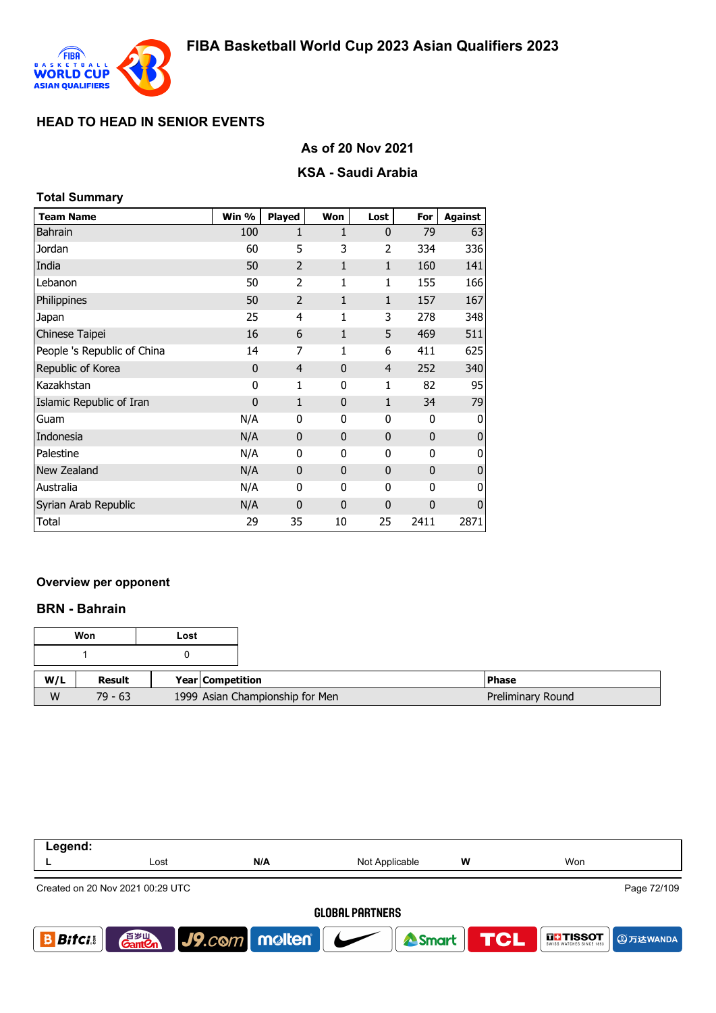

## **As of 20 Nov 2021**

### **KSA - Saudi Arabia**

| <b>Total Summary</b>        |             |                |              |              |              |                |  |
|-----------------------------|-------------|----------------|--------------|--------------|--------------|----------------|--|
| <b>Team Name</b>            | Win %       | <b>Played</b>  | Won          | Lost         | For          | <b>Against</b> |  |
| <b>Bahrain</b>              | 100         | $\mathbf{1}$   | 1            | $\mathbf{0}$ | 79           | 63             |  |
| Jordan                      | 60          | 5              | 3            | 2            | 334          | 336            |  |
| India                       | 50          | $\overline{2}$ | 1            | $\mathbf{1}$ | 160          | 141            |  |
| Lebanon                     | 50          | $\overline{2}$ | 1            | 1            | 155          | 166            |  |
| Philippines                 | 50          | $\overline{2}$ | 1            | $\mathbf{1}$ | 157          | 167            |  |
| Japan                       | 25          | 4              | 1            | 3            | 278          | 348            |  |
| Chinese Taipei              | 16          | 6              | 1            | 5            | 469          | 511            |  |
| People 's Republic of China | 14          | 7              | 1            | 6            | 411          | 625            |  |
| Republic of Korea           | 0           | $\overline{4}$ | $\mathbf{0}$ | 4            | 252          | 340            |  |
| Kazakhstan                  | 0           | 1              | 0            | 1            | 82           | 95             |  |
| Islamic Republic of Iran    | $\mathbf 0$ | $\mathbf{1}$   | $\mathbf{0}$ | 1            | 34           | 79             |  |
| Guam                        | N/A         | $\mathbf{0}$   | 0            | 0            | $\mathbf 0$  | 0              |  |
| Indonesia                   | N/A         | $\mathbf{0}$   | $\mathbf{0}$ | $\mathbf{0}$ | $\mathbf 0$  | $\bf 0$        |  |
| Palestine                   | N/A         | $\mathbf{0}$   | 0            | 0            | 0            | 0              |  |
| New Zealand                 | N/A         | $\mathbf{0}$   | 0            | $\mathbf 0$  | $\mathbf{0}$ | 0              |  |
| Australia                   | N/A         | $\mathbf 0$    | 0            | 0            | 0            | 0              |  |
| Syrian Arab Republic        | N/A         | $\mathbf{0}$   | $\mathbf{0}$ | $\mathbf 0$  | $\mathbf{0}$ | $\mathbf 0$    |  |
| Total                       | 29          | 35             | 10           | 25           | 2411         | 2871           |  |

#### **Overview per opponent**

#### **BRN - Bahrain**

| Won |           | Lost |                                 |                   |
|-----|-----------|------|---------------------------------|-------------------|
|     |           |      |                                 |                   |
| W/L | Result    |      | <b>Year Competition</b>         | <b>Phase</b>      |
| W   | $79 - 63$ |      | 1999 Asian Championship for Men | Preliminary Round |

| Legend:                |                                  |                                       |                |   |                             |  |  |
|------------------------|----------------------------------|---------------------------------------|----------------|---|-----------------------------|--|--|
|                        | Lost                             | N/A                                   | Not Applicable | W | Won                         |  |  |
|                        | Created on 20 Nov 2021 00:29 UTC |                                       |                |   | Page 72/109                 |  |  |
| <b>GLOBAL PARTNERS</b> |                                  |                                       |                |   |                             |  |  |
| <b>Bifci</b>           | 音罗山<br><b>Gant Cn</b>            | $\vert$ J9.com molten $\vert$ $\vert$ | Smart TCL      |   | ITHISSOT <b>DELITIESSON</b> |  |  |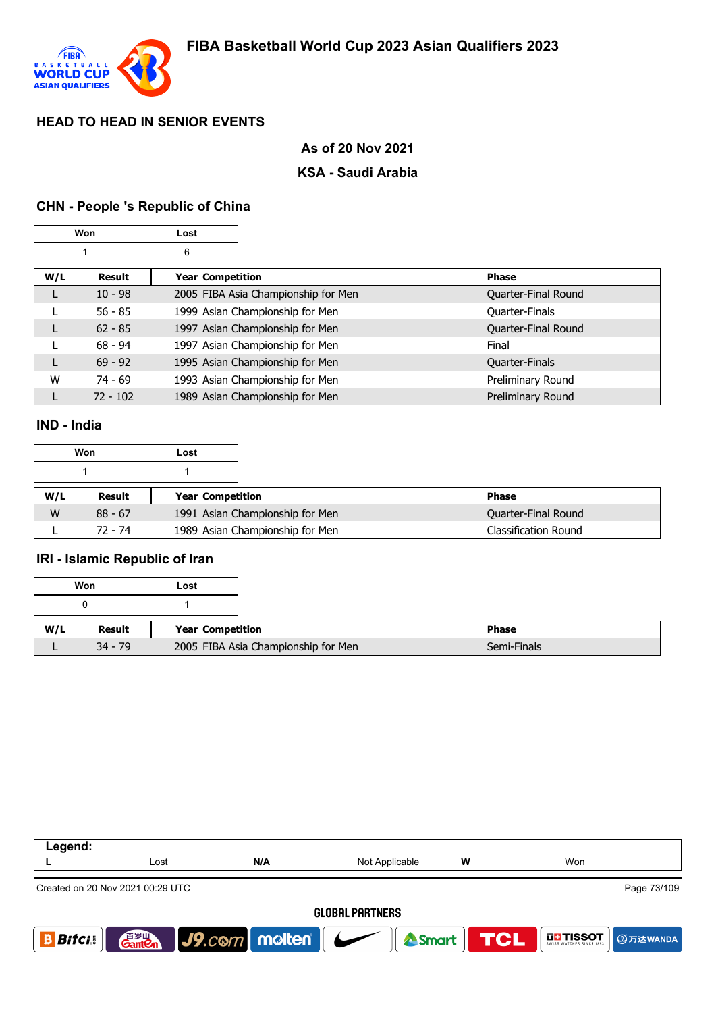

# **As of 20 Nov 2021**

### **KSA - Saudi Arabia**

# **CHN - People 's Republic of China**

| Won |            | Lost |                                     |                |                     |
|-----|------------|------|-------------------------------------|----------------|---------------------|
|     |            | 6    |                                     |                |                     |
| W/L | Result     |      | Year   Competition                  | <b>Phase</b>   |                     |
|     | $10 - 98$  |      | 2005 FIBA Asia Championship for Men |                | Quarter-Final Round |
|     | $56 - 85$  |      | 1999 Asian Championship for Men     | Quarter-Finals |                     |
| L   | $62 - 85$  |      | 1997 Asian Championship for Men     |                | Quarter-Final Round |
|     | $68 - 94$  |      | 1997 Asian Championship for Men     | Final          |                     |
| L   | $69 - 92$  |      | 1995 Asian Championship for Men     | Quarter-Finals |                     |
| W   | $74 - 69$  |      | 1993 Asian Championship for Men     |                | Preliminary Round   |
|     | $72 - 102$ |      | 1989 Asian Championship for Men     |                | Preliminary Round   |

### **IND - India**

|     | Won       | Lost |                                 |                             |
|-----|-----------|------|---------------------------------|-----------------------------|
|     |           |      |                                 |                             |
| W/L | Result    |      | <b>Year Competition</b>         | <b>Phase</b>                |
| W   | $88 - 67$ |      | 1991 Asian Championship for Men | Quarter-Final Round         |
|     | 72 - 74   |      | 1989 Asian Championship for Men | <b>Classification Round</b> |

#### **IRI - Islamic Republic of Iran**

|     | Won       | Lost |                                     |               |
|-----|-----------|------|-------------------------------------|---------------|
|     |           |      |                                     |               |
| W/L | Result    |      | Year Competition                    | <b>IPhase</b> |
|     | $34 - 79$ |      | 2005 FIBA Asia Championship for Men | Semi-Finals   |

| Legend:                                         |                                    |                                       |                |                           |                                        |  |
|-------------------------------------------------|------------------------------------|---------------------------------------|----------------|---------------------------|----------------------------------------|--|
|                                                 | Lost                               | N/A                                   | Not Applicable | w                         | Won                                    |  |
| Page 73/109<br>Created on 20 Nov 2021 00:29 UTC |                                    |                                       |                |                           |                                        |  |
| <b>GLOBAL PARTNERS</b>                          |                                    |                                       |                |                           |                                        |  |
| <b>Bitci</b>                                    | 音 <sub>罗山</sub><br>Gant <b>C</b> n | $\big $ J9.com molten $\big $ $\big $ |                | <b>A</b> Smart <b>TCL</b> | <b>NET TISSOT</b><br><b>4 ①万达WANDA</b> |  |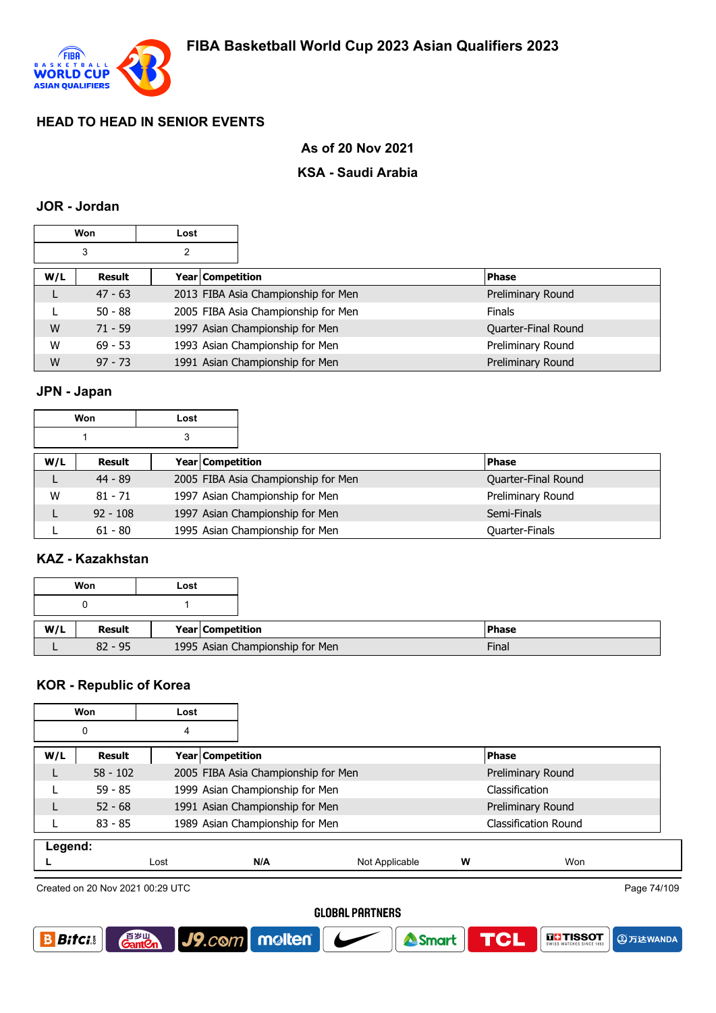

### **As of 20 Nov 2021**

### **KSA - Saudi Arabia**

#### **JOR - Jordan**

| Won    |           | Lost             |                                     |                     |
|--------|-----------|------------------|-------------------------------------|---------------------|
| 3<br>2 |           |                  |                                     |                     |
| W/L    | Result    | Year Competition |                                     | <b>Phase</b>        |
| L      | $47 - 63$ |                  | 2013 FIBA Asia Championship for Men | Preliminary Round   |
|        | $50 - 88$ |                  | 2005 FIBA Asia Championship for Men | <b>Finals</b>       |
| W      | $71 - 59$ |                  | 1997 Asian Championship for Men     | Quarter-Final Round |
| W      | $69 - 53$ |                  | 1993 Asian Championship for Men     | Preliminary Round   |
| W      | $97 - 73$ |                  | 1991 Asian Championship for Men     | Preliminary Round   |

### **JPN - Japan**

| Won<br>Lost |               |   |                  |                                     |                     |
|-------------|---------------|---|------------------|-------------------------------------|---------------------|
|             |               | 3 |                  |                                     |                     |
| W/L         | <b>Result</b> |   | Year Competition |                                     | <b>Phase</b>        |
|             | $44 - 89$     |   |                  | 2005 FIBA Asia Championship for Men | Quarter-Final Round |
| W           | $81 - 71$     |   |                  | 1997 Asian Championship for Men     | Preliminary Round   |
|             | $92 - 108$    |   |                  | 1997 Asian Championship for Men     | Semi-Finals         |
|             | $61 - 80$     |   |                  | 1995 Asian Championship for Men     | Quarter-Finals      |

### **KAZ - Kazakhstan**

| Won<br>Lost |           |  |                                 |              |
|-------------|-----------|--|---------------------------------|--------------|
|             |           |  |                                 |              |
| W/L         | Result    |  | Year Competition                | <b>Phase</b> |
|             | $82 - 95$ |  | 1995 Asian Championship for Men | Final        |

### **KOR - Republic of Korea**

| Won<br>Lost |            |      |                                     |                |   |                             |
|-------------|------------|------|-------------------------------------|----------------|---|-----------------------------|
|             | 0<br>4     |      |                                     |                |   |                             |
| W/L         | Result     |      | Year Competition                    |                |   | <b>Phase</b>                |
|             | $58 - 102$ |      | 2005 FIBA Asia Championship for Men |                |   | Preliminary Round           |
|             | $59 - 85$  |      | 1999 Asian Championship for Men     |                |   | Classification              |
|             | $52 - 68$  |      | 1991 Asian Championship for Men     |                |   | Preliminary Round           |
|             | $83 - 85$  |      | 1989 Asian Championship for Men     |                |   | <b>Classification Round</b> |
| Legend:     |            |      |                                     |                |   |                             |
|             |            | Lost | N/A                                 | Not Applicable | W | Won                         |
|             |            |      |                                     |                |   |                             |

Created on 20 Nov 2021 00:29 UTC

**Gant C** 

Page 74/109

#### **GLOBAL PARTNERS**





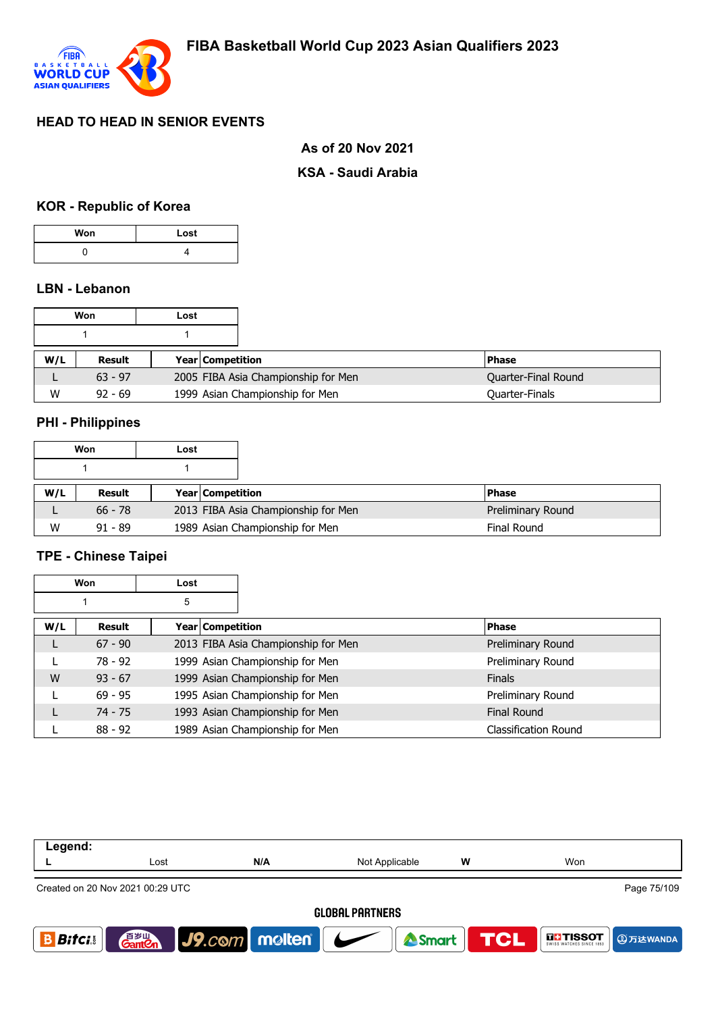

### **As of 20 Nov 2021**

#### **KSA - Saudi Arabia**

# **KOR - Republic of Korea**

| Won | Lost |
|-----|------|
|     |      |

## **LBN - Lebanon**

| Won<br>Lost |           |                         |                                     |                       |
|-------------|-----------|-------------------------|-------------------------------------|-----------------------|
|             |           |                         |                                     |                       |
| W/L         | Result    | <b>Year Competition</b> |                                     | <b>IPhase</b>         |
|             | $63 - 97$ |                         | 2005 FIBA Asia Championship for Men | Quarter-Final Round   |
| W           | $92 - 69$ |                         | 1999 Asian Championship for Men     | <b>Quarter-Finals</b> |

#### **PHI - Philippines**

|     | Won       | Lost |                         |                                     |                    |
|-----|-----------|------|-------------------------|-------------------------------------|--------------------|
|     |           |      |                         |                                     |                    |
| W/L | Result    |      | <b>Year Competition</b> |                                     | <b>IPhase</b>      |
|     | $66 - 78$ |      |                         | 2013 FIBA Asia Championship for Men | Preliminary Round  |
| W   | $91 - 89$ |      |                         | 1989 Asian Championship for Men     | <b>Final Round</b> |

# **TPE - Chinese Taipei**

|     | Won       | Lost |                                     |                      |
|-----|-----------|------|-------------------------------------|----------------------|
|     |           | 5    |                                     |                      |
| W/L | Result    |      | Year   Competition                  | <b>Phase</b>         |
| L   | $67 - 90$ |      | 2013 FIBA Asia Championship for Men | Preliminary Round    |
|     | $78 - 92$ |      | 1999 Asian Championship for Men     | Preliminary Round    |
| W   | $93 - 67$ |      | 1999 Asian Championship for Men     | <b>Finals</b>        |
|     | $69 - 95$ |      | 1995 Asian Championship for Men     | Preliminary Round    |
|     | $74 - 75$ |      | 1993 Asian Championship for Men     | <b>Final Round</b>   |
|     | $88 - 92$ |      | 1989 Asian Championship for Men     | Classification Round |

| Legend:                          |                                    |                         |                        |                  |                                      |
|----------------------------------|------------------------------------|-------------------------|------------------------|------------------|--------------------------------------|
|                                  | Lost                               | N/A                     | Not Applicable         | w                | Won                                  |
| Created on 20 Nov 2021 00:29 UTC |                                    |                         |                        |                  | Page 75/109                          |
|                                  |                                    |                         | <b>GLOBAL PARTNERS</b> |                  |                                      |
| <b>Bitci</b>                     | 音 <sub>岁Ⅲ</sub><br>Gant <b>C</b> n | $J9$ . $com$ molten $J$ |                        | Smart <b>TCL</b> | <b>THE TISSOT</b><br><b>4万达WANDA</b> |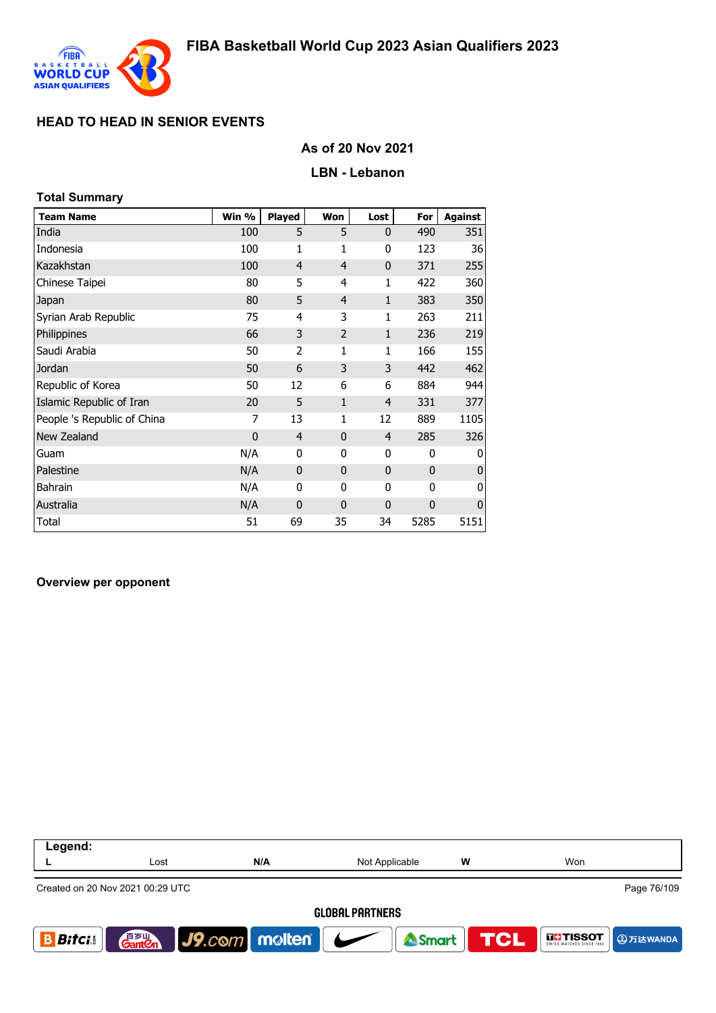

## **As of 20 Nov 2021**

#### **LBN - Lebanon**

# **Total Summary**

| <b>Team Name</b>            | Win %          | <b>Played</b>  | Won            | Lost           | For  | <b>Against</b> |
|-----------------------------|----------------|----------------|----------------|----------------|------|----------------|
| India                       | 100            | 5              | 5              | $\mathbf{0}$   | 490  | 351            |
| Indonesia                   | 100            | 1              | 1              | 0              | 123  | 36             |
| Kazakhstan                  | 100            | 4              | $\overline{4}$ | $\mathbf 0$    | 371  | 255            |
| Chinese Taipei              | 80             | 5              | 4              | 1              | 422  | 360            |
| Japan                       | 80             | 5              | $\overline{4}$ | $\mathbf{1}$   | 383  | 350            |
| Syrian Arab Republic        | 75             | 4              | 3              | 1              | 263  | 211            |
| Philippines                 | 66             | 3              | $\overline{2}$ | $\mathbf{1}$   | 236  | 219            |
| Saudi Arabia                | 50             | 2              | 1              | 1              | 166  | 155            |
| Jordan                      | 50             | 6              | 3              | 3              | 442  | 462            |
| Republic of Korea           | 50             | 12             | 6              | 6              | 884  | 944            |
| Islamic Republic of Iran    | 20             | 5              | $\mathbf{1}$   | $\overline{4}$ | 331  | 377            |
| People 's Republic of China | 7              | 13             | 1              | 12             | 889  | 1105           |
| New Zealand                 | $\overline{0}$ | $\overline{4}$ | $\mathbf{0}$   | $\overline{4}$ | 285  | 326            |
| Guam                        | N/A            | 0              | 0              | 0              | 0    | 0              |
| Palestine                   | N/A            | $\mathbf 0$    | $\mathbf{0}$   | $\mathbf 0$    | 0    | $\mathbf 0$    |
| <b>Bahrain</b>              | N/A            | 0              | 0              | 0              | 0    | 0              |
| Australia                   | N/A            | $\mathbf{0}$   | $\mathbf{0}$   | $\mathbf 0$    | 0    | $\mathbf 0$    |
| Total                       | 51             | 69             | 35             | 34             | 5285 | 5151           |

#### **Overview per opponent**

| Legend:      |                                    |                                 |                        |   |                       |
|--------------|------------------------------------|---------------------------------|------------------------|---|-----------------------|
|              | Lost                               | N/A                             | Not Applicable         | W | Won                   |
|              | Created on 20 Nov 2021 00:29 UTC   |                                 |                        |   | Page 76/109           |
|              |                                    |                                 | <b>GLOBAL PARTNERS</b> |   |                       |
| <b>Bitci</b> | 音 <sub>岁Ⅲ</sub><br>Gant <b>C</b> n | $ $ J9. $com$ molten $ $ $\sim$ | <b>&amp; Smart</b>     |   | TCL<br><b>THISSOT</b> |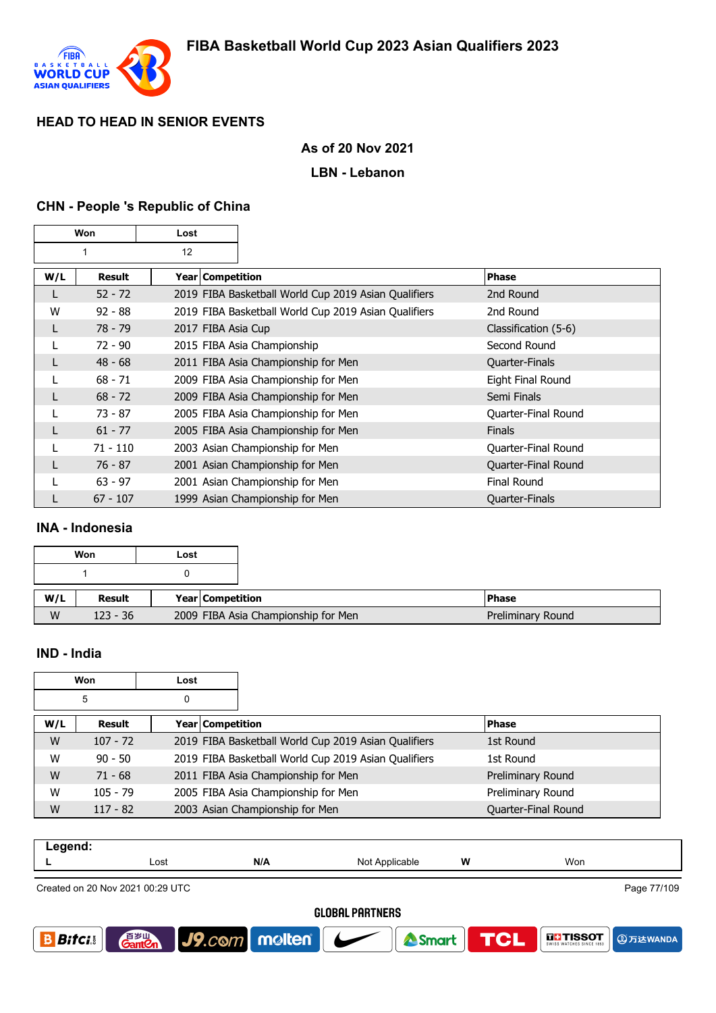

### **As of 20 Nov 2021**

#### **LBN - Lebanon**

#### **CHN - People 's Republic of China**

| Won |            | Lost |                    |                                                      |                       |
|-----|------------|------|--------------------|------------------------------------------------------|-----------------------|
| 12  |            |      |                    |                                                      |                       |
| W/L | Result     |      | Year   Competition |                                                      | <b>Phase</b>          |
| L   | $52 - 72$  |      |                    | 2019 FIBA Basketball World Cup 2019 Asian Qualifiers | 2nd Round             |
| W   | $92 - 88$  |      |                    | 2019 FIBA Basketball World Cup 2019 Asian Qualifiers | 2nd Round             |
| L   | $78 - 79$  |      |                    | 2017 FIBA Asia Cup                                   | Classification (5-6)  |
|     | $72 - 90$  |      |                    | 2015 FIBA Asia Championship                          | Second Round          |
| L   | $48 - 68$  |      |                    | 2011 FIBA Asia Championship for Men                  | <b>Quarter-Finals</b> |
|     | $68 - 71$  |      |                    | 2009 FIBA Asia Championship for Men                  | Eight Final Round     |
|     | $68 - 72$  |      |                    | 2009 FIBA Asia Championship for Men                  | Semi Finals           |
|     | $73 - 87$  |      |                    | 2005 FIBA Asia Championship for Men                  | Quarter-Final Round   |
| L   | $61 - 77$  |      |                    | 2005 FIBA Asia Championship for Men                  | <b>Finals</b>         |
|     | $71 - 110$ |      |                    | 2003 Asian Championship for Men                      | Quarter-Final Round   |
| L   | $76 - 87$  |      |                    | 2001 Asian Championship for Men                      | Quarter-Final Round   |
|     | $63 - 97$  |      |                    | 2001 Asian Championship for Men                      | <b>Final Round</b>    |
|     | $67 - 107$ |      |                    | 1999 Asian Championship for Men                      | <b>Quarter-Finals</b> |

### **INA - Indonesia**

|     | Won        | Lost               |                                     |
|-----|------------|--------------------|-------------------------------------|
|     |            |                    |                                     |
| W/L | Result     | Year   Competition |                                     |
| W   | $123 - 36$ |                    | 2009 FIBA Asia Championship for Men |

### **IND - India**

|        | Won        | Lost             |                                                      |                     |
|--------|------------|------------------|------------------------------------------------------|---------------------|
| 5<br>0 |            |                  |                                                      |                     |
| W/L    | Result     | Year Competition |                                                      | <b>Phase</b>        |
| W      | $107 - 72$ |                  | 2019 FIBA Basketball World Cup 2019 Asian Qualifiers | 1st Round           |
| W      | $90 - 50$  |                  | 2019 FIBA Basketball World Cup 2019 Asian Qualifiers | 1st Round           |
| W      | $71 - 68$  |                  | 2011 FIBA Asia Championship for Men                  | Preliminary Round   |
| W      | $105 - 79$ |                  | 2005 FIBA Asia Championship for Men                  | Preliminary Round   |
| W      | $117 - 82$ |                  | 2003 Asian Championship for Men                      | Quarter-Final Round |

| ----- |            |     |                |   |     |                          |               |
|-------|------------|-----|----------------|---|-----|--------------------------|---------------|
|       | Lost       | N/A | Not Applicable | W | Won |                          |               |
|       | .<br>----- |     |                |   |     | $\overline{\phantom{0}}$ | $- - + - - -$ |

Created on 20 Nov 2021 00:29 UTC

Page 77/109

**A**万达WANDA

**DE-TISSOT** 

#### **GLOBAL PARTNERS**

Smart

**TCL** 



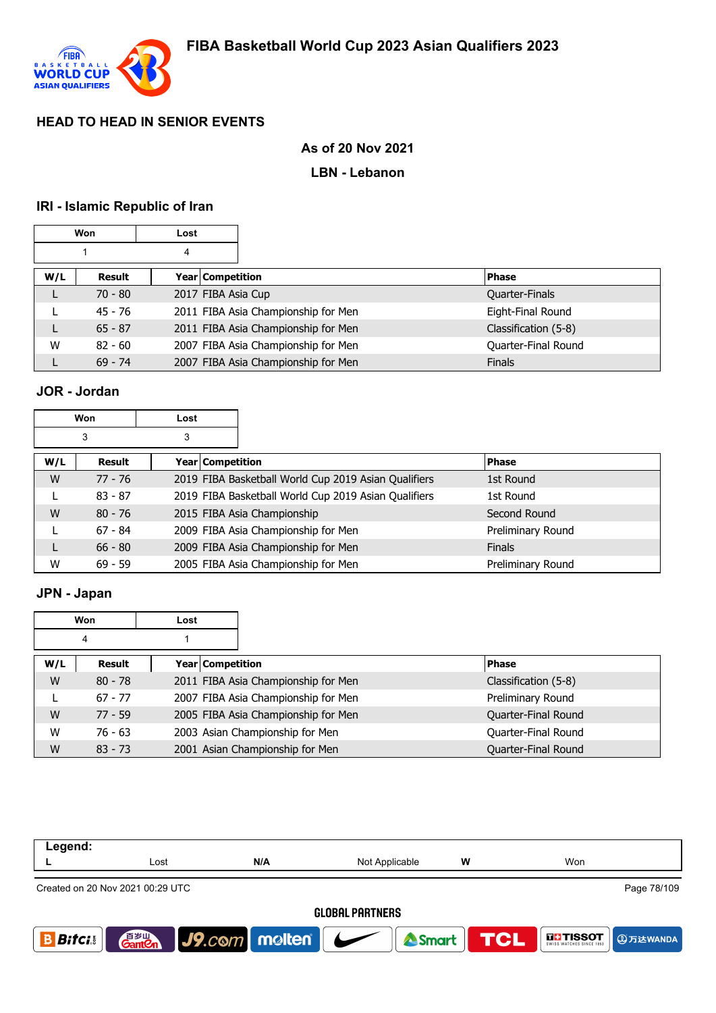

# **As of 20 Nov 2021**

### **LBN - Lebanon**

# **IRI - Islamic Republic of Iran**

| <b>Won</b> |           | Lost |                    |                                     |                      |
|------------|-----------|------|--------------------|-------------------------------------|----------------------|
|            | 4         |      |                    |                                     |                      |
| W/L        | Result    |      | Year Competition   |                                     | <b>Phase</b>         |
|            | $70 - 80$ |      | 2017 FIBA Asia Cup |                                     | Quarter-Finals       |
|            | 45 - 76   |      |                    | 2011 FIBA Asia Championship for Men | Eight-Final Round    |
| L          | $65 - 87$ |      |                    | 2011 FIBA Asia Championship for Men | Classification (5-8) |
| W          | $82 - 60$ |      |                    | 2007 FIBA Asia Championship for Men | Quarter-Final Round  |
|            | $69 - 74$ |      |                    | 2007 FIBA Asia Championship for Men | <b>Finals</b>        |

# **JOR - Jordan**

| Won    |           | Lost |                  |                                                      |                   |
|--------|-----------|------|------------------|------------------------------------------------------|-------------------|
| 3<br>3 |           |      |                  |                                                      |                   |
| W/L    | Result    |      | Year Competition |                                                      | Phase             |
| W      | 77 - 76   |      |                  | 2019 FIBA Basketball World Cup 2019 Asian Qualifiers | 1st Round         |
|        | $83 - 87$ |      |                  | 2019 FIBA Basketball World Cup 2019 Asian Qualifiers | 1st Round         |
| W      | $80 - 76$ |      |                  | 2015 FIBA Asia Championship                          | Second Round      |
|        | $67 - 84$ |      |                  | 2009 FIBA Asia Championship for Men                  | Preliminary Round |
|        | $66 - 80$ |      |                  | 2009 FIBA Asia Championship for Men                  | <b>Finals</b>     |
| W      | $69 - 59$ |      |                  | 2005 FIBA Asia Championship for Men                  | Preliminary Round |

# **JPN - Japan**

|     | Won       | Lost               |                                     |                      |
|-----|-----------|--------------------|-------------------------------------|----------------------|
| 4   |           |                    |                                     |                      |
| W/L | Result    | Year   Competition |                                     | <b>Phase</b>         |
| W   | $80 - 78$ |                    | 2011 FIBA Asia Championship for Men | Classification (5-8) |
|     | $67 - 77$ |                    | 2007 FIBA Asia Championship for Men | Preliminary Round    |
| W   | $77 - 59$ |                    | 2005 FIBA Asia Championship for Men | Quarter-Final Round  |
| W   | $76 - 63$ |                    | 2003 Asian Championship for Men     | Quarter-Final Round  |
| W   | $83 - 73$ |                    | 2001 Asian Championship for Men     | Quarter-Final Round  |

| Legend:      |                                  |                                     |                        |            |                                      |
|--------------|----------------------------------|-------------------------------------|------------------------|------------|--------------------------------------|
|              | Lost                             | N/A                                 | Not Applicable         | w          | Won                                  |
|              | Created on 20 Nov 2021 00:29 UTC |                                     |                        |            | Page 78/109                          |
|              |                                  |                                     | <b>GLOBAL PARTNERS</b> |            |                                      |
| <b>Bitci</b> | 百岁山<br><b>Gant</b> en            | $\big $ J9.com   molten   $\bigcup$ | Smart                  | <b>TCL</b> | <b>THE TISSOT</b><br><b>4万达WANDA</b> |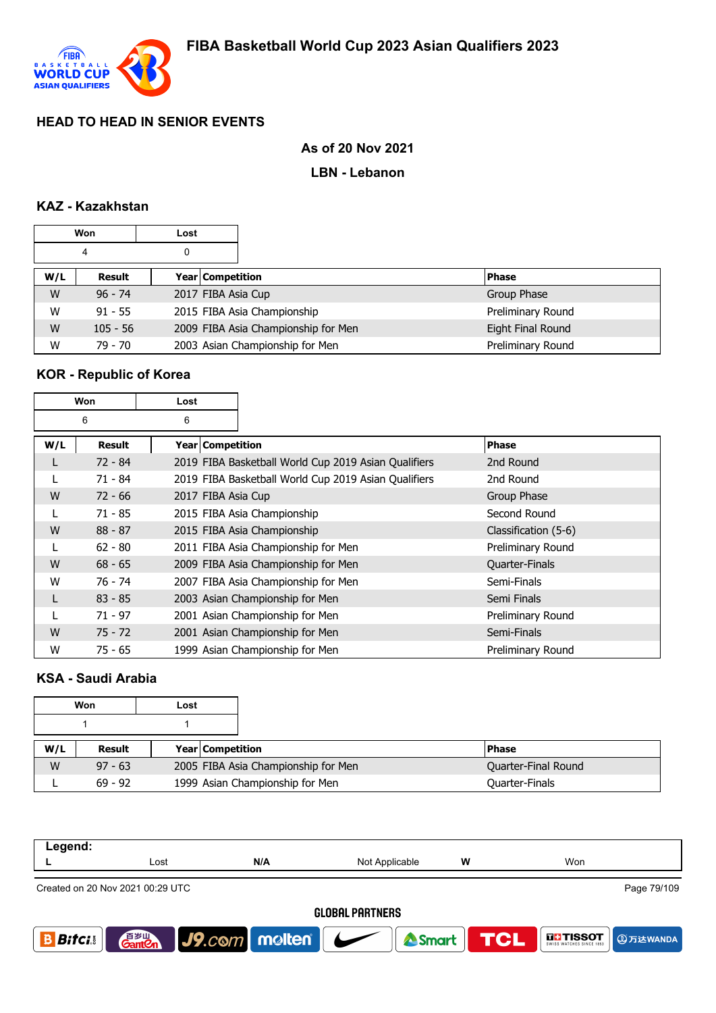

## **As of 20 Nov 2021**

### **LBN - Lebanon**

## **KAZ - Kazakhstan**

|        | Won        | Lost |                    |                                     |                   |
|--------|------------|------|--------------------|-------------------------------------|-------------------|
| 0<br>4 |            |      |                    |                                     |                   |
| W/L    | Result     |      | Year Competition   |                                     | <b>Phase</b>      |
| W      | $96 - 74$  |      | 2017 FIBA Asia Cup |                                     | Group Phase       |
| W      | $91 - 55$  |      |                    | 2015 FIBA Asia Championship         | Preliminary Round |
| W      | $105 - 56$ |      |                    | 2009 FIBA Asia Championship for Men | Eight Final Round |
| W      | $79 - 70$  |      |                    | 2003 Asian Championship for Men     | Preliminary Round |

### **KOR - Republic of Korea**

| Won<br>Lost |               |                    |                                                      |                      |  |
|-------------|---------------|--------------------|------------------------------------------------------|----------------------|--|
|             | 6             | 6                  |                                                      |                      |  |
| W/L         | <b>Result</b> | Year   Competition |                                                      | <b>Phase</b>         |  |
|             | $72 - 84$     |                    | 2019 FIBA Basketball World Cup 2019 Asian Qualifiers | 2nd Round            |  |
|             | $71 - 84$     |                    | 2019 FIBA Basketball World Cup 2019 Asian Qualifiers | 2nd Round            |  |
| W           | $72 - 66$     | 2017 FIBA Asia Cup |                                                      | Group Phase          |  |
|             | $71 - 85$     |                    | 2015 FIBA Asia Championship                          | Second Round         |  |
| W           | $88 - 87$     |                    | 2015 FIBA Asia Championship                          | Classification (5-6) |  |
|             | $62 - 80$     |                    | 2011 FIBA Asia Championship for Men                  | Preliminary Round    |  |
| W           | $68 - 65$     |                    | 2009 FIBA Asia Championship for Men                  | Quarter-Finals       |  |
| W           | 76 - 74       |                    | 2007 FIBA Asia Championship for Men                  | Semi-Finals          |  |
| L           | $83 - 85$     |                    | 2003 Asian Championship for Men                      | Semi Finals          |  |
|             | $71 - 97$     |                    | 2001 Asian Championship for Men                      | Preliminary Round    |  |
| W           | $75 - 72$     |                    | 2001 Asian Championship for Men                      | Semi-Finals          |  |
| W           | $75 - 65$     |                    | 1999 Asian Championship for Men                      | Preliminary Round    |  |

### **KSA - Saudi Arabia**

|     | Won       | Lost |                         |                                     |                     |
|-----|-----------|------|-------------------------|-------------------------------------|---------------------|
|     |           |      |                         |                                     |                     |
| W/L | Result    |      | <b>Year Competition</b> |                                     | <b>Phase</b>        |
| W   | $97 - 63$ |      |                         | 2005 FIBA Asia Championship for Men | Quarter-Final Round |
|     | $69 - 92$ |      |                         | 1999 Asian Championship for Men     | Quarter-Finals      |

| Legend:      |                                  |                                |     |                        |                  |               |             |
|--------------|----------------------------------|--------------------------------|-----|------------------------|------------------|---------------|-------------|
|              | Lost                             |                                | N/A | Not Applicable         | w                | Won           |             |
|              | Created on 20 Nov 2021 00:29 UTC |                                |     |                        |                  |               | Page 79/109 |
|              |                                  |                                |     | <b>GLOBAL PARTNERS</b> |                  |               |             |
| <b>Bitci</b> | 百岁山<br><b>Gantien</b>            | $\bigcup$ <i>y</i> .com molten |     |                        | Smart <b>TCL</b> | <b>THESOT</b> | 9万达WANDA    |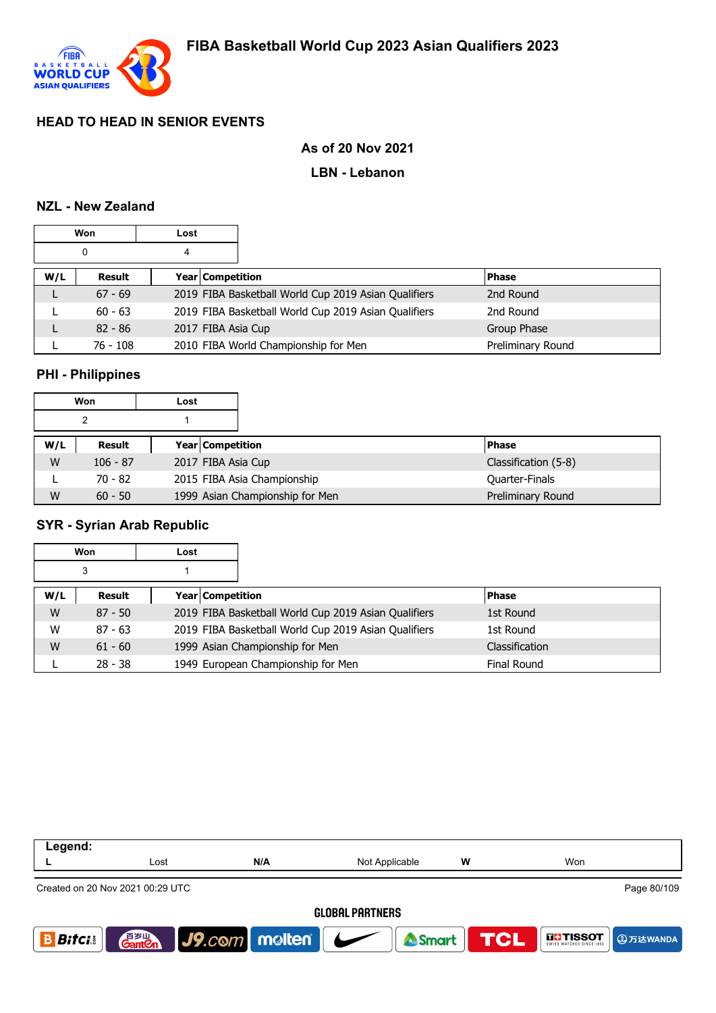

### **As of 20 Nov 2021**

#### **LBN - Lebanon**

#### **NZL - New Zealand**

| Won<br>Lost |            |   |                    |                                                      |                   |
|-------------|------------|---|--------------------|------------------------------------------------------|-------------------|
|             | 0          | 4 |                    |                                                      |                   |
| W/L         | Result     |   | Year Competition   |                                                      | <b>Phase</b>      |
|             | $67 - 69$  |   |                    | 2019 FIBA Basketball World Cup 2019 Asian Qualifiers | 2nd Round         |
|             | $60 - 63$  |   |                    | 2019 FIBA Basketball World Cup 2019 Asian Qualifiers | 2nd Round         |
|             | $82 - 86$  |   | 2017 FIBA Asia Cup |                                                      | Group Phase       |
|             | $76 - 108$ |   |                    | 2010 FIBA World Championship for Men                 | Preliminary Round |

### **PHI - Philippines**

|     | Won        | Lost |                                 |                      |
|-----|------------|------|---------------------------------|----------------------|
|     | າ          |      |                                 |                      |
| W/L | Result     |      | Year Competition                | <b>Phase</b>         |
| W   | $106 - 87$ |      | 2017 FIBA Asia Cup              | Classification (5-8) |
|     | $70 - 82$  |      | 2015 FIBA Asia Championship     | Quarter-Finals       |
| W   | $60 - 50$  |      | 1999 Asian Championship for Men | Preliminary Round    |

### **SYR - Syrian Arab Republic**

|     | Won       | Lost                    |                                                      |                    |
|-----|-----------|-------------------------|------------------------------------------------------|--------------------|
|     | 3         |                         |                                                      |                    |
| W/L | Result    | <b>Year Competition</b> |                                                      | <b>Phase</b>       |
| W   | $87 - 50$ |                         | 2019 FIBA Basketball World Cup 2019 Asian Qualifiers | 1st Round          |
| W   | $87 - 63$ |                         | 2019 FIBA Basketball World Cup 2019 Asian Qualifiers | 1st Round          |
| W   | $61 - 60$ |                         | 1999 Asian Championship for Men                      | Classification     |
|     | $28 - 38$ |                         | 1949 European Championship for Men                   | <b>Final Round</b> |

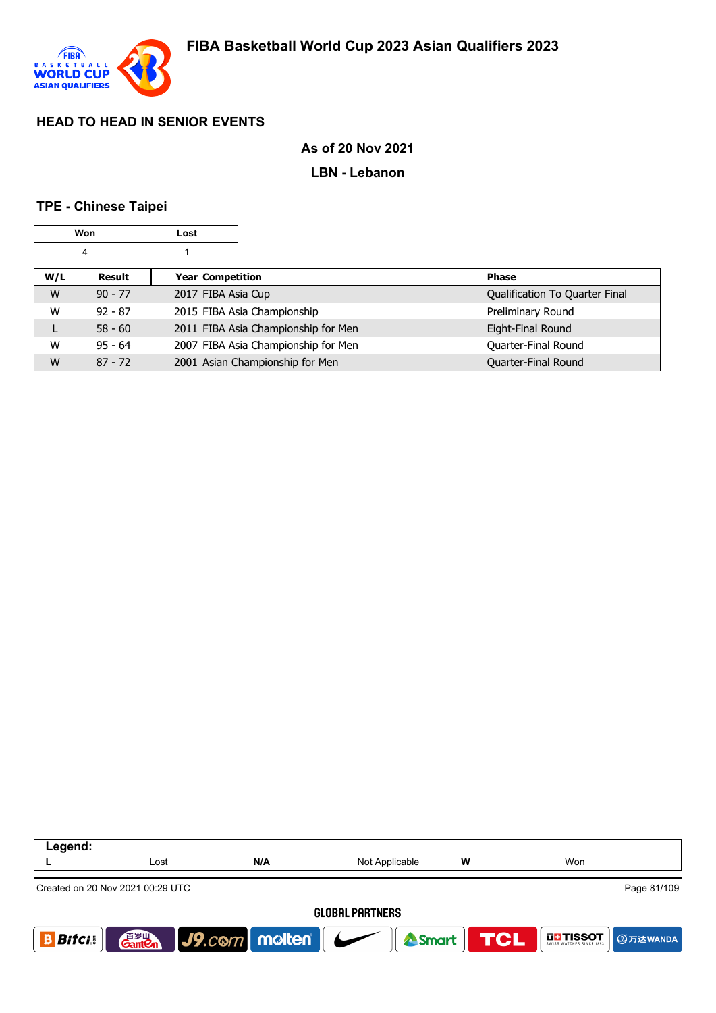

### **As of 20 Nov 2021**

#### **LBN - Lebanon**

#### **TPE - Chinese Taipei**

| Won<br>Lost |           |                    |                                     |                                |
|-------------|-----------|--------------------|-------------------------------------|--------------------------------|
|             | 4         |                    |                                     |                                |
| W/L         | Result    | Year Competition   |                                     | <b>Phase</b>                   |
| W           | $90 - 77$ | 2017 FIBA Asia Cup |                                     | Qualification To Quarter Final |
| W           | $92 - 87$ |                    | 2015 FIBA Asia Championship         | Preliminary Round              |
|             | $58 - 60$ |                    | 2011 FIBA Asia Championship for Men | Eight-Final Round              |
| W           | $95 - 64$ |                    | 2007 FIBA Asia Championship for Men | Quarter-Final Round            |
| W           | $87 - 72$ |                    | 2001 Asian Championship for Men     | Quarter-Final Round            |

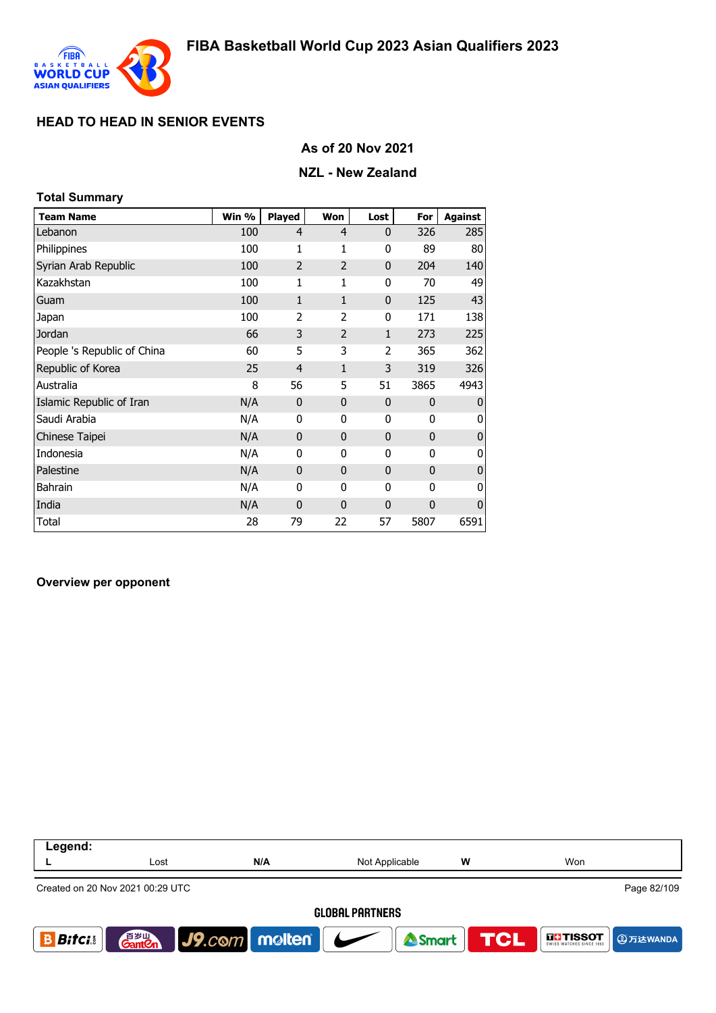

## **As of 20 Nov 2021**

### **NZL - New Zealand**

| <b>Total Summary</b>        |       |                |                |                |              |                |
|-----------------------------|-------|----------------|----------------|----------------|--------------|----------------|
| <b>Team Name</b>            | Win % | <b>Played</b>  | Won            | Lost           | For          | <b>Against</b> |
| Lebanon                     | 100   | $\overline{4}$ | $\overline{4}$ | $\mathbf{0}$   | 326          | 285            |
| Philippines                 | 100   | $\mathbf{1}$   | 1              | 0              | 89           | 80             |
| Syrian Arab Republic        | 100   | $\overline{2}$ | $\overline{2}$ | $\mathbf{0}$   | 204          | 140            |
| Kazakhstan                  | 100   | $\mathbf{1}$   | 1              | 0              | 70           | 49             |
| Guam                        | 100   | $\mathbf{1}$   | $\mathbf{1}$   | $\mathbf 0$    | 125          | 43             |
| Japan                       | 100   | 2              | 2              | 0              | 171          | 138            |
| Jordan                      | 66    | 3              | $\overline{2}$ | 1              | 273          | 225            |
| People 's Republic of China | 60    | 5              | 3              | $\overline{2}$ | 365          | 362            |
| Republic of Korea           | 25    | $\overline{4}$ | $\mathbf{1}$   | 3              | 319          | 326            |
| Australia                   | 8     | 56             | 5              | 51             | 3865         | 4943           |
| Islamic Republic of Iran    | N/A   | 0              | $\mathbf 0$    | $\mathbf 0$    | $\mathbf{0}$ | $\mathbf{0}$   |
| Saudi Arabia                | N/A   | 0              | 0              | 0              | $\mathbf 0$  | 0              |
| Chinese Taipei              | N/A   | 0              | $\mathbf 0$    | $\mathbf 0$    | $\mathbf{0}$ | $\mathbf 0$    |
| Indonesia                   | N/A   | 0              | 0              | 0              | $\mathbf{0}$ | 0              |
| Palestine                   | N/A   | $\mathbf{0}$   | $\mathbf{0}$   | $\mathbf{0}$   | $\mathbf{0}$ | $\mathbf{0}$   |
| Bahrain                     | N/A   | 0              | 0              | 0              | $\mathbf 0$  | 0              |
| India                       | N/A   | 0              | $\mathbf{0}$   | $\mathbf 0$    | $\mathbf 0$  | $\overline{0}$ |
| Total                       | 28    | 79             | 22             | 57             | 5807         | 6591           |

#### **Overview per opponent**

| Legend:       |                                    |                                               |                        |   |                                 |
|---------------|------------------------------------|-----------------------------------------------|------------------------|---|---------------------------------|
|               | Lost                               | N/A                                           | Not Applicable         | w | Won                             |
|               | Created on 20 Nov 2021 00:29 UTC   |                                               |                        |   | Page 82/109                     |
|               |                                    |                                               | <b>GLOBAL PARTNERS</b> |   |                                 |
| <b>Bitcis</b> | 音 <sub>岁Ⅲ</sub><br>Gant <b>C</b> n | $\vert$ J9.com molten $\vert$ $\vert$ $\vert$ | Smart                  |   | <b>TCL</b><br><b>THE TISSOT</b> |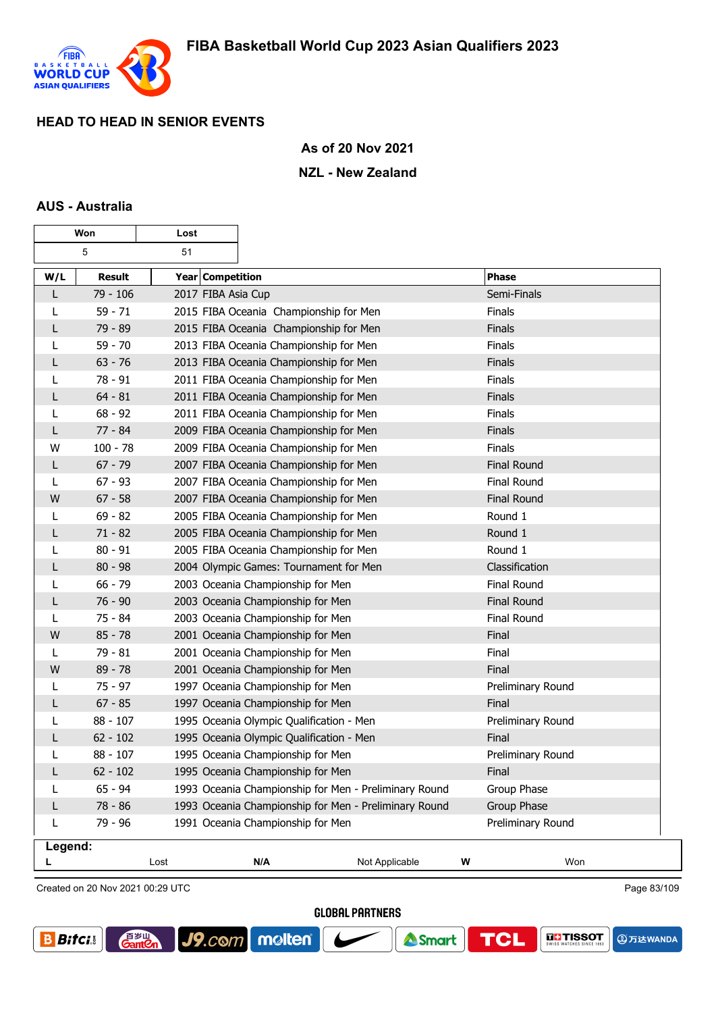

 $\overline{\mathbf{1}}$ 

### **As of 20 Nov 2021**

#### **NZL - New Zealand**

#### **AUS - Australia**

г

| Won<br>Lost |            |                    |                                                       |                |   |                    |
|-------------|------------|--------------------|-------------------------------------------------------|----------------|---|--------------------|
|             | 5          | 51                 |                                                       |                |   |                    |
| W/L         | Result     | Year Competition   |                                                       |                |   | <b>Phase</b>       |
| L           | $79 - 106$ | 2017 FIBA Asia Cup |                                                       |                |   | Semi-Finals        |
| L           | $59 - 71$  |                    | 2015 FIBA Oceania Championship for Men                |                |   | <b>Finals</b>      |
| L           | 79 - 89    |                    | 2015 FIBA Oceania Championship for Men                |                |   | <b>Finals</b>      |
| L           | $59 - 70$  |                    | 2013 FIBA Oceania Championship for Men                |                |   | Finals             |
| L           | $63 - 76$  |                    | 2013 FIBA Oceania Championship for Men                |                |   | <b>Finals</b>      |
| L           | $78 - 91$  |                    | 2011 FIBA Oceania Championship for Men                |                |   | Finals             |
| L           | $64 - 81$  |                    | 2011 FIBA Oceania Championship for Men                |                |   | <b>Finals</b>      |
| L           | $68 - 92$  |                    | 2011 FIBA Oceania Championship for Men                |                |   | Finals             |
| L           | 77 - 84    |                    | 2009 FIBA Oceania Championship for Men                |                |   | <b>Finals</b>      |
| W           | $100 - 78$ |                    | 2009 FIBA Oceania Championship for Men                |                |   | Finals             |
| L           | $67 - 79$  |                    | 2007 FIBA Oceania Championship for Men                |                |   | <b>Final Round</b> |
| L           | $67 - 93$  |                    | 2007 FIBA Oceania Championship for Men                |                |   | Final Round        |
| W           | $67 - 58$  |                    | 2007 FIBA Oceania Championship for Men                |                |   | <b>Final Round</b> |
| L           | $69 - 82$  |                    | 2005 FIBA Oceania Championship for Men                |                |   | Round 1            |
| L           | $71 - 82$  |                    | 2005 FIBA Oceania Championship for Men                |                |   | Round 1            |
| L           | $80 - 91$  |                    | 2005 FIBA Oceania Championship for Men                |                |   | Round 1            |
| L           | $80 - 98$  |                    | 2004 Olympic Games: Tournament for Men                |                |   | Classification     |
| L           | $66 - 79$  |                    | 2003 Oceania Championship for Men                     |                |   | Final Round        |
| L           | $76 - 90$  |                    | 2003 Oceania Championship for Men                     |                |   | <b>Final Round</b> |
| L           | $75 - 84$  |                    | 2003 Oceania Championship for Men                     |                |   | Final Round        |
| W           | $85 - 78$  |                    | 2001 Oceania Championship for Men                     |                |   | Final              |
| L           | 79 - 81    |                    | 2001 Oceania Championship for Men                     |                |   | Final              |
| W           | $89 - 78$  |                    | 2001 Oceania Championship for Men                     |                |   | Final              |
| L           | $75 - 97$  |                    | 1997 Oceania Championship for Men                     |                |   | Preliminary Round  |
| L           | $67 - 85$  |                    | 1997 Oceania Championship for Men                     |                |   | Final              |
| L           | $88 - 107$ |                    | 1995 Oceania Olympic Qualification - Men              |                |   | Preliminary Round  |
| L           | $62 - 102$ |                    | 1995 Oceania Olympic Qualification - Men              |                |   | Final              |
| L           | $88 - 107$ |                    | 1995 Oceania Championship for Men                     |                |   | Preliminary Round  |
| L           | $62 - 102$ |                    | 1995 Oceania Championship for Men                     |                |   | <b>Final</b>       |
| L           | $65 - 94$  |                    | 1993 Oceania Championship for Men - Preliminary Round |                |   | Group Phase        |
| L           | 78 - 86    |                    | 1993 Oceania Championship for Men - Preliminary Round |                |   | Group Phase        |
| L           | 79 - 96    |                    | 1991 Oceania Championship for Men                     |                |   | Preliminary Round  |
| Legend:     |            |                    |                                                       |                |   |                    |
|             |            | Lost               | N/A                                                   | Not Applicable | W | Won                |

Created on 20 Nov 2021 00:29 UTC

**GantOn** 

J9.com molten

**GLOBAL PARTNERS** 





Page 83/109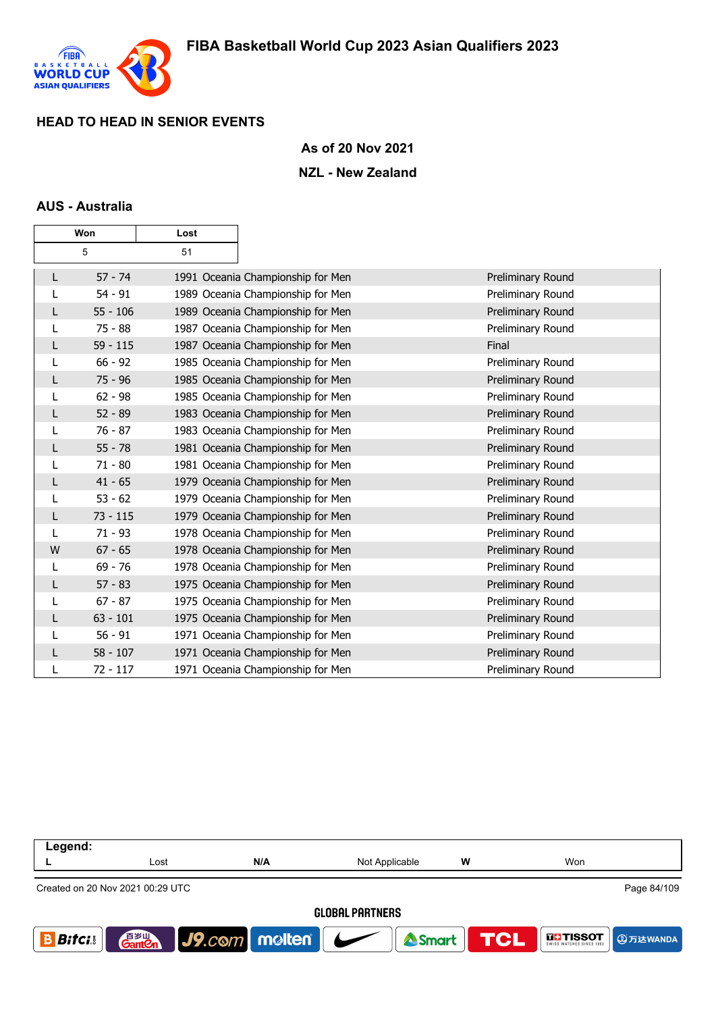

### **As of 20 Nov 2021**

#### **NZL - New Zealand**

### **AUS - Australia**

| Won |            | Lost |                                   |                   |
|-----|------------|------|-----------------------------------|-------------------|
|     | 5          | 51   |                                   |                   |
| L   | $57 - 74$  |      | 1991 Oceania Championship for Men | Preliminary Round |
| L   | $54 - 91$  |      | 1989 Oceania Championship for Men | Preliminary Round |
| L   | $55 - 106$ |      | 1989 Oceania Championship for Men | Preliminary Round |
| L   | $75 - 88$  |      | 1987 Oceania Championship for Men | Preliminary Round |
| L   | $59 - 115$ |      | 1987 Oceania Championship for Men | Final             |
| L   | $66 - 92$  |      | 1985 Oceania Championship for Men | Preliminary Round |
| L   | $75 - 96$  |      | 1985 Oceania Championship for Men | Preliminary Round |
| L   | $62 - 98$  |      | 1985 Oceania Championship for Men | Preliminary Round |
| L   | $52 - 89$  |      | 1983 Oceania Championship for Men | Preliminary Round |
| L   | $76 - 87$  |      | 1983 Oceania Championship for Men | Preliminary Round |
| L   | $55 - 78$  |      | 1981 Oceania Championship for Men | Preliminary Round |
| L   | $71 - 80$  |      | 1981 Oceania Championship for Men | Preliminary Round |
| L   | $41 - 65$  |      | 1979 Oceania Championship for Men | Preliminary Round |
| L   | $53 - 62$  |      | 1979 Oceania Championship for Men | Preliminary Round |
| L   | $73 - 115$ |      | 1979 Oceania Championship for Men | Preliminary Round |
| L   | $71 - 93$  |      | 1978 Oceania Championship for Men | Preliminary Round |
| W   | $67 - 65$  |      | 1978 Oceania Championship for Men | Preliminary Round |
| L   | $69 - 76$  |      | 1978 Oceania Championship for Men | Preliminary Round |
| L   | $57 - 83$  |      | 1975 Oceania Championship for Men | Preliminary Round |
| L   | $67 - 87$  |      | 1975 Oceania Championship for Men | Preliminary Round |
| L   | $63 - 101$ |      | 1975 Oceania Championship for Men | Preliminary Round |
| L   | $56 - 91$  |      | 1971 Oceania Championship for Men | Preliminary Round |
| L   | $58 - 107$ |      | 1971 Oceania Championship for Men | Preliminary Round |
|     | $72 - 117$ |      | 1971 Oceania Championship for Men | Preliminary Round |

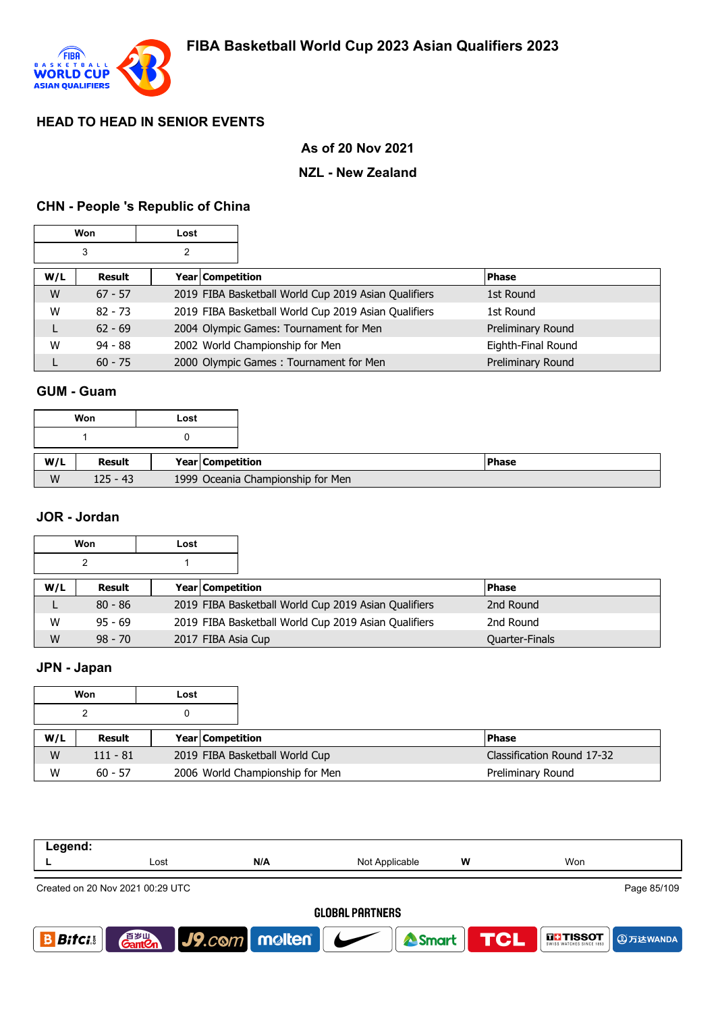

# **As of 20 Nov 2021**

### **NZL - New Zealand**

# **CHN - People 's Republic of China**

|        | Won       | Lost             |                                                      |                    |
|--------|-----------|------------------|------------------------------------------------------|--------------------|
| 3<br>2 |           |                  |                                                      |                    |
| W/L    | Result    | Year Competition |                                                      | <b>Phase</b>       |
| W      | $67 - 57$ |                  | 2019 FIBA Basketball World Cup 2019 Asian Qualifiers | 1st Round          |
| W      | $82 - 73$ |                  | 2019 FIBA Basketball World Cup 2019 Asian Qualifiers | 1st Round          |
| L      | $62 - 69$ |                  | 2004 Olympic Games: Tournament for Men               | Preliminary Round  |
| W      | $94 - 88$ |                  | 2002 World Championship for Men                      | Eighth-Final Round |
|        | $60 - 75$ |                  | 2000 Olympic Games: Tournament for Men               | Preliminary Round  |

# **GUM - Guam**

|     | Won        | Lost |                                   |
|-----|------------|------|-----------------------------------|
|     |            |      |                                   |
|     |            |      |                                   |
| W/L | Result     |      | Year Competition                  |
| W   | $125 - 43$ |      | 1999 Oceania Championship for Men |

#### **JOR - Jordan**

|     | Won       | Lost |                                                      |                |
|-----|-----------|------|------------------------------------------------------|----------------|
|     |           |      |                                                      |                |
| W/L | Result    |      | Year Competition                                     | <b>Phase</b>   |
|     | $80 - 86$ |      | 2019 FIBA Basketball World Cup 2019 Asian Qualifiers | 2nd Round      |
| W   | $95 - 69$ |      | 2019 FIBA Basketball World Cup 2019 Asian Qualifiers | 2nd Round      |
| W   | $98 - 70$ |      | 2017 FIBA Asia Cup                                   | Quarter-Finals |

# **JPN - Japan**

|     | Won<br>Lost |  |                         |                                 |                            |
|-----|-------------|--|-------------------------|---------------------------------|----------------------------|
|     |             |  |                         |                                 |                            |
| W/L | Result      |  | <b>Year Competition</b> |                                 | <b>Phase</b>               |
| W   | $111 - 81$  |  |                         | 2019 FIBA Basketball World Cup  | Classification Round 17-32 |
| W   | $60 - 57$   |  |                         | 2006 World Championship for Men | Preliminary Round          |

| Legend:                |                                                 |                                 |                  |   |                                  |  |  |  |  |
|------------------------|-------------------------------------------------|---------------------------------|------------------|---|----------------------------------|--|--|--|--|
|                        | Lost                                            | N/A                             | Not Applicable   | w | Won                              |  |  |  |  |
|                        | Page 85/109<br>Created on 20 Nov 2021 00:29 UTC |                                 |                  |   |                                  |  |  |  |  |
| <b>GLOBAL PARTNERS</b> |                                                 |                                 |                  |   |                                  |  |  |  |  |
| <b>Bifci</b> .         | 音 <sub>罗山</sub><br>Gant <b>C</b> n              | $ $ J9. $com$ molten $ $ $\sim$ | Smart <b>TCL</b> |   | <b>THESOT</b><br><b>9万达WANDA</b> |  |  |  |  |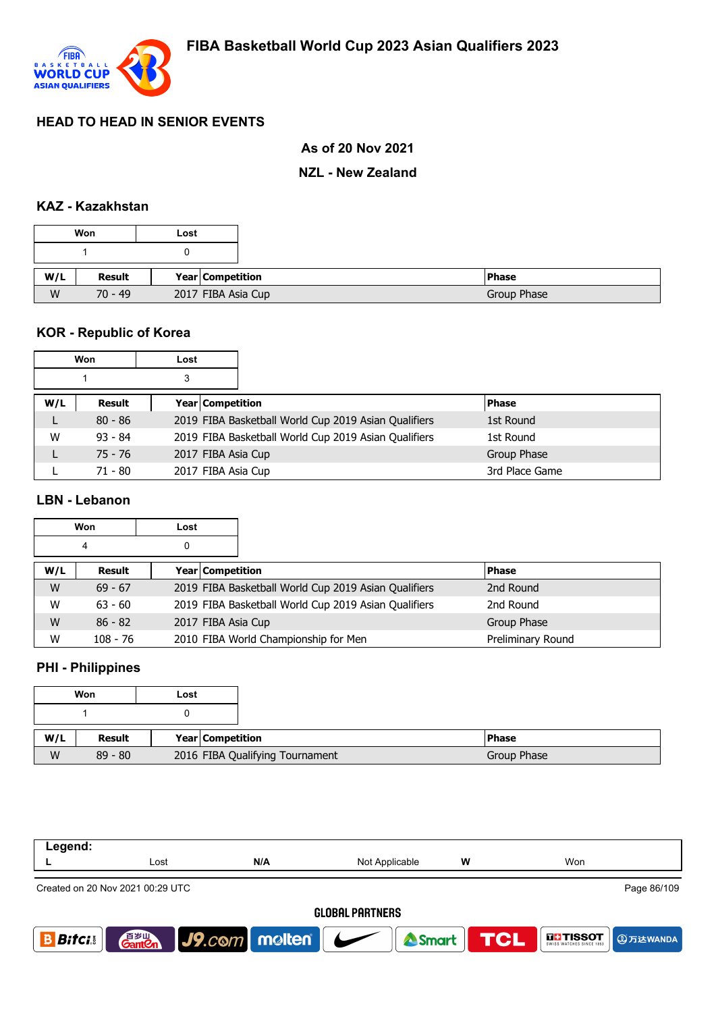

## **As of 20 Nov 2021**

### **NZL - New Zealand**

## **KAZ - Kazakhstan**

|     | Won       | Lost               |
|-----|-----------|--------------------|
|     |           |                    |
| W/L | Result    | Year Competition   |
|     | $70 - 49$ | 2017 FIBA Asia Cup |

# **KOR - Republic of Korea**

| Won |           | Lost |                                                      |                |
|-----|-----------|------|------------------------------------------------------|----------------|
|     |           | 3    |                                                      |                |
| W/L | Result    |      | Year Competition                                     | <b>Phase</b>   |
|     | $80 - 86$ |      | 2019 FIBA Basketball World Cup 2019 Asian Qualifiers | 1st Round      |
| W   | $93 - 84$ |      | 2019 FIBA Basketball World Cup 2019 Asian Qualifiers | 1st Round      |
|     | $75 - 76$ |      | 2017 FIBA Asia Cup                                   | Group Phase    |
|     | $71 - 80$ |      | 2017 FIBA Asia Cup                                   | 3rd Place Game |

# **LBN - Lebanon**

| <b>Won</b> |            | Lost |                         |                                                      |                   |
|------------|------------|------|-------------------------|------------------------------------------------------|-------------------|
|            | 4          | 0    |                         |                                                      |                   |
| W/L        | Result     |      | <b>Year Competition</b> |                                                      | <b>Phase</b>      |
| W          | $69 - 67$  |      |                         | 2019 FIBA Basketball World Cup 2019 Asian Qualifiers | 2nd Round         |
| W          | $63 - 60$  |      |                         | 2019 FIBA Basketball World Cup 2019 Asian Qualifiers | 2nd Round         |
| W          | $86 - 82$  |      | 2017 FIBA Asia Cup      |                                                      | Group Phase       |
| W          | $108 - 76$ |      |                         | 2010 FIBA World Championship for Men                 | Preliminary Round |

# **PHI - Philippines**

|     | Won       | Lost                            |
|-----|-----------|---------------------------------|
|     |           |                                 |
| W/L | Result    | Year Competition                |
| W   | $89 - 80$ | 2016 FIBA Qualifying Tournament |

| Legend:                |                                  |                                 |                  |   |                           |  |  |
|------------------------|----------------------------------|---------------------------------|------------------|---|---------------------------|--|--|
|                        | Lost                             | N/A                             | Not Applicable   | w | Won                       |  |  |
|                        | Created on 20 Nov 2021 00:29 UTC |                                 |                  |   | Page 86/109               |  |  |
| <b>GLOBAL PARTNERS</b> |                                  |                                 |                  |   |                           |  |  |
| <b>Bitci</b>           | 百岁山<br><b>Ganten</b>             | $ $ J9. $com$ molten $ $ $\sim$ | Smart <b>TCL</b> |   | <b>THESOT</b><br>9万达WANDA |  |  |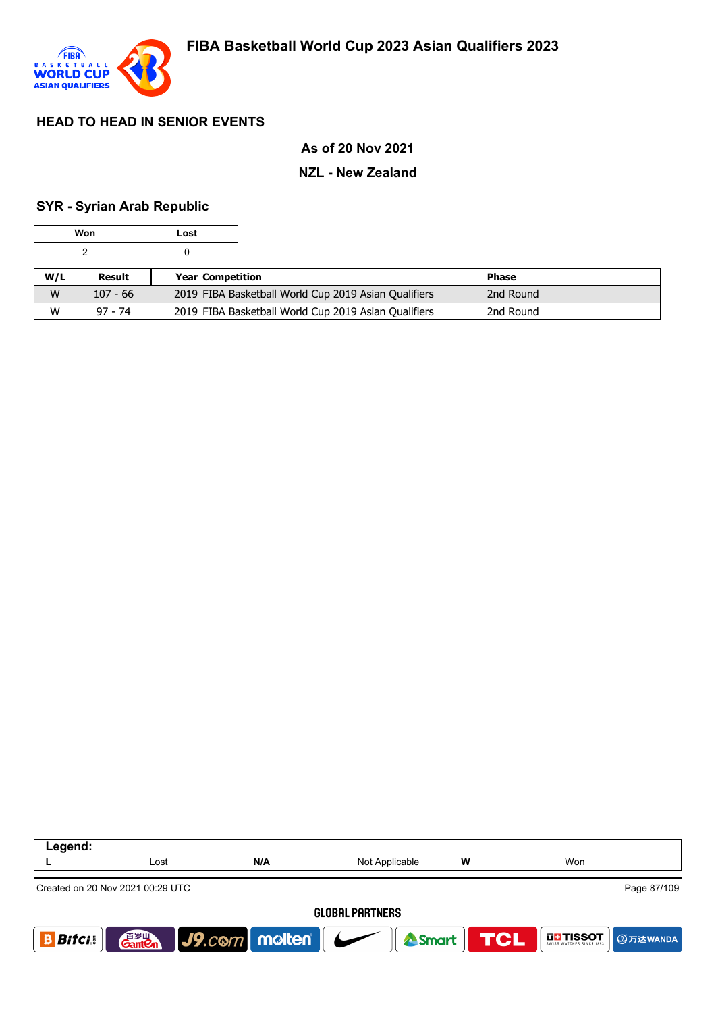

### **As of 20 Nov 2021**

#### **NZL - New Zealand**

#### **SYR - Syrian Arab Republic**

| Won |            | Lost |                         |                                                      |           |  |
|-----|------------|------|-------------------------|------------------------------------------------------|-----------|--|
|     |            |      |                         |                                                      |           |  |
| W/L | Result     |      | <b>Year Competition</b> |                                                      | l Phase   |  |
| W   | $107 - 66$ |      |                         | 2019 FIBA Basketball World Cup 2019 Asian Qualifiers | 2nd Round |  |
| W   | $97 - 74$  |      |                         | 2019 FIBA Basketball World Cup 2019 Asian Qualifiers | 2nd Round |  |

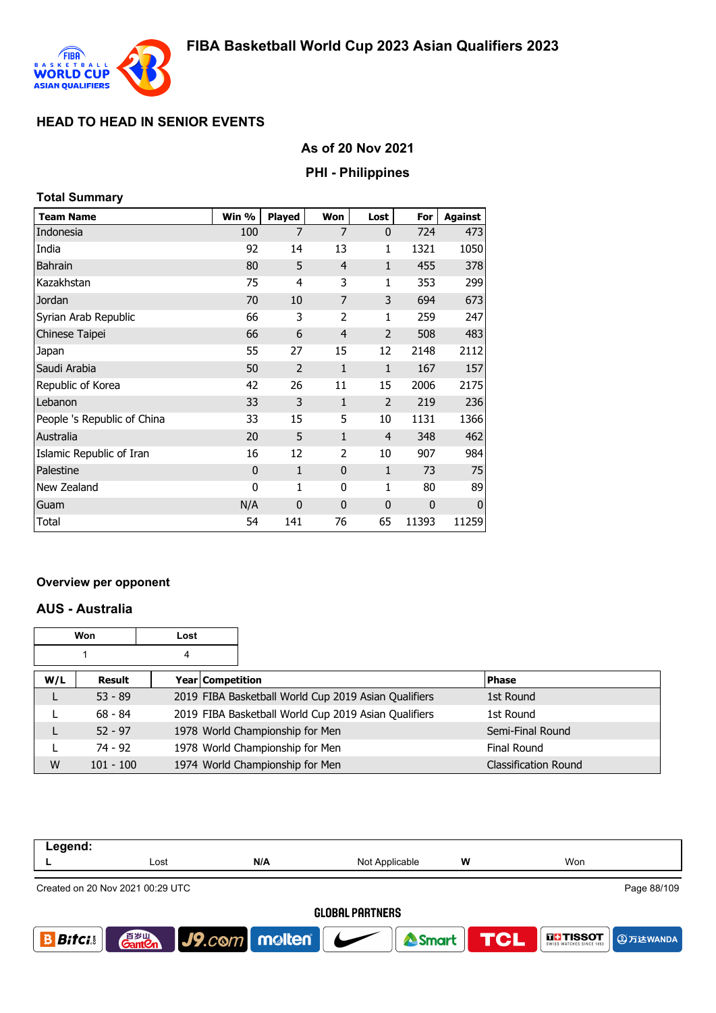

## **As of 20 Nov 2021**

### **PHI - Philippines**

### **Total Summary**

| <b>Team Name</b>            | Win %          | <b>Played</b>  | Won            | Lost           | For   | Against     |
|-----------------------------|----------------|----------------|----------------|----------------|-------|-------------|
| Indonesia                   | 100            | 7              | 7              | $\mathbf{0}$   | 724   | 473         |
| India                       | 92             | 14             | 13             | 1              | 1321  | 1050        |
| <b>Bahrain</b>              | 80             | 5              | $\overline{4}$ | $\mathbf{1}$   | 455   | 378         |
| Kazakhstan                  | 75             | 4              | 3              | 1              | 353   | 299         |
| Jordan                      | 70             | 10             | 7              | 3              | 694   | 673         |
| Syrian Arab Republic        | 66             | 3              | 2              | 1              | 259   | 247         |
| Chinese Taipei              | 66             | 6              | $\overline{4}$ | $\overline{2}$ | 508   | 483         |
| Japan                       | 55             | 27             | 15             | 12             | 2148  | 2112        |
| Saudi Arabia                | 50             | $\overline{2}$ | $\mathbf{1}$   | $\mathbf{1}$   | 167   | 157         |
| Republic of Korea           | 42             | 26             | 11             | 15             | 2006  | 2175        |
| Lebanon                     | 33             | 3              | 1              | $\overline{2}$ | 219   | 236         |
| People 's Republic of China | 33             | 15             | 5              | 10             | 1131  | 1366        |
| Australia                   | 20             | 5              | $\mathbf{1}$   | $\overline{4}$ | 348   | 462         |
| Islamic Republic of Iran    | 16             | 12             | 2              | 10             | 907   | 984         |
| Palestine                   | $\overline{0}$ | 1              | $\overline{0}$ | 1              | 73    | 75          |
| New Zealand                 | 0              | 1              | 0              | 1              | 80    | 89          |
| Guam                        | N/A            | $\mathbf 0$    | $\mathbf{0}$   | $\mathbf 0$    | 0     | $\mathbf 0$ |
| Total                       | 54             | 141            | 76             | 65             | 11393 | 11259       |

#### **Overview per opponent**

### **AUS - Australia**

| <b>Won</b> |                                   | Lost |  |                                                      |              |                             |
|------------|-----------------------------------|------|--|------------------------------------------------------|--------------|-----------------------------|
| 4          |                                   |      |  |                                                      |              |                             |
| W/L        | <b>Year Competition</b><br>Result |      |  |                                                      | <b>Phase</b> |                             |
|            | $53 - 89$                         |      |  | 2019 FIBA Basketball World Cup 2019 Asian Qualifiers | 1st Round    |                             |
|            | $68 - 84$                         |      |  | 2019 FIBA Basketball World Cup 2019 Asian Qualifiers | 1st Round    |                             |
| L          | $52 - 97$                         |      |  | 1978 World Championship for Men                      |              | Semi-Final Round            |
|            | $74 - 92$                         |      |  | 1978 World Championship for Men                      | Final Round  |                             |
| W          | $101 - 100$                       |      |  | 1974 World Championship for Men                      |              | <b>Classification Round</b> |

| Legend:                |                                                 |                          |                |   |                                             |  |  |  |
|------------------------|-------------------------------------------------|--------------------------|----------------|---|---------------------------------------------|--|--|--|
|                        | Lost                                            | N/A                      | Not Applicable | W | Won                                         |  |  |  |
|                        | Page 88/109<br>Created on 20 Nov 2021 00:29 UTC |                          |                |   |                                             |  |  |  |
| <b>GLOBAL PARTNERS</b> |                                                 |                          |                |   |                                             |  |  |  |
| <b>Bitci</b>           | 音 <sub>岁Ⅲ</sub><br>Gant <b>C</b> n              | $ $ J9. $com$ molten $ $ | Smart          |   | <b>TCL</b><br><b>THE TISSOT</b><br>9万达WANDA |  |  |  |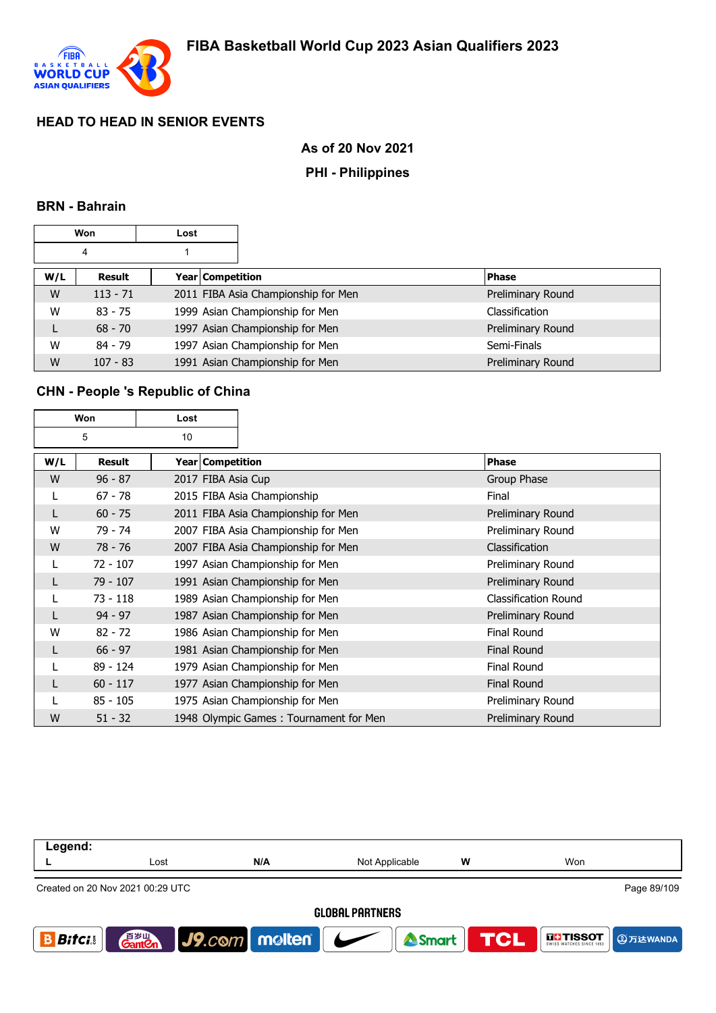

# **As of 20 Nov 2021**

### **PHI - Philippines**

### **BRN - Bahrain**

|     | Won        | Lost |                  |                                     |                   |
|-----|------------|------|------------------|-------------------------------------|-------------------|
|     | 4          |      |                  |                                     |                   |
| W/L | Result     |      | Year Competition |                                     | <b>Phase</b>      |
| W   | $113 - 71$ |      |                  | 2011 FIBA Asia Championship for Men | Preliminary Round |
| W   | $83 - 75$  |      |                  | 1999 Asian Championship for Men     | Classification    |
| L   | $68 - 70$  |      |                  | 1997 Asian Championship for Men     | Preliminary Round |
| W   | $84 - 79$  |      |                  | 1997 Asian Championship for Men     | Semi-Finals       |
| W   | $107 - 83$ |      |                  | 1991 Asian Championship for Men     | Preliminary Round |

# **CHN - People 's Republic of China**

| Won |               | Lost               |                                        |                             |
|-----|---------------|--------------------|----------------------------------------|-----------------------------|
|     | 5             | 10                 |                                        |                             |
| W/L | <b>Result</b> | Year   Competition |                                        | Phase                       |
| W   | $96 - 87$     | 2017 FIBA Asia Cup |                                        | Group Phase                 |
| L   | $67 - 78$     |                    | 2015 FIBA Asia Championship            | Final                       |
| L   | $60 - 75$     |                    | 2011 FIBA Asia Championship for Men    | Preliminary Round           |
| W   | 79 - 74       |                    | 2007 FIBA Asia Championship for Men    | Preliminary Round           |
| W   | $78 - 76$     |                    | 2007 FIBA Asia Championship for Men    | Classification              |
| L   | $72 - 107$    |                    | 1997 Asian Championship for Men        | Preliminary Round           |
| L   | 79 - 107      |                    | 1991 Asian Championship for Men        | Preliminary Round           |
| L   | $73 - 118$    |                    | 1989 Asian Championship for Men        | <b>Classification Round</b> |
| L   | $94 - 97$     |                    | 1987 Asian Championship for Men        | Preliminary Round           |
| W   | $82 - 72$     |                    | 1986 Asian Championship for Men        | <b>Final Round</b>          |
| L   | $66 - 97$     |                    | 1981 Asian Championship for Men        | <b>Final Round</b>          |
|     | $89 - 124$    |                    | 1979 Asian Championship for Men        | <b>Final Round</b>          |
| L   | $60 - 117$    |                    | 1977 Asian Championship for Men        | <b>Final Round</b>          |
|     | $85 - 105$    |                    | 1975 Asian Championship for Men        | Preliminary Round           |
| W   | $51 - 32$     |                    | 1948 Olympic Games: Tournament for Men | Preliminary Round           |

| Legend:                |                                                 |                                 |                  |   |                                      |  |  |  |
|------------------------|-------------------------------------------------|---------------------------------|------------------|---|--------------------------------------|--|--|--|
|                        | Lost                                            | N/A                             | Not Applicable   | W | Won                                  |  |  |  |
|                        | Page 89/109<br>Created on 20 Nov 2021 00:29 UTC |                                 |                  |   |                                      |  |  |  |
| <b>GLOBAL PARTNERS</b> |                                                 |                                 |                  |   |                                      |  |  |  |
| <b>Bitci</b>           | 音 <sub>岁Ⅲ</sub><br>Gant <b>C</b> n              | $ $ J9. $com$ molten $ $ $\sim$ | Smart <b>TCL</b> |   | $\prod_{\text{SWISS}}$ <b>TISSOT</b> |  |  |  |
|                        |                                                 |                                 |                  |   |                                      |  |  |  |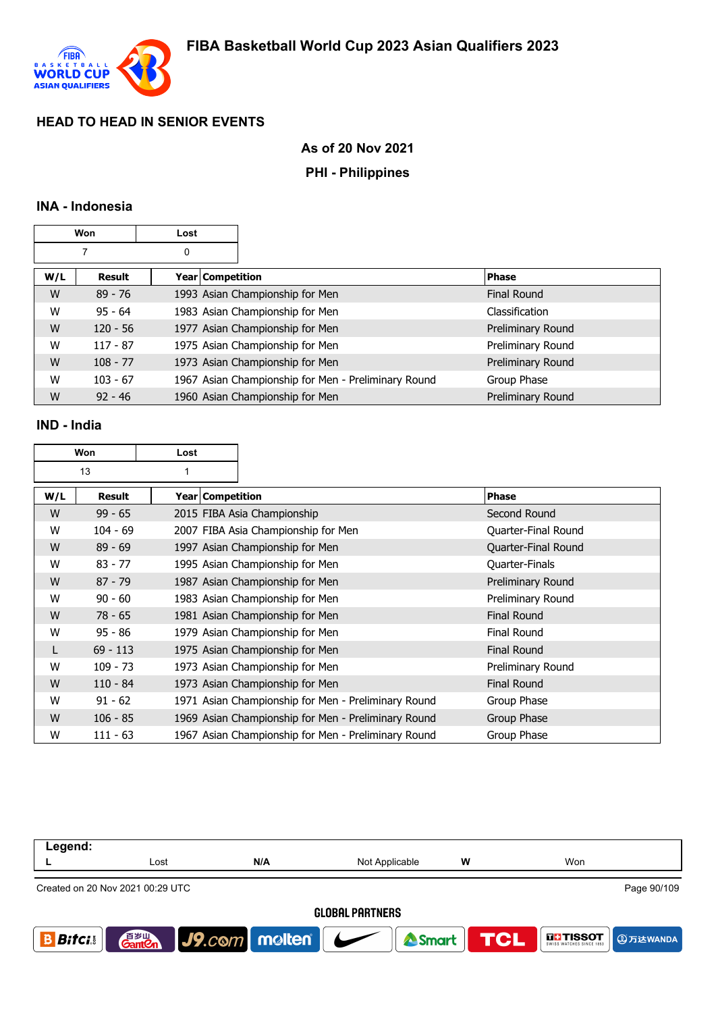

# **As of 20 Nov 2021**

### **PHI - Philippines**

### **INA - Indonesia**

|     | Won        | Lost |                    |                                                     |                    |
|-----|------------|------|--------------------|-----------------------------------------------------|--------------------|
|     |            | 0    |                    |                                                     |                    |
| W/L | Result     |      | Year   Competition |                                                     | <b>Phase</b>       |
| W   | $89 - 76$  |      |                    | 1993 Asian Championship for Men                     | <b>Final Round</b> |
| W   | $95 - 64$  |      |                    | 1983 Asian Championship for Men                     | Classification     |
| W   | $120 - 56$ |      |                    | 1977 Asian Championship for Men                     | Preliminary Round  |
| W   | $117 - 87$ |      |                    | 1975 Asian Championship for Men                     | Preliminary Round  |
| W   | $108 - 77$ |      |                    | 1973 Asian Championship for Men                     | Preliminary Round  |
| W   | $103 - 67$ |      |                    | 1967 Asian Championship for Men - Preliminary Round | Group Phase        |
| W   | $92 - 46$  |      |                    | 1960 Asian Championship for Men                     | Preliminary Round  |

### **IND - India**

| Won |               | Lost |                    |                                                     |                       |
|-----|---------------|------|--------------------|-----------------------------------------------------|-----------------------|
|     | 13            | 1    |                    |                                                     |                       |
| W/L | <b>Result</b> |      | Year   Competition |                                                     | <b>Phase</b>          |
| W   | $99 - 65$     |      |                    | 2015 FIBA Asia Championship                         | Second Round          |
| W   | $104 - 69$    |      |                    | 2007 FIBA Asia Championship for Men                 | Quarter-Final Round   |
| W   | $89 - 69$     |      |                    | 1997 Asian Championship for Men                     | Quarter-Final Round   |
| W   | $83 - 77$     |      |                    | 1995 Asian Championship for Men                     | <b>Quarter-Finals</b> |
| W   | $87 - 79$     |      |                    | 1987 Asian Championship for Men                     | Preliminary Round     |
| W   | $90 - 60$     |      |                    | 1983 Asian Championship for Men                     | Preliminary Round     |
| W   | $78 - 65$     |      |                    | 1981 Asian Championship for Men                     | <b>Final Round</b>    |
| W   | $95 - 86$     |      |                    | 1979 Asian Championship for Men                     | <b>Final Round</b>    |
| L   | $69 - 113$    |      |                    | 1975 Asian Championship for Men                     | <b>Final Round</b>    |
| W   | $109 - 73$    |      |                    | 1973 Asian Championship for Men                     | Preliminary Round     |
| W   | $110 - 84$    |      |                    | 1973 Asian Championship for Men                     | Final Round           |
| W   | $91 - 62$     |      |                    | 1971 Asian Championship for Men - Preliminary Round | Group Phase           |
| W   | $106 - 85$    |      |                    | 1969 Asian Championship for Men - Preliminary Round | Group Phase           |
| W   | $111 - 63$    |      |                    | 1967 Asian Championship for Men - Preliminary Round | Group Phase           |

| Legend:      |                                                 |                                     |                |   |                           |  |  |  |
|--------------|-------------------------------------------------|-------------------------------------|----------------|---|---------------------------|--|--|--|
|              | Lost                                            | N/A                                 | Not Applicable | w | Won                       |  |  |  |
|              | Page 90/109<br>Created on 20 Nov 2021 00:29 UTC |                                     |                |   |                           |  |  |  |
|              | <b>GLOBAL PARTNERS</b>                          |                                     |                |   |                           |  |  |  |
| <b>Bitci</b> | 音 <sub>罗山</sub><br>Gant <b>C</b> n              | $\big $ J9.com   molten   $\bigcup$ | Smart TCL      |   | <b>THESOT</b><br>9万达WANDA |  |  |  |
|              |                                                 |                                     |                |   |                           |  |  |  |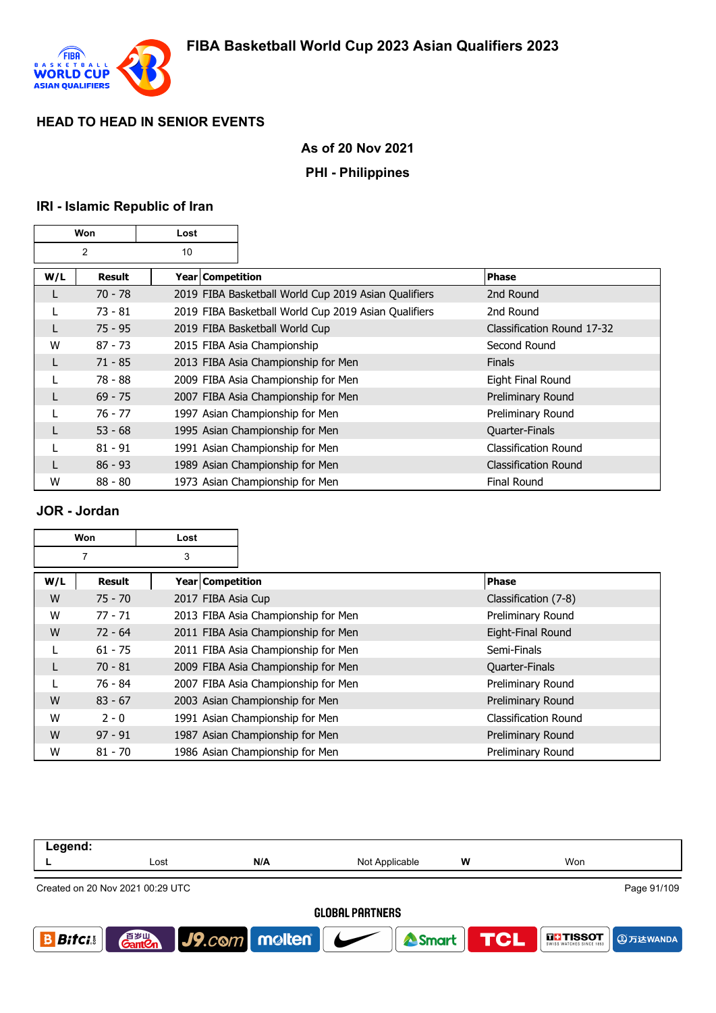

# **As of 20 Nov 2021**

### **PHI - Philippines**

# **IRI - Islamic Republic of Iran**

| Won |               | Lost             |                                                      |                             |
|-----|---------------|------------------|------------------------------------------------------|-----------------------------|
|     | 2             | 10               |                                                      |                             |
| W/L | <b>Result</b> | Year Competition |                                                      | <b>Phase</b>                |
|     | $70 - 78$     |                  | 2019 FIBA Basketball World Cup 2019 Asian Qualifiers | 2nd Round                   |
|     | $73 - 81$     |                  | 2019 FIBA Basketball World Cup 2019 Asian Qualifiers | 2nd Round                   |
|     | $75 - 95$     |                  | 2019 FIBA Basketball World Cup                       | Classification Round 17-32  |
| W   | $87 - 73$     |                  | 2015 FIBA Asia Championship                          | Second Round                |
| L   | $71 - 85$     |                  | 2013 FIBA Asia Championship for Men                  | <b>Finals</b>               |
|     | 78 - 88       |                  | 2009 FIBA Asia Championship for Men                  | Eight Final Round           |
|     | $69 - 75$     |                  | 2007 FIBA Asia Championship for Men                  | Preliminary Round           |
|     | 76 - 77       |                  | 1997 Asian Championship for Men                      | Preliminary Round           |
|     | $53 - 68$     |                  | 1995 Asian Championship for Men                      | Quarter-Finals              |
|     | $81 - 91$     |                  | 1991 Asian Championship for Men                      | <b>Classification Round</b> |
|     | $86 - 93$     |                  | 1989 Asian Championship for Men                      | Classification Round        |
| W   | $88 - 80$     |                  | 1973 Asian Championship for Men                      | <b>Final Round</b>          |

### **JOR - Jordan**

| Won |           | Lost               |                                     |                      |
|-----|-----------|--------------------|-------------------------------------|----------------------|
|     | 7         | 3                  |                                     |                      |
| W/L | Result    | Year   Competition |                                     | <b>Phase</b>         |
| W   | $75 - 70$ | 2017 FIBA Asia Cup |                                     | Classification (7-8) |
| W   | $77 - 71$ |                    | 2013 FIBA Asia Championship for Men | Preliminary Round    |
| W   | $72 - 64$ |                    | 2011 FIBA Asia Championship for Men | Eight-Final Round    |
|     | $61 - 75$ |                    | 2011 FIBA Asia Championship for Men | Semi-Finals          |
| L   | $70 - 81$ |                    | 2009 FIBA Asia Championship for Men | Quarter-Finals       |
|     | 76 - 84   |                    | 2007 FIBA Asia Championship for Men | Preliminary Round    |
| W   | $83 - 67$ |                    | 2003 Asian Championship for Men     | Preliminary Round    |
| W   | $2 - 0$   |                    | 1991 Asian Championship for Men     | Classification Round |
| W   | $97 - 91$ |                    | 1987 Asian Championship for Men     | Preliminary Round    |
| W   | $81 - 70$ |                    | 1986 Asian Championship for Men     | Preliminary Round    |

| Legend:                |                                                 |                  |                |            |               |  |  |  |
|------------------------|-------------------------------------------------|------------------|----------------|------------|---------------|--|--|--|
|                        | Lost                                            | N/A              | Not Applicable | W          | Won           |  |  |  |
|                        | Page 91/109<br>Created on 20 Nov 2021 00:29 UTC |                  |                |            |               |  |  |  |
| <b>GLOBAL PARTNERS</b> |                                                 |                  |                |            |               |  |  |  |
| <b>Bitci</b>           | 音 <sub>罗山</sub><br>Gant <b>C</b> n              | $J9$ .com molten | Smart          | <b>TCL</b> | <b>THESOT</b> |  |  |  |
|                        |                                                 |                  |                |            |               |  |  |  |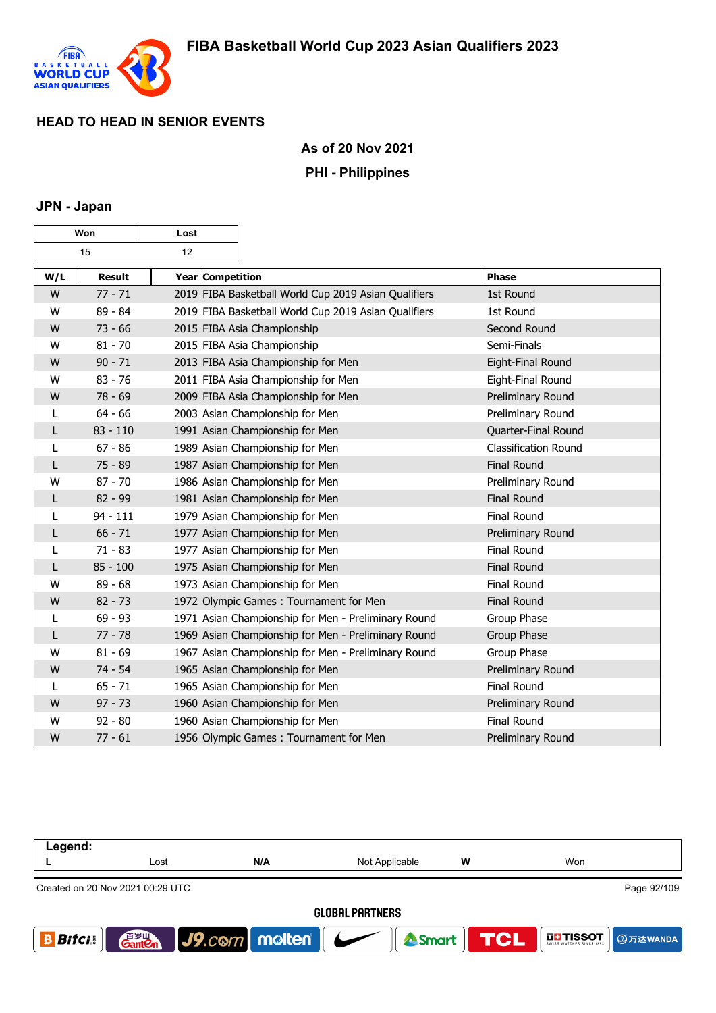

### **As of 20 Nov 2021**

#### **PHI - Philippines**

#### **JPN - Japan**

| Won |               | Lost             |                                                      |                             |
|-----|---------------|------------------|------------------------------------------------------|-----------------------------|
|     | 15            | 12               |                                                      |                             |
| W/L | <b>Result</b> | Year Competition |                                                      | Phase                       |
| W   | $77 - 71$     |                  | 2019 FIBA Basketball World Cup 2019 Asian Qualifiers | 1st Round                   |
| W   | 89 - 84       |                  | 2019 FIBA Basketball World Cup 2019 Asian Qualifiers | 1st Round                   |
| W   | $73 - 66$     |                  | 2015 FIBA Asia Championship                          | Second Round                |
| W   | $81 - 70$     |                  | 2015 FIBA Asia Championship                          | Semi-Finals                 |
| W   | $90 - 71$     |                  | 2013 FIBA Asia Championship for Men                  | Eight-Final Round           |
| W   | $83 - 76$     |                  | 2011 FIBA Asia Championship for Men                  | Eight-Final Round           |
| W   | $78 - 69$     |                  | 2009 FIBA Asia Championship for Men                  | Preliminary Round           |
| L   | $64 - 66$     |                  | 2003 Asian Championship for Men                      | Preliminary Round           |
| L   | $83 - 110$    |                  | 1991 Asian Championship for Men                      | Quarter-Final Round         |
| L   | $67 - 86$     |                  | 1989 Asian Championship for Men                      | <b>Classification Round</b> |
| L   | $75 - 89$     |                  | 1987 Asian Championship for Men                      | <b>Final Round</b>          |
| W   | $87 - 70$     |                  | 1986 Asian Championship for Men                      | Preliminary Round           |
| L   | $82 - 99$     |                  | 1981 Asian Championship for Men                      | <b>Final Round</b>          |
| L   | $94 - 111$    |                  | 1979 Asian Championship for Men                      | Final Round                 |
| L   | $66 - 71$     |                  | 1977 Asian Championship for Men                      | Preliminary Round           |
| L   | $71 - 83$     |                  | 1977 Asian Championship for Men                      | Final Round                 |
| L   | $85 - 100$    |                  | 1975 Asian Championship for Men                      | <b>Final Round</b>          |
| W   | $89 - 68$     |                  | 1973 Asian Championship for Men                      | Final Round                 |
| W   | $82 - 73$     |                  | 1972 Olympic Games: Tournament for Men               | <b>Final Round</b>          |
| L   | $69 - 93$     |                  | 1971 Asian Championship for Men - Preliminary Round  | Group Phase                 |
| L   | $77 - 78$     |                  | 1969 Asian Championship for Men - Preliminary Round  | Group Phase                 |
| W   | $81 - 69$     |                  | 1967 Asian Championship for Men - Preliminary Round  | Group Phase                 |
| W   | $74 - 54$     |                  | 1965 Asian Championship for Men                      | Preliminary Round           |
| L   | $65 - 71$     |                  | 1965 Asian Championship for Men                      | Final Round                 |
| W   | $97 - 73$     |                  | 1960 Asian Championship for Men                      | Preliminary Round           |
| W   | $92 - 80$     |                  | 1960 Asian Championship for Men                      | Final Round                 |
| W   | $77 - 61$     |                  | 1956 Olympic Games: Tournament for Men               | Preliminary Round           |

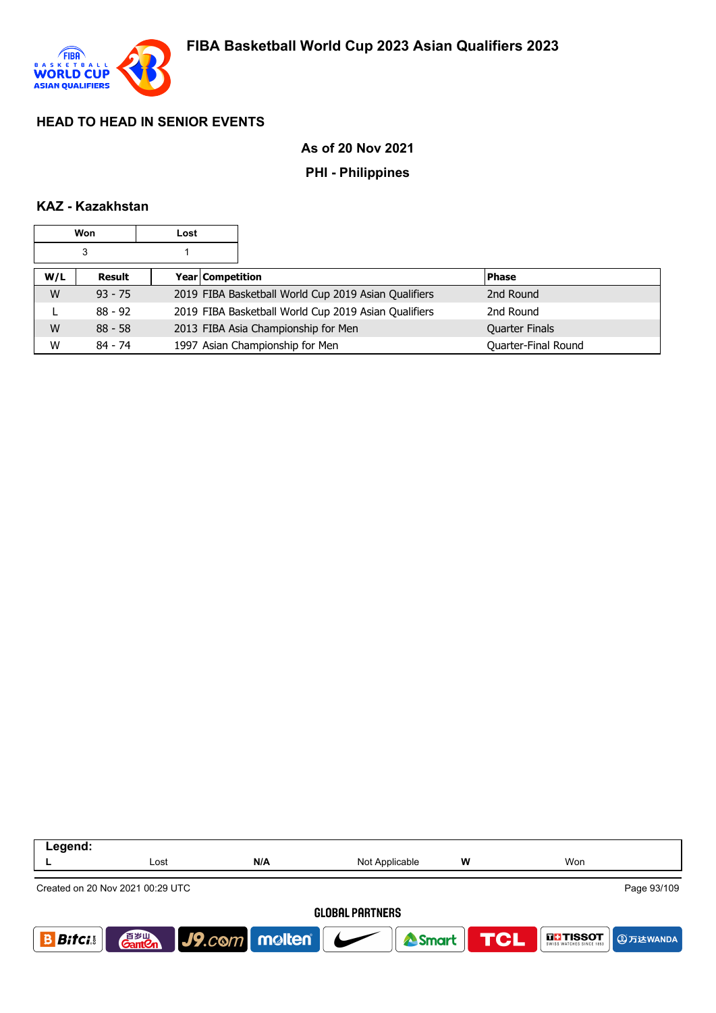

### **As of 20 Nov 2021**

#### **PHI - Philippines**

#### **KAZ - Kazakhstan**

|     | Won       | Lost             |                                                      |                       |
|-----|-----------|------------------|------------------------------------------------------|-----------------------|
|     | 3         |                  |                                                      |                       |
| W/L | Result    | Year Competition |                                                      | <b>Phase</b>          |
| W   | $93 - 75$ |                  | 2019 FIBA Basketball World Cup 2019 Asian Qualifiers | 2nd Round             |
| ь   | $88 - 92$ |                  | 2019 FIBA Basketball World Cup 2019 Asian Qualifiers | 2nd Round             |
| W   | $88 - 58$ |                  | 2013 FIBA Asia Championship for Men                  | <b>Quarter Finals</b> |
| W   | $84 - 74$ |                  | 1997 Asian Championship for Men                      | Quarter-Final Round   |

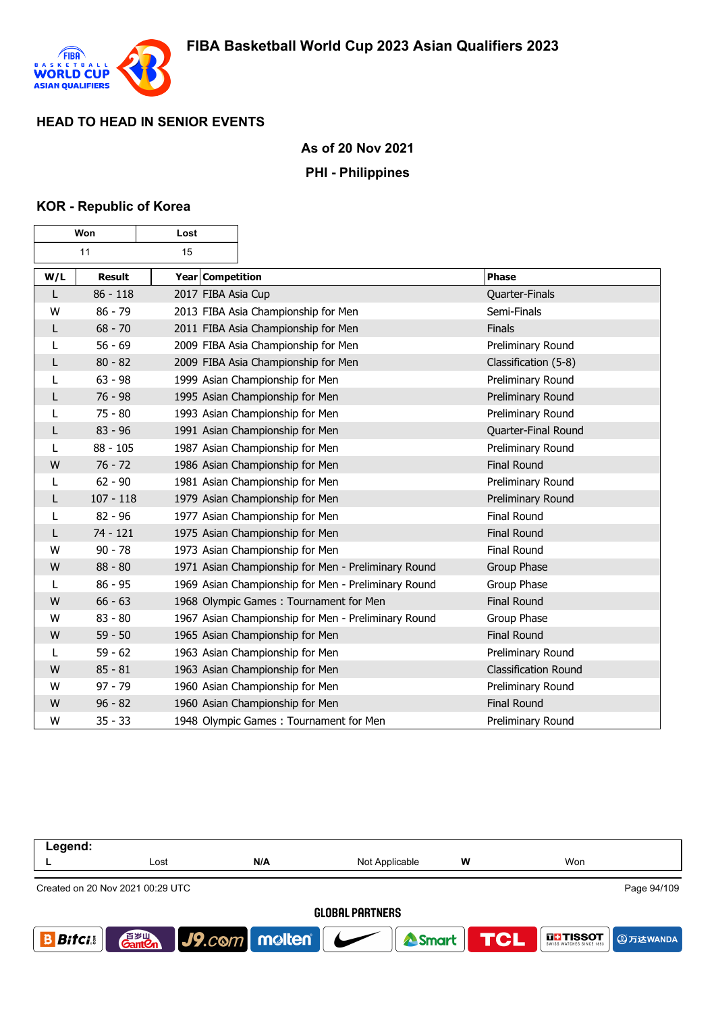

### **As of 20 Nov 2021**

#### **PHI - Philippines**

#### **KOR - Republic of Korea**

 $\mathbf \tau$ 

г

|     | Won           | Lost               |                                                     |                             |
|-----|---------------|--------------------|-----------------------------------------------------|-----------------------------|
|     | 11            | 15                 |                                                     |                             |
| W/L | <b>Result</b> | Year Competition   |                                                     | Phase                       |
| L   | $86 - 118$    | 2017 FIBA Asia Cup |                                                     | Quarter-Finals              |
| W   | $86 - 79$     |                    | 2013 FIBA Asia Championship for Men                 | Semi-Finals                 |
| L   | $68 - 70$     |                    | 2011 FIBA Asia Championship for Men                 | Finals                      |
| L   | $56 - 69$     |                    | 2009 FIBA Asia Championship for Men                 | Preliminary Round           |
| L   | $80 - 82$     |                    | 2009 FIBA Asia Championship for Men                 | Classification (5-8)        |
| L   | $63 - 98$     |                    | 1999 Asian Championship for Men                     | Preliminary Round           |
| L   | $76 - 98$     |                    | 1995 Asian Championship for Men                     | Preliminary Round           |
| L   | $75 - 80$     |                    | 1993 Asian Championship for Men                     | Preliminary Round           |
| L   | $83 - 96$     |                    | 1991 Asian Championship for Men                     | Quarter-Final Round         |
| L   | $88 - 105$    |                    | 1987 Asian Championship for Men                     | Preliminary Round           |
| W   | $76 - 72$     |                    | 1986 Asian Championship for Men                     | <b>Final Round</b>          |
| L   | $62 - 90$     |                    | 1981 Asian Championship for Men                     | Preliminary Round           |
| L   | $107 - 118$   |                    | 1979 Asian Championship for Men                     | Preliminary Round           |
| L   | $82 - 96$     |                    | 1977 Asian Championship for Men                     | Final Round                 |
| L   | $74 - 121$    |                    | 1975 Asian Championship for Men                     | <b>Final Round</b>          |
| W   | $90 - 78$     |                    | 1973 Asian Championship for Men                     | <b>Final Round</b>          |
| W   | $88 - 80$     |                    | 1971 Asian Championship for Men - Preliminary Round | Group Phase                 |
| L   | $86 - 95$     |                    | 1969 Asian Championship for Men - Preliminary Round | Group Phase                 |
| W   | $66 - 63$     |                    | 1968 Olympic Games: Tournament for Men              | <b>Final Round</b>          |
| W   | $83 - 80$     |                    | 1967 Asian Championship for Men - Preliminary Round | Group Phase                 |
| W   | $59 - 50$     |                    | 1965 Asian Championship for Men                     | <b>Final Round</b>          |
| L   | $59 - 62$     |                    | 1963 Asian Championship for Men                     | Preliminary Round           |
| W   | $85 - 81$     |                    | 1963 Asian Championship for Men                     | <b>Classification Round</b> |
| W   | $97 - 79$     |                    | 1960 Asian Championship for Men                     | Preliminary Round           |
| W   | $96 - 82$     |                    | 1960 Asian Championship for Men                     | <b>Final Round</b>          |
| W   | $35 - 33$     |                    | 1948 Olympic Games: Tournament for Men              | Preliminary Round           |

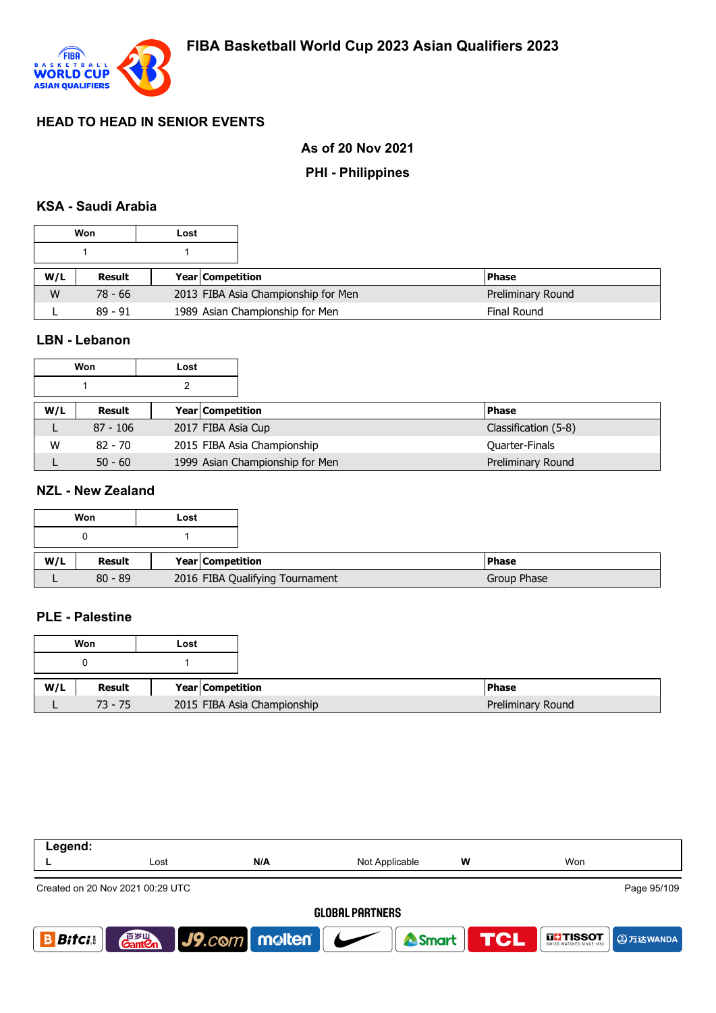

# **As of 20 Nov 2021**

### **PHI - Philippines**

### **KSA - Saudi Arabia**

|     | Won       | Lost |                                     |                   |
|-----|-----------|------|-------------------------------------|-------------------|
|     |           |      |                                     |                   |
| W/L | Result    |      | Year Competition                    | <b>Phase</b>      |
| W   | 78 - 66   |      | 2013 FIBA Asia Championship for Men | Preliminary Round |
|     | $89 - 91$ |      | 1989 Asian Championship for Men     | Final Round       |

### **LBN - Lebanon**

|     | Won        | Lost |                                 |              |                      |
|-----|------------|------|---------------------------------|--------------|----------------------|
|     |            |      |                                 |              |                      |
| W/L | Result     |      | <b>Year Competition</b>         | <b>Phase</b> |                      |
|     | $87 - 106$ |      | 2017 FIBA Asia Cup              |              | Classification (5-8) |
| W   | $82 - 70$  |      | 2015 FIBA Asia Championship     |              | Quarter-Finals       |
|     | $50 - 60$  |      | 1999 Asian Championship for Men |              | Preliminary Round    |

#### **NZL - New Zealand**

|     | Won       | Lost |                         |                                 |  |
|-----|-----------|------|-------------------------|---------------------------------|--|
|     |           |      |                         |                                 |  |
| W/L | Result    |      | <b>Year Competition</b> |                                 |  |
|     | $80 - 89$ |      |                         | 2016 FIBA Qualifying Tournament |  |

### **PLE - Palestine**

|     | Won       | Lost |                             |
|-----|-----------|------|-----------------------------|
|     |           |      |                             |
| W/L | Result    |      | Year Competition            |
|     | $73 - 75$ |      | 2015 FIBA Asia Championship |

| Legend:       |                                    |                      |                                       |   |                           |
|---------------|------------------------------------|----------------------|---------------------------------------|---|---------------------------|
|               | Lost                               | N/A                  | Not Applicable                        | W | Won                       |
|               | Created on 20 Nov 2021 00:29 UTC   |                      |                                       |   | Page 95/109               |
|               |                                    |                      | <b>GLOBAL PARTNERS</b>                |   |                           |
| <b>Bitcis</b> | 音 <sub>岁Ⅲ</sub><br>Gant <b>C</b> n | $ $ J9. $com$ molten | Smart TCL<br>$\overline{\phantom{a}}$ |   | <b>THESOT</b><br>9万达WANDA |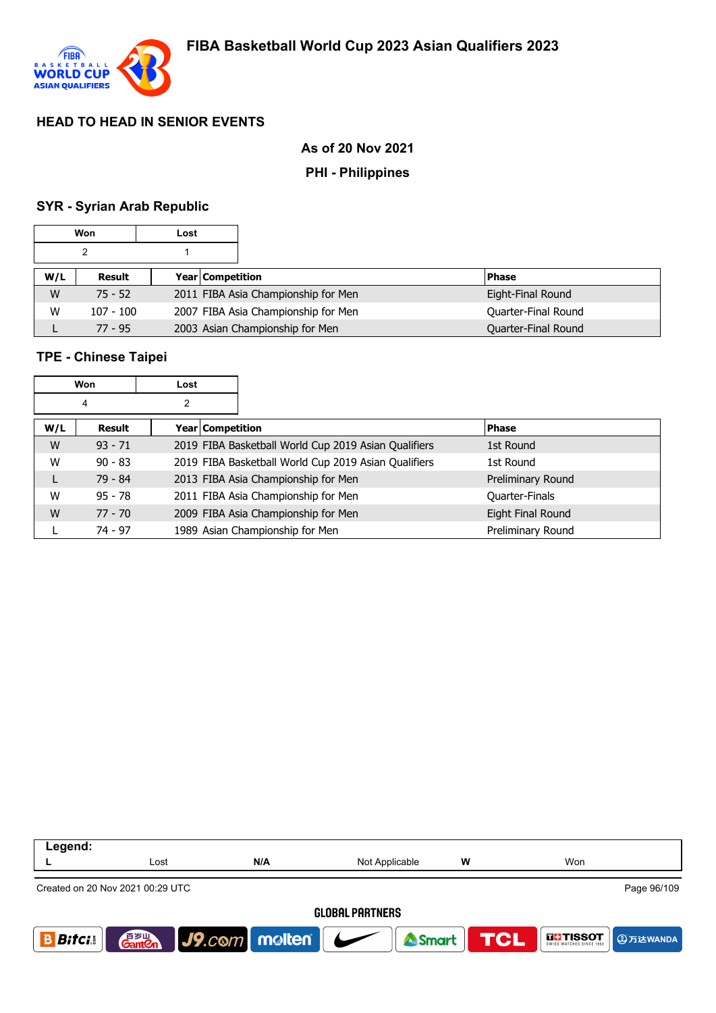

### **As of 20 Nov 2021**

#### **PHI - Philippines**

#### **SYR - Syrian Arab Republic**

|     | Won         | Lost |                                     |                     |
|-----|-------------|------|-------------------------------------|---------------------|
|     | 2           |      |                                     |                     |
| W/L | Result      |      | <b>Year Competition</b>             | <b>Phase</b>        |
| W   | $75 - 52$   |      | 2011 FIBA Asia Championship for Men | Eight-Final Round   |
| W   | $107 - 100$ |      | 2007 FIBA Asia Championship for Men | Quarter-Final Round |
|     | $77 - 95$   |      | 2003 Asian Championship for Men     | Quarter-Final Round |

### **TPE - Chinese Taipei**

|     | Won       | Lost             |                                                      |                       |
|-----|-----------|------------------|------------------------------------------------------|-----------------------|
|     | 4         | 2                |                                                      |                       |
| W/L | Result    | Year Competition |                                                      | <b>Phase</b>          |
| W   | $93 - 71$ |                  | 2019 FIBA Basketball World Cup 2019 Asian Qualifiers | 1st Round             |
| W   | $90 - 83$ |                  | 2019 FIBA Basketball World Cup 2019 Asian Qualifiers | 1st Round             |
| L   | $79 - 84$ |                  | 2013 FIBA Asia Championship for Men                  | Preliminary Round     |
| W   | $95 - 78$ |                  | 2011 FIBA Asia Championship for Men                  | <b>Quarter-Finals</b> |
| W   | $77 - 70$ |                  | 2009 FIBA Asia Championship for Men                  | Eight Final Round     |
|     | $74 - 97$ |                  | 1989 Asian Championship for Men                      | Preliminary Round     |

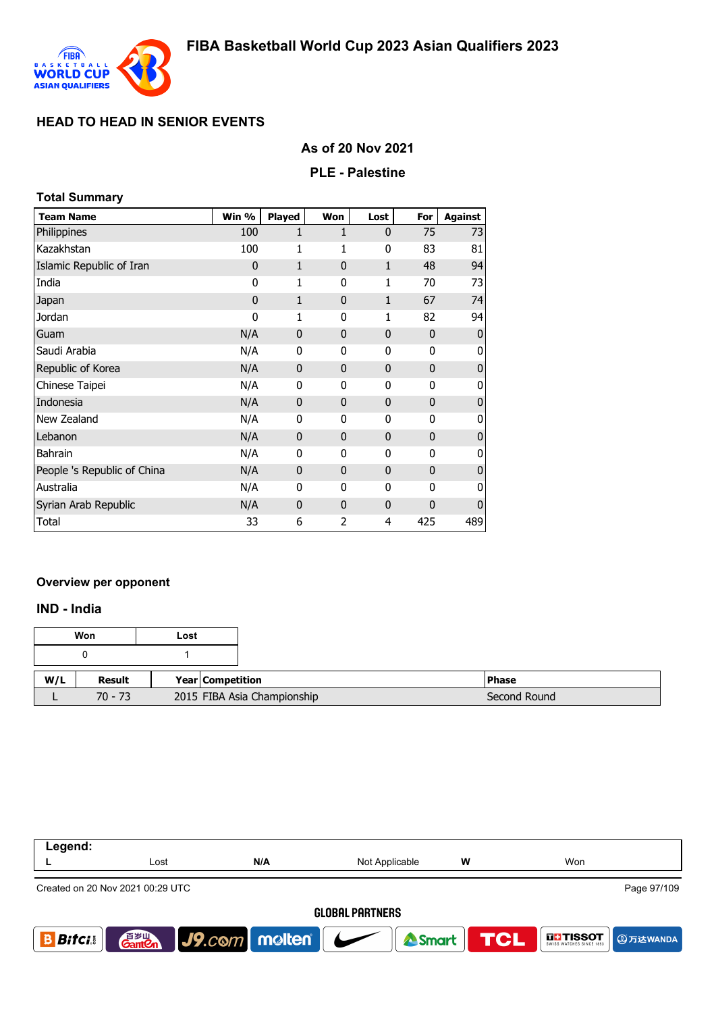

### **As of 20 Nov 2021**

#### **PLE - Palestine**

### **Total Summary**

| <b>Team Name</b>            | Win %        | <b>Played</b> | Won                      | Lost         | For          | <b>Against</b> |
|-----------------------------|--------------|---------------|--------------------------|--------------|--------------|----------------|
| Philippines                 | 100          | 1             | 1                        | $\mathbf{0}$ | 75           | 73             |
| Kazakhstan                  | 100          | 1             | 1                        | 0            | 83           | 81             |
| Islamic Republic of Iran    | $\mathbf{0}$ | $\mathbf{1}$  | $\mathbf{0}$             | $\mathbf{1}$ | 48           | 94             |
| India                       | 0            | 1             | 0                        | 1            | 70           | 73             |
| Japan                       | $\mathbf 0$  | $\mathbf{1}$  | $\mathbf{0}$             | $\mathbf{1}$ | 67           | 74             |
| Jordan                      | 0            | 1             | 0                        | 1            | 82           | 94             |
| Guam                        | N/A          | $\mathbf{0}$  | 0                        | $\mathbf 0$  | $\mathbf 0$  | $\mathbf{0}$   |
| Saudi Arabia                | N/A          | 0             | 0                        | 0            | 0            | 0              |
| Republic of Korea           | N/A          | $\mathbf{0}$  | $\mathbf{0}$             | $\mathbf{0}$ | $\mathbf{0}$ | $\mathbf{0}$   |
| Chinese Taipei              | N/A          | 0             | 0                        | 0            | 0            | 0              |
| Indonesia                   | N/A          | $\mathbf{0}$  | $\mathbf{0}$             | $\mathbf{0}$ | $\mathbf{0}$ | $\mathbf{0}$   |
| New Zealand                 | N/A          | 0             | 0                        | 0            | 0            | 0              |
| Lebanon                     | N/A          | $\mathbf{0}$  | $\mathbf{0}$             | $\mathbf{0}$ | $\mathbf{0}$ | $\overline{0}$ |
| <b>Bahrain</b>              | N/A          | $\Omega$      | 0                        | $\Omega$     | $\Omega$     | 0              |
| People 's Republic of China | N/A          | $\mathbf{0}$  | $\mathbf{0}$             | $\mathbf{0}$ | $\Omega$     | $\mathbf{0}$   |
| Australia                   | N/A          | 0             | 0                        | $\Omega$     | $\Omega$     | 0              |
| Syrian Arab Republic        | N/A          | $\mathbf{0}$  | $\Omega$                 | $\mathbf{0}$ | 0            | $\mathbf{0}$   |
| Total                       | 33           | 6             | $\overline{\phantom{a}}$ | 4            | 425          | 489            |

#### **Overview per opponent**

#### **IND - India**

|     | Won       | Lost |                             |              |
|-----|-----------|------|-----------------------------|--------------|
|     |           |      |                             |              |
| W/L | Result    |      | <b>Year Competition</b>     | <b>Phase</b> |
|     | $70 - 73$ |      | 2015 FIBA Asia Championship | Second Round |

| Legend:        |                                    |                                 |                        |   |                                                    |
|----------------|------------------------------------|---------------------------------|------------------------|---|----------------------------------------------------|
|                | Lost                               | N/A                             | Not Applicable         | w | Won                                                |
|                | Created on 20 Nov 2021 00:29 UTC   |                                 |                        |   | Page 97/109                                        |
|                |                                    |                                 | <b>GLOBAL PARTNERS</b> |   |                                                    |
| <b>Bitci</b> s | 音 <sub>岁Ⅲ</sub><br>Gant <b>C</b> n | $ $ J9. $com$ molten $ $ $\sim$ | <b>A</b> Smart         |   | <b>TCL</b><br><b>THE TISSOT</b><br><b>4万达WANDA</b> |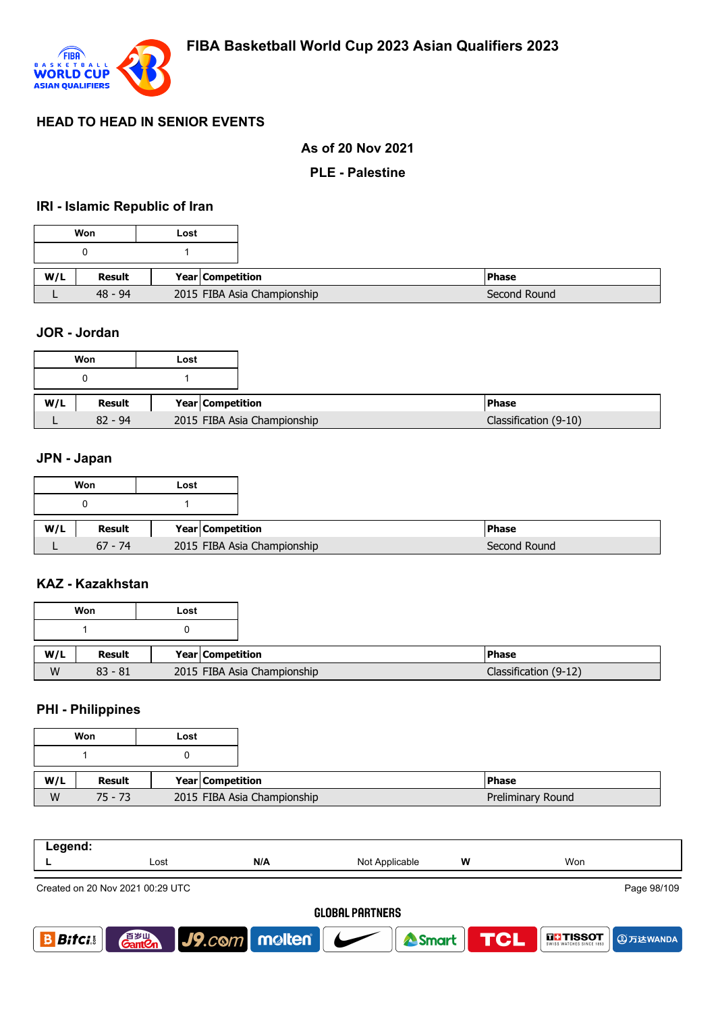

#### **As of 20 Nov 2021**

#### **PLE - Palestine**

#### **IRI - Islamic Republic of Iran**

|     | Won       | Lost                        |  |
|-----|-----------|-----------------------------|--|
|     |           |                             |  |
|     |           |                             |  |
| W/L | Result    | Year Competition            |  |
|     | $48 - 94$ | 2015 FIBA Asia Championship |  |

#### **JOR - Jordan**

|     | Won       | Lost |                    |                             |
|-----|-----------|------|--------------------|-----------------------------|
|     |           |      |                    |                             |
| W/L | Result    |      | Year   Competition |                             |
|     | $82 - 94$ |      |                    | 2015 FIBA Asia Championship |

#### **JPN - Japan**

|     | Won       | Lost                        |  |
|-----|-----------|-----------------------------|--|
|     |           |                             |  |
| W/L | Result    |                             |  |
|     |           | <b>Year Competition</b>     |  |
|     | $67 - 74$ | 2015 FIBA Asia Championship |  |

#### **KAZ - Kazakhstan**

| Won |           | Lost |                             |                       |
|-----|-----------|------|-----------------------------|-----------------------|
|     |           |      |                             |                       |
| W/L | Result    |      | <b>Year Competition</b>     | <b>IPhase</b>         |
| W   | $83 - 81$ |      | 2015 FIBA Asia Championship | Classification (9-12) |

#### **PHI - Philippines**

|     | Won       | Lost                        |
|-----|-----------|-----------------------------|
|     |           |                             |
|     |           |                             |
| W/L | Result    | Year Competition            |
| W   | $75 - 73$ | 2015 FIBA Asia Championship |

| Legend:         |                                  |     |                |   |             |  |  |
|-----------------|----------------------------------|-----|----------------|---|-------------|--|--|
|                 | Lost                             | N/A | Not Applicable | W | Won         |  |  |
|                 | Created on 20 Nov 2021 00:29 UTC |     |                |   | Page 98/109 |  |  |
| ALODAL BOBTUEDO |                                  |     |                |   |             |  |  |

#### **GLOBAL PARTNERS**



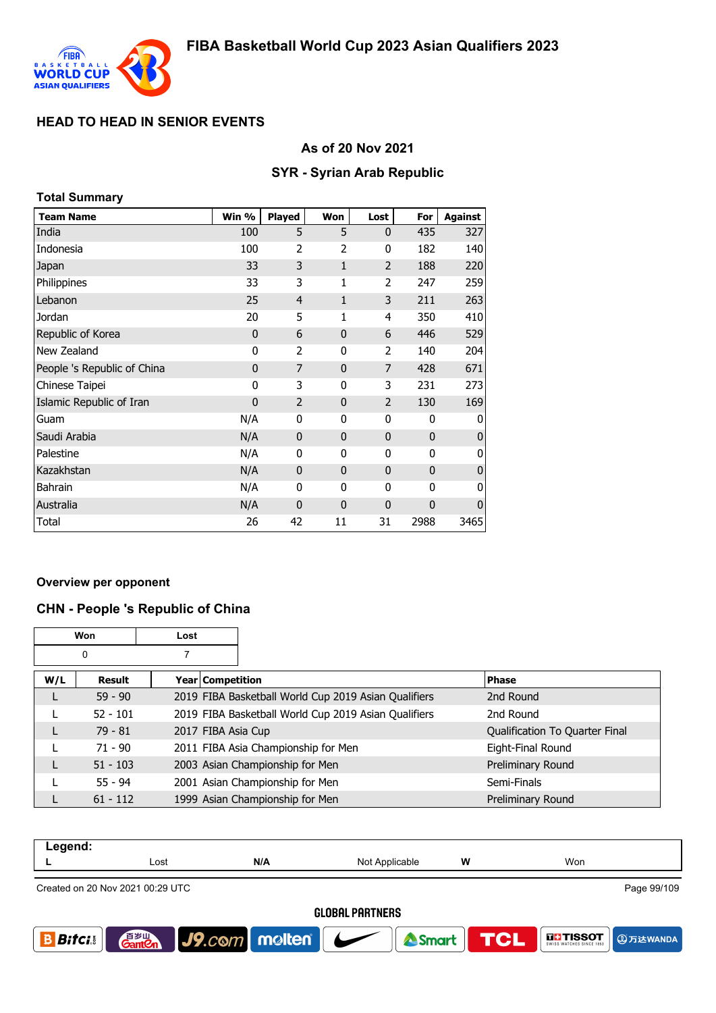

### **As of 20 Nov 2021**

### **SYR - Syrian Arab Republic**

| <b>Total Summary</b>        |             |                |              |                |              |                |  |  |
|-----------------------------|-------------|----------------|--------------|----------------|--------------|----------------|--|--|
| <b>Team Name</b>            | Win %       | <b>Played</b>  | Won          | Lost           | For          | <b>Against</b> |  |  |
| India                       | 100         | 5              | 5            | $\mathbf{0}$   | 435          | 327            |  |  |
| Indonesia                   | 100         | 2              | 2            | 0              | 182          | 140            |  |  |
| Japan                       | 33          | 3              | 1            | $\overline{2}$ | 188          | 220            |  |  |
| Philippines                 | 33          | 3              | 1            | 2              | 247          | 259            |  |  |
| Lebanon                     | 25          | $\overline{4}$ | 1            | 3              | 211          | 263            |  |  |
| Jordan                      | 20          | 5              | 1            | 4              | 350          | 410            |  |  |
| Republic of Korea           | 0           | 6              | $\mathbf{0}$ | 6              | 446          | 529            |  |  |
| New Zealand                 | 0           | $\overline{2}$ | 0            | 2              | 140          | 204            |  |  |
| People 's Republic of China | 0           | 7              | $\mathbf{0}$ | 7              | 428          | 671            |  |  |
| Chinese Taipei              | 0           | 3              | 0            | 3              | 231          | 273            |  |  |
| Islamic Republic of Iran    | $\mathbf 0$ | $\overline{2}$ | $\mathbf{0}$ | 2              | 130          | 169            |  |  |
| Guam                        | N/A         | 0              | 0            | 0              | 0            | 0              |  |  |
| Saudi Arabia                | N/A         | $\mathbf{0}$   | $\mathbf{0}$ | $\mathbf{0}$   | $\mathbf{0}$ | $\mathbf{0}$   |  |  |
| Palestine                   | N/A         | 0              | 0            | 0              | 0            | 0              |  |  |
| Kazakhstan                  | N/A         | $\mathbf{0}$   | $\mathbf{0}$ | $\mathbf 0$    | $\mathbf{0}$ | $\bf{0}$       |  |  |
| <b>Bahrain</b>              | N/A         | $\mathbf{0}$   | 0            | 0              | 0            | 0              |  |  |
| Australia                   | N/A         | $\mathbf{0}$   | $\mathbf{0}$ | $\mathbf 0$    | $\mathbf 0$  | $\mathbf 0$    |  |  |
| Total                       | 26          | 42             | 11           | 31             | 2988         | 3465           |  |  |

#### **Overview per opponent**

#### **CHN - People 's Republic of China**

| Won |            | Lost |                                                      |                                |
|-----|------------|------|------------------------------------------------------|--------------------------------|
| 0   |            |      |                                                      |                                |
| W/L | Result     |      | Year   Competition                                   | <b>Phase</b>                   |
| L   | $59 - 90$  |      | 2019 FIBA Basketball World Cup 2019 Asian Qualifiers | 2nd Round                      |
|     | $52 - 101$ |      | 2019 FIBA Basketball World Cup 2019 Asian Qualifiers | 2nd Round                      |
| L   | $79 - 81$  |      | 2017 FIBA Asia Cup                                   | Qualification To Quarter Final |
|     | $71 - 90$  |      | 2011 FIBA Asia Championship for Men                  | Eight-Final Round              |
| L   | $51 - 103$ |      | 2003 Asian Championship for Men                      | Preliminary Round              |
|     | $55 - 94$  |      | 2001 Asian Championship for Men                      | Semi-Finals                    |
|     | $61 - 112$ |      | 1999 Asian Championship for Men                      | Preliminary Round              |

| Legend:                |                                    |                                   |                |           |                                                       |  |
|------------------------|------------------------------------|-----------------------------------|----------------|-----------|-------------------------------------------------------|--|
|                        | Lost                               | N/A                               | Not Applicable | W         | Won                                                   |  |
|                        | Created on 20 Nov 2021 00:29 UTC   |                                   |                |           | Page 99/109                                           |  |
| <b>GLOBAL PARTNERS</b> |                                    |                                   |                |           |                                                       |  |
| <i>Bitci</i> .         | 音 <sub>岁Ⅲ</sub><br>Gant <b>C</b> n | $\vert$ J9.com   molten   $\vert$ |                | Smart TCL | <b>THISSOT</b><br>SWISS WATCHES SINCE 1853 CD 万达WANDA |  |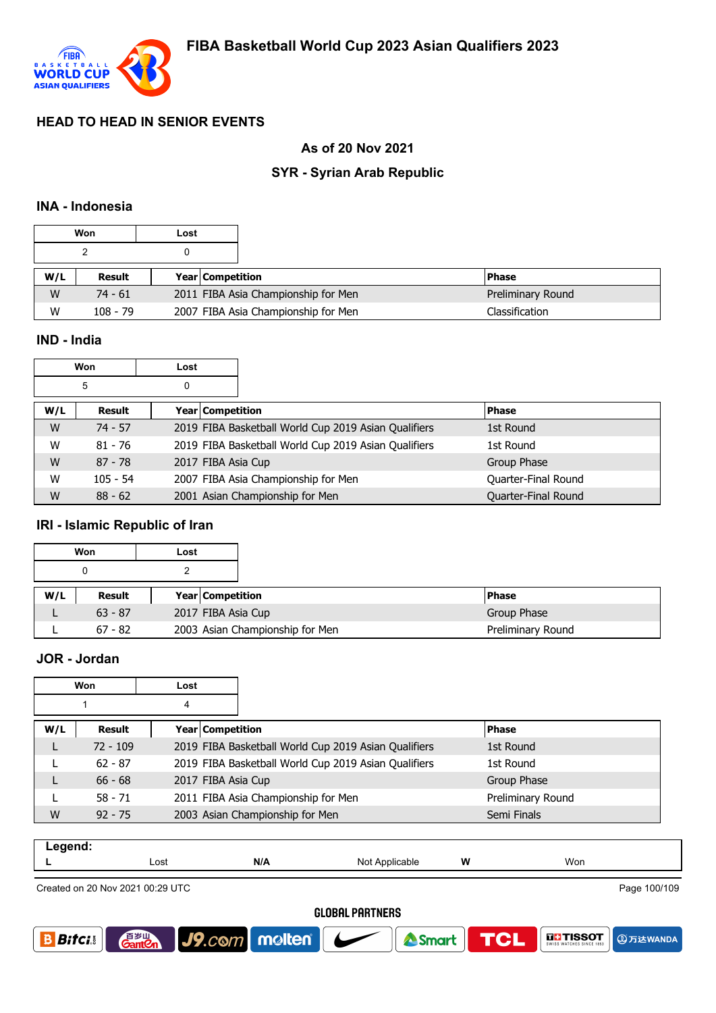

### **As of 20 Nov 2021**

# **SYR - Syrian Arab Republic**

#### **INA - Indonesia**

|     | Won        | Lost |                         |                                     |                   |
|-----|------------|------|-------------------------|-------------------------------------|-------------------|
|     |            |      |                         |                                     |                   |
| W/L | Result     |      | <b>Year Competition</b> |                                     | <b>Phase</b>      |
| W   | $74 - 61$  |      |                         | 2011 FIBA Asia Championship for Men | Preliminary Round |
| W   | $108 - 79$ |      |                         | 2007 FIBA Asia Championship for Men | Classification    |

#### **IND - India**

| Won |            | Lost                    |                                                      |                     |
|-----|------------|-------------------------|------------------------------------------------------|---------------------|
| 5   |            | 0                       |                                                      |                     |
| W/L | Result     | <b>Year Competition</b> |                                                      | <b>Phase</b>        |
| W   | $74 - 57$  |                         | 2019 FIBA Basketball World Cup 2019 Asian Qualifiers | 1st Round           |
| W   | $81 - 76$  |                         | 2019 FIBA Basketball World Cup 2019 Asian Qualifiers | 1st Round           |
| W   | $87 - 78$  | 2017 FIBA Asia Cup      |                                                      | Group Phase         |
| W   | $105 - 54$ |                         | 2007 FIBA Asia Championship for Men                  | Quarter-Final Round |
| W   | $88 - 62$  |                         | 2001 Asian Championship for Men                      | Quarter-Final Round |

### **IRI - Islamic Republic of Iran**

|     | Won       | Lost |                                 |
|-----|-----------|------|---------------------------------|
|     | 0         |      |                                 |
| W/L | Result    |      | <b>Year Competition</b>         |
|     | $63 - 87$ |      | 2017 FIBA Asia Cup              |
|     | $67 - 82$ |      | 2003 Asian Championship for Men |

### **JOR - Jordan**

| Won |                            | Lost |                    |                                                      |                   |
|-----|----------------------------|------|--------------------|------------------------------------------------------|-------------------|
| 4   |                            |      |                    |                                                      |                   |
| W/L | Year Competition<br>Result |      |                    |                                                      | <b>Phase</b>      |
| L   | $72 - 109$                 |      |                    | 2019 FIBA Basketball World Cup 2019 Asian Qualifiers | 1st Round         |
|     | $62 - 87$                  |      |                    | 2019 FIBA Basketball World Cup 2019 Asian Qualifiers | 1st Round         |
|     | $66 - 68$                  |      | 2017 FIBA Asia Cup |                                                      | Group Phase       |
|     | $58 - 71$                  |      |                    | 2011 FIBA Asia Championship for Men                  | Preliminary Round |
| W   | $92 - 75$                  |      |                    | 2003 Asian Championship for Men                      | Semi Finals       |

| $\sim$ $\sim$ $\sim$ $\sim$<br>- - - |      |     |                   |   |     |
|--------------------------------------|------|-----|-------------------|---|-----|
| --                                   | Lost | N/A | Not<br>Applicable | W | Won |
|                                      |      |     |                   |   |     |

Created on 20 Nov 2021 00:29 UTC

Page 100/109

**4万达WANDA** 

**THE TISSOT** 

#### **GLOBAL PARTNERS**

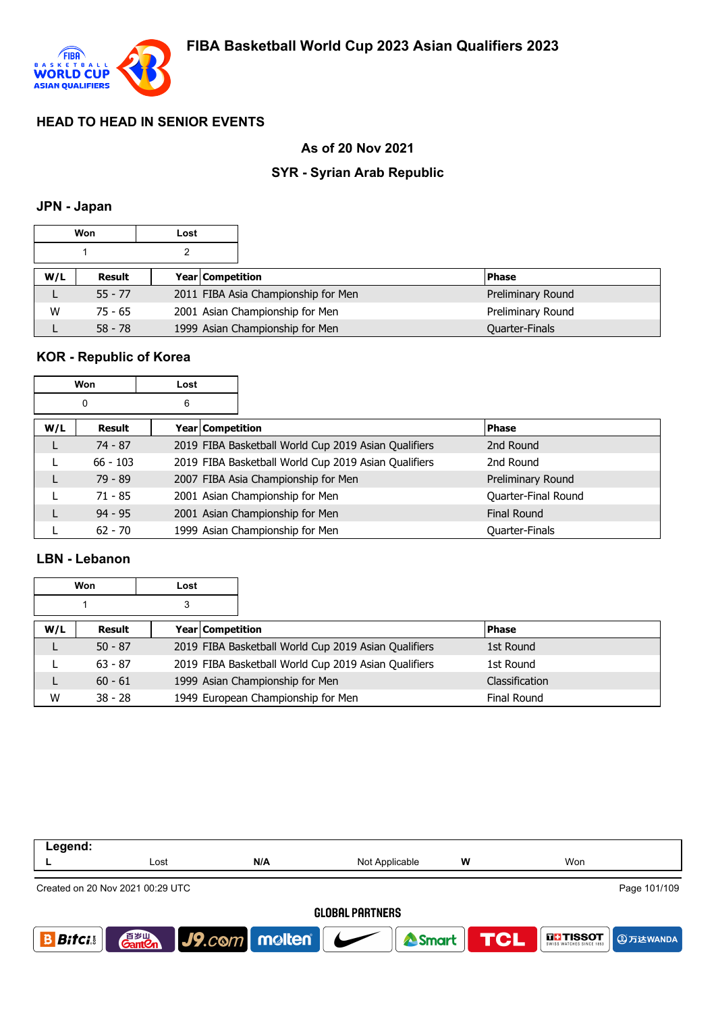

### **As of 20 Nov 2021**

### **SYR - Syrian Arab Republic**

#### **JPN - Japan**

|     | Won       | Lost |                  |                                     |                   |
|-----|-----------|------|------------------|-------------------------------------|-------------------|
|     |           |      |                  |                                     |                   |
| W/L | Result    |      | Year Competition |                                     | <b>Phase</b>      |
|     | $55 - 77$ |      |                  | 2011 FIBA Asia Championship for Men | Preliminary Round |
| W   | $75 - 65$ |      |                  | 2001 Asian Championship for Men     | Preliminary Round |
|     | $58 - 78$ |      |                  | 1999 Asian Championship for Men     | Quarter-Finals    |

### **KOR - Republic of Korea**

|     | Won        | Lost             |                                                      |                       |
|-----|------------|------------------|------------------------------------------------------|-----------------------|
|     | 0          | 6                |                                                      |                       |
| W/L | Result     | Year Competition |                                                      | <b>Phase</b>          |
| L   | $74 - 87$  |                  | 2019 FIBA Basketball World Cup 2019 Asian Qualifiers | 2nd Round             |
|     | $66 - 103$ |                  | 2019 FIBA Basketball World Cup 2019 Asian Qualifiers | 2nd Round             |
| L   | $79 - 89$  |                  | 2007 FIBA Asia Championship for Men                  | Preliminary Round     |
|     | $71 - 85$  |                  | 2001 Asian Championship for Men                      | Quarter-Final Round   |
|     | $94 - 95$  |                  | 2001 Asian Championship for Men                      | <b>Final Round</b>    |
|     | $62 - 70$  |                  | 1999 Asian Championship for Men                      | <b>Quarter-Finals</b> |

### **LBN - Lebanon**

|     | Won       | Lost |                  |                                                      |                    |  |
|-----|-----------|------|------------------|------------------------------------------------------|--------------------|--|
|     |           | 3    |                  |                                                      |                    |  |
| W/L | Result    |      | Year Competition |                                                      | <b>Phase</b>       |  |
|     | $50 - 87$ |      |                  | 2019 FIBA Basketball World Cup 2019 Asian Qualifiers | 1st Round          |  |
|     | $63 - 87$ |      |                  | 2019 FIBA Basketball World Cup 2019 Asian Qualifiers | 1st Round          |  |
|     | $60 - 61$ |      |                  | 1999 Asian Championship for Men                      | Classification     |  |
| W   | $38 - 28$ |      |                  | 1949 European Championship for Men                   | <b>Final Round</b> |  |

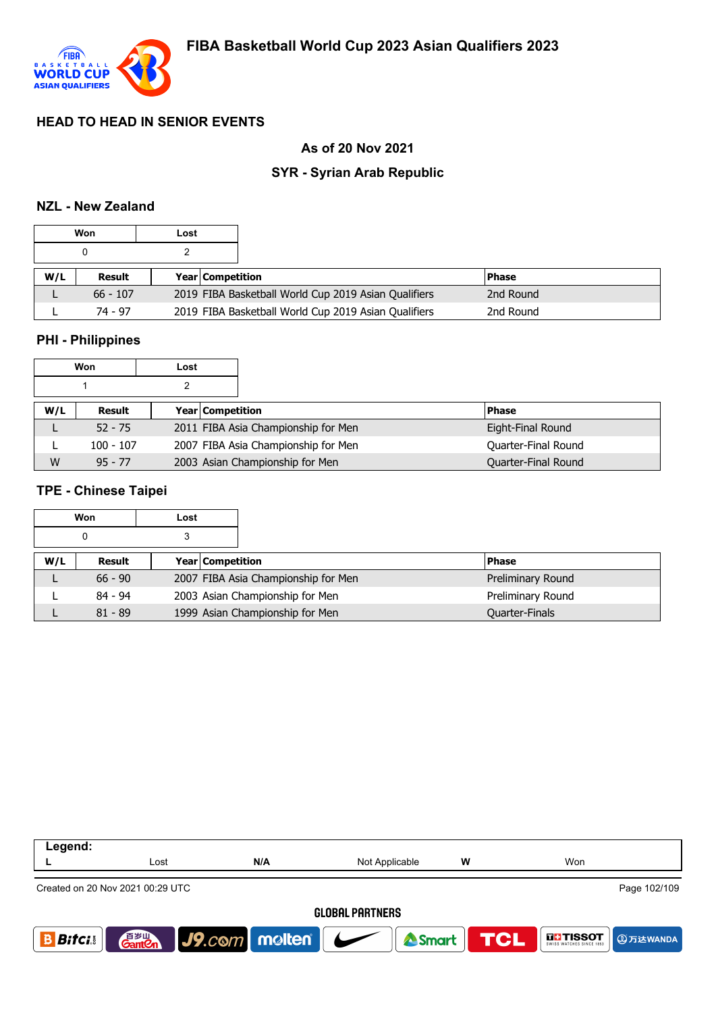

### **As of 20 Nov 2021**

### **SYR - Syrian Arab Republic**

#### **NZL - New Zealand**

|     | Won        | Lost |                         |                                                      |               |
|-----|------------|------|-------------------------|------------------------------------------------------|---------------|
|     |            |      |                         |                                                      |               |
| W/L | Result     |      | <b>Year Competition</b> |                                                      | <b>IPhase</b> |
|     | $66 - 107$ |      |                         | 2019 FIBA Basketball World Cup 2019 Asian Qualifiers | 2nd Round     |
|     | 74 - 97    |      |                         | 2019 FIBA Basketball World Cup 2019 Asian Qualifiers | 2nd Round     |

#### **PHI - Philippines**

|     | Won         | Lost             |                                     |                     |
|-----|-------------|------------------|-------------------------------------|---------------------|
|     |             |                  |                                     |                     |
| W/L | Result      | Year Competition |                                     | <b>Phase</b>        |
|     | $52 - 75$   |                  | 2011 FIBA Asia Championship for Men | Eight-Final Round   |
|     | $100 - 107$ |                  | 2007 FIBA Asia Championship for Men | Quarter-Final Round |
| W   | $95 - 77$   |                  | 2003 Asian Championship for Men     | Quarter-Final Round |

#### **TPE - Chinese Taipei**

|     | Won       | Lost |                                     |                   |
|-----|-----------|------|-------------------------------------|-------------------|
|     | 0         | 3    |                                     |                   |
| W/L | Result    |      | <b>Year Competition</b>             | <b>IPhase</b>     |
|     | $66 - 90$ |      | 2007 FIBA Asia Championship for Men | Preliminary Round |
|     | $84 - 94$ |      | 2003 Asian Championship for Men     | Preliminary Round |
|     | $81 - 89$ |      | 1999 Asian Championship for Men     | Quarter-Finals    |

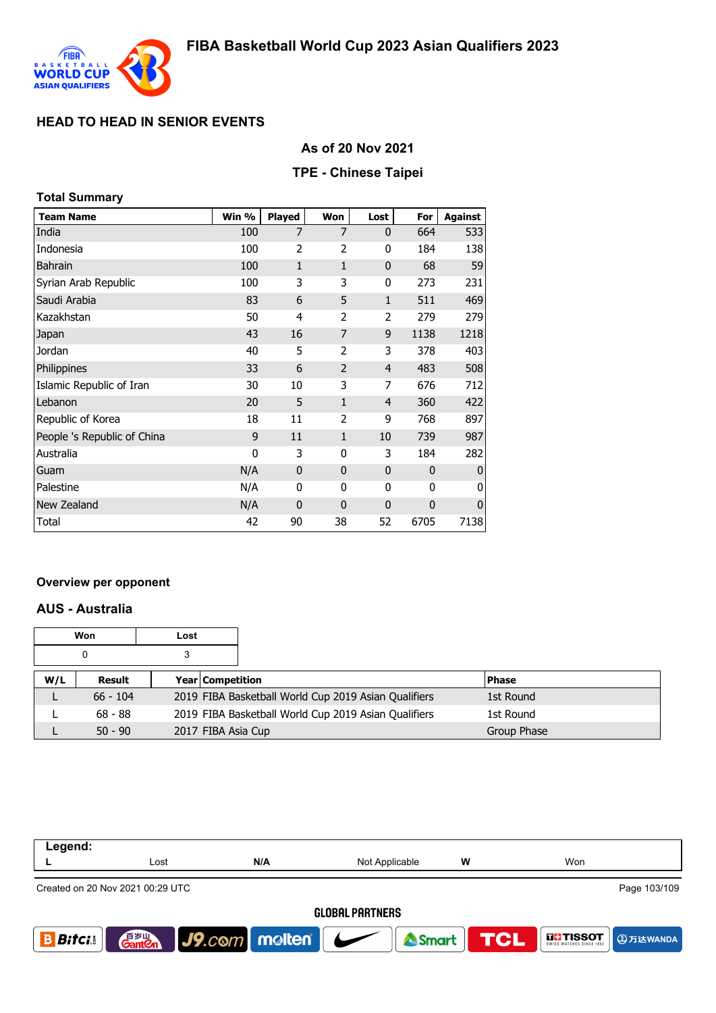

## **As of 20 Nov 2021**

### **TPE - Chinese Taipei**

| <b>Total Summary</b>        |       |                |                |                          |              |                |
|-----------------------------|-------|----------------|----------------|--------------------------|--------------|----------------|
| <b>Team Name</b>            | Win % | <b>Played</b>  | Won            | Lost                     | For          | <b>Against</b> |
| India                       | 100   | 7              | 7              | $\mathbf{0}$             | 664          | 533            |
| Indonesia                   | 100   | $\overline{2}$ | 2              | 0                        | 184          | 138            |
| <b>Bahrain</b>              | 100   | 1              | $\mathbf{1}$   | $\mathbf 0$              | 68           | 59             |
| Syrian Arab Republic        | 100   | 3              | 3              | 0                        | 273          | 231            |
| Saudi Arabia                | 83    | 6              | 5              | $\mathbf{1}$             | 511          | 469            |
| Kazakhstan                  | 50    | 4              | 2              | $\overline{\phantom{a}}$ | 279          | 279            |
| Japan                       | 43    | 16             | 7              | 9                        | 1138         | 1218           |
| Jordan                      | 40    | 5              | 2              | 3                        | 378          | 403            |
| Philippines                 | 33    | 6              | 2              | 4                        | 483          | 508            |
| Islamic Republic of Iran    | 30    | 10             | 3              | 7                        | 676          | 712            |
| Lebanon                     | 20    | 5              | 1              | 4                        | 360          | 422            |
| Republic of Korea           | 18    | 11             | $\overline{2}$ | 9                        | 768          | 897            |
| People 's Republic of China | 9     | 11             | 1              | 10                       | 739          | 987            |
| Australia                   | 0     | 3              | 0              | 3                        | 184          | 282            |
| Guam                        | N/A   | $\mathbf{0}$   | $\mathbf{0}$   | $\mathbf 0$              | $\mathbf{0}$ | $\mathbf{0}$   |
| Palestine                   | N/A   | $\mathbf 0$    | 0              | 0                        | $\mathbf{0}$ | 0              |
| New Zealand                 | N/A   | $\mathbf 0$    | $\mathbf{0}$   | 0                        | 0            | $\mathbf 0$    |
| Total                       | 42    | 90             | 38             | 52                       | 6705         | 7138           |

#### **Overview per opponent**

### **AUS - Australia**

|     | Won        | Lost |                         |                                                      |              |
|-----|------------|------|-------------------------|------------------------------------------------------|--------------|
|     |            |      |                         |                                                      |              |
| W/L | Result     |      | <b>Year Competition</b> |                                                      | <b>Phase</b> |
|     | $66 - 104$ |      |                         | 2019 FIBA Basketball World Cup 2019 Asian Qualifiers | 1st Round    |
|     | $68 - 88$  |      |                         | 2019 FIBA Basketball World Cup 2019 Asian Qualifiers | 1st Round    |
|     | $50 - 90$  |      | 2017 FIBA Asia Cup      |                                                      | Group Phase  |

| Legend:        |                                                  |                          |                                   |   |                                                |  |  |  |
|----------------|--------------------------------------------------|--------------------------|-----------------------------------|---|------------------------------------------------|--|--|--|
|                | Lost                                             | N/A                      | Not Applicable                    | W | Won                                            |  |  |  |
|                | Page 103/109<br>Created on 20 Nov 2021 00:29 UTC |                          |                                   |   |                                                |  |  |  |
|                | <b>GLOBAL PARTNERS</b>                           |                          |                                   |   |                                                |  |  |  |
| <b>Bifci</b> . | 音 <sub>岁Ⅲ</sub><br>Gant <b>C</b> n               | $ $ J9. $com$ molten $ $ | $\overline{\phantom{a}}$<br>Smart |   | <b>TCL</b><br><b>THESOT</b><br><b>4万达WANDA</b> |  |  |  |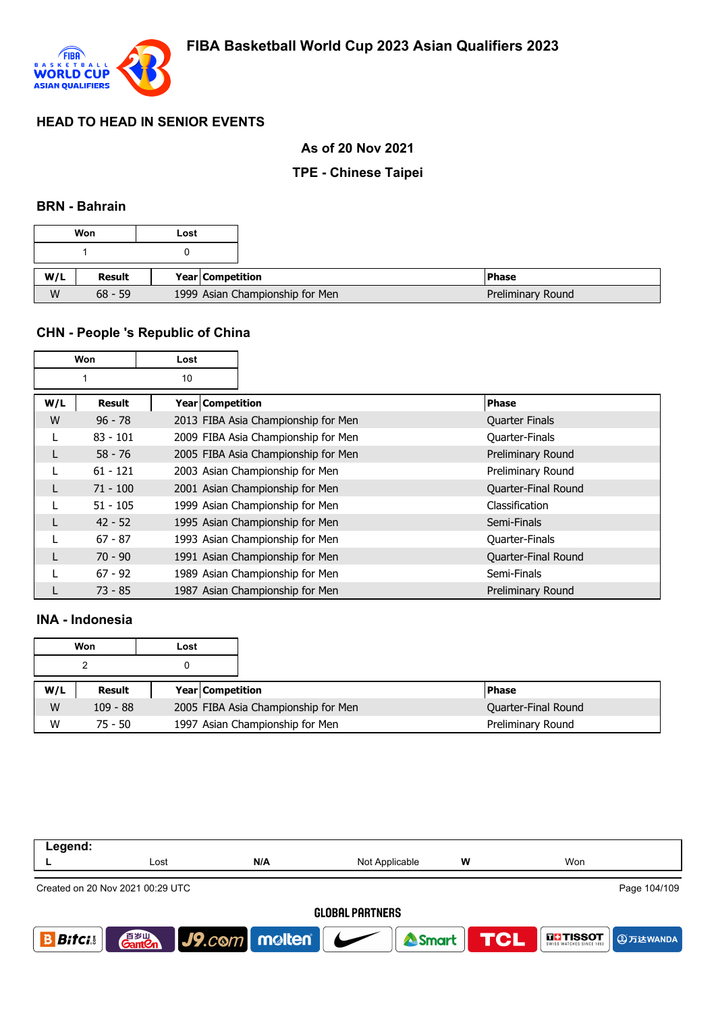

#### **As of 20 Nov 2021**

### **TPE - Chinese Taipei**

#### **BRN - Bahrain**

|     | Won           | Lost             |                                 |
|-----|---------------|------------------|---------------------------------|
|     |               |                  |                                 |
| W/L | <b>Result</b> | Year Competition |                                 |
| W   | $68 - 59$     |                  | 1999 Asian Championship for Men |

### **CHN - People 's Republic of China**

|     | <b>Won</b> | Lost             |                                     |                       |
|-----|------------|------------------|-------------------------------------|-----------------------|
|     |            | 10               |                                     |                       |
| W/L | Result     | Year Competition |                                     | <b>Phase</b>          |
| W   | $96 - 78$  |                  | 2013 FIBA Asia Championship for Men | <b>Quarter Finals</b> |
|     | $83 - 101$ |                  | 2009 FIBA Asia Championship for Men | <b>Quarter-Finals</b> |
|     | $58 - 76$  |                  | 2005 FIBA Asia Championship for Men | Preliminary Round     |
|     | $61 - 121$ |                  | 2003 Asian Championship for Men     | Preliminary Round     |
|     | $71 - 100$ |                  | 2001 Asian Championship for Men     | Quarter-Final Round   |
|     | $51 - 105$ |                  | 1999 Asian Championship for Men     | Classification        |
|     | $42 - 52$  |                  | 1995 Asian Championship for Men     | Semi-Finals           |
|     | $67 - 87$  |                  | 1993 Asian Championship for Men     | <b>Quarter-Finals</b> |
|     | $70 - 90$  |                  | 1991 Asian Championship for Men     | Quarter-Final Round   |
|     | $67 - 92$  |                  | 1989 Asian Championship for Men     | Semi-Finals           |
|     | $73 - 85$  |                  | 1987 Asian Championship for Men     | Preliminary Round     |

### **INA - Indonesia**

| Won |            | Lost |                         |                                     |                     |
|-----|------------|------|-------------------------|-------------------------------------|---------------------|
|     |            |      |                         |                                     |                     |
| W/L | Result     |      | <b>Year Competition</b> |                                     | l Phase             |
| W   | $109 - 88$ |      |                         | 2005 FIBA Asia Championship for Men | Quarter-Final Round |
| W   | $75 - 50$  |      |                         | 1997 Asian Championship for Men     | Preliminary Round   |

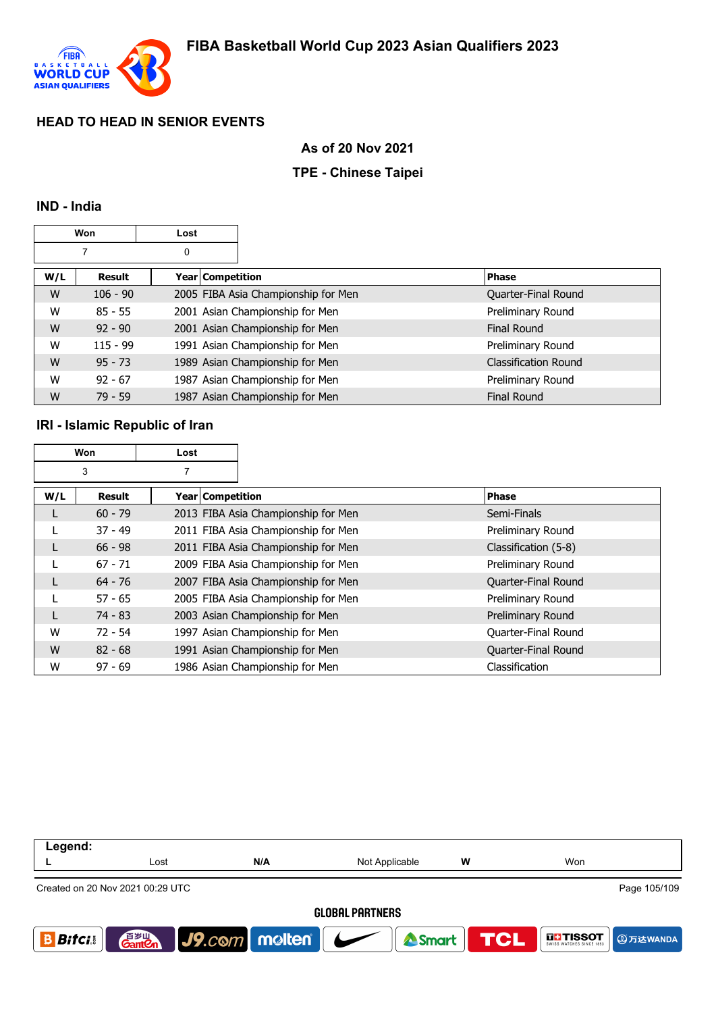

#### **As of 20 Nov 2021**

### **TPE - Chinese Taipei**

#### **IND - India**

|     | Won        | Lost |                    |                                     |                      |
|-----|------------|------|--------------------|-------------------------------------|----------------------|
|     |            | 0    |                    |                                     |                      |
| W/L | Result     |      | Year   Competition |                                     | <b>Phase</b>         |
| W   | $106 - 90$ |      |                    | 2005 FIBA Asia Championship for Men | Quarter-Final Round  |
| W   | $85 - 55$  |      |                    | 2001 Asian Championship for Men     | Preliminary Round    |
| W   | $92 - 90$  |      |                    | 2001 Asian Championship for Men     | Final Round          |
| W   | $115 - 99$ |      |                    | 1991 Asian Championship for Men     | Preliminary Round    |
| W   | $95 - 73$  |      |                    | 1989 Asian Championship for Men     | Classification Round |
| W   | $92 - 67$  |      |                    | 1987 Asian Championship for Men     | Preliminary Round    |
| W   | $79 - 59$  |      |                    | 1987 Asian Championship for Men     | <b>Final Round</b>   |

#### **IRI - Islamic Republic of Iran**

| Won                 |               | Lost               |                                     |                      |
|---------------------|---------------|--------------------|-------------------------------------|----------------------|
| 3<br>$\overline{7}$ |               |                    |                                     |                      |
| W/L                 | <b>Result</b> | Year   Competition |                                     | Phase                |
| L                   | $60 - 79$     |                    | 2013 FIBA Asia Championship for Men | Semi-Finals          |
|                     | $37 - 49$     |                    | 2011 FIBA Asia Championship for Men | Preliminary Round    |
| L                   | $66 - 98$     |                    | 2011 FIBA Asia Championship for Men | Classification (5-8) |
|                     | $67 - 71$     |                    | 2009 FIBA Asia Championship for Men | Preliminary Round    |
| L                   | $64 - 76$     |                    | 2007 FIBA Asia Championship for Men | Quarter-Final Round  |
|                     | $57 - 65$     |                    | 2005 FIBA Asia Championship for Men | Preliminary Round    |
| L                   | 74 - 83       |                    | 2003 Asian Championship for Men     | Preliminary Round    |
| W                   | $72 - 54$     |                    | 1997 Asian Championship for Men     | Quarter-Final Round  |
| W                   | $82 - 68$     |                    | 1991 Asian Championship for Men     | Quarter-Final Round  |
| W                   | $97 - 69$     |                    | 1986 Asian Championship for Men     | Classification       |

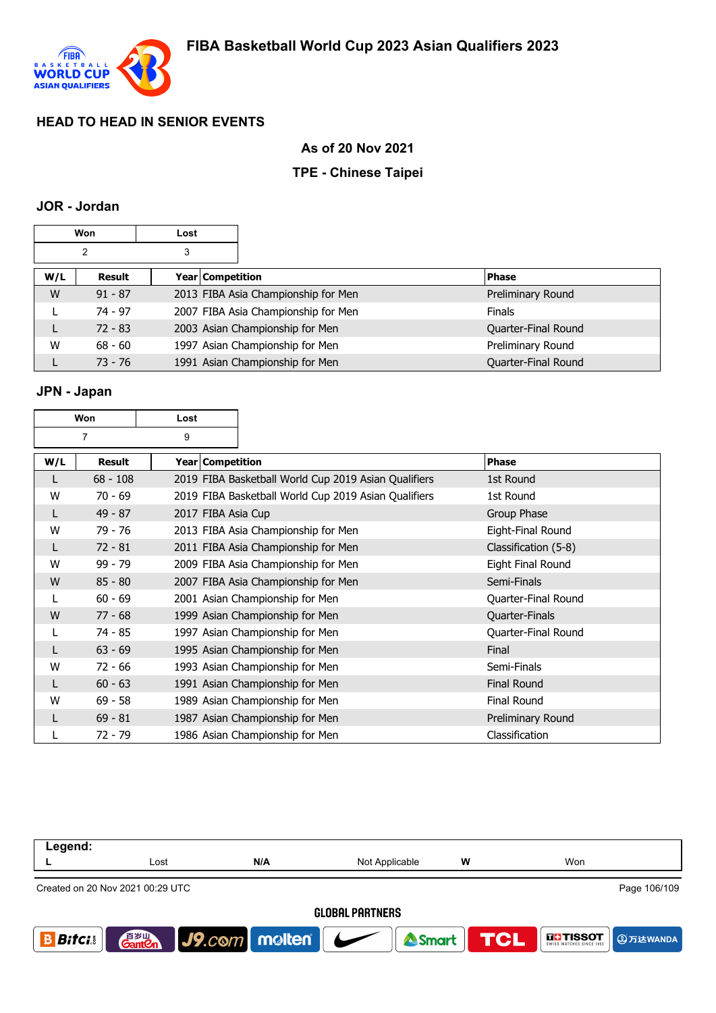

#### **As of 20 Nov 2021**

### **TPE - Chinese Taipei**

### **JOR - Jordan**

| Won                 |           | Lost |                  |                                     |                     |
|---------------------|-----------|------|------------------|-------------------------------------|---------------------|
| $\overline{2}$<br>3 |           |      |                  |                                     |                     |
| W/L                 | Result    |      | Year Competition |                                     | <b>Phase</b>        |
| W                   | $91 - 87$ |      |                  | 2013 FIBA Asia Championship for Men | Preliminary Round   |
|                     | $74 - 97$ |      |                  | 2007 FIBA Asia Championship for Men | <b>Finals</b>       |
|                     | $72 - 83$ |      |                  | 2003 Asian Championship for Men     | Quarter-Final Round |
| W                   | $68 - 60$ |      |                  | 1997 Asian Championship for Men     | Preliminary Round   |
|                     | $73 - 76$ |      |                  | 1991 Asian Championship for Men     | Quarter-Final Round |

#### **JPN - Japan**

|     | Won            | Lost |                    |                                                      |                      |
|-----|----------------|------|--------------------|------------------------------------------------------|----------------------|
|     | $\overline{7}$ | 9    |                    |                                                      |                      |
| W/L | Result         |      | Year   Competition |                                                      | Phase                |
| L   | $68 - 108$     |      |                    | 2019 FIBA Basketball World Cup 2019 Asian Qualifiers | 1st Round            |
| W   | $70 - 69$      |      |                    | 2019 FIBA Basketball World Cup 2019 Asian Qualifiers | 1st Round            |
| L   | $49 - 87$      |      |                    | 2017 FIBA Asia Cup                                   | Group Phase          |
| W   | 79 - 76        |      |                    | 2013 FIBA Asia Championship for Men                  | Eight-Final Round    |
| L   | $72 - 81$      |      |                    | 2011 FIBA Asia Championship for Men                  | Classification (5-8) |
| W   | $99 - 79$      |      |                    | 2009 FIBA Asia Championship for Men                  | Eight Final Round    |
| W   | $85 - 80$      |      |                    | 2007 FIBA Asia Championship for Men                  | Semi-Finals          |
| L   | $60 - 69$      |      |                    | 2001 Asian Championship for Men                      | Quarter-Final Round  |
| W   | $77 - 68$      |      |                    | 1999 Asian Championship for Men                      | Quarter-Finals       |
|     | 74 - 85        |      |                    | 1997 Asian Championship for Men                      | Quarter-Final Round  |
| L   | $63 - 69$      |      |                    | 1995 Asian Championship for Men                      | Final                |
| W   | $72 - 66$      |      |                    | 1993 Asian Championship for Men                      | Semi-Finals          |
| L   | $60 - 63$      |      |                    | 1991 Asian Championship for Men                      | Final Round          |
| W   | $69 - 58$      |      |                    | 1989 Asian Championship for Men                      | <b>Final Round</b>   |
|     | $69 - 81$      |      |                    | 1987 Asian Championship for Men                      | Preliminary Round    |
|     | $72 - 79$      |      |                    | 1986 Asian Championship for Men                      | Classification       |

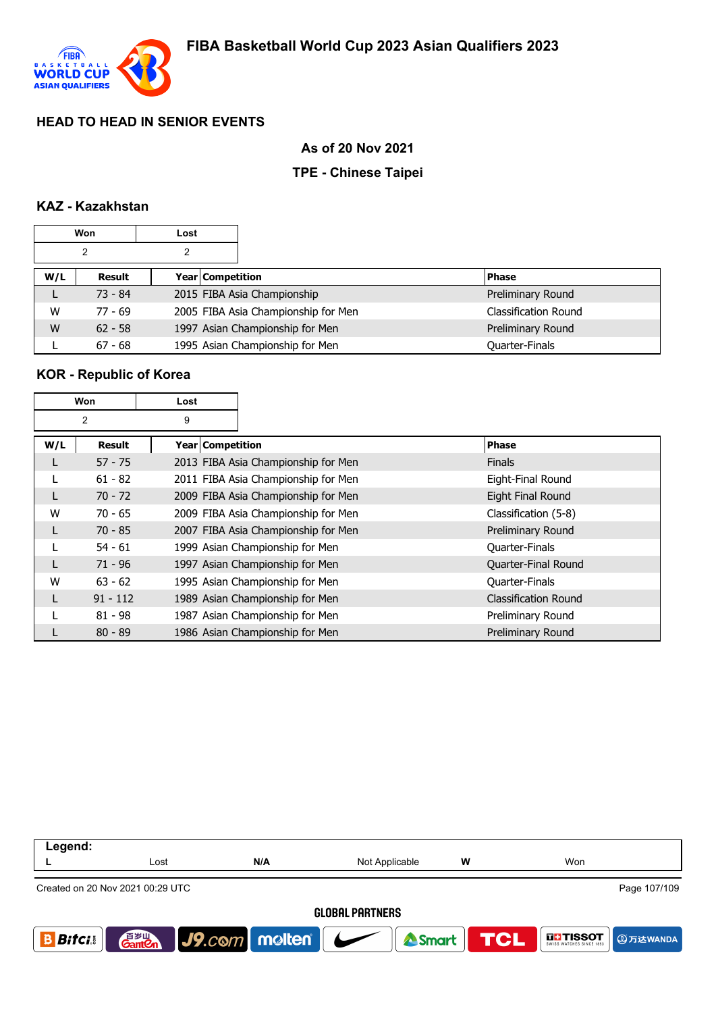

#### **As of 20 Nov 2021**

### **TPE - Chinese Taipei**

### **KAZ - Kazakhstan**

| <b>Won</b> |           | Lost |                  |                                     |                             |
|------------|-----------|------|------------------|-------------------------------------|-----------------------------|
|            | 2         | 2    |                  |                                     |                             |
| W/L        | Result    |      | Year Competition |                                     | <b>Phase</b>                |
|            | $73 - 84$ |      |                  | 2015 FIBA Asia Championship         | Preliminary Round           |
| W          | $77 - 69$ |      |                  | 2005 FIBA Asia Championship for Men | <b>Classification Round</b> |
| W          | $62 - 58$ |      |                  | 1997 Asian Championship for Men     | Preliminary Round           |
|            | $67 - 68$ |      |                  | 1995 Asian Championship for Men     | Quarter-Finals              |

### **KOR - Republic of Korea**

| Won |            | Lost               |                                     |                             |
|-----|------------|--------------------|-------------------------------------|-----------------------------|
|     | 2          | 9                  |                                     |                             |
| W/L | Result     | Year   Competition |                                     | <b>Phase</b>                |
|     | $57 - 75$  |                    | 2013 FIBA Asia Championship for Men | <b>Finals</b>               |
|     | $61 - 82$  |                    | 2011 FIBA Asia Championship for Men | Eight-Final Round           |
|     | $70 - 72$  |                    | 2009 FIBA Asia Championship for Men | Eight Final Round           |
| W   | $70 - 65$  |                    | 2009 FIBA Asia Championship for Men | Classification (5-8)        |
|     | $70 - 85$  |                    | 2007 FIBA Asia Championship for Men | Preliminary Round           |
|     | $54 - 61$  |                    | 1999 Asian Championship for Men     | Quarter-Finals              |
|     | $71 - 96$  |                    | 1997 Asian Championship for Men     | Quarter-Final Round         |
| W   | $63 - 62$  |                    | 1995 Asian Championship for Men     | Quarter-Finals              |
| L   | $91 - 112$ |                    | 1989 Asian Championship for Men     | <b>Classification Round</b> |
|     | $81 - 98$  |                    | 1987 Asian Championship for Men     | Preliminary Round           |
|     | $80 - 89$  |                    | 1986 Asian Championship for Men     | Preliminary Round           |

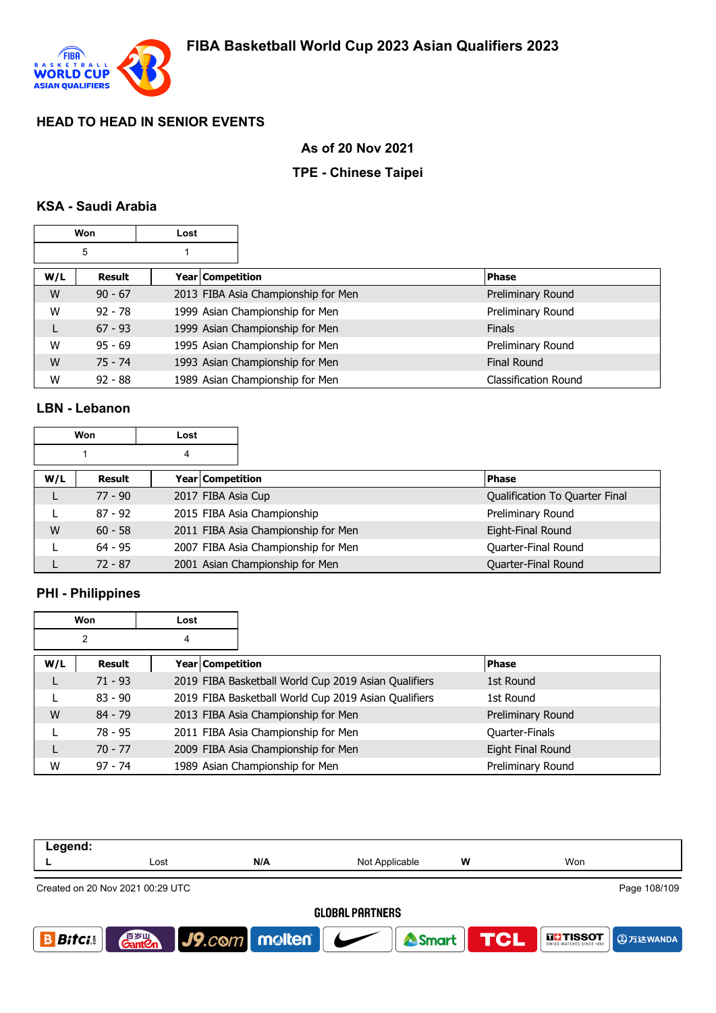

## **As of 20 Nov 2021**

### **TPE - Chinese Taipei**

### **KSA - Saudi Arabia**

| Won |           | Lost |                  |                                     |                             |
|-----|-----------|------|------------------|-------------------------------------|-----------------------------|
|     | 5         |      |                  |                                     |                             |
| W/L | Result    |      | Year Competition |                                     | <b>Phase</b>                |
| W   | $90 - 67$ |      |                  | 2013 FIBA Asia Championship for Men | Preliminary Round           |
| W   | $92 - 78$ |      |                  | 1999 Asian Championship for Men     | Preliminary Round           |
|     | $67 - 93$ |      |                  | 1999 Asian Championship for Men     | <b>Finals</b>               |
| W   | $95 - 69$ |      |                  | 1995 Asian Championship for Men     | Preliminary Round           |
| W   | $75 - 74$ |      |                  | 1993 Asian Championship for Men     | <b>Final Round</b>          |
| W   | $92 - 88$ |      |                  | 1989 Asian Championship for Men     | <b>Classification Round</b> |

### **LBN - Lebanon**

| <b>Won</b> |           | Lost |                         |                                     |                                |
|------------|-----------|------|-------------------------|-------------------------------------|--------------------------------|
| 4          |           |      |                         |                                     |                                |
| W/L        | Result    |      | <b>Year Competition</b> |                                     | <b>Phase</b>                   |
|            | $77 - 90$ |      | 2017 FIBA Asia Cup      |                                     | Qualification To Quarter Final |
|            | $87 - 92$ |      |                         | 2015 FIBA Asia Championship         | Preliminary Round              |
| W          | $60 - 58$ |      |                         | 2011 FIBA Asia Championship for Men | Eight-Final Round              |
|            | $64 - 95$ |      |                         | 2007 FIBA Asia Championship for Men | Quarter-Final Round            |
|            | $72 - 87$ |      |                         | 2001 Asian Championship for Men     | Quarter-Final Round            |

# **PHI - Philippines**

|     | Won            | Lost |                  |                                                      |                   |
|-----|----------------|------|------------------|------------------------------------------------------|-------------------|
|     | $\overline{2}$ | 4    |                  |                                                      |                   |
| W/L | Result         |      | Year Competition |                                                      | <b>Phase</b>      |
| L   | $71 - 93$      |      |                  | 2019 FIBA Basketball World Cup 2019 Asian Qualifiers | 1st Round         |
|     | $83 - 90$      |      |                  | 2019 FIBA Basketball World Cup 2019 Asian Qualifiers | 1st Round         |
| W   | $84 - 79$      |      |                  | 2013 FIBA Asia Championship for Men                  | Preliminary Round |
|     | $78 - 95$      |      |                  | 2011 FIBA Asia Championship for Men                  | Quarter-Finals    |
| L   | $70 - 77$      |      |                  | 2009 FIBA Asia Championship for Men                  | Eight Final Round |
| W   | $97 - 74$      |      |                  | 1989 Asian Championship for Men                      | Preliminary Round |

| Legend:                                                                              |      |     |                |   |                                           |  |  |  |  |
|--------------------------------------------------------------------------------------|------|-----|----------------|---|-------------------------------------------|--|--|--|--|
|                                                                                      | Lost | N/A | Not Applicable | W | Won                                       |  |  |  |  |
| Page 108/109<br>Created on 20 Nov 2021 00:29 UTC                                     |      |     |                |   |                                           |  |  |  |  |
| <b>GLOBAL PARTNERS</b>                                                               |      |     |                |   |                                           |  |  |  |  |
| <b>Bitcis</b>                                                                        |      |     |                |   | <b>THESOT</b><br>swiss watches since 1853 |  |  |  |  |
| $J9$ . $com$ molten $\sim$<br>音 <sub>岁Ⅲ</sub><br>Gant <b>C</b> n<br>Smart <b>TCL</b> |      |     |                |   |                                           |  |  |  |  |